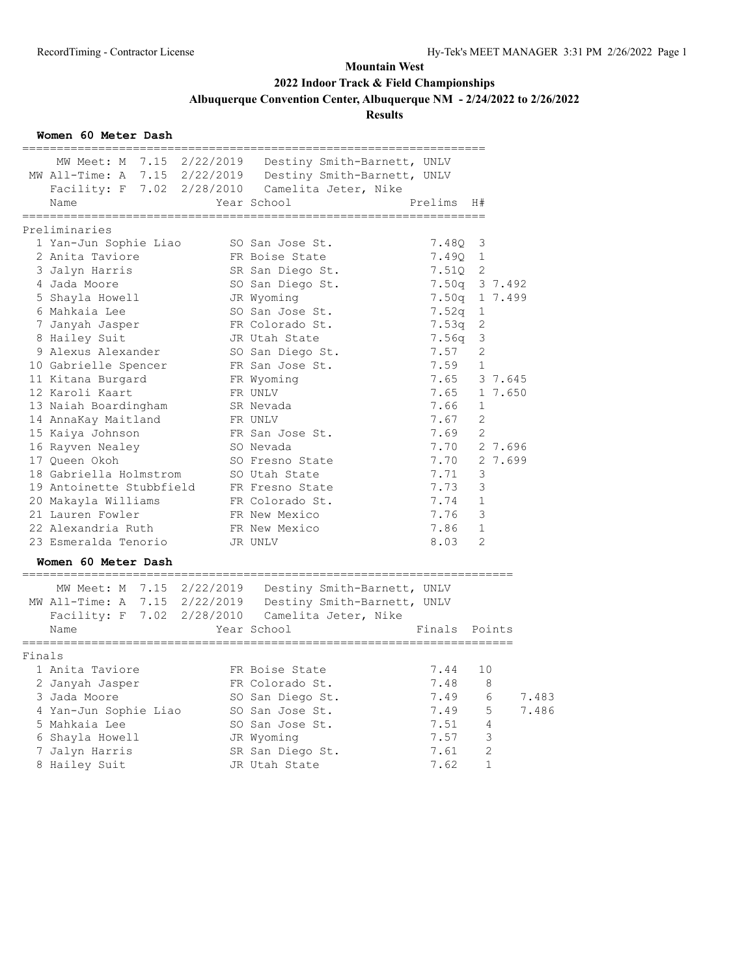### **Women 60 Meter Dash**

|        | MW Meet: M 7.15 2/22/2019 Destiny Smith-Barnett, UNLV<br>MW All-Time: A 7.15 2/22/2019 Destiny Smith-Barnett, UNLV<br>Facility: F 7.02 2/28/2010 Camelita Jeter, Nike<br>Year School<br>Name |                  | Prelims H#             |                         |       |
|--------|----------------------------------------------------------------------------------------------------------------------------------------------------------------------------------------------|------------------|------------------------|-------------------------|-------|
|        |                                                                                                                                                                                              |                  |                        |                         |       |
|        | Preliminaries                                                                                                                                                                                |                  |                        |                         |       |
|        | 1 Yan-Jun Sophie Liao                                                                                                                                                                        | SO San Jose St.  | 7.48Q 3                |                         |       |
|        | 2 Anita Taviore                                                                                                                                                                              | FR Boise State   | 7.49Q 1                |                         |       |
|        | 3 Jalyn Harris                                                                                                                                                                               | SR San Diego St. | $7.51Q$ 2              |                         |       |
|        | 4 Jada Moore                                                                                                                                                                                 | SO San Diego St. |                        | 7.50q 3 7.492           |       |
|        | 5 Shayla Howell                                                                                                                                                                              | JR Wyoming       |                        | 7.50q 1 7.499           |       |
|        | 6 Mahkaia Lee                                                                                                                                                                                | SO San Jose St.  | 7.52q                  | $\mathbf{1}$            |       |
|        | 7 Janyah Jasper                                                                                                                                                                              | FR Colorado St.  | $7.53q$ 2              |                         |       |
|        | 8 Hailey Suit                                                                                                                                                                                | JR Utah State    | 7.56q 3                |                         |       |
|        | 9 Alexus Alexander                                                                                                                                                                           | SO San Diego St. | 7.57 2                 |                         |       |
|        | 10 Gabrielle Spencer                                                                                                                                                                         | FR San Jose St.  | 7.59                   | 1                       |       |
|        | 11 Kitana Burgard                                                                                                                                                                            | FR Wyoming       |                        | 7.65 3 7.645            |       |
|        | 12 Karoli Kaart                                                                                                                                                                              | FR UNLV          | 7.65                   | 1 7.650                 |       |
|        | 13 Naiah Boardingham                                                                                                                                                                         | SR Nevada        | 7.66                   | 1                       |       |
|        | 14 AnnaKay Maitland                                                                                                                                                                          | FR UNLV          | 7.67 2                 |                         |       |
|        | 15 Kaiya Johnson                                                                                                                                                                             | FR San Jose St.  | $7.69$ 2               |                         |       |
|        | 16 Rayven Nealey                                                                                                                                                                             | SO Nevada        |                        | 7.70 2 7.696            |       |
|        | 17 Queen Okoh                                                                                                                                                                                | SO Fresno State  |                        | 7.70 2 7.699            |       |
|        | 18 Gabriella Holmstrom                                                                                                                                                                       | SO Utah State    | 7.71                   | 3                       |       |
|        | 19 Antoinette Stubbfield FR Fresno State                                                                                                                                                     |                  | 7.73                   | $\mathcal{E}$           |       |
|        | 20 Makayla Williams                                                                                                                                                                          | FR Colorado St.  | 7.74                   | $\mathbf{1}$            |       |
|        | 21 Lauren Fowler                                                                                                                                                                             | FR New Mexico    | 7.76                   | $\overline{\mathbf{3}}$ |       |
|        | 22 Alexandria Ruth                                                                                                                                                                           | FR New Mexico    | 7.86                   | 1                       |       |
|        | 23 Esmeralda Tenorio                                                                                                                                                                         | JR UNLV          | 8.03                   | 2                       |       |
|        | Women 60 Meter Dash                                                                                                                                                                          |                  |                        |                         |       |
|        |                                                                                                                                                                                              |                  |                        |                         |       |
|        | MW Meet: M 7.15 2/22/2019 Destiny Smith-Barnett, UNLV                                                                                                                                        |                  |                        |                         |       |
|        | MW All-Time: A 7.15 2/22/2019 Destiny Smith-Barnett, UNLV<br>Facility: F 7.02 2/28/2010 Camelita Jeter, Nike                                                                                 |                  |                        |                         |       |
|        | Name                                                                                                                                                                                         | Year School      | Finals Points          |                         |       |
|        |                                                                                                                                                                                              |                  | ______________________ |                         |       |
| Finals |                                                                                                                                                                                              |                  |                        |                         |       |
|        | 1 Anita Taviore                                                                                                                                                                              | FR Boise State   | 7.44                   | 10                      |       |
|        | 2 Janyah Jasper                                                                                                                                                                              | FR Colorado St.  | 7.48                   | 8                       |       |
|        | 3 Jada Moore                                                                                                                                                                                 | SO San Diego St. | 7.49                   |                         | 7.483 |
|        | 4 Yan-Jun Sophie Liao                                                                                                                                                                        | SO San Jose St.  | 7.49 6<br>7.49 5       |                         | 7.486 |
|        | 5 Mahkaia Lee                                                                                                                                                                                | SO San Jose St.  | 7.51                   | 4                       |       |
|        | 6 Shayla Howell                                                                                                                                                                              | JR Wyoming       | 7.57                   | 3                       |       |
|        | 7 Jalyn Harris                                                                                                                                                                               | SR San Diego St. | 7.61                   | 2                       |       |
|        | 8 Hailey Suit                                                                                                                                                                                | JR Utah State    | 7.62                   | $\mathbf{1}$            |       |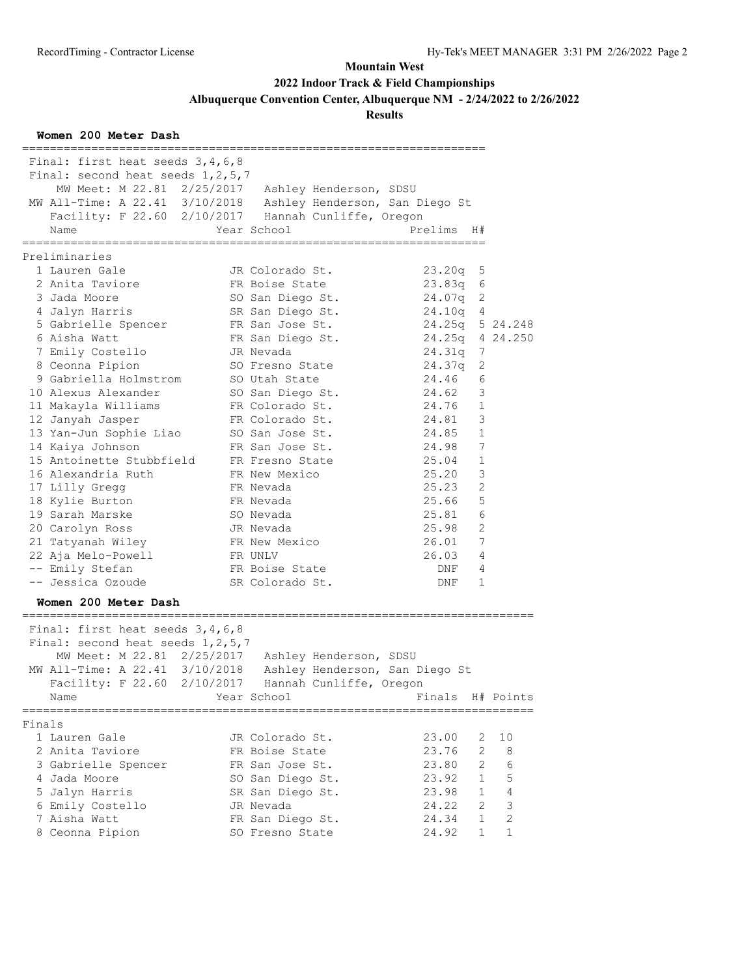### **Women 200 Meter Dash**

|        | Final: first heat seeds $3, 4, 6, 8$                          |                  |                  |              |                         |
|--------|---------------------------------------------------------------|------------------|------------------|--------------|-------------------------|
|        | Final: second heat seeds $1, 2, 5, 7$                         |                  |                  |              |                         |
|        | MW Meet: M 22.81 2/25/2017 Ashley Henderson, SDSU             |                  |                  |              |                         |
|        | MW All-Time: A 22.41 3/10/2018 Ashley Henderson, San Diego St |                  |                  |              |                         |
|        | Facility: F 22.60 2/10/2017 Hannah Cunliffe, Oregon           |                  |                  |              |                         |
|        | Name                                                          | Year School      | Prelims H#       |              |                         |
|        | ,,,,,,,,,,,,,,,,,,,,,,,,,                                     |                  | :==============  |              |                         |
|        | Preliminaries                                                 |                  |                  |              |                         |
|        | 1 Lauren Gale                                                 | JR Colorado St.  | 23.20q           | 5            |                         |
|        | 2 Anita Taviore                                               | FR Boise State   | $23.83q$ 6       |              |                         |
|        |                                                               |                  |                  |              |                         |
|        | 3 Jada Moore                                                  | SO San Diego St. | 24.07q 2         |              |                         |
|        | 4 Jalyn Harris                                                | SR San Diego St. | $24.10q$ 4       |              |                         |
|        | 5 Gabrielle Spencer                                           | FR San Jose St.  | 24.25q 5 24.248  |              |                         |
|        | 6 Aisha Watt                                                  | FR San Diego St. | 24.25q 4 24.250  |              |                         |
|        | 7 Emily Costello                                              | JR Nevada        | $24.31q$ 7       |              |                         |
|        | 8 Ceonna Pipion                                               | SO Fresno State  | 24.37q           | 2            |                         |
|        | 9 Gabriella Holmstrom                                         | SO Utah State    | 24.46            | 6            |                         |
|        | 10 Alexus Alexander                                           | SO San Diego St. | 24.62            | 3            |                         |
|        | 11 Makayla Williams                                           | FR Colorado St.  | 24.76            | -1           |                         |
|        | 12 Janyah Jasper                                              | FR Colorado St.  | 24.81            | 3            |                         |
|        |                                                               |                  |                  |              |                         |
|        | 13 Yan-Jun Sophie Liao                                        | SO San Jose St.  | 24.85            | 1            |                         |
|        | 14 Kaiya Johnson                                              | FR San Jose St.  | 24.98            | 7            |                         |
|        | 15 Antoinette Stubbfield                                      | FR Fresno State  | 25.04            | $\mathbf 1$  |                         |
|        | 16 Alexandria Ruth                                            | FR New Mexico    | 25.20            | 3            |                         |
|        | 17 Lilly Gregg                                                | FR Nevada        | 25.23            | 2            |                         |
|        | 18 Kylie Burton                                               | FR Nevada        | 25.66            | 5            |                         |
|        | 19 Sarah Marske                                               | SO Nevada        | 25.81            | 6            |                         |
|        | 20 Carolyn Ross                                               | JR Nevada        | 25.98            | 2            |                         |
|        | 21 Tatyanah Wiley                                             | FR New Mexico    | 26.01 7          |              |                         |
|        | 22 Aja Melo-Powell                                            | FR UNLV          | 26.03            | 4            |                         |
|        | -- Emily Stefan                                               | FR Boise State   | DNF              | - 4          |                         |
|        | -- Jessica Ozoude                                             | SR Colorado St.  | DNF              | 1            |                         |
|        |                                                               |                  |                  |              |                         |
|        | Women 200 Meter Dash                                          |                  |                  |              |                         |
|        | Final: first heat seeds $3, 4, 6, 8$                          |                  |                  |              |                         |
|        | Final: second heat seeds $1, 2, 5, 7$                         |                  |                  |              |                         |
|        | MW Meet: M 22.81 2/25/2017 Ashley Henderson, SDSU             |                  |                  |              |                         |
|        | MW All-Time: A 22.41 3/10/2018 Ashley Henderson, San Diego St |                  |                  |              |                         |
|        |                                                               |                  |                  |              |                         |
|        | Facility: F 22.60 2/10/2017 Hannah Cunliffe, Oregon           |                  |                  |              |                         |
|        | Name                                                          | Year School      | Finals H# Points |              |                         |
| Finals |                                                               |                  |                  |              |                         |
|        | 1 Lauren Gale                                                 | JR Colorado St.  | 23.00            | 2            | 10                      |
|        | 2 Anita Taviore                                               | FR Boise State   | 23.76            | 2            |                         |
|        |                                                               |                  |                  |              | -8                      |
|        | 3 Gabrielle Spencer                                           | FR San Jose St.  | 23.80            | 2            | - 6                     |
|        | 4 Jada Moore                                                  | SO San Diego St. | 23.92            |              | 5<br>$1 \quad$          |
|        | 5 Jalyn Harris                                                | SR San Diego St. | 23.98            | 1            | $\overline{4}$          |
|        | 6 Emily Costello                                              | JR Nevada        | 24.22            | 2            | $\overline{\mathbf{3}}$ |
|        | 7 Aisha Watt                                                  | FR San Diego St. | 24.34            | $\mathbf{1}$ | 2                       |
|        | 8 Ceonna Pipion                                               | SO Fresno State  | 24.92            | $\mathbf{1}$ | 1                       |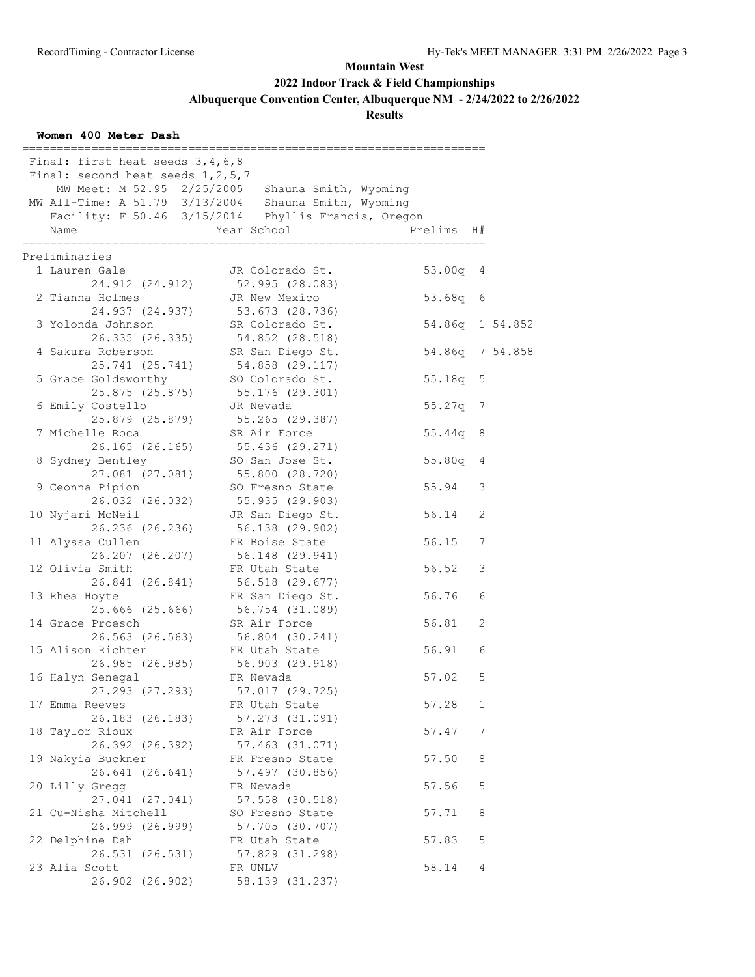### **Women 400 Meter Dash**

| Final: first heat seeds $3, 4, 6, 8$<br>Final: second heat seeds 1, 2, 5, 7<br>MW Meet: M 52.95 2/25/2005 Shauna Smith, Wyoming<br>MW All-Time: A 51.79 3/13/2004 Shauna Smith, Wyoming<br>Facility: F 50.46 3/15/2014 Phyllis Francis, Oregon<br>Name | Year School                        | Prelims H#        |   |  |
|--------------------------------------------------------------------------------------------------------------------------------------------------------------------------------------------------------------------------------------------------------|------------------------------------|-------------------|---|--|
|                                                                                                                                                                                                                                                        |                                    | ================= |   |  |
| Preliminaries                                                                                                                                                                                                                                          |                                    |                   |   |  |
| 1 Lauren Gale                                                                                                                                                                                                                                          | JR Colorado St.                    | 53.00q 4          |   |  |
| 24.912 (24.912)                                                                                                                                                                                                                                        | 52.995 (28.083)                    |                   |   |  |
| 2 Tianna Holmes                                                                                                                                                                                                                                        | JR New Mexico                      | 53.68q            | 6 |  |
| 24.937 (24.937)                                                                                                                                                                                                                                        | 53.673 (28.736)                    |                   |   |  |
| 3 Yolonda Johnson                                                                                                                                                                                                                                      | SR Colorado St.                    | 54.86q 1 54.852   |   |  |
| 26.335 (26.335)                                                                                                                                                                                                                                        | 54.852 (28.518)                    |                   |   |  |
| 4 Sakura Roberson                                                                                                                                                                                                                                      | SR San Diego St.                   | 54.86q 7 54.858   |   |  |
| 25.741 (25.741)<br>5 Grace Goldsworthy                                                                                                                                                                                                                 | 54.858 (29.117)<br>SO Colorado St. |                   |   |  |
| 25.875 (25.875)                                                                                                                                                                                                                                        | 55.176 (29.301)                    | 55.18q 5          |   |  |
| 6 Emily Costello                                                                                                                                                                                                                                       | JR Nevada                          | 55.27q            | 7 |  |
| 25.879 (25.879)                                                                                                                                                                                                                                        | 55.265 (29.387)                    |                   |   |  |
| 7 Michelle Roca                                                                                                                                                                                                                                        | SR Air Force                       | 55.44q            | 8 |  |
| $26.165$ $(26.165)$                                                                                                                                                                                                                                    | 55.436 (29.271)                    |                   |   |  |
| 8 Sydney Bentley                                                                                                                                                                                                                                       | SO San Jose St.                    | 55.80q            | 4 |  |
| 27.081 (27.081)                                                                                                                                                                                                                                        | 55.800 (28.720)                    |                   |   |  |
| 9 Ceonna Pipion                                                                                                                                                                                                                                        | SO Fresno State                    | 55.94             | 3 |  |
| 26.032 (26.032)                                                                                                                                                                                                                                        | 55.935 (29.903)                    |                   |   |  |
| 10 Nyjari McNeil                                                                                                                                                                                                                                       | JR San Diego St.                   | 56.14             | 2 |  |
| 26.236 (26.236)                                                                                                                                                                                                                                        | 56.138 (29.902)                    |                   |   |  |
| 11 Alyssa Cullen                                                                                                                                                                                                                                       | FR Boise State                     | 56.15             | 7 |  |
| 26.207 (26.207)                                                                                                                                                                                                                                        | 56.148 (29.941)                    |                   |   |  |
| 12 Olivia Smith                                                                                                                                                                                                                                        | FR Utah State                      | 56.52             | 3 |  |
| 26.841 (26.841)                                                                                                                                                                                                                                        | 56.518 (29.677)                    |                   |   |  |
| 13 Rhea Hoyte                                                                                                                                                                                                                                          | FR San Diego St.                   | 56.76             | 6 |  |
| 25.666 (25.666)                                                                                                                                                                                                                                        | 56.754 (31.089)                    |                   |   |  |
| 14 Grace Proesch                                                                                                                                                                                                                                       | SR Air Force                       | 56.81             | 2 |  |
| 26.563 (26.563)                                                                                                                                                                                                                                        | 56.804 (30.241)                    |                   |   |  |
| 15 Alison Richter                                                                                                                                                                                                                                      | FR Utah State                      | 56.91             | 6 |  |
| 26.985 (26.985)                                                                                                                                                                                                                                        | 56.903 (29.918)                    |                   |   |  |
| 16 Halyn Senegal                                                                                                                                                                                                                                       | FR Nevada                          | 57.02             | 5 |  |
| 27.293 (27.293)                                                                                                                                                                                                                                        | 57.017 (29.725)                    |                   |   |  |
| 17 Emma Reeves                                                                                                                                                                                                                                         | FR Utah State                      | 57.28             | 1 |  |
| 26.183 (26.183)                                                                                                                                                                                                                                        | 57.273 (31.091)                    |                   |   |  |
| 18 Taylor Rioux                                                                                                                                                                                                                                        | FR Air Force                       | 57.47             | 7 |  |
| 26.392 (26.392)                                                                                                                                                                                                                                        | 57.463 (31.071)                    |                   |   |  |
| 19 Nakyia Buckner                                                                                                                                                                                                                                      | FR Fresno State                    | 57.50             | 8 |  |
| 26.641 (26.641)                                                                                                                                                                                                                                        | 57.497 (30.856)                    |                   |   |  |
| 20 Lilly Gregg                                                                                                                                                                                                                                         | FR Nevada                          | 57.56             | 5 |  |
| 27.041 (27.041)                                                                                                                                                                                                                                        | 57.558 (30.518)                    |                   |   |  |
| 21 Cu-Nisha Mitchell                                                                                                                                                                                                                                   | SO Fresno State                    | 57.71             | 8 |  |
| 26.999 (26.999)                                                                                                                                                                                                                                        | 57.705 (30.707)                    |                   |   |  |
| 22 Delphine Dah                                                                                                                                                                                                                                        | FR Utah State                      | 57.83             | 5 |  |
| 26.531 (26.531)                                                                                                                                                                                                                                        | 57.829 (31.298)                    |                   |   |  |
| 23 Alia Scott                                                                                                                                                                                                                                          | FR UNLV                            | 58.14             | 4 |  |
| 26.902 (26.902)                                                                                                                                                                                                                                        | 58.139 (31.237)                    |                   |   |  |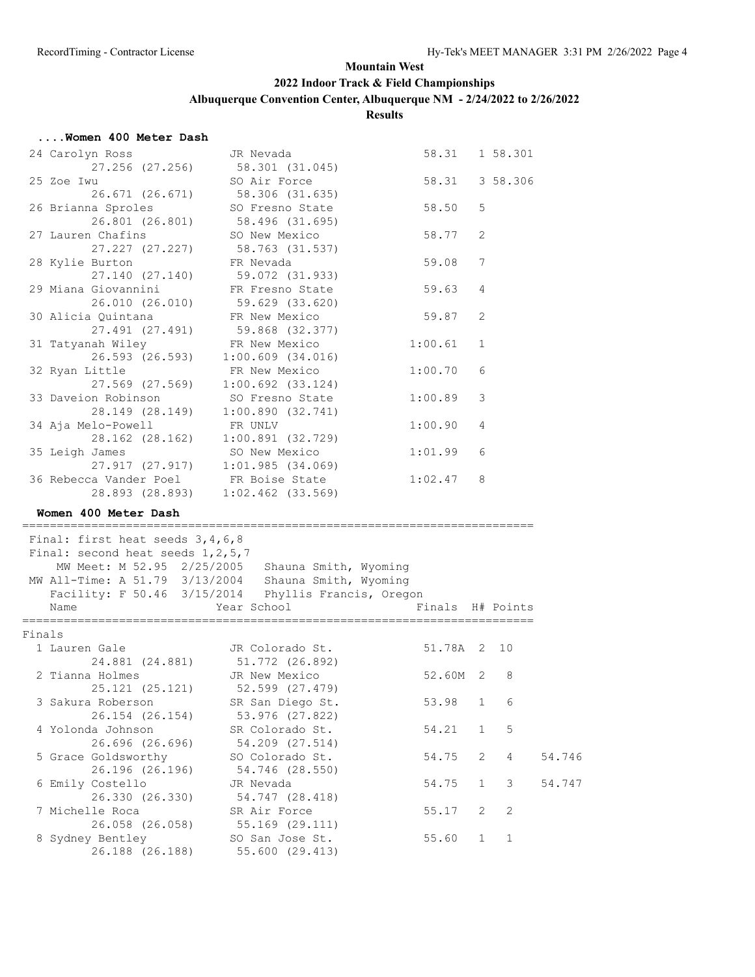**Results**

| Women 400 Meter Dash |
|----------------------|
|----------------------|

|        | 24 Carolyn Ross                       | JR Nevada                                            | 58.31            |              | 1 58.301       |        |
|--------|---------------------------------------|------------------------------------------------------|------------------|--------------|----------------|--------|
|        | 27.256 (27.256)                       | 58.301 (31.045)                                      |                  |              |                |        |
|        | 25 Zoe Iwu                            | SO Air Force                                         | 58.31            |              | 3 58.306       |        |
|        | 26.671 (26.671)                       | 58.306 (31.635)                                      |                  |              |                |        |
|        | 26 Brianna Sproles                    | SO Fresno State                                      | 58.50            | 5            |                |        |
|        | 26.801 (26.801)                       | 58.496 (31.695)                                      |                  |              |                |        |
|        | 27 Lauren Chafins                     | SO New Mexico                                        | 58.77            | 2            |                |        |
|        | 27.227 (27.227)                       | 58.763 (31.537)                                      |                  |              |                |        |
|        | 28 Kylie Burton                       | FR Nevada                                            | 59.08            | 7            |                |        |
|        | 27.140 (27.140)                       | 59.072 (31.933)                                      |                  |              |                |        |
|        | 29 Miana Giovannini                   | FR Fresno State                                      | 59.63            | 4            |                |        |
|        | 26.010 (26.010)                       | 59.629 (33.620)                                      |                  |              |                |        |
|        | 30 Alicia Quintana                    | FR New Mexico                                        | 59.87            | 2            |                |        |
|        | 27.491 (27.491)                       | 59.868 (32.377)                                      |                  |              |                |        |
|        | 31 Tatyanah Wiley                     | FR New Mexico                                        | 1:00.61          | 1            |                |        |
|        | 26.593 (26.593)                       | $1:00.609$ $(34.016)$                                |                  |              |                |        |
|        | 32 Ryan Little                        | FR New Mexico                                        | 1:00.70          | 6            |                |        |
|        | 27.569 (27.569)                       | $1:00.692$ $(33.124)$                                |                  |              |                |        |
|        | 33 Daveion Robinson                   | SO Fresno State                                      | 1:00.89          | 3            |                |        |
|        |                                       | 28.149 (28.149) 1:00.890 (32.741)                    |                  |              |                |        |
|        |                                       |                                                      | 1:00.90          | 4            |                |        |
|        | 34 Aja Melo-Powell                    | FR UNLV<br>1:00.891 (32.729)                         |                  |              |                |        |
|        | 28.162 (28.162)                       | SO New Mexico                                        |                  | 6            |                |        |
|        | 35 Leigh James                        |                                                      | 1:01.99          |              |                |        |
|        |                                       | 27.917 (27.917) 1:01.985 (34.069)                    |                  |              |                |        |
|        | 36 Rebecca Vander Poel FR Boise State |                                                      | 1:02.47          | 8            |                |        |
|        |                                       | 28.893 (28.893) 1:02.462 (33.569)                    |                  |              |                |        |
|        | Women 400 Meter Dash                  |                                                      |                  |              |                |        |
|        |                                       |                                                      |                  |              |                |        |
|        | Final: first heat seeds 3, 4, 6, 8    |                                                      |                  |              |                |        |
|        | Final: second heat seeds $1, 2, 5, 7$ |                                                      |                  |              |                |        |
|        |                                       | MW Meet: M 52.95 2/25/2005 Shauna Smith, Wyoming     |                  |              |                |        |
|        |                                       | MW All-Time: A 51.79 3/13/2004 Shauna Smith, Wyoming |                  |              |                |        |
|        |                                       | Facility: F 50.46 3/15/2014 Phyllis Francis, Oregon  |                  |              |                |        |
|        | Name                                  | Year School                                          | Finals H# Points |              |                |        |
|        |                                       |                                                      |                  |              |                |        |
| Finals |                                       |                                                      |                  |              |                |        |
|        | 1 Lauren Gale                         | JR Colorado St.                                      | 51.78A 2 10      |              |                |        |
|        | 24.881 (24.881)                       | 51.772 (26.892)                                      |                  |              |                |        |
|        | 2 Tianna Holmes                       | JR New Mexico                                        | 52.60M 2         |              | - 8            |        |
|        | 25.121 (25.121)                       | 52.599 (27.479)                                      |                  |              |                |        |
|        | 3 Sakura Roberson                     | SR San Diego St.                                     | 53.98 1 6        |              |                |        |
|        | 26.154 (26.154)                       | 53.976 (27.822)                                      |                  |              |                |        |
|        | 4 Yolonda Johnson                     | SR Colorado St.                                      | 54.21            | $\mathbf{1}$ | 5              |        |
|        | 26.696 (26.696)                       | 54.209 (27.514)                                      |                  |              |                |        |
|        | 5 Grace Goldsworthy                   | SO Colorado St.                                      | 54.75            | 2            | $\overline{4}$ | 54.746 |
|        | 26.196 (26.196)                       | 54.746 (28.550)                                      |                  |              |                |        |
|        | 6 Emily Costello                      | JR Nevada                                            | 54.75            | $\mathbf 1$  | 3              | 54.747 |
|        | 26.330 (26.330)                       | 54.747 (28.418)                                      |                  |              |                |        |
|        | 7 Michelle Roca                       | SR Air Force                                         | 55.17            | 2            | $\sqrt{2}$     |        |
|        | 26.058 (26.058)                       | 55.169 (29.111)                                      |                  |              |                |        |
|        | 8 Sydney Bentley                      | SO San Jose St.                                      | 55.60            | $\mathbf{1}$ | $\mathbf 1$    |        |
|        |                                       |                                                      |                  |              |                |        |
|        | 26.188 (26.188)                       | 55.600 (29.413)                                      |                  |              |                |        |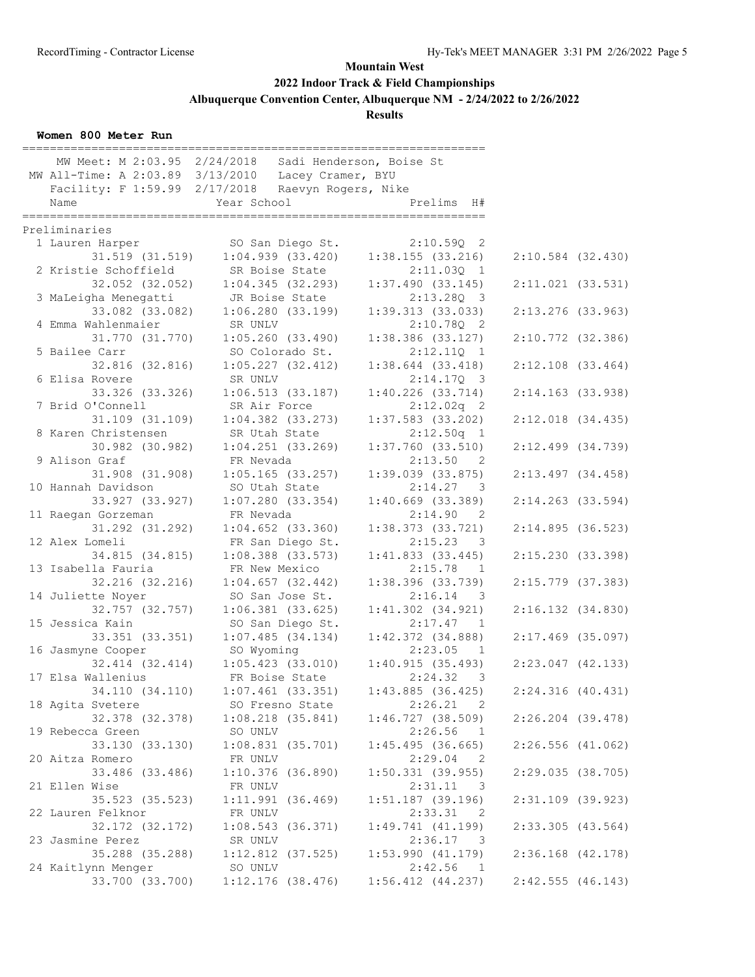### **Women 800 Meter Run**

|                                     | MW Meet: M 2:03.95 2/24/2018 Sadi Henderson, Boise St<br>MW All-Time: A 2:03.89 3/13/2010 Lacey Cramer, BYU |                                     |
|-------------------------------------|-------------------------------------------------------------------------------------------------------------|-------------------------------------|
| Name                                | Facility: F 1:59.99 2/17/2018 Raevyn Rogers, Nike<br>Year School                                            | Prelims H#                          |
| Preliminaries                       |                                                                                                             |                                     |
|                                     | 1 Lauren Harper SO San Diego St.                                                                            | $2:10.59Q$ 2                        |
|                                     | $31.519$ $(31.519)$ $1:04.939$ $(33.420)$                                                                   | 1:38.155(33.216)                    |
| 2 Kristie Schoffield SR Boise State |                                                                                                             | 2:11.030 1                          |
|                                     | 32.052 (32.052) 1:04.345 (32.293)                                                                           | 1:37.490(33.145)                    |
|                                     | 3 MaLeigha Menegatti JR Boise State<br>33.082 (33.082) 1:06.280 (33.199)                                    | $2:13.28Q$ 3                        |
|                                     |                                                                                                             | 1:39.313(33.033)                    |
| 4 Emma Wahlenmaier                  | SR UNLV                                                                                                     | $2:10.78Q$ 2                        |
| 31.770 (31.770)                     | 1:05.260(33.490)                                                                                            | $1:38.386$ (33.127)                 |
| 5 Bailee Carr                       | SO Colorado St.                                                                                             | $2:12.110$ 1                        |
| 32.816 (32.816)<br>6 Elisa Rovere   | $1:05.227$ (32.412)<br>SR UNLV                                                                              | $1:38.644$ (33.418)<br>$2:14.17Q$ 3 |
| 33.326 (33.326)                     | 1:06.513(33.187)                                                                                            | $1:40.226$ (33.714)                 |
| 7 Brid O'Connell                    | SR Air Force                                                                                                | $2:12.02q$ 2                        |
|                                     | 31.109 (31.109) 1:04.382 (33.273)                                                                           | $1:37.583$ (33.202)                 |
| 8 Karen Christensen                 | SR Utah State                                                                                               | $2:12.50q$ 1                        |
| 30.982 (30.982)                     | $1:04.251$ (33.269)                                                                                         | $1:37.760$ (33.510)                 |
| 9 Alison Graf                       | FR Nevada                                                                                                   | $2:13.50$ 2                         |
|                                     | 31.908 (31.908) 1:05.165 (33.257)                                                                           | $1:39.039$ $(33.875)$               |
| 10 Hannah Davidson                  | SO Utah State                                                                                               | $2:14.27$ 3                         |
| 33.927 (33.927)                     | $1:07.280$ (33.354)                                                                                         | $1:40.669$ (33.389)                 |
| 11 Raegan Gorzeman                  | FR Nevada                                                                                                   | 2:14.90 2                           |
| 31.292 (31.292)                     | $1:04.652$ (33.360)                                                                                         | $1:38.373$ (33.721)                 |
| 12 Alex Lomeli                      | FR San Diego St.                                                                                            | $2:15.23$ 3                         |
| 34.815 (34.815)                     | $1:08.388$ $(33.573)$                                                                                       | 1:41.833(33.445)                    |
| 13 Isabella Fauria                  | FR New Mexico                                                                                               | $2:15.78$ 1                         |
| 32.216 (32.216)                     | $1:04.657$ $(32.442)$                                                                                       | $1:38.396$ (33.739)                 |
| 14 Juliette Noyer                   | SO San Jose St.                                                                                             | $2:16.14$ 3                         |
| 32.757 (32.757)                     | $1:06.381$ (33.625)                                                                                         | $1:41.302$ $(34.921)$               |
| 15 Jessica Kain                     | SO San Diego St.                                                                                            | 2:17.47 1                           |
| 33.351 (33.351)                     | 1:07.485(34.134)                                                                                            | $1:42.372$ (34.888)                 |
| 16 Jasmyne Cooper                   | SO Wyoming                                                                                                  | 2:23.05 1                           |
| 17 Elsa Wallenius                   | 32.414 (32.414) 1:05.423 (33.010)<br>FR Boise State                                                         | 1:40.915(35.493)<br>2:24.32 3       |
|                                     |                                                                                                             | $1:43.885$ (36.425)                 |
| 34.110 (34.110)<br>18 Agita Svetere | $1:07.461$ (33.351)<br>SO Fresno State                                                                      | 2:26.21 2                           |
| 32.378 (32.378)                     | $1:08.218$ $(35.841)$                                                                                       | 1:46.727(38.509)                    |
| 19 Rebecca Green                    | SO UNLV                                                                                                     | 2:26.56<br>$\overline{1}$           |
| 33.130 (33.130)                     | 1:08.831(35.701)                                                                                            | 1:45.495(36.665)                    |
| 20 Aitza Romero                     | FR UNLV                                                                                                     | 2:29.04<br>2                        |
| 33.486 (33.486)                     | $1:10.376$ (36.890)                                                                                         | $1:50.331$ (39.955)                 |
| 21 Ellen Wise                       | FR UNLV                                                                                                     | 2:31.11<br>$\overline{\phantom{a}}$ |
| 35.523 (35.523)                     | 1:11.991(36.469)                                                                                            | $1:51.187$ (39.196)                 |
| 22 Lauren Felknor                   | FR UNLV                                                                                                     | 2:33.31<br>$\overline{2}$           |
| 32.172 (32.172)                     | 1:08.543(36.371)                                                                                            | 1:49.741(41.199)                    |
| 23 Jasmine Perez                    | SR UNLV                                                                                                     | 2:36.17 3                           |
| 35.288 (35.288)                     | $1:12.812$ (37.525)                                                                                         | 1:53.990(41.179)                    |
| 24 Kaitlynn Menger                  | SO UNLV                                                                                                     | 2:42.56<br>$\overline{1}$           |
| 33.700 (33.700)                     | $1:12.176$ (38.476)                                                                                         | $1:56.412$ $(44.237)$               |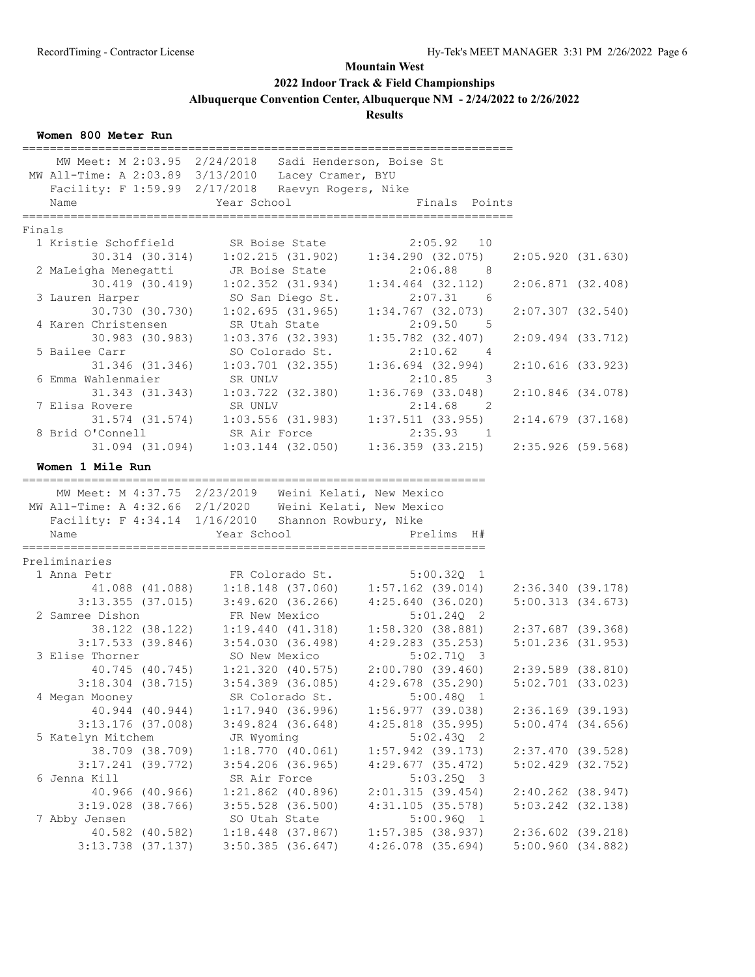### **Women 800 Meter Run**

|        | Name                 | MW Meet: M 2:03.95 2/24/2018 Sadi Henderson, Boise St<br>MW All-Time: A 2:03.89 3/13/2010 Lacey Cramer, BYU<br>Facility: F 1:59.99 2/17/2018 Raevyn Rogers, Nike<br>Year School | Finals Points          |                     |  |
|--------|----------------------|---------------------------------------------------------------------------------------------------------------------------------------------------------------------------------|------------------------|---------------------|--|
| Finals |                      |                                                                                                                                                                                 |                        |                     |  |
|        |                      | 1 Kristie Schoffield SR Boise State                                                                                                                                             | 2:05.92 10             |                     |  |
|        |                      | 30.314 (30.314) 1:02.215 (31.902)                                                                                                                                               | 1:34.290(32.075)       | 2:05.920(31.630)    |  |
|        | 2 MaLeigha Menegatti | JR Boise State                                                                                                                                                                  | $2:06.88$ 8            |                     |  |
|        | 30.419 (30.419)      | $1:02.352$ $(31.934)$                                                                                                                                                           | $1:34.464$ $(32.112)$  | 2:06.871(32.408)    |  |
|        | 3 Lauren Harper      | SO San Diego St.                                                                                                                                                                | $2:07.31$ 6            |                     |  |
|        | 30.730 (30.730)      | 1:02.695(31.965)                                                                                                                                                                | $1:34.767$ (32.073)    | $2:07.307$ (32.540) |  |
|        | 4 Karen Christensen  | SR Utah State                                                                                                                                                                   | 2:09.50<br>$5^{\circ}$ |                     |  |
|        |                      | 30.983 (30.983) 1:03.376 (32.393)                                                                                                                                               | $1:35.782$ $(32.407)$  | $2:09.494$ (33.712) |  |
|        | 5 Bailee Carr        | SO Colorado St.                                                                                                                                                                 | 2:10.62 4              |                     |  |
|        | 31.346 (31.346)      | $1:03.701$ (32.355)                                                                                                                                                             | $1:36.694$ (32.994)    | 2:10.616(33.923)    |  |
|        | 6 Emma Wahlenmaier   | SR UNLV                                                                                                                                                                         | $2:10.85$ 3            |                     |  |
|        | 31.343 (31.343)      | 1:03.722 (32.380)                                                                                                                                                               | $1:36.769$ $(33.048)$  | 2:10.846 (34.078)   |  |
|        | 7 Elisa Rovere       | SR UNLV                                                                                                                                                                         | $2:14.68$ 2            |                     |  |
|        |                      | 31.574 (31.574) 1:03.556 (31.983)                                                                                                                                               | 1:37.511(33.955)       | $2:14.679$ (37.168) |  |
|        | 8 Brid O'Connell     | SR Air Force                                                                                                                                                                    | 2:35.93 1              |                     |  |
|        |                      | 31.094 (31.094) 1:03.144 (32.050) 1:36.359 (33.215) 2:35.926 (59.568)                                                                                                           |                        |                     |  |
|        | Women 1 Mile Run     |                                                                                                                                                                                 |                        |                     |  |
|        |                      |                                                                                                                                                                                 |                        |                     |  |
|        |                      | MW Meet: M 4:37.75 2/23/2019 Weini Kelati, New Mexico                                                                                                                           |                        |                     |  |
|        |                      | MW All-Time: A 4:32.66 2/1/2020 Weini Kelati, New Mexico                                                                                                                        |                        |                     |  |
|        |                      | Facility: F 4:34.14 1/16/2010 Shannon Rowbury, Nike                                                                                                                             |                        |                     |  |
|        | Name                 | Year School                                                                                                                                                                     | Prelims H#             |                     |  |
|        | Preliminaries        |                                                                                                                                                                                 |                        |                     |  |
|        | 1 Anna Petr          | FR Colorado St.                                                                                                                                                                 | $5:00.32Q$ 1           |                     |  |
|        |                      | 41.088 (41.088) 1:18.148 (37.060)                                                                                                                                               | 1:57.162 (39.014)      | 2:36.340 (39.178)   |  |
|        | $3:13.355$ (37.015)  | 3:49.620(36.266)                                                                                                                                                                | 4:25.640(36.020)       | 5:00.313(34.673)    |  |
|        | 2 Samree Dishon      | FR New Mexico                                                                                                                                                                   | $5:01.24Q$ 2           |                     |  |
|        |                      | 38.122 (38.122) 1:19.440 (41.318)                                                                                                                                               | 1:58.320 (38.881)      | $2:37.687$ (39.368) |  |
|        |                      | $3:17.533$ (39.846) $3:54.030$ (36.498)                                                                                                                                         | $4:29.283$ $(35.253)$  | $5:01.236$ (31.953) |  |
|        | 3 Elise Thorner      | SO New Mexico                                                                                                                                                                   | $5:02.71Q$ 3           |                     |  |
|        |                      | 40.745 (40.745) 1:21.320 (40.575) 2:00.780 (39.460)                                                                                                                             |                        | 2:39.589(38.810)    |  |
|        | $3:18.304$ (38.715)  | $3:54.389$ (36.085)                                                                                                                                                             | $4:29.678$ (35.290)    | $5:02.701$ (33.023) |  |
|        | 4 Megan Mooney       | SR Colorado St.                                                                                                                                                                 | $5:00.48Q$ 1           |                     |  |
|        | 40.944 (40.944)      | 1:17.940(36.996)                                                                                                                                                                | 1:56.977(39.038)       | $2:36.169$ (39.193) |  |
|        | $3:13.176$ (37.008)  | $3:49.824$ (36.648)                                                                                                                                                             | $4:25.818$ $(35.995)$  | $5:00.474$ (34.656) |  |
|        | 5 Katelyn Mitchem    | JR Wyoming                                                                                                                                                                      | $5:02.43Q$ 2           |                     |  |
|        | 38.709 (38.709)      | 1:18.770(40.061)                                                                                                                                                                | $1:57.942$ (39.173)    | $2:37.470$ (39.528) |  |
|        | $3:17.241$ (39.772)  | $3:54.206$ (36.965)                                                                                                                                                             | $4:29.677$ (35.472)    | $5:02.429$ (32.752) |  |
|        | 6 Jenna Kill         | SR Air Force                                                                                                                                                                    | $5:03.25Q$ 3           |                     |  |
|        | 40.966 (40.966)      | 1:21.862 (40.896)                                                                                                                                                               | 2:01.315(39.454)       | $2:40.262$ (38.947) |  |
|        | 3:19.028 (38.766)    | $3:55.528$ (36.500)                                                                                                                                                             | $4:31.105$ (35.578)    | $5:03.242$ (32.138) |  |
|        | 7 Abby Jensen        | SO Utah State                                                                                                                                                                   | $5:00.96Q$ 1           |                     |  |
|        | 40.582 (40.582)      | $1:18.448$ (37.867)                                                                                                                                                             | $1:57.385$ (38.937)    | $2:36.602$ (39.218) |  |
|        | 3:13.738 (37.137)    | $3:50.385$ (36.647)                                                                                                                                                             | $4:26.078$ (35.694)    | 5:00.960(34.882)    |  |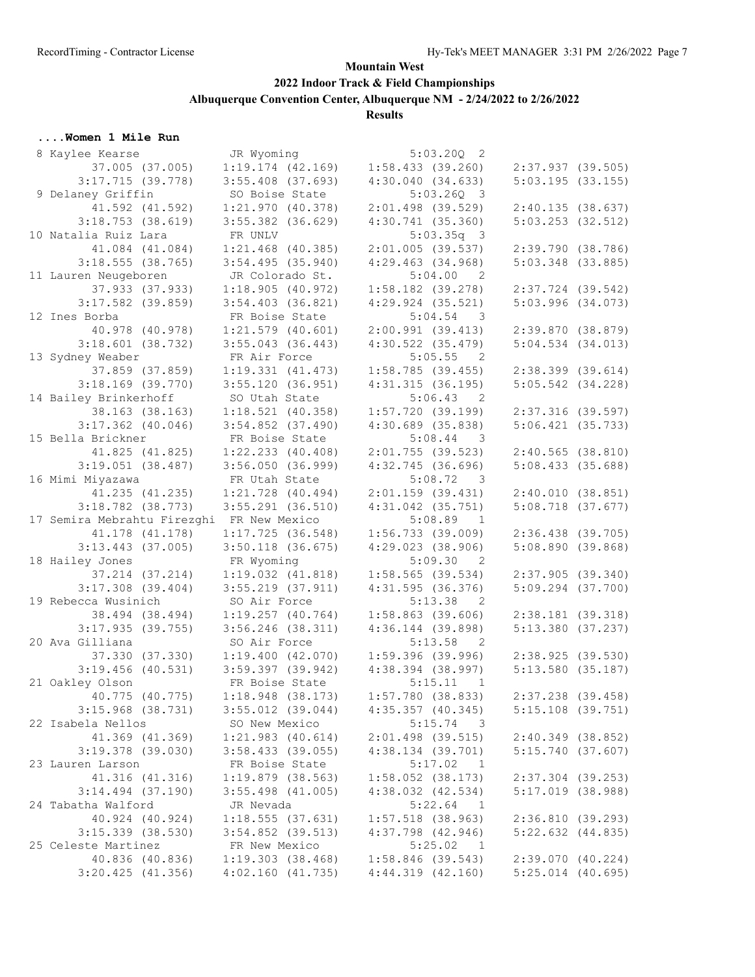#### **....Women 1 Mile Run**

| 8 Kaylee Kearse                           | JR Wyoming            | $5:03.200$ 2                          |                       |  |
|-------------------------------------------|-----------------------|---------------------------------------|-----------------------|--|
| 37.005 (37.005)                           | $1:19.174$ $(42.169)$ | 1:58.433(39.260)                      | 2:37.937(39.505)      |  |
| $3:17.715$ (39.778)                       | $3:55.408$ (37.693)   | 4:30.040(34.633)                      | $5:03.195$ (33.155)   |  |
| 9 Delaney Griffin                         | SO Boise State        | $5:03.26Q$ 3                          |                       |  |
| 41.592 (41.592)                           | $1:21.970$ (40.378)   | $2:01.498$ (39.529)                   | 2:40.135(38.637)      |  |
| $3:18.753$ (38.619)                       | $3:55.382$ (36.629)   | $4:30.741$ (35.360)                   | $5:03.253$ (32.512)   |  |
| 10 Natalia Ruiz Lara                      | FR UNLV               | $5:03.35q$ 3                          |                       |  |
| 41.084 (41.084)                           | $1:21.468$ (40.385)   | $2:01.005$ (39.537)                   | 2:39.790(38.786)      |  |
| $3:18.555$ (38.765)                       | $3:54.495$ (35.940)   | $4:29.463$ (34.968)                   | $5:03.348$ (33.885)   |  |
| 11 Lauren Neugeboren                      | JR Colorado St.       | 5:04.00 2                             |                       |  |
| 37.933 (37.933)                           | 1:18.905(40.972)      | $1:58.182$ (39.278)                   | $2:37.724$ (39.542)   |  |
| $3:17.582$ (39.859)                       | $3:54.403$ (36.821)   | $4:29.924$ $(35.521)$                 | $5:03.996$ $(34.073)$ |  |
| 12 Ines Borba                             | FR Boise State        | $5:04.54$ 3                           |                       |  |
| 40.978 (40.978)                           | $1:21.579$ (40.601)   | 2:00.991(39.413)                      | 2:39.870(38.879)      |  |
| $3:18.601$ (38.732)                       | $3:55.043$ (36.443)   | $4:30.522$ $(35.479)$                 | $5:04.534$ $(34.013)$ |  |
| 13 Sydney Weaber                          | FR Air Force          | 5:05.55<br>$\overline{2}$             |                       |  |
| 37.859 (37.859)                           | 1:19.331(41.473)      | $1:58.785$ (39.455)                   | $2:38.399$ (39.614)   |  |
| $3:18.169$ (39.770)                       | 3:55.120(36.951)      | $4:31.315$ (36.195)                   | $5:05.542$ (34.228)   |  |
| 14 Bailey Brinkerhoff                     | SO Utah State         | 5:06.43 2                             |                       |  |
| 38.163 (38.163)                           | $1:18.521$ (40.358)   | 1:57.720(39.199)                      | $2:37.316$ (39.597)   |  |
| $3:17.362$ (40.046)                       | $3:54.852$ (37.490)   | $4:30.689$ (35.838)                   | $5:06.421$ (35.733)   |  |
| 15 Bella Brickner                         | FR Boise State        | $5:08.44$ 3                           |                       |  |
| 41.825 (41.825)                           | $1:22.233$ $(40.408)$ | $2:01.755$ (39.523)                   | $2:40.565$ (38.810)   |  |
| $3:19.051$ (38.487)                       | 3:56.050(36.999)      | $4:32.745$ (36.696)                   | $5:08.433$ (35.688)   |  |
| 16 Mimi Miyazawa                          | FR Utah State         | 5:08.72<br>$\overline{\phantom{a}}$   |                       |  |
| 41.235 (41.235)                           | $1:21.728$ (40.494)   | $2:01.159$ (39.431)                   | 2:40.010(38.851)      |  |
| $3:18.782$ (38.773)                       | $3:55.291$ (36.510)   | $4:31.042$ $(35.751)$                 | $5:08.718$ (37.677)   |  |
| 17 Semira Mebrahtu Firezghi FR New Mexico |                       | 5:08.89<br>$\overline{1}$             |                       |  |
| 41.178 (41.178)                           | 1:17.725(36.548)      | $1:56.733$ (39.009)                   | $2:36.438$ (39.705)   |  |
| $3:13.443$ (37.005)                       | $3:50.118$ (36.675)   | $4:29.023$ (38.906)                   | 5:08.890(39.868)      |  |
| 18 Hailey Jones                           | FR Wyoming            | 5:09.30<br>$\overline{\phantom{0}}^2$ |                       |  |
| 37.214 (37.214)                           | $1:19.032$ $(41.818)$ | $1:58.565$ (39.534)                   | 2:37.905(39.340)      |  |
| $3:17.308$ (39.404)                       | $3:55.219$ (37.911)   | $4:31.595$ (36.376)                   | $5:09.294$ $(37.700)$ |  |
| 19 Rebecca Wusinich                       | SO Air Force          | 5:13.38<br>$\overline{\phantom{0}}^2$ |                       |  |
| 38.494 (38.494)                           | 1:19.257(40.764)      | $1:58.863$ (39.606)                   | $2:38.181$ (39.318)   |  |
| $3:17.935$ (39.755)                       | $3:56.246$ (38.311)   | $4:36.144$ (39.898)                   | $5:13.380$ (37.237)   |  |
| 20 Ava Gilliana                           | SO Air Force          | 5:13.58<br>$\overline{2}$             |                       |  |
| 37.330 (37.330)                           | 1:19.400(42.070)      | $1:59.396$ (39.996)                   | 2:38.925(39.530)      |  |
| $3:19.456$ (40.531)                       | $3:59.397$ (39.942)   | $4:38.394$ (38.997)                   | $5:13.580$ (35.187)   |  |
| 21 Oakley Olson                           | FR Boise State        | 5:15.11<br>$\overline{1}$             |                       |  |
| 40.775 (40.775)                           | $1:18.948$ $(38.173)$ | $1:57.780$ (38.833)                   | $2:37.238$ (39.458)   |  |
| 3:15.968 (38.731)                         | $3:55.012$ (39.044)   | $4:35.357$ (40.345)                   | $5:15.108$ (39.751)   |  |
| 22 Isabela Nellos                         | SO New Mexico         | $5:15.74$ 3                           |                       |  |
| 41.369 (41.369)                           | $1:21.983$ $(40.614)$ | $2:01.498$ (39.515)                   | 2:40.349(38.852)      |  |
| $3:19.378$ (39.030)                       | $3:58.433$ (39.055)   | $4:38.134$ $(39.701)$                 | 5:15.740(37.607)      |  |
| 23 Lauren Larson                          | FR Boise State        | 5:17.02<br>$\overline{\phantom{1}}$   |                       |  |
| 41.316 (41.316)                           | $1:19.879$ (38.563)   | $1:58.052$ (38.173)                   | $2:37.304$ (39.253)   |  |
| $3:14.494$ $(37.190)$                     | $3:55.498$ (41.005)   | $4:38.032$ $(42.534)$                 | $5:17.019$ (38.988)   |  |
| 24 Tabatha Walford                        | JR Nevada             | 5:22.64<br>$\mathbf{1}$               |                       |  |
| 40.924 (40.924)                           | 1:18.555(37.631)      | $1:57.518$ (38.963)                   | 2:36.810(39.293)      |  |
| $3:15.339$ $(38.530)$                     | $3:54.852$ (39.513)   | $4:37.798$ $(42.946)$                 | $5:22.632$ $(44.835)$ |  |
| 25 Celeste Martinez                       | FR New Mexico         | 5:25.02<br>$\overline{\phantom{1}}$   |                       |  |
| 40.836 (40.836)                           | 1:19.303(38.468)      | $1:58.846$ (39.543)                   | $2:39.070$ (40.224)   |  |
| $3:20.425$ (41.356)                       | 4:02.160(41.735)      | $4:44.319$ $(42.160)$                 | $5:25.014$ (40.695)   |  |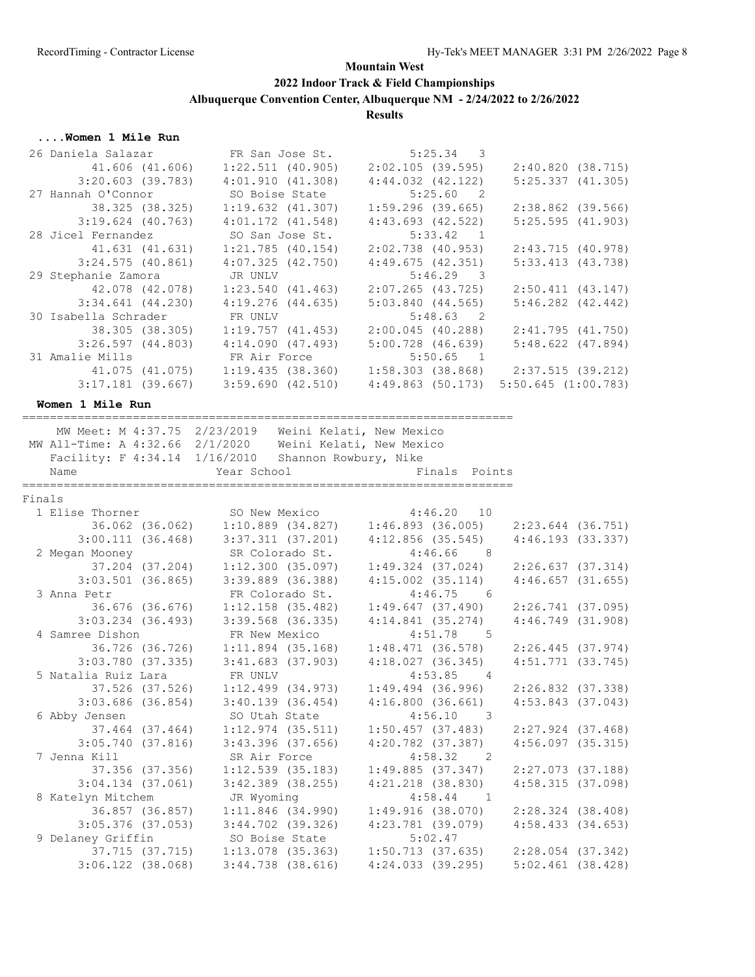### **....Women 1 Mile Run**

| 26 Daniela Salazar    | FR San Jose St.       |                       | $5:25.34$ 3 |                                       |  |
|-----------------------|-----------------------|-----------------------|-------------|---------------------------------------|--|
| 41.606 (41.606)       | $1:22.511$ (40.905)   | 2:02.105(39.595)      |             | 2:40.820(38.715)                      |  |
| $3:20.603$ (39.783)   | 4:01.910(41.308)      | $4:44.032$ $(42.122)$ |             | $5:25.337$ $(41.305)$                 |  |
| 27 Hannah O'Connor    | SO Boise State        |                       | $5:25.60$ 2 |                                       |  |
| 38.325 (38.325)       | $1:19.632$ $(41.307)$ | $1:59.296$ (39.665)   |             | $2:38.862$ (39.566)                   |  |
| $3:19.624$ (40.763)   | $4:01.172$ $(41.548)$ | $4:43.693$ $(42.522)$ |             | 5:25.595(41.903)                      |  |
| 28 Jicel Fernandez    | SO San Jose St.       |                       | $5:33.42$ 1 |                                       |  |
| 41.631 (41.631)       | $1:21.785$ (40.154)   | 2:02.738 (40.953)     |             | 2:43.715(40.978)                      |  |
| 3:24.575(40.861)      | $4:07.325$ $(42.750)$ | 4:49.675(42.351)      |             | $5:33.413$ $(43.738)$                 |  |
|                       |                       |                       |             |                                       |  |
| 29 Stephanie Zamora   | JR UNLV               |                       | $5:46.29$ 3 |                                       |  |
| 42.078 (42.078)       | 1:23.540(41.463)      | $2:07.265$ (43.725)   |             | 2:50.411(43.147)                      |  |
| $3:34.641$ $(44.230)$ | $4:19.276$ $(44.635)$ | 5:03.840(44.565)      |             | $5:46.282$ $(42.442)$                 |  |
| 30 Isabella Schrader  | FR UNLV               |                       | $5:48.63$ 2 |                                       |  |
| 38.305 (38.305)       | 1:19.757(41.453)      | 2:00.045(40.288)      |             | 2:41.795(41.750)                      |  |
| 3:26.597(44.803)      | 4:14.090(47.493)      | $5:00.728$ (46.639)   |             | $5:48.622$ $(47.894)$                 |  |
| 31 Amalie Mills       | FR Air Force          |                       | $5:50.65$ 1 |                                       |  |
| 41.075 (41.075)       | 1:19.435(38.360)      |                       |             | $1:58.303$ (38.868) 2:37.515 (39.212) |  |

**Women 1 Mile Run**

=======================================================================

|        | MW All-Time: A 4:32.66 2/1/2020 Weini Kelati, New Mexico<br>Facility: F 4:34.14 1/16/2010 Shannon Rowbury, Nike<br>Name | MW Meet: M 4:37.75 2/23/2019 Weini Kelati, New Mexico<br>Year School            |  | Einals Points                           |                     |  |
|--------|-------------------------------------------------------------------------------------------------------------------------|---------------------------------------------------------------------------------|--|-----------------------------------------|---------------------|--|
| Finals |                                                                                                                         |                                                                                 |  |                                         |                     |  |
|        | 1 Elise Thorner SO New Mexico 4:46.20 10                                                                                |                                                                                 |  |                                         |                     |  |
|        |                                                                                                                         | 36.062 (36.062) 1:10.889 (34.827) 1:46.893 (36.005) 2:23.644 (36.751)           |  |                                         |                     |  |
|        |                                                                                                                         | $3:00.111$ (36.468) $3:37.311$ (37.201) $4:12.856$ (35.545)                     |  |                                         | 4:46.193 (33.337)   |  |
|        | 2 Megan Mooney SR Colorado St.                                                                                          |                                                                                 |  | $4:46.66$ 8                             |                     |  |
|        |                                                                                                                         | 37.204 (37.204) 1:12.300 (35.097) 1:49.324 (37.024) 2:26.637 (37.314)           |  |                                         |                     |  |
|        |                                                                                                                         | $3:03.501$ (36.865) $3:39.889$ (36.388) $4:15.002$ (35.114) $4:46.657$ (31.655) |  |                                         |                     |  |
|        | 3 Anna Petr                                                                                                             | FR Colorado St.                                                                 |  | $4:46.75$ 6                             |                     |  |
|        |                                                                                                                         | 36.676 (36.676) 1:12.158 (35.482) 1:49.647 (37.490) 2:26.741 (37.095)           |  |                                         |                     |  |
|        |                                                                                                                         | $3:03.234$ (36.493) $3:39.568$ (36.335) $4:14.841$ (35.274)                     |  |                                         | 4:46.749 (31.908)   |  |
|        | 4 Samree Dishon                                                                                                         | FR New Mexico                                                                   |  | $4:51.78$ 5                             |                     |  |
|        |                                                                                                                         | 36.726 (36.726) 1:11.894 (35.168) 1:48.471 (36.578) 2:26.445 (37.974)           |  |                                         |                     |  |
|        |                                                                                                                         | $3:03.780$ (37.335) $3:41.683$ (37.903)                                         |  | 4:18.027 (36.345)                       | 4:51.771 (33.745)   |  |
|        | 5 Natalia Ruiz Lara FR UNLV                                                                                             |                                                                                 |  | $4:53.85$ 4                             |                     |  |
|        |                                                                                                                         | 37.526 (37.526) 1:12.499 (34.973) 1:49.494 (36.996) 2:26.832 (37.338)           |  |                                         |                     |  |
|        |                                                                                                                         | $3:03.686$ (36.854) $3:40.139$ (36.454) $4:16.800$ (36.661)                     |  |                                         | $4:53.843$ (37.043) |  |
|        | 6 Abby Jensen                                                                                                           | SO Utah State                                                                   |  | $4:56.10$ 3                             |                     |  |
|        |                                                                                                                         | 37.464 (37.464) 1:12.974 (35.511) 1:50.457 (37.483) 2:27.924 (37.468)           |  |                                         |                     |  |
|        |                                                                                                                         | $3:05.740$ (37.816) $3:43.396$ (37.656) $4:20.782$ (37.387)                     |  |                                         | 4:56.097 (35.315)   |  |
|        | 7 Jenna Kill                                                                                                            | SR Air Force                                                                    |  | $4:58.32$ 2                             |                     |  |
|        |                                                                                                                         |                                                                                 |  | $1:49.885$ (37.347) $2:27.073$ (37.188) |                     |  |
|        | $3:04.134$ $(37.061)$                                                                                                   | $3:42.389$ (38.255)                                                             |  | 4:21.218 (38.830)                       | 4:58.315 (37.098)   |  |
|        | 8 Katelyn Mitchem                                                                                                       | JR Wyoming                                                                      |  | $4:58.44$ 1                             |                     |  |
|        |                                                                                                                         | 36.857 (36.857) 1:11.846 (34.990)                                               |  | $1:49.916$ (38.070) $2:28.324$ (38.408) |                     |  |
|        |                                                                                                                         | 3:05.376 (37.053) 3:44.702 (39.326) 4:23.781 (39.079) 4:58.433 (34.653)         |  |                                         |                     |  |
|        | 9 Delaney Griffin                                                                                                       | SO Boise State                                                                  |  | 5:02.47                                 |                     |  |
|        |                                                                                                                         | 37.715 (37.715) 1:13.078 (35.363) 1:50.713 (37.635) 2:28.054 (37.342)           |  |                                         |                     |  |
|        | $3:06.122$ $(38.068)$                                                                                                   | $3:44.738$ $(38.616)$                                                           |  | $4:24.033$ (39.295) $5:02.461$ (38.428) |                     |  |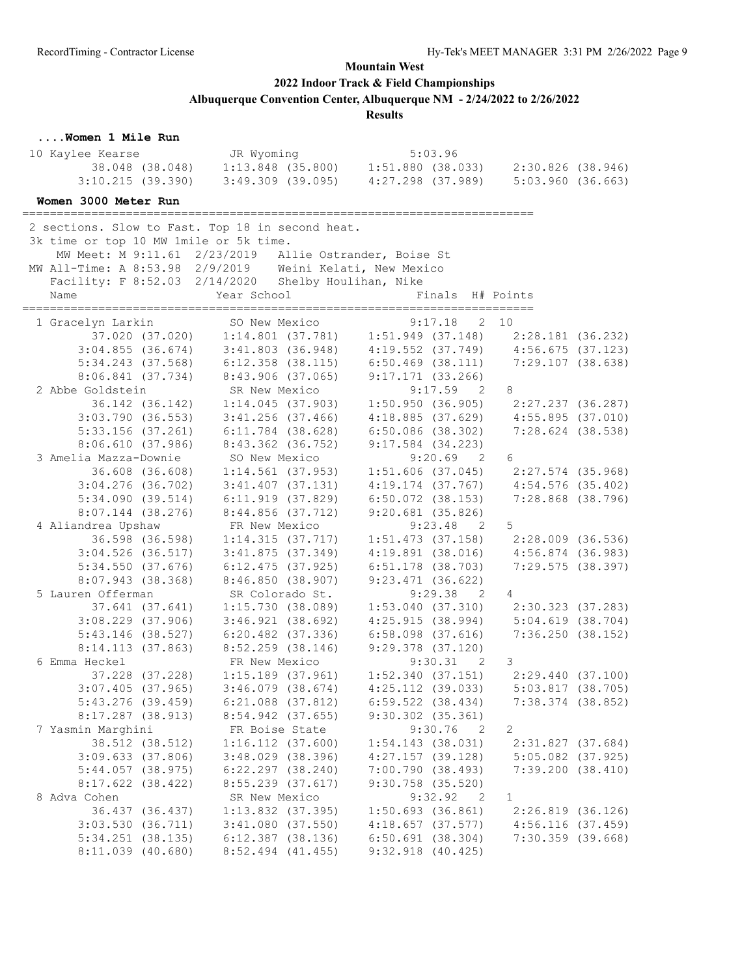**Albuquerque Convention Center, Albuquerque NM - 2/24/2022 to 2/26/2022**

#### **Results**

#### **....Women 1 Mile Run**

| 10 Kaylee Kearse |                  | JR Wyoming          |                   | 5:03.96 |                   |  |
|------------------|------------------|---------------------|-------------------|---------|-------------------|--|
|                  | 38.048 (38.048)  | 1:13.848 (35.800)   | 1:51.880 (38.033) |         | 2:30.826 (38.946) |  |
|                  | 3:10.215(39.390) | $3:49.309$ (39.095) | 4:27.298 (37.989) |         | 5:03.960 (36.663) |  |

**Women 3000 Meter Run** ========================================================================== 2 sections. Slow to Fast. Top 18 in second heat. 3k time or top 10 MW 1mile or 5k time. MW Meet: M 9:11.61 2/23/2019 Allie Ostrander, Boise St MW All-Time: A 8:53.98 2/9/2019 Weini Kelati, New Mexico Facility: F 8:52.03 2/14/2020 Shelby Houlihan, Nike Name **Year School** Finals H# Points ========================================================================== 1 Gracelyn Larkin SO New Mexico 9:17.18 2 10 37.020 (37.020) 1:14.801 (37.781) 1:51.949 (37.148) 2:28.181 (36.232) 3:04.855 (36.674) 3:41.803 (36.948) 4:19.552 (37.749) 4:56.675 (37.123) 5:34.243 (37.568) 6:12.358 (38.115) 6:50.469 (38.111) 7:29.107 (38.638) 8:06.841 (37.734) 8:43.906 (37.065) 9:17.171 (33.266) 2 Abbe Goldstein SR New Mexico 9:17.59 2 8 36.142 (36.142) 1:14.045 (37.903) 1:50.950 (36.905) 2:27.237 (36.287) 3:03.790 (36.553) 3:41.256 (37.466) 4:18.885 (37.629) 4:55.895 (37.010) 5:33.156 (37.261) 6:11.784 (38.628) 6:50.086 (38.302) 7:28.624 (38.538) 8:06.610 (37.986) 8:43.362 (36.752) 9:17.584 (34.223) 3 Amelia Mazza-Downie SO New Mexico 9:20.69 2 6 36.608 (36.608) 1:14.561 (37.953) 1:51.606 (37.045) 2:27.574 (35.968) 3:04.276 (36.702) 3:41.407 (37.131) 4:19.174 (37.767) 4:54.576 (35.402) 5:34.090 (39.514) 6:11.919 (37.829) 6:50.072 (38.153) 7:28.868 (38.796) 8:07.144 (38.276) 8:44.856 (37.712) 9:20.681 (35.826) 4 Aliandrea Upshaw FR New Mexico 9:23.48 2 5 36.598 (36.598) 1:14.315 (37.717) 1:51.473 (37.158) 2:28.009 (36.536) 3:04.526 (36.517) 3:41.875 (37.349) 4:19.891 (38.016) 4:56.874 (36.983) 5:34.550 (37.676) 6:12.475 (37.925) 6:51.178 (38.703) 7:29.575 (38.397) 8:07.943 (38.368) 8:46.850 (38.907) 9:23.471 (36.622) 5 Lauren Offerman SR Colorado St. 9:29.38 2 4 37.641 (37.641) 1:15.730 (38.089) 1:53.040 (37.310) 2:30.323 (37.283) 3:08.229 (37.906) 3:46.921 (38.692) 4:25.915 (38.994) 5:04.619 (38.704) 5:43.146 (38.527) 6:20.482 (37.336) 6:58.098 (37.616) 7:36.250 (38.152) 8:14.113 (37.863) 8:52.259 (38.146) 9:29.378 (37.120) 6 Emma Heckel FR New Mexico 9:30.31 2 3 37.228 (37.228) 1:15.189 (37.961) 1:52.340 (37.151) 2:29.440 (37.100) 3:07.405 (37.965) 3:46.079 (38.674) 4:25.112 (39.033) 5:03.817 (38.705) 5:43.276 (39.459) 6:21.088 (37.812) 6:59.522 (38.434) 7:38.374 (38.852) 8:17.287 (38.913) 8:54.942 (37.655) 9:30.302 (35.361) 7 Yasmin Marghini FR Boise State 9:30.76 2 2 38.512 (38.512) 1:16.112 (37.600) 1:54.143 (38.031) 2:31.827 (37.684) 3:09.633 (37.806) 3:48.029 (38.396) 4:27.157 (39.128) 5:05.082 (37.925) 5:44.057 (38.975) 6:22.297 (38.240) 7:00.790 (38.493) 7:39.200 (38.410) 8:17.622 (38.422) 8:55.239 (37.617) 9:30.758 (35.520) 8 Adva Cohen SR New Mexico 9:32.92 2 1 36.437 (36.437) 1:13.832 (37.395) 1:50.693 (36.861) 2:26.819 (36.126)

 3:03.530 (36.711) 3:41.080 (37.550) 4:18.657 (37.577) 4:56.116 (37.459) 5:34.251 (38.135) 6:12.387 (38.136) 6:50.691 (38.304) 7:30.359 (39.668)

8:11.039 (40.680) 8:52.494 (41.455) 9:32.918 (40.425)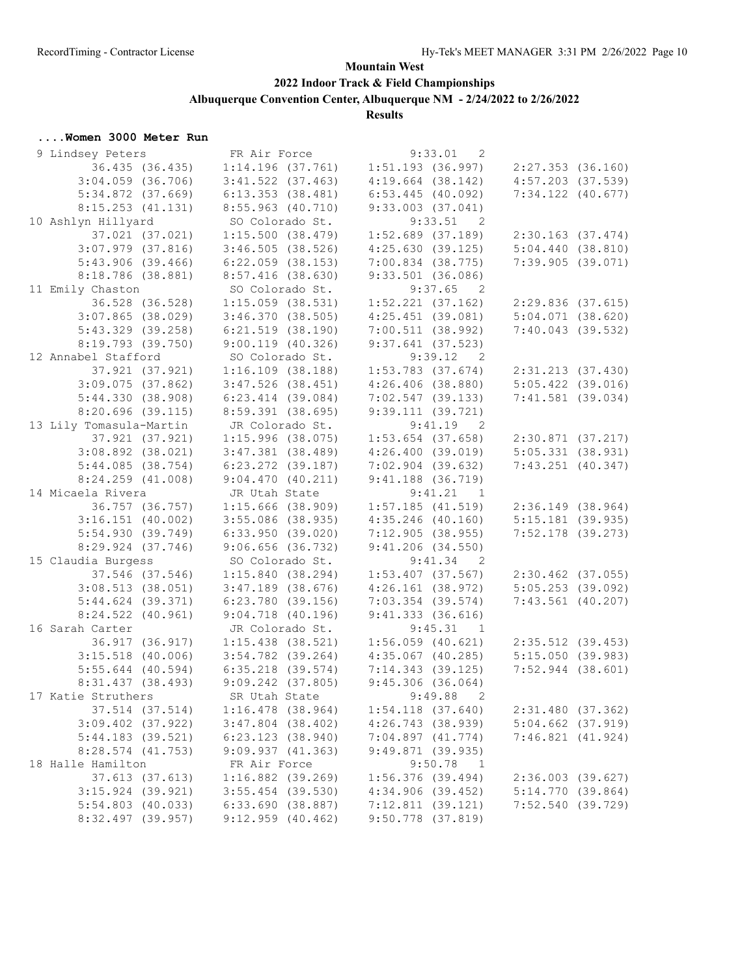**2022 Indoor Track & Field Championships**

**Albuquerque Convention Center, Albuquerque NM - 2/24/2022 to 2/26/2022**

**Results**

| 9 Lindsey Peters        | FR Air Force          | $\overline{\phantom{a}}$<br>9:33.01     |                       |
|-------------------------|-----------------------|-----------------------------------------|-----------------------|
| 36.435 (36.435)         | 1:14.196(37.761)      | $1:51.193$ (36.997) $2:27.353$ (36.160) |                       |
| $3:04.059$ (36.706)     | $3:41.522$ $(37.463)$ | $4:19.664$ (38.142)                     | 4:57.203 (37.539)     |
| $5:34.872$ (37.669)     | 6:13.353(38.481)      | $6:53.445$ (40.092)                     | $7:34.122$ (40.677)   |
| 8:15.253(41.131)        | $8:55.963$ (40.710)   | $9:33.003$ $(37.041)$                   |                       |
| 10 Ashlyn Hillyard      | SO Colorado St.       | 9:33.51 2                               |                       |
| 37.021 (37.021)         | 1:15.500(38.479)      | $1:52.689$ (37.189)                     | $2:30.163$ (37.474)   |
| $3:07.979$ $(37.816)$   | 3:46.505(38.526)      | 4:25.630(39.125)                        | 5:04.440(38.810)      |
| 5:43.906(39.466)        | $6:22.059$ (38.153)   | $7:00.834$ (38.775)                     | 7:39.905(39.071)      |
| 8:18.786 (38.881)       | $8:57.416$ (38.630)   | $9:33.501$ (36.086)                     |                       |
| 11 Emily Chaston        | SO Colorado St.       | 9:37.65 2                               |                       |
| 36.528 (36.528)         | $1:15.059$ (38.531)   | $1:52.221$ $(37.162)$                   | $2:29.836$ (37.615)   |
| $3:07.865$ (38.029)     | 3:46.370(38.505)      | $4:25.451$ (39.081)                     | $5:04.071$ (38.620)   |
|                         |                       |                                         |                       |
| 5:43.329 (39.258)       | $6:21.519$ $(38.190)$ | 7:00.511(38.992)                        | $7:40.043$ (39.532)   |
| 8:19.793 (39.750)       | 9:00.119(40.326)      | $9:37.641$ (37.523)                     |                       |
| 12 Annabel Stafford     | SO Colorado St.       | 9:39.12 2                               |                       |
| 37.921 (37.921)         | $1:16.109$ (38.188)   | $1:53.783$ (37.674)                     | 2:31.213(37.430)      |
| $3:09.075$ (37.862)     | $3:47.526$ (38.451)   | $4:26.406$ $(38.880)$                   | $5:05.422$ (39.016)   |
| 5:44.330(38.908)        | $6:23.414$ $(39.084)$ | 7:02.547(39.133)                        | $7:41.581$ (39.034)   |
| $8:20.696$ (39.115)     | 8:59.391 (38.695)     | 9:39.111 (39.721)                       |                       |
| 13 Lily Tomasula-Martin | JR Colorado St.       | $9:41.19$ 2                             |                       |
| 37.921 (37.921)         | $1:15.996$ (38.075)   | $1:53.654$ (37.658)                     | 2:30.871 (37.217)     |
| $3:08.892$ $(38.021)$   | $3:47.381$ (38.489)   | 4:26.400(39.019)                        | 5:05.331(38.931)      |
| 5:44.085(38.754)        | $6:23.272$ (39.187)   | $7:02.904$ (39.632)                     | $7:43.251$ (40.347)   |
| $8:24.259$ $(41.008)$   | 9:04.470(40.211)      | $9:41.188$ (36.719)                     |                       |
| 14 Micaela Rivera       | JR Utah State         | 9:41.21 1                               |                       |
| 36.757 (36.757)         | $1:15.666$ (38.909)   | 1:57.185(41.519)                        | 2:36.149(38.964)      |
| $3:16.151$ (40.002)     | $3:55.086$ (38.935)   | $4:35.246$ $(40.160)$                   | $5:15.181$ (39.935)   |
| 5:54.930(39.749)        | 6:33.950(39.020)      | 7:12.905(38.955)                        | $7:52.178$ (39.273)   |
| $8:29.924$ (37.746)     | $9:06.656$ (36.732)   | $9:41.206$ (34.550)                     |                       |
| 15 Claudia Burgess      | SO Colorado St.       | $9:41.34$ 2                             |                       |
| 37.546 (37.546)         | 1:15.840(38.294)      | $1:53.407$ (37.567)                     | 2:30.462 (37.055)     |
| 3:08.513(38.051)        | $3:47.189$ (38.676)   | 4:26.161(38.972)                        | $5:05.253$ (39.092)   |
| $5:44.624$ (39.371)     | $6:23.780$ (39.156)   | $7:03.354$ (39.574)                     | $7:43.561$ (40.207)   |
| $8:24.522$ $(40.961)$   | $9:04.718$ (40.196)   | 9:41.333(36.616)                        |                       |
| 16 Sarah Carter         | JR Colorado St.       | 9:45.31 1                               |                       |
| 36.917 (36.917)         | $1:15.438$ $(38.521)$ | $1:56.059$ $(40.621)$                   | 2:35.512 (39.453)     |
| $3:15.518$ (40.006)     | 3:54.782 (39.264)     | $4:35.067$ (40.285)                     | 5:15.050(39.983)      |
| $5:55.644$ (40.594)     | $6:35.218$ $(39.574)$ | 7:14.343 (39.125)                       | $7:52.944$ (38.601)   |
| 8:31.437 (38.493)       | $9:09.242$ (37.805)   | 9:45.306(36.064)                        |                       |
| 17 Katie Struthers      | SR Utah State         | 9:49.88<br>2                            |                       |
| 37.514 (37.514)         | $1:16.478$ (38.964)   | $1:54.118$ $(37.640)$                   | 2:31.480 (37.362)     |
| $3:09.402$ (37.922)     | $3:47.804$ (38.402)   | 4:26.743(38.939)                        | $5:04.662$ $(37.919)$ |
| $5:44.183$ (39.521)     | $6:23.123$ $(38.940)$ | 7:04.897(41.774)                        | $7:46.821$ $(41.924)$ |
| $8:28.574$ (41.753)     | 9:09.937(41.363)      | 9:49.871(39.935)                        |                       |
| 18 Halle Hamilton       | FR Air Force          | 9:50.78<br>$\mathbf{1}$                 |                       |
| 37.613 (37.613)         | 1:16.882 (39.269)     | $1:56.376$ (39.494)                     | $2:36.003$ (39.627)   |
| $3:15.924$ (39.921)     | $3:55.454$ (39.530)   | $4:34.906$ $(39.452)$                   | 5:14.770(39.864)      |
| $5:54.803$ (40.033)     | 6:33.690(38.887)      | 7:12.811(39.121)                        | 7:52.540(39.729)      |
| 8:32.497 (39.957)       | $9:12.959$ $(40.462)$ | $9:50.778$ (37.819)                     |                       |
|                         |                       |                                         |                       |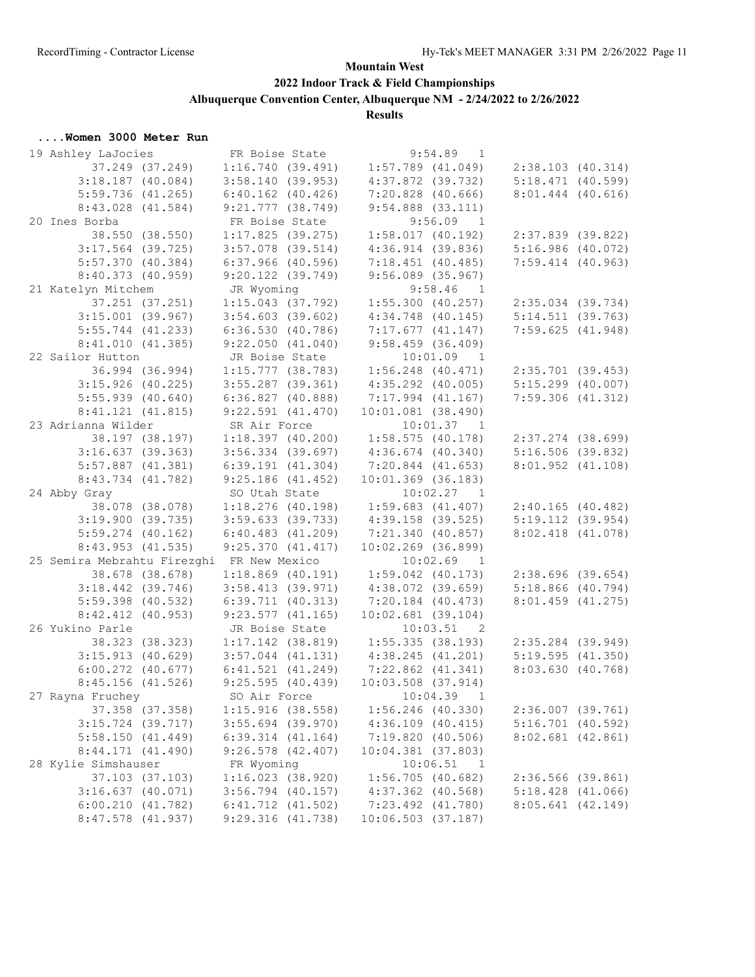**2022 Indoor Track & Field Championships**

**Albuquerque Convention Center, Albuquerque NM - 2/24/2022 to 2/26/2022**

### **Results**

| 19 Ashley LaJocies                        | FR Boise State        | 9:54.89<br>1                                                |                       |
|-------------------------------------------|-----------------------|-------------------------------------------------------------|-----------------------|
| 37.249 (37.249)                           | 1:16.740(39.491)      | $1:57.789$ (41.049) $2:38.103$ (40.314)                     |                       |
| $3:18.187$ (40.084)                       | 3:58.140(39.953)      | 4:37.872 (39.732)                                           | 5:18.471(40.599)      |
| $5:59.736$ (41.265)                       | $6:40.162$ $(40.426)$ | $7:20.828$ (40.666)                                         | $8:01.444$ (40.616)   |
| 8:43.028 (41.584)                         | $9:21.777$ (38.749)   | $9:54.888$ $(33.111)$                                       |                       |
| 20 Ines Borba                             | FR Boise State        | $9:56.09$ 1                                                 |                       |
| 38.550 (38.550)                           | 1:17.825(39.275)      | 1:58.017(40.192)                                            | $2:37.839$ (39.822)   |
| $3:17.564$ (39.725)                       | $3:57.078$ (39.514)   | $4:36.914$ (39.836)                                         | 5:16.986(40.072)      |
| $5:57.370$ $(40.384)$                     | $6:37.966$ (40.596)   | 7:18.451(40.485)                                            | $7:59.414$ (40.963)   |
| 8:40.373(40.959)                          | $9:20.122$ (39.749)   | $9:56.089$ $(35.967)$                                       |                       |
| 21 Katelyn Mitchem                        | JR Wyoming            | $9:58.46$ 1                                                 |                       |
| 37.251 (37.251)                           | $1:15.043$ (37.792)   | 1:55.300(40.257)                                            | 2:35.034 (39.734)     |
| $3:15.001$ (39.967)                       | $3:54.603$ (39.602)   | $4:34.748$ $(40.145)$                                       | 5:14.511(39.763)      |
| $5:55.744$ (41.233)                       | 6:36.530(40.786)      | 7:17.677(41.147)                                            | 7:59.625(41.948)      |
| 8:41.010(41.385)                          | 9:22.050(41.040)      | $9:58.459$ (36.409)                                         |                       |
| 22 Sailor Hutton                          | JR Boise State        | $10:01.09$ 1                                                |                       |
| 36.994 (36.994)                           | 1:15.777(38.783)      | $1:56.248$ (40.471)                                         | $2:35.701$ (39.453)   |
| $3:15.926$ (40.225)                       | $3:55.287$ (39.361)   | $4:35.292$ (40.005)                                         | $5:15.299$ (40.007)   |
| $5:55.939$ $(40.640)$                     | 6:36.827(40.888)      | $7:17.994$ (41.167)                                         | $7:59.306$ $(41.312)$ |
| 8:41.121(41.815)                          | 9:22.591(41.470)      | $10:01.081$ (38.490)                                        |                       |
| 23 Adrianna Wilder                        | SR Air Force          | 10:01.37 1                                                  |                       |
| 38.197 (38.197)                           | 1:18.397(40.200)      | 1:58.575(40.178)                                            | 2:37.274 (38.699)     |
| 3:16.637(39.363)                          | $3:56.334$ (39.697)   | $4:36.674$ $(40.340)$                                       | 5:16.506(39.832)      |
| $5:57.887$ $(41.381)$                     | 6:39.191(41.304)      | 7:20.844 (41.653)                                           | $8:01.952$ $(41.108)$ |
| 8:43.734 (41.782)                         | $9:25.186$ (41.452)   | $10:01.369$ (36.183)                                        |                       |
| 24 Abby Gray                              | SO Utah State         | 10:02.27 1                                                  |                       |
| 38.078 (38.078)                           | $1:18.276$ (40.198)   | $1:59.683$ $(41.407)$                                       | 2:40.165(40.482)      |
| 3:19.900(39.735)                          | $3:59.633$ (39.733)   | 4:39.158 (39.525)                                           | $5:19.112$ (39.954)   |
| $5:59.274$ $(40.162)$                     | $6:40.483$ $(41.209)$ | 7:21.340 (40.857)                                           | $8:02.418$ $(41.078)$ |
| 8:43.953(41.535)                          | 9:25.370(41.417)      | $10:02.269$ (36.899)                                        |                       |
| 25 Semira Mebrahtu Firezghi FR New Mexico |                       | $10:02.69$ 1                                                |                       |
| 38.678 (38.678)                           | $1:18.869$ (40.191)   | $1:59.042$ (40.173)                                         | 2:38.696 (39.654)     |
| $3:18.442$ (39.746)                       | $3:58.413$ (39.971)   | 4:38.072 (39.659)                                           | 5:18.866 (40.794)     |
| $5:59.398$ (40.532)                       | 6:39.711(40.313)      | $7:20.184$ (40.473)                                         | 8:01.459 (41.275)     |
| $8:42.412$ $(40.953)$                     | 9:23.577(41.165)      | $10:02.681$ (39.104)                                        |                       |
| 26 Yukino Parle                           | JR Boise State        | 10:03.51 2                                                  |                       |
| 38.323 (38.323)                           |                       | $1:17.142$ (38.819) $1:55.335$ (38.193) $2:35.284$ (39.949) |                       |
| 3:15.913(40.629)                          | $3:57.044$ (41.131)   | 4:38.245(41.201)                                            | 5:19.595(41.350)      |
| $6:00.272$ $(40.677)$                     | $6:41.521$ $(41.249)$ | 7:22.862 (41.341)                                           | 8:03.630(40.768)      |
| $8:45.156$ (41.526)                       | 9:25.595(40.439)      | $10:03.508$ $(37.914)$                                      |                       |
| 27 Rayna Fruchey                          | SO Air Force          | $10:04.39$ 1                                                |                       |
| 37.358 (37.358)                           | 1:15.916(38.558)      | $1:56.246$ (40.330)                                         | 2:36.007 (39.761)     |
| 3:15.724 (39.717)                         | $3:55.694$ (39.970)   | $4:36.109$ $(40.415)$                                       | $5:16.701$ (40.592)   |
| 5:58.150(41.449)                          | $6:39.314$ $(41.164)$ | 7:19.820(40.506)                                            | $8:02.681$ (42.861)   |
| 8:44.171(41.490)                          | $9:26.578$ $(42.407)$ | 10:04.381 (37.803)                                          |                       |
| 28 Kylie Simshauser                       | FR Wyoming            | 10:06.51<br>$\mathbf{1}$                                    |                       |
| 37.103 (37.103)                           | $1:16.023$ (38.920)   | $1:56.705$ (40.682)                                         | $2:36.566$ (39.861)   |
| 3:16.637(40.071)                          | $3:56.794$ (40.157)   | $4:37.362$ $(40.568)$                                       | $5:18.428$ $(41.066)$ |
| 6:00.210(41.782)                          | $6:41.712$ $(41.502)$ | 7:23.492 (41.780)                                           | $8:05.641$ $(42.149)$ |
| 8:47.578 (41.937)                         | 9:29.316(41.738)      | $10:06.503$ (37.187)                                        |                       |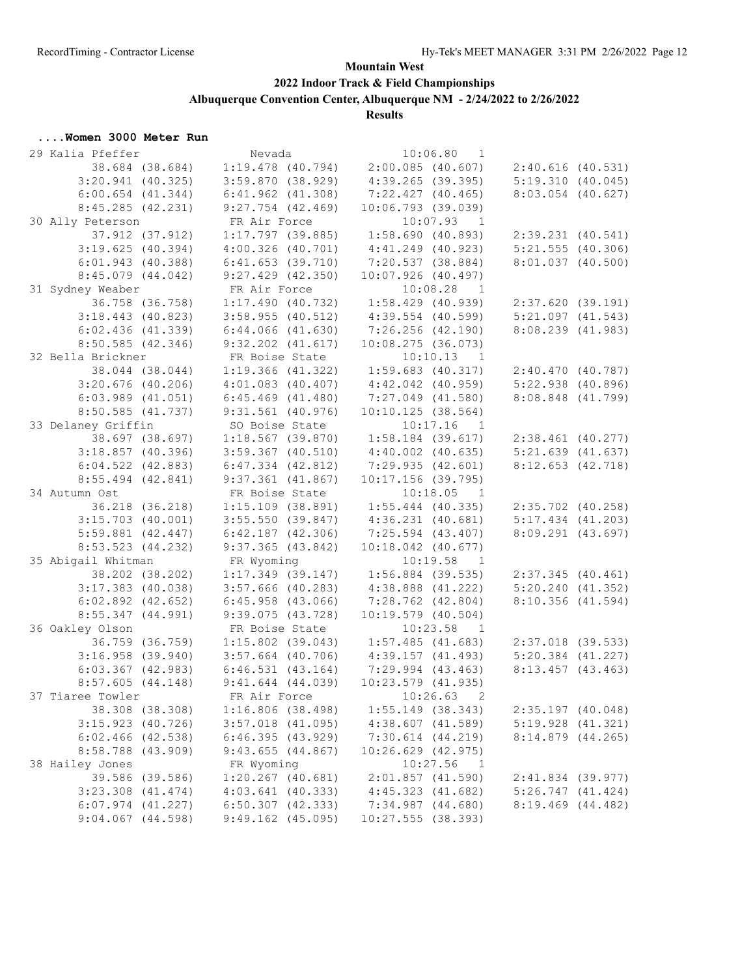**2022 Indoor Track & Field Championships**

**Albuquerque Convention Center, Albuquerque NM - 2/24/2022 to 2/26/2022**

**Results**

| 29 Kalia Pfeffer      | Nevada                                  | 10:06.80 1                              |                       |
|-----------------------|-----------------------------------------|-----------------------------------------|-----------------------|
| 38.684 (38.684)       | $1:19.478$ (40.794)                     | 2:00.085 (40.607) 2:40.616 (40.531)     |                       |
| $3:20.941$ (40.325)   | 3:59.870(38.929)                        | $4:39.265$ (39.395)                     | 5:19.310(40.045)      |
| $6:00.654$ $(41.344)$ | $6:41.962$ $(41.308)$                   | 7:22.427(40.465)                        | $8:03.054$ (40.627)   |
| 8:45.285(42.231)      | $9:27.754$ $(42.469)$                   | 10:06.793(39.039)                       |                       |
| 30 Ally Peterson      | FR Air Force                            | 10:07.93 1                              |                       |
| 37.912 (37.912)       |                                         | $1:17.797$ (39.885) $1:58.690$ (40.893) | $2:39.231$ $(40.541)$ |
| 3:19.625(40.394)      | 4:00.326(40.701)                        | $4:41.249$ (40.923)                     | 5:21.555(40.306)      |
| 6:01.943(40.388)      | 6:41.653(39.710)                        | 7:20.537 (38.884)                       | 8:01.037(40.500)      |
| $8:45.079$ $(44.042)$ | $9:27.429$ $(42.350)$                   | $10:07.926$ (40.497)                    |                       |
| 31 Sydney Weaber      | FR Air Force                            | $10:08.28$ 1                            |                       |
| 36.758 (36.758)       |                                         | $1:17.490$ (40.732) $1:58.429$ (40.939) | 2:37.620(39.191)      |
| $3:18.443$ (40.823)   | 3:58.955(40.512)                        | $4:39.554$ (40.599)                     | $5:21.097$ $(41.543)$ |
| 6:02.436(41.339)      | 6:44.066(41.630)                        | 7:26.256 (42.190)                       | 8:08.239(41.983)      |
| 8:50.585(42.346)      | $9:32.202$ $(41.617)$                   | 10:08.275(36.073)                       |                       |
| 32 Bella Brickner     | FR Boise State                          | 10:10.13 1                              |                       |
| 38.044 (38.044)       |                                         | 1:19.366 (41.322) 1:59.683 (40.317)     | 2:40.470 (40.787)     |
| $3:20.676$ (40.206)   | $4:01.083$ $(40.407)$                   | $4:42.042$ $(40.959)$                   | $5:22.938$ (40.896)   |
| $6:03.989$ $(41.051)$ | $6:45.469$ $(41.480)$                   | $7:27.049$ $(41.580)$                   | 8:08.848 (41.799)     |
| 8:50.585 (41.737)     | $9:31.561$ (40.976)                     | $10:10.125$ (38.564)                    |                       |
| 33 Delaney Griffin    | SO Boise State                          | $10:17.16$ 1                            |                       |
| 38.697 (38.697)       | $1:18.567$ (39.870)                     | $1:58.184$ (39.617)                     | $2:38.461$ (40.277)   |
| $3:18.857$ (40.396)   | $3:59.367$ $(40.510)$                   | $4:40.002$ $(40.635)$                   | 5:21.639(41.637)      |
| $6:04.522$ $(42.883)$ | $6:47.334$ $(42.812)$                   | 7:29.935(42.601)                        | $8:12.653$ (42.718)   |
| $8:55.494$ $(42.841)$ | $9:37.361$ $(41.867)$                   | $10:17.156$ (39.795)                    |                       |
| 34 Autumn Ost         | FR Boise State                          | $10:18.05$ 1                            |                       |
| 36.218 (36.218)       | $1:15.109$ (38.891)                     | $1:55.444$ (40.335) $2:35.702$ (40.258) |                       |
| $3:15.703$ (40.001)   | $3:55.550$ (39.847)                     | $4:36.231$ $(40.681)$                   | $5:17.434$ $(41.203)$ |
| $5:59.881$ $(42.447)$ | $6:42.187$ $(42.306)$                   | 7:25.594 (43.407)                       | $8:09.291$ (43.697)   |
| $8:53.523$ (44.232)   | $9:37.365$ (43.842)                     | $10:18.042$ $(40.677)$                  |                       |
| 35 Abigail Whitman    | FR Wyoming                              | $10:19.58$ 1                            |                       |
|                       |                                         |                                         |                       |
| 38.202 (38.202)       | $1:17.349$ (39.147)                     | $1:56.884$ (39.535) $2:37.345$ (40.461) |                       |
| $3:17.383$ (40.038)   | $3:57.666$ (40.283)                     | 4:38.888 (41.222)                       | 5:20.240(41.352)      |
| $6:02.892$ $(42.652)$ | $6:45.958$ $(43.066)$                   | 7:28.762 (42.804)                       | 8:10.356(41.594)      |
| $8:55.347$ $(44.991)$ | 9:39.075(43.728)                        | $10:19.579$ (40.504)                    |                       |
| 36 Oakley Olson       | FR Boise State                          | $10:23.58$ 1                            |                       |
| 36.759 (36.759)       |                                         | $1:15.802$ (39.043) $1:57.485$ (41.683) | 2:37.018 (39.533)     |
| $3:16.958$ (39.940)   | $3:57.664$ (40.706) $4:39.157$ (41.493) |                                         | $5:20.384$ $(41.227)$ |
| $6:03.367$ $(42.983)$ | 6:46.531(43.164)                        | 7:29.994 (43.463)                       | $8:13.457$ (43.463)   |
| 8:57.605(44.148)      |                                         | $10:23.579$ $(41.935)$                  |                       |
| 37 Tiaree Towler      | $9:41.644$ $(44.039)$<br>FR Air Force   | 10:26.63<br>2                           |                       |
| 38.308 (38.308)       | $1:16.806$ (38.498)                     | $1:55.149$ (38.343)                     | 2:35.197 (40.048)     |
| $3:15.923$ (40.726)   | $3:57.018$ (41.095)                     | $4:38.607$ (41.589)                     | $5:19.928$ $(41.321)$ |
| $6:02.466$ (42.538)   | 6:46.395(43.929)                        | $7:30.614$ $(44.219)$                   | $8:14.879$ (44.265)   |
| 8:58.788 (43.909)     | 9:43.655(44.867)                        | $10:26.629$ $(42.975)$                  |                       |
| 38 Hailey Jones       | FR Wyoming                              | 10:27.56<br>$\mathbf{1}$                |                       |
| 39.586 (39.586)       | $1:20.267$ (40.681)                     | $2:01.857$ (41.590)                     | 2:41.834 (39.977)     |
| $3:23.308$ $(41.474)$ | $4:03.641$ (40.333)                     | 4:45.323(41.682)                        | $5:26.747$ $(41.424)$ |
| $6:07.974$ $(41.227)$ | $6:50.307$ (42.333)                     | 7:34.987 (44.680)                       | $8:19.469$ $(44.482)$ |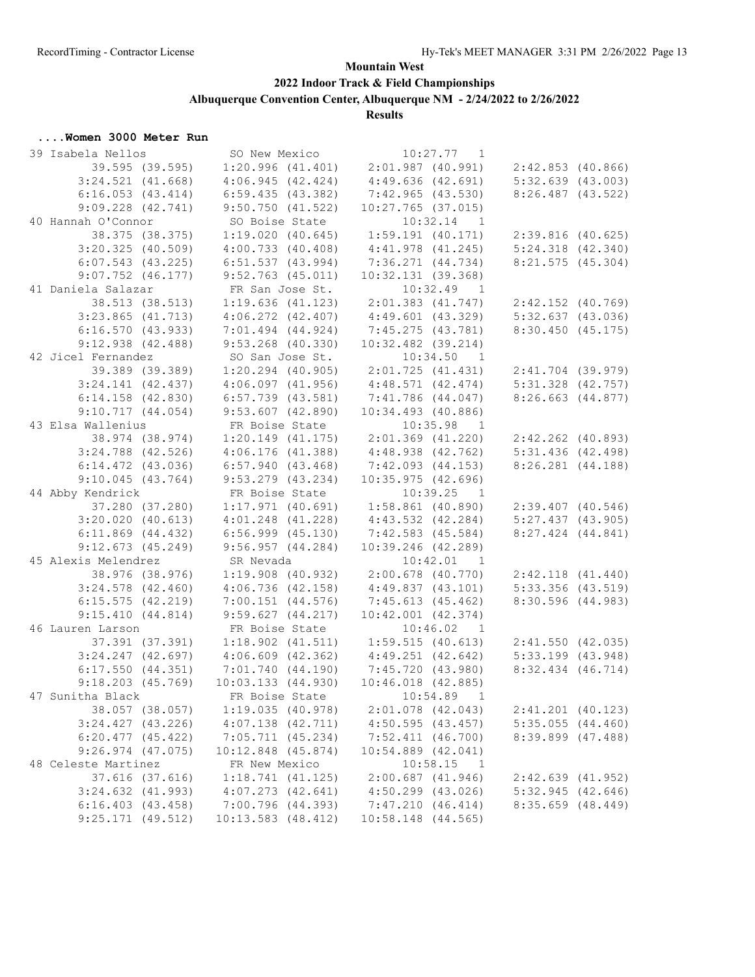**2022 Indoor Track & Field Championships**

**Albuquerque Convention Center, Albuquerque NM - 2/24/2022 to 2/26/2022**

**Results**

| 39 Isabela Nellos     | SO New Mexico          | $10:27.77$ 1                                                |                       |
|-----------------------|------------------------|-------------------------------------------------------------|-----------------------|
| 39.595 (39.595)       |                        | $1:20.996$ (41.401) $2:01.987$ (40.991) $2:42.853$ (40.866) |                       |
| $3:24.521$ $(41.668)$ | 4:06.945(42.424)       | 4:49.636(42.691)                                            | 5:32.639(43.003)      |
| 6:16.053(43.414)      | 6:59.435(43.382)       | 7:42.965(43.530)                                            | $8:26.487$ (43.522)   |
| $9:09.228$ $(42.741)$ | 9:50.750(41.522)       | $10:27.765$ (37.015)                                        |                       |
| 40 Hannah O'Connor    | SO Boise State         | $10:32.14$ 1                                                |                       |
| 38.375 (38.375)       |                        | $1:19.020$ (40.645) $1:59.191$ (40.171)                     | 2:39.816 (40.625)     |
| 3:20.325(40.509)      | 4:00.733(40.408)       | 4:41.978(41.245)                                            | $5:24.318$ $(42.340)$ |
| $6:07.543$ $(43.225)$ | $6:51.537$ $(43.994)$  | 7:36.271 (44.734)                                           | 8:21.575(45.304)      |
| $9:07.752$ $(46.177)$ | $9:52.763$ (45.011)    | 10:32.131(39.368)                                           |                       |
| 41 Daniela Salazar    | FR San Jose St.        | $10:32.49$ 1                                                |                       |
| 38.513 (38.513)       | 1:19.636(41.123)       | 2:01.383(41.747)                                            | $2:42.152$ $(40.769)$ |
| $3:23.865$ $(41.713)$ | $4:06.272$ $(42.407)$  | 4:49.601(43.329)                                            | 5:32.637(43.036)      |
| 6:16.570(43.933)      | $7:01.494$ $(44.924)$  | 7:45.275 (43.781)                                           | 8:30.450(45.175)      |
| 9:12.938(42.488)      | $9:53.268$ (40.330)    | $10:32.482$ (39.214)                                        |                       |
| 42 Jicel Fernandez    | SO San Jose St.        | 10:34.50 1                                                  |                       |
| 39.389 (39.389)       | $1:20.294$ (40.905)    | 2:01.725(41.431)                                            | 2:41.704 (39.979)     |
| $3:24.141$ $(42.437)$ | $4:06.097$ $(41.956)$  | 4:48.571(42.474)                                            | $5:31.328$ $(42.757)$ |
| $6:14.158$ $(42.830)$ | $6:57.739$ $(43.581)$  | $7:41.786$ (44.047)                                         | $8:26.663$ $(44.877)$ |
| 9:10.717(44.054)      | $9:53.607$ (42.890)    | $10:34.493$ (40.886)                                        |                       |
| 43 Elsa Wallenius     | FR Boise State         | $10:35.98$ 1                                                |                       |
| 38.974 (38.974)       |                        | $1:20.149$ (41.175) $2:01.369$ (41.220)                     | $2:42.262$ (40.893)   |
| $3:24.788$ $(42.526)$ | 4:06.176(41.388)       | 4:48.938(42.762)                                            | 5:31.436(42.498)      |
| $6:14.472$ $(43.036)$ | $6:57.940$ $(43.468)$  | 7:42.093 (44.153)                                           | $8:26.281$ $(44.188)$ |
| $9:10.045$ (43.764)   | $9:53.279$ $(43.234)$  | 10:35.975(42.696)                                           |                       |
| 44 Abby Kendrick      | FR Boise State         | $10:39.25$ 1                                                |                       |
| 37.280 (37.280)       | $1:17.971$ (40.691)    | $1:58.861$ (40.890)                                         | $2:39.407$ (40.546)   |
| 3:20.020(40.613)      | $4:01.248$ $(41.228)$  | $4:43.532$ $(42.284)$                                       | 5:27.437(43.905)      |
| $6:11.869$ $(44.432)$ | $6:56.999$ $(45.130)$  | 7:42.583 (45.584)                                           | $8:27.424$ $(44.841)$ |
| 9:12.673(45.249)      | $9:56.957$ $(44.284)$  | $10:39.246$ (42.289)                                        |                       |
| 45 Alexis Melendrez   | SR Nevada              | 10:42.01 1                                                  |                       |
| 38.976 (38.976)       | $1:19.908$ (40.932)    | 2:00.678 (40.770)                                           | 2:42.118 (41.440)     |
| $3:24.578$ $(42.460)$ | 4:06.736(42.158)       | 4:49.837 (43.101)                                           | $5:33.356$ $(43.519)$ |
| 6:15.575(42.219)      | 7:00.151(44.576)       | 7:45.613(45.462)                                            | 8:30.596 (44.983)     |
| 9:15.410(44.814)      | 9:59.627(44.217)       | $10:42.001$ $(42.374)$                                      |                       |
| 46 Lauren Larson      | FR Boise State         | 10:46.02 1                                                  |                       |
| 37.391 (37.391)       |                        | $1:18.902$ (41.511) $1:59.515$ (40.613) $2:41.550$ (42.035) |                       |
| $3:24.247$ $(42.697)$ | $4:06.609$ $(42.362)$  | $4:49.251$ $(42.642)$                                       | $5:33.199$ $(43.948)$ |
| 6:17.550(44.351)      | 7:01.740(44.190)       | 7:45.720 (43.980)                                           | 8:32.434 (46.714)     |
| 9:18.203(45.769)      | 10:03.133(44.930)      | $10:46.018$ $(42.885)$                                      |                       |
| 47 Sunitha Black      | FR Boise State         | $10:54.89$ 1                                                |                       |
| 38.057 (38.057)       | 1:19.035(40.978)       | $2:01.078$ $(42.043)$                                       | 2:41.201 (40.123)     |
| $3:24.427$ $(43.226)$ | $4:07.138$ $(42.711)$  | 4:50.595(43.457)                                            | $5:35.055$ $(44.460)$ |
| $6:20.477$ $(45.422)$ | $7:05.711$ (45.234)    | $7:52.411$ $(46.700)$                                       | 8:39.899 (47.488)     |
| $9:26.974$ $(47.075)$ | $10:12.848$ (45.874)   | $10:54.889$ $(42.041)$                                      |                       |
| 48 Celeste Martinez   | FR New Mexico          | 10:58.15<br>$\mathbf{1}$                                    |                       |
| 37.616 (37.616)       | 1:18.741(41.125)       | $2:00.687$ $(41.946)$                                       | $2:42.639$ $(41.952)$ |
| $3:24.632$ $(41.993)$ | $4:07.273$ $(42.641)$  | $4:50.299$ $(43.026)$                                       | 5:32.945(42.646)      |
| $6:16.403$ $(43.458)$ | 7:00.796(44.393)       | 7:47.210(46.414)                                            | $8:35.659$ $(48.449)$ |
| $9:25.171$ (49.512)   | $10:13.583$ $(48.412)$ | $10:58.148$ (44.565)                                        |                       |
|                       |                        |                                                             |                       |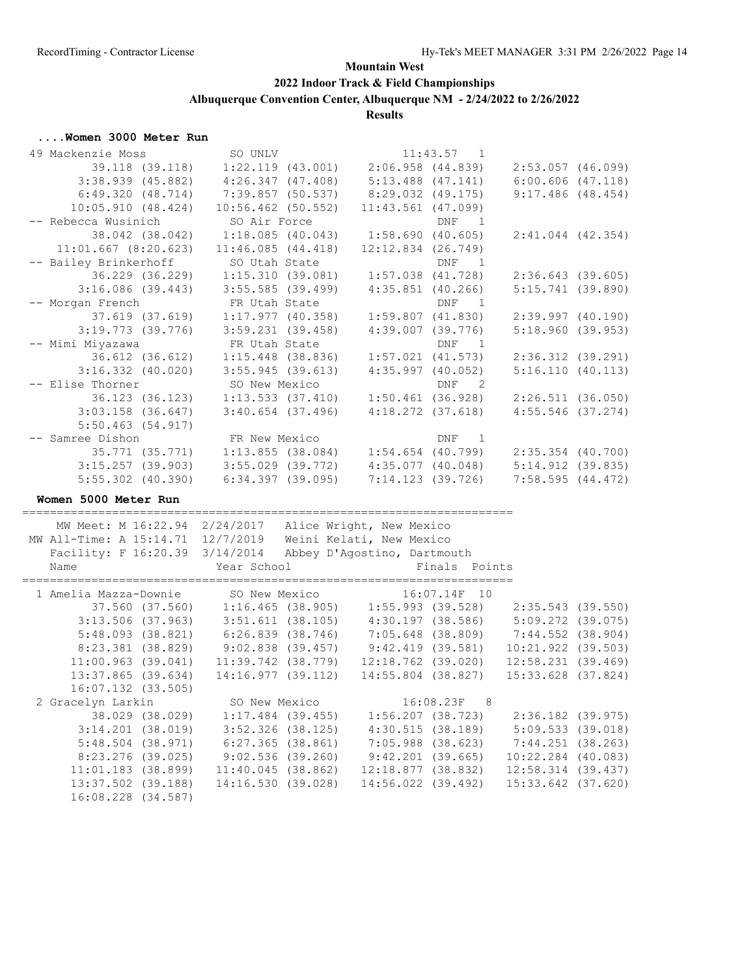**Results**

| 49 Mackenzie Moss                                                                                                              | SO UNLV               |                                        | 11:43.57<br>1                    |                       |  |
|--------------------------------------------------------------------------------------------------------------------------------|-----------------------|----------------------------------------|----------------------------------|-----------------------|--|
| 39.118 (39.118)                                                                                                                | $1:22.119$ $(43.001)$ | $2:06.958$ $(44.839)$                  |                                  | $2:53.057$ (46.099)   |  |
| $3:38.939$ (45.882)                                                                                                            | 4:26.347(47.408)      | 5:13.488 (47.141)                      |                                  | $6:00.606$ $(47.118)$ |  |
| 6:49.320(48.714)                                                                                                               | 7:39.857 (50.537)     | 8:29.032 (49.175)                      |                                  | $9:17.486$ (48.454)   |  |
| 10:05.910(48.424)                                                                                                              | $10:56.462$ (50.552)  | $11:43.561$ (47.099)                   |                                  |                       |  |
| -- Rebecca Wusinich                                                                                                            | SO Air Force          |                                        | DNF<br>$\overline{1}$            |                       |  |
| 38.042 (38.042)                                                                                                                | $1:18.085$ (40.043)   | 1:58.690(40.605)                       |                                  | $2:41.044$ $(42.354)$ |  |
| $11:01.667$ $(8:20.623)$                                                                                                       | 11:46.085(44.418)     | $12:12.834$ $(26.749)$                 |                                  |                       |  |
| -- Bailey Brinkerhoff                                                                                                          | SO Utah State         |                                        | DNF<br>$\overline{1}$            |                       |  |
| 36.229 (36.229)                                                                                                                | 1:15.310(39.081)      | $1:57.038$ $(41.728)$                  |                                  | $2:36.643$ (39.605)   |  |
| $3:16.086$ (39.443)                                                                                                            | $3:55.585$ (39.499)   | $4:35.851$ (40.266)                    |                                  | $5:15.741$ (39.890)   |  |
| -- Morgan French                                                                                                               | FR Utah State         |                                        | DNF<br>$\overline{1}$            |                       |  |
| $37.619$ $(37.619)$                                                                                                            | 1:17.977(40.358)      | 1:59.807(41.830)                       |                                  | $2:39.997$ $(40.190)$ |  |
| $3:19.773$ (39.776)                                                                                                            | $3:59.231$ (39.458)   | $4:39.007$ $(39.776)$                  |                                  | 5:18.960(39.953)      |  |
| -- Mimi Miyazawa                                                                                                               | FR Utah State         |                                        | DNF<br>$\overline{1}$            |                       |  |
| 36.612 (36.612)                                                                                                                | $1:15.448$ (38.836)   | $1:57.021$ $(41.573)$                  |                                  | $2:36.312$ (39.291)   |  |
| $3:16.332$ (40.020)                                                                                                            |                       |                                        |                                  |                       |  |
|                                                                                                                                | $3:55.945$ (39.613)   | $4:35.997$ $(40.052)$                  |                                  | 5:16.110(40.113)      |  |
| -- Elise Thorner                                                                                                               | SO New Mexico         |                                        | DNF<br>$\overline{2}$            |                       |  |
| 36.123 (36.123)                                                                                                                | $1:13.533$ $(37.410)$ | $1:50.461$ (36.928)                    |                                  | 2:26.511(36.050)      |  |
| $3:03.158$ (36.647)                                                                                                            | $3:40.654$ (37.496)   | $4:18.272$ $(37.618)$                  |                                  | $4:55.546$ (37.274)   |  |
| $5:50.463$ $(54.917)$                                                                                                          |                       |                                        |                                  |                       |  |
| -- Samree Dishon                                                                                                               | FR New Mexico         |                                        | DNF<br>$\overline{1}$            |                       |  |
| 35.771 (35.771)                                                                                                                | $1:13.855$ (38.084)   | $1:54.654$ (40.799)                    |                                  | $2:35.354$ (40.700)   |  |
| $3:15.257$ (39.903)                                                                                                            | $3:55.029$ (39.772)   | 4:35.077(40.048)                       |                                  | $5:14.912$ (39.835)   |  |
| $5:55.302$ (40.390)                                                                                                            | $6:34.397$ $(39.095)$ | $7:14.123$ (39.726)                    |                                  | 7:58.595(44.472)      |  |
| Women 5000 Meter Run                                                                                                           |                       |                                        |                                  |                       |  |
| MW Meet: M 16:22.94 2/24/2017 Alice Wright, New Mexico                                                                         |                       |                                        |                                  |                       |  |
|                                                                                                                                |                       |                                        |                                  |                       |  |
|                                                                                                                                |                       |                                        |                                  |                       |  |
| MW All-Time: A 15:14.71 12/7/2019 Weini Kelati, New Mexico                                                                     |                       |                                        |                                  |                       |  |
| Facility: F 16:20.39                                                                                                           | 3/14/2014             | Abbey D'Agostino, Dartmouth            |                                  |                       |  |
| Name                                                                                                                           | Year School           |                                        | Finals Points<br>=============== |                       |  |
|                                                                                                                                |                       |                                        |                                  |                       |  |
|                                                                                                                                |                       |                                        |                                  | 2:35.543 (39.550)     |  |
| 1 Amelia Mazza-Downie SO New Mexico 16:07.14F 10<br>37.560 (37.560) 1:16.465 (38.905) 1:55.993 (39.528)<br>$3:13.506$ (37.963) | 3:51.611(38.105)      |                                        |                                  | $5:09.272$ (39.075)   |  |
| 5:48.093(38.821)                                                                                                               | $6:26.839$ (38.746)   | 4:30.197 (38.586)<br>7:05.648 (38.809) |                                  | 7:44.552 (38.904)     |  |
|                                                                                                                                |                       |                                        |                                  |                       |  |
| 8:23.381 (38.829)                                                                                                              | $9:02.838$ (39.457)   | $9:42.419$ (39.581)                    |                                  | 10:21.922 (39.503)    |  |
| $11:00.963$ (39.041)                                                                                                           | $11:39.742$ (38.779)  | $12:18.762$ (39.020)                   |                                  | $12:58.231$ (39.469)  |  |
| $13:37.865$ (39.634)                                                                                                           | 14:16.977 (39.112)    | 14:55.804 (38.827)                     |                                  | 15:33.628 (37.824)    |  |
| 16:07.132 (33.505)                                                                                                             |                       |                                        |                                  |                       |  |
| 2 Gracelyn Larkin                                                                                                              | SO New Mexico         |                                        | 16:08.23F 8                      |                       |  |
| 38.029 (38.029)                                                                                                                | $1:17.484$ (39.455)   | $1:56.207$ (38.723)                    |                                  | 2:36.182 (39.975)     |  |
| $3:14.201$ (38.019)                                                                                                            | $3:52.326$ (38.125)   | 4:30.515(38.189)                       |                                  | 5:09.533(39.018)      |  |
| $5:48.504$ (38.971)                                                                                                            | $6:27.365$ (38.861)   | 7:05.988 (38.623)                      |                                  | 7:44.251 (38.263)     |  |
| 8:23.276 (39.025)                                                                                                              | 9:02.536(39.260)      | $9:42.201$ (39.665)                    |                                  | $10:22.284$ (40.083)  |  |
| $11:01.183$ (38.899)                                                                                                           | 11:40.045(38.862)     | $12:18.877$ (38.832)                   |                                  | 12:58.314 (39.437)    |  |
| 13:37.502 (39.188)<br>16:08.228 (34.587)                                                                                       | 14:16.530 (39.028)    | 14:56.022 (39.492)                     |                                  | 15:33.642 (37.620)    |  |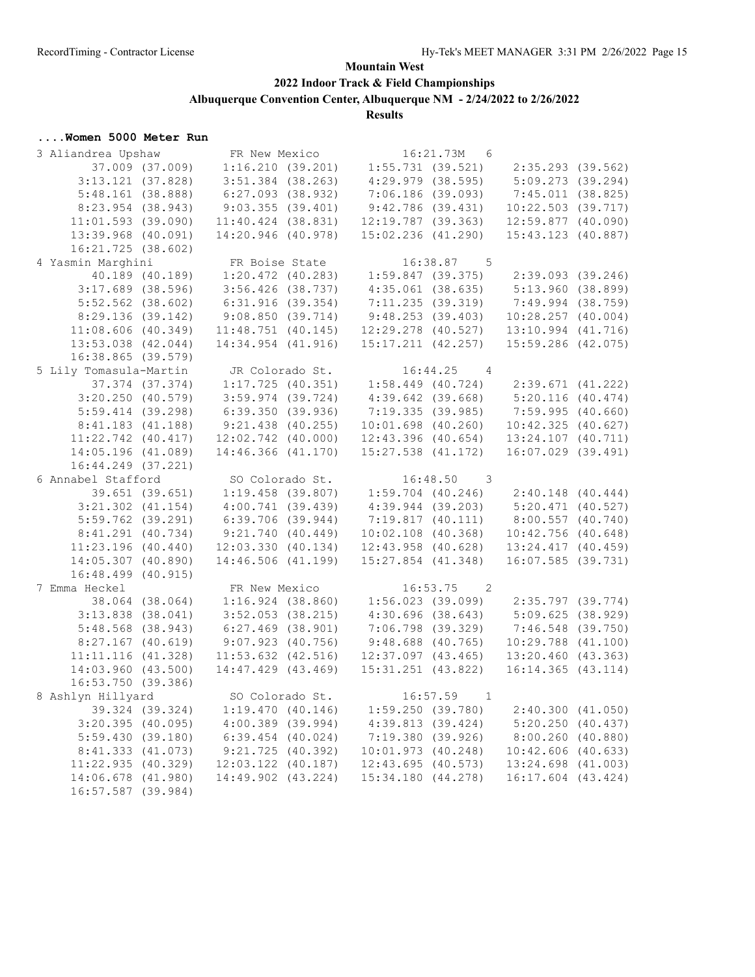**Results**

| 3 Aliandrea Upshaw                     |                 | FR New Mexico          |                       |                                                                       | 16:21.73M<br>6           |                                         |  |
|----------------------------------------|-----------------|------------------------|-----------------------|-----------------------------------------------------------------------|--------------------------|-----------------------------------------|--|
|                                        | 37.009 (37.009) |                        | 1:16.210(39.201)      |                                                                       |                          | $1:55.731$ (39.521) $2:35.293$ (39.562) |  |
| $3:13.121$ $(37.828)$                  |                 | $3:51.384$ (38.263)    |                       | $4:29.979$ $(38.595)$                                                 |                          | 5:09.273(39.294)                        |  |
| 5:48.161(38.888)                       |                 | $6:27.093$ (38.932)    |                       | 7:06.186(39.093)                                                      |                          | 7:45.011(38.825)                        |  |
| 8:23.954 (38.943)                      |                 | 9:03.355(39.401)       |                       |                                                                       | 9:42.786(39.431)         | $10:22.503$ (39.717)                    |  |
| $11:01.593$ (39.090)                   |                 | $11:40.424$ (38.831)   |                       |                                                                       | 12:19.787 (39.363)       | 12:59.877 (40.090)                      |  |
| 13:39.968 (40.091)                     |                 | 14:20.946 (40.978)     |                       |                                                                       | 15:02.236 (41.290)       | 15:43.123 (40.887)                      |  |
| 16:21.725 (38.602)                     |                 |                        |                       |                                                                       |                          |                                         |  |
| 4 Yasmin Marghini                      |                 | FR Boise State         |                       |                                                                       | 16:38.87 5               |                                         |  |
|                                        | 40.189 (40.189) |                        | $1:20.472$ $(40.283)$ |                                                                       | 1:59.847 (39.375)        | 2:39.093 (39.246)                       |  |
| $3:17.689$ (38.596)                    |                 | $3:56.426$ (38.737)    |                       |                                                                       | $4:35.061$ (38.635)      | 5:13.960(38.899)                        |  |
| $5:52.562$ (38.602)                    |                 | 6:31.916(39.354)       |                       |                                                                       |                          | $7:11.235$ (39.319) $7:49.994$ (38.759) |  |
|                                        |                 |                        |                       |                                                                       |                          |                                         |  |
| 8:29.136(39.142)                       |                 | 9:08.850(39.714)       |                       | 9:48.253(39.403)                                                      |                          | $10:28.257$ $(40.004)$                  |  |
| 11:08.606(40.349)                      |                 | $11:48.751$ (40.145)   |                       |                                                                       | $12:29.278$ $(40.527)$   | 13:10.994 (41.716)                      |  |
| $13:53.038$ $(42.044)$                 |                 | $14:34.954$ $(41.916)$ |                       |                                                                       | $15:17.211$ $(42.257)$   | 15:59.286 (42.075)                      |  |
| $16:38.865$ (39.579)                   |                 |                        |                       |                                                                       |                          |                                         |  |
| 5 Lily Tomasula-Martin JR Colorado St. |                 |                        |                       |                                                                       | $16:44.25$ 4             |                                         |  |
|                                        |                 |                        |                       | 37.374 (37.374) 1:17.725 (40.351) 1:58.449 (40.724) 2:39.671 (41.222) |                          |                                         |  |
| 3:20.250(40.579)                       |                 | $3:59.974$ (39.724)    |                       | $4:39.642$ (39.668) $5:20.116$ (40.474)                               |                          |                                         |  |
| $5:59.414$ (39.298)                    |                 | 6:39.350 (39.936)      |                       | 7:19.335(39.985)                                                      |                          | 7:59.995 (40.660)                       |  |
| 8:41.183(41.188)                       |                 | $9:21.438$ (40.255)    |                       | $10:01.698$ $(40.260)$                                                |                          | 10:42.325(40.627)                       |  |
| $11:22.742$ (40.417)                   |                 | $12:02.742$ (40.000)   |                       | $12:43.396$ $(40.654)$                                                |                          | 13:24.107 (40.711)                      |  |
| 14:05.196 (41.089)                     |                 | $14:46.366$ $(41.170)$ |                       |                                                                       | $15:27.538$ $(41.172)$   | 16:07.029 (39.491)                      |  |
| 16:44.249 (37.221)                     |                 |                        |                       |                                                                       |                          |                                         |  |
| 6 Annabel Stafford                     |                 | SO Colorado St.        |                       |                                                                       | $16:48.50$ 3             |                                         |  |
| 39.651 (39.651)                        |                 |                        | $1:19.458$ (39.807)   | $1:59.704$ (40.246) $2:40.148$ (40.444)                               |                          |                                         |  |
| $3:21.302$ $(41.154)$                  |                 | 4:00.741(39.439)       |                       | 4:39.944 (39.203) 5:20.471 (40.527)                                   |                          |                                         |  |
| $5:59.762$ (39.291)                    |                 | $6:39.706$ (39.944)    |                       |                                                                       |                          | 7:19.817 (40.111) 8:00.557 (40.740)     |  |
| 8:41.291 (40.734)                      |                 | 9:21.740(40.449)       |                       |                                                                       | $10:02.108$ $(40.368)$   | $10:42.756$ $(40.648)$                  |  |
| $11:23.196$ (40.440)                   |                 | 12:03.330(40.134)      |                       |                                                                       | $12:43.958$ $(40.628)$   | 13:24.417 (40.459)                      |  |
| 14:05.307 (40.890)                     |                 | 14:46.506 (41.199)     |                       |                                                                       | 15:27.854 (41.348)       | 16:07.585 (39.731)                      |  |
| $16:48.499$ $(40.915)$                 |                 |                        |                       |                                                                       |                          |                                         |  |
|                                        |                 |                        |                       |                                                                       |                          |                                         |  |
| 7 Emma Heckel                          |                 | FR New Mexico          |                       |                                                                       | $16:53.75$ 2             |                                         |  |
|                                        | 38.064 (38.064) | 1:16.924(38.860)       |                       |                                                                       | $1:56.023$ (39.099)      | 2:35.797 (39.774)                       |  |
| $3:13.838$ $(38.041)$                  |                 | $3:52.053$ (38.215)    |                       |                                                                       | 4:30.696(38.643)         | 5:09.625(38.929)                        |  |
| $5:48.568$ (38.943)                    |                 | $6:27.469$ $(38.901)$  |                       |                                                                       | 7:06.798 (39.329)        | 7:46.548 (39.750)                       |  |
| $8:27.167$ (40.619)                    |                 | 9:07.923(40.756)       |                       | $9:48.688$ (40.765)                                                   |                          | $10:29.788$ $(41.100)$                  |  |
| 11:11.116(41.328)                      |                 | $11:53.632$ $(42.516)$ |                       | $12:37.097$ $(43.465)$                                                |                          | 13:20.460 (43.363)                      |  |
| $14:03.960$ $(43.500)$                 |                 | 14:47.429 (43.469)     |                       |                                                                       | $15:31.251$ $(43.822)$   | $16:14.365$ $(43.114)$                  |  |
| 16:53.750 (39.386)                     |                 |                        |                       |                                                                       |                          |                                         |  |
| 8 Ashlyn Hillyard                      |                 |                        | SO Colorado St.       |                                                                       | 16:57.59<br>$\mathbf{1}$ |                                         |  |
|                                        | 39.324 (39.324) | 1:19.470(40.146)       |                       | 1:59.250(39.780)                                                      |                          | 2:40.300(41.050)                        |  |
| 3:20.395(40.095)                       |                 | 4:00.389(39.994)       |                       | 4:39.813(39.424)                                                      |                          | 5:20.250(40.437)                        |  |
| 5:59.430(39.180)                       |                 | $6:39.454$ $(40.024)$  |                       | 7:19.380 (39.926)                                                     |                          | 8:00.260(40.880)                        |  |
| 8:41.333 (41.073)                      |                 | 9:21.725(40.392)       |                       | 10:01.973 (40.248)                                                    |                          | $10:42.606$ (40.633)                    |  |
| 11:22.935 (40.329)                     |                 | $12:03.122$ (40.187)   |                       | $12:43.695$ (40.573)                                                  |                          | 13:24.698 (41.003)                      |  |
| 14:06.678 (41.980)                     |                 | 14:49.902 (43.224)     |                       | 15:34.180 (44.278)                                                    |                          | 16:17.604 (43.424)                      |  |
| 16:57.587 (39.984)                     |                 |                        |                       |                                                                       |                          |                                         |  |
|                                        |                 |                        |                       |                                                                       |                          |                                         |  |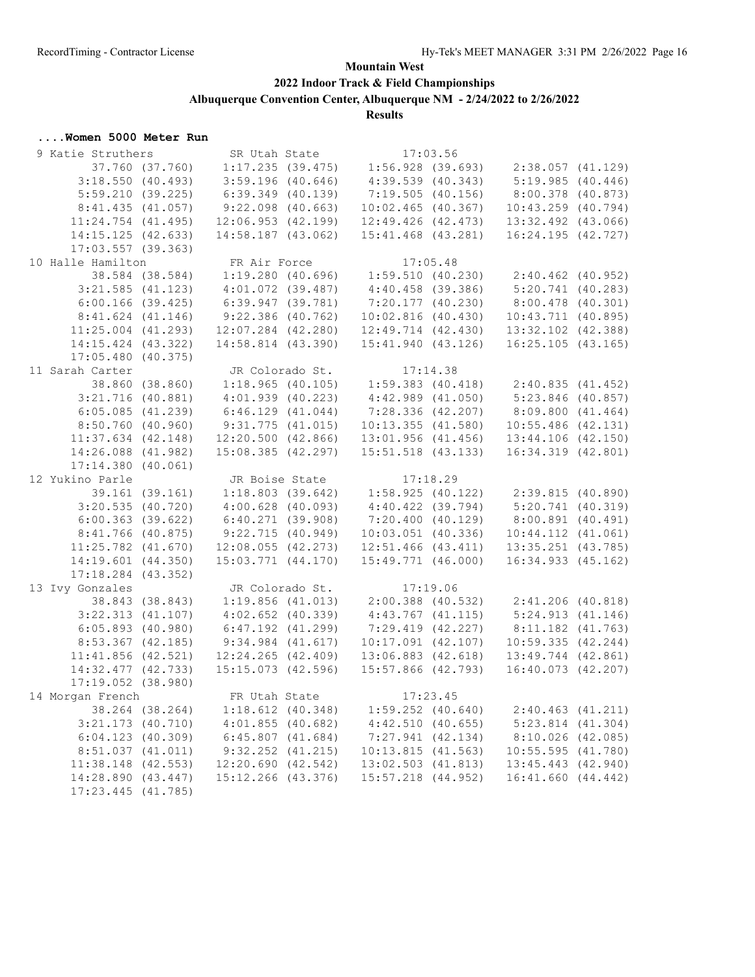**Results**

| 9 Katie Struthers      |                 | SR Utah State          |                                         | 17:03.56 |                                                             |  |
|------------------------|-----------------|------------------------|-----------------------------------------|----------|-------------------------------------------------------------|--|
|                        | 37.760 (37.760) |                        | $1:17.235$ (39.475) $1:56.928$ (39.693) |          | 2:38.057 (41.129)                                           |  |
| 3:18.550(40.493)       |                 | $3:59.196$ (40.646)    | 4:39.539(40.343)                        |          | 5:19.985(40.446)                                            |  |
| 5:59.210(39.225)       |                 | $6:39.349$ $(40.139)$  | 7:19.505(40.156)                        |          | 8:00.378 (40.873)                                           |  |
| 8:41.435(41.057)       |                 | $9:22.098$ (40.663)    | $10:02.465$ (40.367)                    |          | $10:43.259$ $(40.794)$                                      |  |
| $11:24.754$ $(41.495)$ |                 | $12:06.953$ $(42.199)$ |                                         |          | 12:49.426 (42.473) 13:32.492 (43.066)                       |  |
| 14:15.125(42.633)      |                 | $14:58.187$ (43.062)   | 15:41.468 (43.281)                      |          | 16:24.195(42.727)                                           |  |
| $17:03.557$ (39.363)   |                 |                        |                                         |          |                                                             |  |
| 10 Halle Hamilton      |                 | FR Air Force           |                                         | 17:05.48 |                                                             |  |
|                        | 38.584 (38.584) | $1:19.280$ (40.696)    |                                         |          | $1:59.510$ (40.230) $2:40.462$ (40.952)                     |  |
| $3:21.585$ (41.123)    |                 | $4:01.072$ (39.487)    | $4:40.458$ (39.386)                     |          | 5:20.741(40.283)                                            |  |
| $6:00.166$ (39.425)    |                 | 6:39.947 (39.781)      | 7:20.177(40.230)                        |          | $8:00.478$ $(40.301)$                                       |  |
| $8:41.624$ $(41.146)$  |                 | $9:22.386$ (40.762)    | 10:02.816(40.430)                       |          | $10:43.711$ $(40.895)$                                      |  |
| $11:25.004$ $(41.293)$ |                 | $12:07.284$ $(42.280)$ | $12:49.714$ $(42.430)$                  |          | 13:32.102 (42.388)                                          |  |
|                        |                 | 14:58.814 (43.390)     |                                         |          | $16:25.105$ (43.165)                                        |  |
| 14:15.424 (43.322)     |                 |                        | 15:41.940(43.126)                       |          |                                                             |  |
| $17:05.480$ (40.375)   |                 |                        |                                         |          |                                                             |  |
| 11 Sarah Carter        |                 | JR Colorado St.        |                                         | 17:14.38 | $1:18.965$ (40.105) $1:59.383$ (40.418) $2:40.835$ (41.452) |  |
|                        | 38.860 (38.860) |                        |                                         |          |                                                             |  |
| $3:21.716$ (40.881)    |                 | $4:01.939$ $(40.223)$  | $4:42.989$ $(41.050)$                   |          | $5:23.846$ (40.857)                                         |  |
| 6:05.085(41.239)       |                 | 6:46.129(41.044)       | 7:28.336 (42.207)                       |          | 8:09.800 (41.464)                                           |  |
| 8:50.760 (40.960)      |                 | 9:31.775(41.015)       | $10:13.355$ $(41.580)$                  |          | $10:55.486$ (42.131)                                        |  |
| $11:37.634$ $(42.148)$ |                 | 12:20.500(42.866)      | $13:01.956$ $(41.456)$                  |          | $13:44.106$ $(42.150)$                                      |  |
| 14:26.088 (41.982)     |                 | $15:08.385$ $(42.297)$ | 15:51.518 (43.133)                      |          | 16:34.319 (42.801)                                          |  |
| 17:14.380(40.061)      |                 |                        |                                         |          |                                                             |  |
| 12 Yukino Parle        |                 | JR Boise State         |                                         | 17:18.29 |                                                             |  |
| 39.161 (39.161)        |                 |                        |                                         |          | $1:18.803$ (39.642) $1:58.925$ (40.122) $2:39.815$ (40.890) |  |
| $3:20.535$ (40.720)    |                 | $4:00.628$ (40.093)    | 4:40.422(39.794)                        |          | $5:20.741$ (40.319)                                         |  |
| $6:00.363$ $(39.622)$  |                 | 6:40.271(39.908)       | 7:20.400(40.129)                        |          | 8:00.891 (40.491)                                           |  |
| $8:41.766$ (40.875)    |                 | 9:22.715(40.949)       | $10:03.051$ (40.336)                    |          | $10:44.112$ $(41.061)$                                      |  |
| $11:25.782$ $(41.670)$ |                 | $12:08.055$ $(42.273)$ |                                         |          | 12:51.466 (43.411) 13:35.251 (43.785)                       |  |
| 14:19.601 (44.350)     |                 | $15:03.771$ $(44.170)$ | 15:49.771(46.000)                       |          | 16:34.933 (45.162)                                          |  |
| $17:18.284$ (43.352)   |                 |                        |                                         |          |                                                             |  |
| 13 Ivy Gonzales        |                 | JR Colorado St.        |                                         | 17:19.06 |                                                             |  |
|                        | 38.843 (38.843) | 1:19.856(41.013)       |                                         |          | 2:00.388 (40.532) 2:41.206 (40.818)                         |  |
| 3:22.313(41.107)       |                 | $4:02.652$ $(40.339)$  | 4:43.767 (41.115)                       |          | 5:24.913(41.146)                                            |  |
| $6:05.893$ $(40.980)$  |                 | $6:47.192$ $(41.299)$  | $7:29.419$ $(42.227)$                   |          | 8:11.182 (41.763)                                           |  |
| $8:53.367$ (42.185)    |                 | $9:34.984$ $(41.617)$  | $10:17.091$ $(42.107)$                  |          | 10:59.335(42.244)                                           |  |
| $11:41.856$ (42.521)   |                 | $12:24.265$ $(42.409)$ | 13:06.883 (42.618)                      |          | 13:49.744 (42.861)                                          |  |
| 14:32.477 (42.733)     |                 | 15:15.073 (42.596)     | 15:57.866 (42.793)                      |          | 16:40.073 (42.207)                                          |  |
| $17:19.052$ (38.980)   |                 |                        |                                         |          |                                                             |  |
| 14 Morgan French       |                 | FR Utah State          |                                         | 17:23.45 |                                                             |  |
|                        | 38.264 (38.264) | $1:18.612$ (40.348)    | $1:59.252$ $(40.640)$                   |          | 2:40.463(41.211)                                            |  |
| $3:21.173$ $(40.710)$  |                 | 4:01.855(40.682)       | 4:42.510(40.655)                        |          | $5:23.814$ $(41.304)$                                       |  |
| $6:04.123$ (40.309)    |                 | $6:45.807$ $(41.684)$  | $7:27.941$ $(42.134)$                   |          | $8:10.026$ (42.085)                                         |  |
| 8:51.037(41.011)       |                 | $9:32.252$ $(41.215)$  |                                         |          | $10:55.595$ $(41.780)$                                      |  |
| 11:38.148 (42.553)     |                 | 12:20.690 (42.542)     | 10:13.815(41.563)<br>13:02.503 (41.813) |          | $13:45.443$ $(42.940)$                                      |  |
| 14:28.890 (43.447)     |                 | 15:12.266 (43.376)     | 15:57.218 (44.952)                      |          | 16:41.660(44.442)                                           |  |
|                        |                 |                        |                                         |          |                                                             |  |
| 17:23.445 (41.785)     |                 |                        |                                         |          |                                                             |  |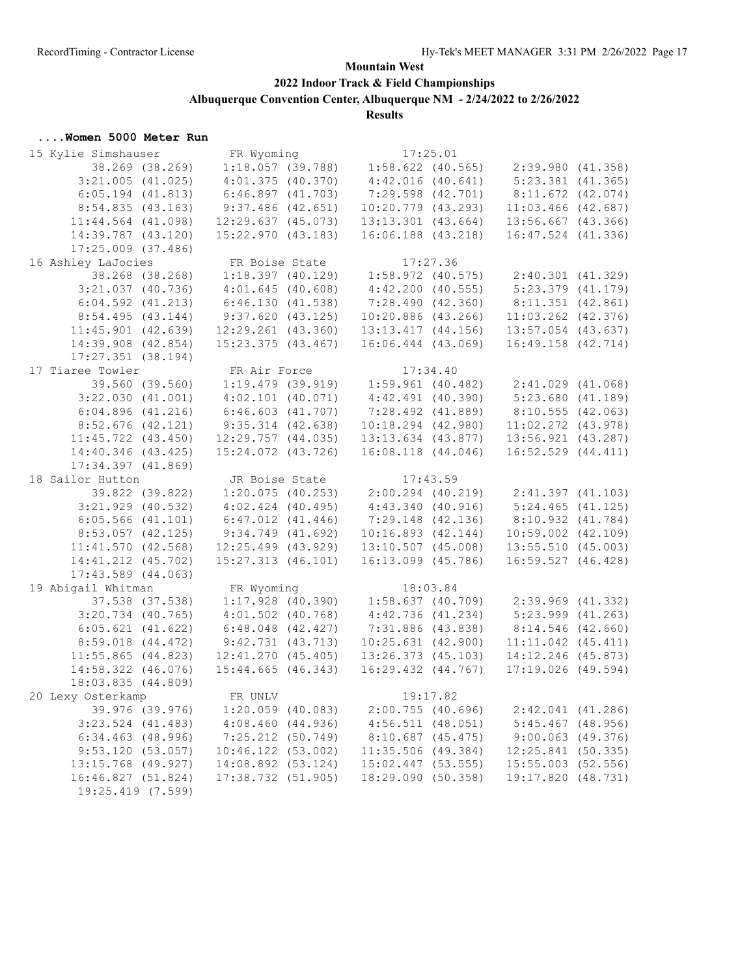**Results**

| 15 Kylie Simshauser    | FR Wyoming             | 17:25.01                                                    |                        |
|------------------------|------------------------|-------------------------------------------------------------|------------------------|
| 38.269 (38.269)        | 1:18.057(39.788)       | $1:58.622$ (40.565)                                         | 2:39.980 (41.358)      |
| $3:21.005$ $(41.025)$  | 4:01.375(40.370)       | 4:42.016(40.641)                                            | $5:23.381$ $(41.365)$  |
| $6:05.194$ $(41.813)$  | 6:46.897(41.703)       | $7:29.598$ $(42.701)$                                       | 8:11.672(42.074)       |
| 8:54.835 (43.163)      | $9:37.486$ (42.651)    | $10:20.779$ $(43.293)$                                      | $11:03.466$ (42.687)   |
| $11:44.564$ (41.098)   | 12:29.637 (45.073)     | $13:13.301$ $(43.664)$                                      | $13:56.667$ (43.366)   |
| 14:39.787 (43.120)     | 15:22.970 (43.183)     | $16:06.188$ $(43.218)$                                      | $16:47.524$ $(41.336)$ |
| $17:25.009$ $(37.486)$ |                        |                                                             |                        |
| 16 Ashley LaJocies     | FR Boise State         | 17:27.36                                                    |                        |
| 38.268 (38.268)        | $1:18.397$ (40.129)    | $1:58.972$ (40.575) $2:40.301$ (41.329)                     |                        |
| $3:21.037$ (40.736)    | 4:01.645(40.608)       | $4:42.200$ (40.555)                                         | $5:23.379$ $(41.179)$  |
| $6:04.592$ $(41.213)$  | 6:46.130(41.538)       | 7:28.490(42.360)                                            | 8:11.351(42.861)       |
| 8:54.495(43.144)       | 9:37.620(43.125)       | $10:20.886$ $(43.266)$                                      | $11:03.262$ $(42.376)$ |
| $11:45.901$ (42.639)   | $12:29.261$ $(43.360)$ | $13:13.417$ $(44.156)$                                      | $13:57.054$ (43.637)   |
| 14:39.908 (42.854)     | 15:23.375 (43.467)     | $16:06.444$ $(43.069)$                                      | 16:49.158 (42.714)     |
|                        |                        |                                                             |                        |
| $17:27.351$ (38.194)   |                        |                                                             |                        |
| 17 Tiaree Towler       | FR Air Force           | 17:34.40                                                    |                        |
| 39.560 (39.560)        |                        |                                                             |                        |
| 3:22.030(41.001)       | $4:02.101$ $(40.071)$  | $4:42.491$ (40.390)                                         | $5:23.680$ $(41.189)$  |
| 6:04.896(41.216)       | 6:46.603(41.707)       | 7:28.492 (41.889)                                           | 8:10.555(42.063)       |
| $8:52.676$ (42.121)    | $9:35.314$ (42.638)    | $10:18.294$ $(42.980)$                                      | $11:02.272$ $(43.978)$ |
| $11:45.722$ $(43.450)$ | $12:29.757$ $(44.035)$ | $13:13.634$ $(43.877)$                                      | 13:56.921 (43.287)     |
| $14:40.346$ (43.425)   | 15:24.072 (43.726)     | $16:08.118$ $(44.046)$                                      | $16:52.529$ $(44.411)$ |
| $17:34.397$ $(41.869)$ |                        |                                                             |                        |
| 18 Sailor Hutton       | JR Boise State         | 17:43.59                                                    |                        |
| 39.822 (39.822)        |                        | $1:20.075$ (40.253) $2:00.294$ (40.219) $2:41.397$ (41.103) |                        |
| $3:21.929$ (40.532)    | $4:02.424$ $(40.495)$  | 4:43.340(40.916)                                            | $5:24.465$ $(41.125)$  |
| $6:05.566$ $(41.101)$  | $6:47.012$ $(41.446)$  | $7:29.148$ $(42.136)$                                       | 8:10.932 (41.784)      |
| $8:53.057$ $(42.125)$  | $9:34.749$ $(41.692)$  | 10:16.893(42.144)                                           | $10:59.002$ $(42.109)$ |
| 11:41.570(42.568)      | $12:25.499$ $(43.929)$ | 13:10.507 (45.008)                                          | 13:55.510 (45.003)     |
| 14:41.212 (45.702)     | 15:27.313(46.101)      | 16:13.099 (45.786)                                          | 16:59.527 (46.428)     |
| $17:43.589$ $(44.063)$ |                        |                                                             |                        |
| 19 Abigail Whitman     | FR Wyoming             | 18:03.84                                                    |                        |
| 37.538 (37.538)        | $1:17.928$ (40.390)    | 1:58.637(40.709)                                            | $2:39.969$ $(41.332)$  |
| $3:20.734$ (40.765)    | $4:01.502$ $(40.768)$  | 4:42.736 (41.234)                                           | $5:23.999$ $(41.263)$  |
| $6:05.621$ $(41.622)$  | $6:48.048$ $(42.427)$  | 7:31.886 (43.838)                                           | $8:14.546$ (42.660)    |
| $8:59.018$ $(44.472)$  | 9:42.731(43.713)       | 10:25.631(42.900)                                           | $11:11.042$ (45.411)   |
| $11:55.865$ (44.823)   | 12:41.270(45.405)      | $13:26.373$ $(45.103)$                                      | 14:12.246 (45.873)     |
| 14:58.322 (46.076)     | $15:44.665$ (46.343)   | $16:29.432$ $(44.767)$                                      | $17:19.026$ (49.594)   |
| 18:03.835 (44.809)     |                        |                                                             |                        |
| 20 Lexy Osterkamp      | FR UNLV                | 19:17.82                                                    |                        |
| 39.976 (39.976)        | $1:20.059$ (40.083)    | 2:00.755(40.696)                                            | $2:42.041$ $(41.286)$  |
| $3:23.524$ $(41.483)$  | 4:08.460(44.936)       | $4:56.511$ $(48.051)$                                       | $5:45.467$ (48.956)    |
| $6:34.463$ $(48.996)$  | $7:25.212$ (50.749)    | $8:10.687$ $(45.475)$                                       | $9:00.063$ $(49.376)$  |
| 9:53.120(53.057)       | 10:46.122 (53.002)     | $11:35.506$ (49.384)                                        | 12:25.841 (50.335)     |
| 13:15.768 (49.927)     | 14:08.892 (53.124)     | $15:02.447$ (53.555)                                        | $15:55.003$ (52.556)   |
| 16:46.827 (51.824)     |                        |                                                             |                        |
|                        |                        |                                                             |                        |
| 19:25.419 (7.599)      | 17:38.732 (51.905)     | 18:29.090 (50.358)                                          | 19:17.820 (48.731)     |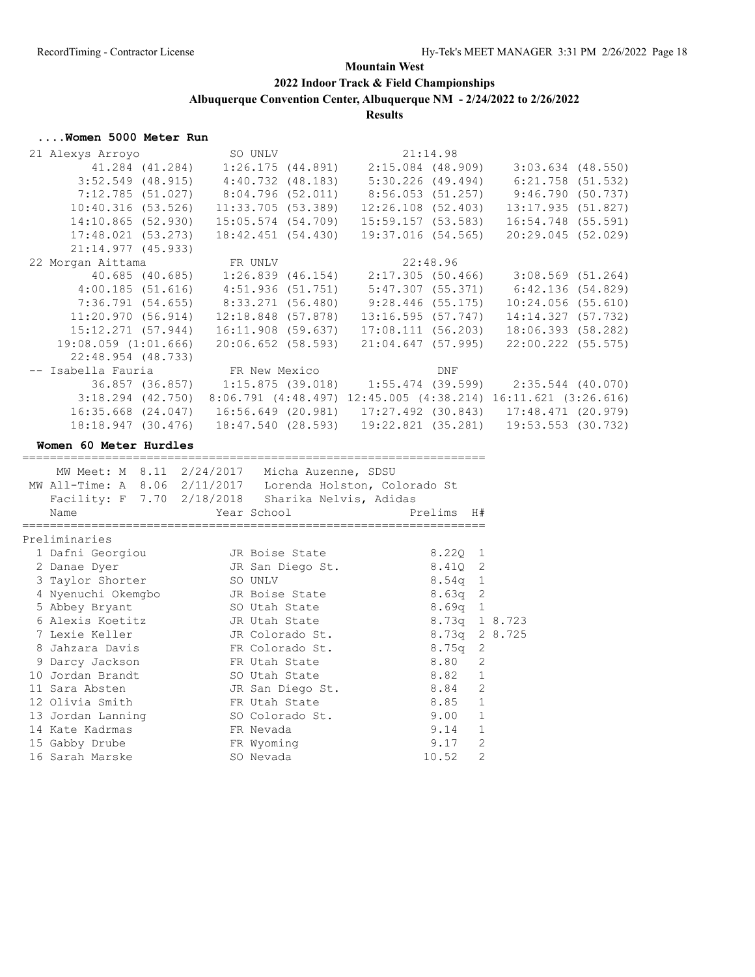**Results**

| 21:14.98                                                                                                                                                                |                                                                                                                                                                                                                                                                                                                                                                                                                                                                                                                                                                                                                                                                                                                                                                                                                                                                                                                                                                     |
|-------------------------------------------------------------------------------------------------------------------------------------------------------------------------|---------------------------------------------------------------------------------------------------------------------------------------------------------------------------------------------------------------------------------------------------------------------------------------------------------------------------------------------------------------------------------------------------------------------------------------------------------------------------------------------------------------------------------------------------------------------------------------------------------------------------------------------------------------------------------------------------------------------------------------------------------------------------------------------------------------------------------------------------------------------------------------------------------------------------------------------------------------------|
|                                                                                                                                                                         | $3:03.634$ (48.550)                                                                                                                                                                                                                                                                                                                                                                                                                                                                                                                                                                                                                                                                                                                                                                                                                                                                                                                                                 |
|                                                                                                                                                                         | $6:21.758$ (51.532)                                                                                                                                                                                                                                                                                                                                                                                                                                                                                                                                                                                                                                                                                                                                                                                                                                                                                                                                                 |
|                                                                                                                                                                         | 9:46.790(50.737)                                                                                                                                                                                                                                                                                                                                                                                                                                                                                                                                                                                                                                                                                                                                                                                                                                                                                                                                                    |
|                                                                                                                                                                         | 13:17.935(51.827)                                                                                                                                                                                                                                                                                                                                                                                                                                                                                                                                                                                                                                                                                                                                                                                                                                                                                                                                                   |
|                                                                                                                                                                         | 16:54.748 (55.591)                                                                                                                                                                                                                                                                                                                                                                                                                                                                                                                                                                                                                                                                                                                                                                                                                                                                                                                                                  |
|                                                                                                                                                                         | 20:29.045 (52.029)                                                                                                                                                                                                                                                                                                                                                                                                                                                                                                                                                                                                                                                                                                                                                                                                                                                                                                                                                  |
|                                                                                                                                                                         |                                                                                                                                                                                                                                                                                                                                                                                                                                                                                                                                                                                                                                                                                                                                                                                                                                                                                                                                                                     |
| 22:48.96                                                                                                                                                                |                                                                                                                                                                                                                                                                                                                                                                                                                                                                                                                                                                                                                                                                                                                                                                                                                                                                                                                                                                     |
|                                                                                                                                                                         | $3:08.569$ (51.264)                                                                                                                                                                                                                                                                                                                                                                                                                                                                                                                                                                                                                                                                                                                                                                                                                                                                                                                                                 |
|                                                                                                                                                                         |                                                                                                                                                                                                                                                                                                                                                                                                                                                                                                                                                                                                                                                                                                                                                                                                                                                                                                                                                                     |
|                                                                                                                                                                         | $10:24.056$ (55.610)                                                                                                                                                                                                                                                                                                                                                                                                                                                                                                                                                                                                                                                                                                                                                                                                                                                                                                                                                |
|                                                                                                                                                                         | 14:14.327(57.732)                                                                                                                                                                                                                                                                                                                                                                                                                                                                                                                                                                                                                                                                                                                                                                                                                                                                                                                                                   |
|                                                                                                                                                                         | 18:06.393 (58.282)                                                                                                                                                                                                                                                                                                                                                                                                                                                                                                                                                                                                                                                                                                                                                                                                                                                                                                                                                  |
|                                                                                                                                                                         | 22:00.222 (55.575)                                                                                                                                                                                                                                                                                                                                                                                                                                                                                                                                                                                                                                                                                                                                                                                                                                                                                                                                                  |
|                                                                                                                                                                         |                                                                                                                                                                                                                                                                                                                                                                                                                                                                                                                                                                                                                                                                                                                                                                                                                                                                                                                                                                     |
| DNF                                                                                                                                                                     |                                                                                                                                                                                                                                                                                                                                                                                                                                                                                                                                                                                                                                                                                                                                                                                                                                                                                                                                                                     |
|                                                                                                                                                                         |                                                                                                                                                                                                                                                                                                                                                                                                                                                                                                                                                                                                                                                                                                                                                                                                                                                                                                                                                                     |
|                                                                                                                                                                         |                                                                                                                                                                                                                                                                                                                                                                                                                                                                                                                                                                                                                                                                                                                                                                                                                                                                                                                                                                     |
|                                                                                                                                                                         |                                                                                                                                                                                                                                                                                                                                                                                                                                                                                                                                                                                                                                                                                                                                                                                                                                                                                                                                                                     |
|                                                                                                                                                                         |                                                                                                                                                                                                                                                                                                                                                                                                                                                                                                                                                                                                                                                                                                                                                                                                                                                                                                                                                                     |
|                                                                                                                                                                         |                                                                                                                                                                                                                                                                                                                                                                                                                                                                                                                                                                                                                                                                                                                                                                                                                                                                                                                                                                     |
| 21 Alexys Arroyo<br>10:40.316(53.526)<br>$17:48.021$ (53.273)<br>40.685 (40.685)<br>11:20.970(56.914)<br>15:12.271 (57.944)<br>-- Isabella Fauria<br>16:35.668 (24.047) | SO UNLV<br>41.284 (41.284) 1:26.175 (44.891)<br>2:15.084 (48.909)<br>$3:52.549$ (48.915) $4:40.732$ (48.183)<br>5:30.226 (49.494)<br>7:12.785 (51.027)  8:04.796 (52.011)  8:56.053 (51.257)<br>11:33.705(53.389)<br>$12:26.108$ (52.403)<br>$15:05.574$ (54.709)<br>15:59.157(53.583)<br>18:42.451 (54.430)<br>19:37.016 (54.565)<br>FR UNLV<br>1:26.839 (46.154)<br>2:17.305 (50.466)<br>4:00.185 (51.616) 4:51.936 (51.751) 5:47.307 (55.371) 6:42.136 (54.829)<br>$9:28.446$ (55.175)<br>8:33.271 (56.480)<br>12:18.848 (57.878)<br>13:16.595 (57.747)<br>16:11.908 (59.637)<br>17:08.111(56.203)<br>20:06.652 (58.593)<br>$21:04.647$ (57.995)<br>FR New Mexico<br>$36.857$ (36.857) 1:15.875 (39.018) 1:55.474 (39.599) 2:35.544 (40.070)<br>$8:06.791$ (4:48.497) 12:45.005 (4:38.214) 16:11.621 (3:26.616)<br>$16:56.649$ (20.981) $17:27.492$ (30.843) $17:48.471$ (20.979)<br>18:18.947 (30.476) 18:47.540 (28.593) 19:22.821 (35.281) 19:53.553 (30.732) |

| MW Meet: M 8.11 2/24/2017 Micha Auzenne, SDSU<br>MW All-Time: A 8.06 2/11/2017 Lorenda Holston, Colorado St<br>Facility: F 7.70 2/18/2018 Sharika Nelvis, Adidas |                  |                   |                |  |
|------------------------------------------------------------------------------------------------------------------------------------------------------------------|------------------|-------------------|----------------|--|
| Name                                                                                                                                                             | Year School      | Prelims H#        |                |  |
| ================================<br>Preliminaries                                                                                                                |                  |                   |                |  |
| 1 Dafni Georgiou                                                                                                                                                 | JR Boise State   | 8.220 1           |                |  |
| 2 Danae Dyer                                                                                                                                                     | JR San Diego St. | 8.410 2           |                |  |
| 3 Taylor Shorter                                                                                                                                                 | SO UNLV          | $8.54q$ 1         |                |  |
| 4 Nyenuchi Okemgbo                                                                                                                                               | JR Boise State   | $8.63q$ 2         |                |  |
| 5 Abbey Bryant                                                                                                                                                   | SO Utah State    | $8.69q$ 1         |                |  |
| 6 Alexis Koetitz                                                                                                                                                 | JR Utah State    | 8.73q 1 8.723     |                |  |
| 7 Lexie Keller                                                                                                                                                   | JR Colorado St.  | $8.73q$ 2 $8.725$ |                |  |
| 8 Jahzara Davis                                                                                                                                                  | FR Colorado St.  | 8.75q             | 2              |  |
| 9 Darcy Jackson                                                                                                                                                  | FR Utah State    | 8.80              | 2              |  |
| 10 Jordan Brandt                                                                                                                                                 | SO Utah State    | 8.82              | $\mathbf{1}$   |  |
| 11 Sara Absten                                                                                                                                                   | JR San Diego St. | 8.84              | $\overline{2}$ |  |
| 12 Olivia Smith                                                                                                                                                  | FR Utah State    | 8.85              | $\mathbf{1}$   |  |
| 13 Jordan Lanning                                                                                                                                                | SO Colorado St.  | 9.00              | $\mathbf{1}$   |  |
| 14 Kate Kadrmas                                                                                                                                                  | FR Nevada        | 9.14              | $\mathbf{1}$   |  |
| 15 Gabby Drube                                                                                                                                                   | FR Wyoming       | 9.17              | $\overline{2}$ |  |
| 16 Sarah Marske                                                                                                                                                  | SO Nevada        | 10.52             | 2              |  |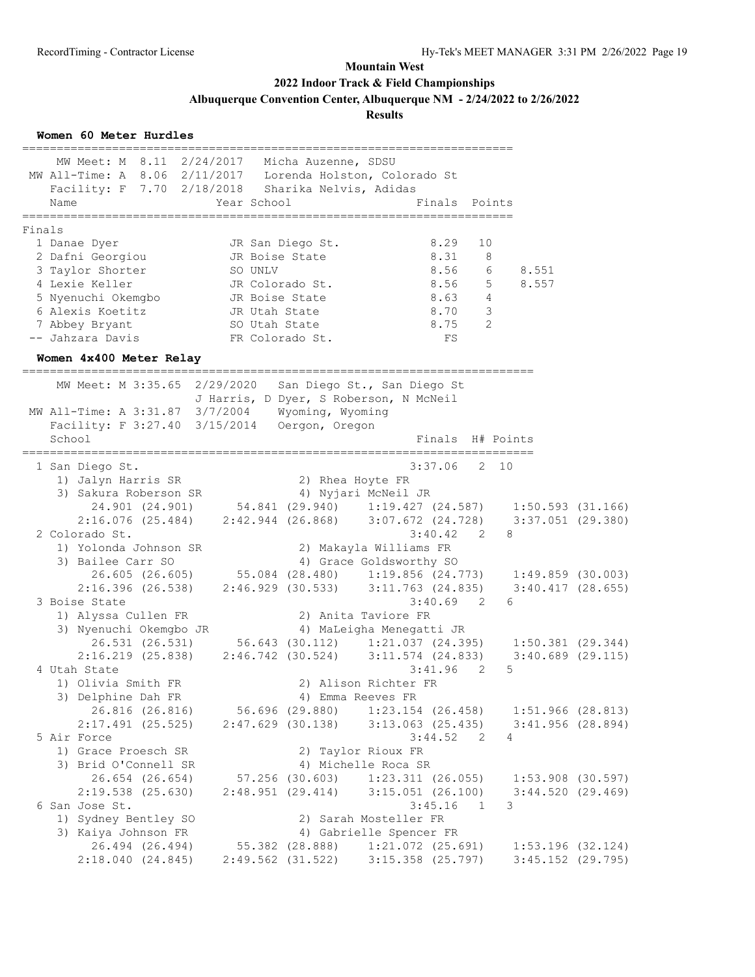# **Results**

### **Women 60 Meter Hurdles**

|        | MW Meet: M 8.11 2/24/2017 Micha Auzenne, SDSU                           |                 |                  |                                                                     |                |                     |  |
|--------|-------------------------------------------------------------------------|-----------------|------------------|---------------------------------------------------------------------|----------------|---------------------|--|
|        | MW All-Time: A 8.06 2/11/2017 Lorenda Holston, Colorado St              |                 |                  |                                                                     |                |                     |  |
|        | Facility: F 7.70 2/18/2018 Sharika Nelvis, Adidas                       |                 |                  |                                                                     |                |                     |  |
|        | Name                                                                    | Year School     |                  | Finals Points                                                       |                |                     |  |
|        |                                                                         |                 |                  |                                                                     |                |                     |  |
| Finals |                                                                         |                 |                  |                                                                     |                |                     |  |
|        |                                                                         |                 |                  | 8.29                                                                | 10             |                     |  |
|        | 1 Danae Dyer<br>2 Dafni Georgiou                                        | JR Boise State  | JR San Diego St. | 8.31                                                                | 8              |                     |  |
|        |                                                                         |                 |                  |                                                                     |                |                     |  |
|        | 3 Taylor Shorter                                                        | SO UNLV         |                  | 8.56                                                                | 6              | 8.551               |  |
|        | 4 Lexie Keller                                                          | JR Colorado St. |                  | 8.56                                                                | 5              | 8.557               |  |
|        | 5 Nyenuchi Okemgbo                                                      | JR Boise State  |                  | 8.63 4                                                              |                |                     |  |
|        | 6 Alexis Koetitz                                                        | JR Utah State   |                  | 8.70 3                                                              |                |                     |  |
|        | 7 Abbey Bryant                                                          | SO Utah State   |                  | 8.75                                                                | $\overline{2}$ |                     |  |
|        | -- Jahzara Davis                                                        | FR Colorado St. |                  | FS                                                                  |                |                     |  |
|        | Women 4x400 Meter Relay                                                 |                 |                  |                                                                     |                |                     |  |
|        | MW Meet: M 3:35.65 2/29/2020                                            |                 |                  | San Diego St., San Diego St                                         |                |                     |  |
|        |                                                                         |                 |                  | J Harris, D Dyer, S Roberson, N McNeil                              |                |                     |  |
|        | MW All-Time: A 3:31.87 3/7/2004    Wyoming, Wyoming                     |                 |                  |                                                                     |                |                     |  |
|        | Facility: F 3:27.40 3/15/2014 Oergon, Oregon                            |                 |                  |                                                                     |                |                     |  |
|        | School                                                                  |                 |                  | Finals H# Points                                                    |                |                     |  |
|        |                                                                         |                 |                  |                                                                     |                |                     |  |
|        | 1 San Diego St.                                                         |                 |                  | 3:37.06                                                             | 2              | - 10                |  |
|        | 1) Jalyn Harris SR                                                      |                 |                  | 2) Rhea Hoyte FR                                                    |                |                     |  |
|        | 3) Sakura Roberson SR                                                   |                 |                  | 4) Nyjari McNeil JR                                                 |                |                     |  |
|        |                                                                         |                 |                  | 24.901 (24.901) 54.841 (29.940) 1:19.427 (24.587) 1:50.593 (31.166) |                |                     |  |
|        |                                                                         |                 |                  |                                                                     |                |                     |  |
|        | 2:16.076 (25.484) 2:42.944 (26.868) 3:07.672 (24.728) 3:37.051 (29.380) |                 |                  |                                                                     |                |                     |  |
|        | 2 Colorado St.                                                          |                 |                  | 3:40.42                                                             | $\sim$ 2       | 8                   |  |
|        | 1) Yolonda Johnson SR                                                   |                 |                  | 2) Makayla Williams FR                                              |                |                     |  |
|        | 3) Bailee Carr SO                                                       |                 |                  | 4) Grace Goldsworthy SO                                             |                |                     |  |
|        |                                                                         |                 |                  | 26.605 (26.605) 55.084 (28.480) 1:19.856 (24.773) 1:49.859 (30.003) |                |                     |  |
|        | 2:16.396(26.538)                                                        |                 |                  | $2:46.929$ (30.533) 3:11.763 (24.835) 3:40.417 (28.655)             |                |                     |  |
|        | 3 Boise State                                                           |                 |                  | 3:40.69                                                             | $\sim$ 2       | 6                   |  |
|        | 1) Alyssa Cullen FR                                                     |                 |                  | 2) Anita Taviore FR                                                 |                |                     |  |
|        | 3) Nyenuchi Okemgbo JR                                                  |                 |                  | 4) MaLeigha Menegatti JR                                            |                |                     |  |
|        |                                                                         |                 |                  | 26.531 (26.531) 56.643 (30.112) 1:21.037 (24.395) 1:50.381 (29.344) |                |                     |  |
|        | $2:16.219$ (25.838) $2:46.742$ (30.524) 3:11.574 (24.833)               |                 |                  |                                                                     |                | $3:40.689$ (29.115) |  |
|        | 4 Utah State                                                            |                 |                  | 3:41.96                                                             | 2              | 5                   |  |
|        | 1) Olivia Smith FR                                                      |                 |                  | 2) Alison Richter FR                                                |                |                     |  |
|        | 3) Delphine Dah FR                                                      |                 |                  | 4) Emma Reeves FR                                                   |                |                     |  |
|        | 26.816 (26.816)                                                         |                 | 56.696 (29.880)  | 1:23.154 (26.458)                                                   |                | 1:51.966 (28.813)   |  |
|        | $2:17.491$ (25.525)                                                     |                 |                  | $2:47.629$ (30.138) 3:13.063 (25.435)                               |                | 3:41.956(28.894)    |  |
|        | 5 Air Force                                                             |                 |                  | 3:44.52 2                                                           |                | $\overline{4}$      |  |
|        | 1) Grace Proesch SR                                                     |                 |                  | 2) Taylor Rioux FR                                                  |                |                     |  |
|        | 3) Brid O'Connell SR                                                    |                 |                  | 4) Michelle Roca SR                                                 |                |                     |  |
|        | 26.654 (26.654)                                                         |                 | 57.256 (30.603)  | $1:23.311$ (26.055)                                                 |                | 1:53.908 (30.597)   |  |
|        | $2:19.538$ $(25.630)$                                                   |                 | 2:48.951(29.414) | $3:15.051$ (26.100)                                                 |                | 3:44.520(29.469)    |  |
|        | 6 San Jose St.                                                          |                 |                  | 3:45.16                                                             | $\sim$ 1       | 3                   |  |
|        |                                                                         |                 |                  |                                                                     |                |                     |  |
|        | 1) Sydney Bentley SO                                                    |                 |                  | 2) Sarah Mosteller FR                                               |                |                     |  |
|        | 3) Kaiya Johnson FR                                                     |                 |                  | 4) Gabrielle Spencer FR                                             |                |                     |  |
|        | 26.494 (26.494)                                                         |                 | 55.382 (28.888)  | 1:21.072 (25.691)                                                   |                | $1:53.196$ (32.124) |  |
|        | 2:18.040(24.845)                                                        |                 |                  | 2:49.562 (31.522) 3:15.358 (25.797)                                 |                | $3:45.152$ (29.795) |  |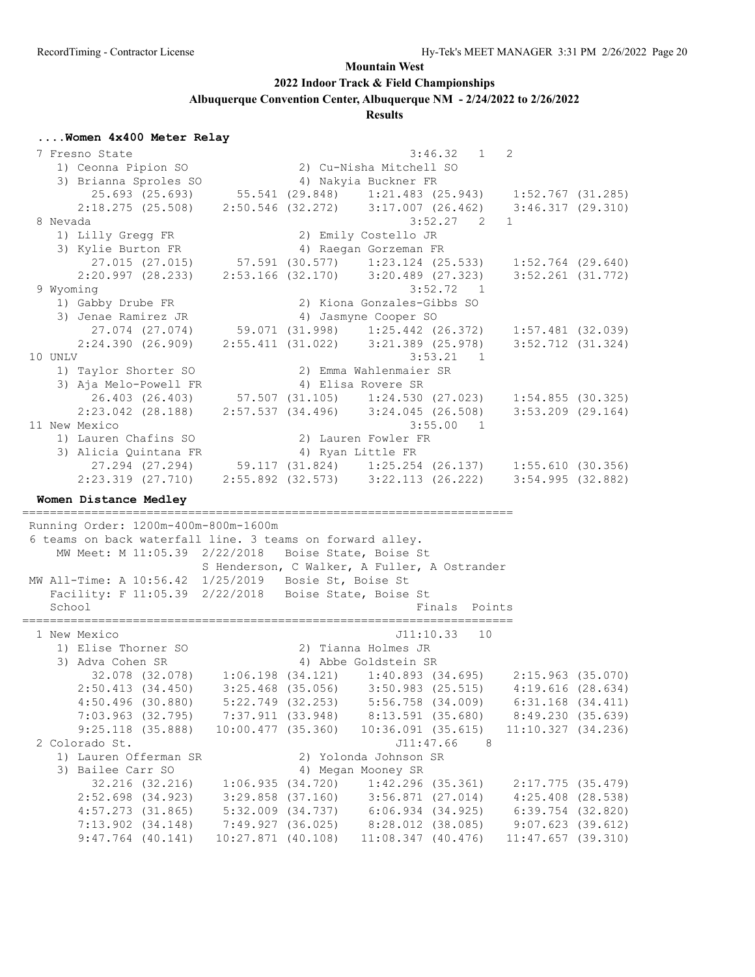**Albuquerque Convention Center, Albuquerque NM - 2/24/2022 to 2/26/2022**

# **Results**

### **....Women 4x400 Meter Relay**

| 7 Fresno State                                            |                       | 3:46.32<br>1                                                                                                                                                                                                   | 2                                           |  |
|-----------------------------------------------------------|-----------------------|----------------------------------------------------------------------------------------------------------------------------------------------------------------------------------------------------------------|---------------------------------------------|--|
| 1) Ceonna Pipion SO                                       |                       | 2) Cu-Nisha Mitchell SO                                                                                                                                                                                        |                                             |  |
| 3) Brianna Sproles SO                                     |                       | 4) Nakyia Buckner FR                                                                                                                                                                                           |                                             |  |
| 25.693 (25.693)                                           |                       | 55.541 (29.848) 1:21.483 (25.943) 1:52.767 (31.285)                                                                                                                                                            |                                             |  |
| 2:18.275(25.508)                                          |                       | $2:50.546$ (32.272) 3:17.007 (26.462) 3:46.317 (29.310)                                                                                                                                                        |                                             |  |
| 8 Nevada                                                  |                       | $3:52.27$ 2                                                                                                                                                                                                    | 1                                           |  |
| 1) Lilly Gregg FR                                         |                       | 2) Emily Costello JR                                                                                                                                                                                           |                                             |  |
| 3) Kylie Burton FR                                        |                       | 4) Raegan Gorzeman FR                                                                                                                                                                                          |                                             |  |
|                                                           |                       |                                                                                                                                                                                                                |                                             |  |
| 27.015 (27.015)                                           |                       | 57.591 (30.577) 1:23.124 (25.533)                                                                                                                                                                              | $1:52.764$ (29.640)                         |  |
| 2:20.997(28.233)                                          |                       | $2:53.166$ (32.170) 3:20.489 (27.323)                                                                                                                                                                          | $3:52.261$ $(31.772)$                       |  |
| 9 Wyoming                                                 |                       | 3:52.72 1                                                                                                                                                                                                      |                                             |  |
| 1) Gabby Drube FR                                         |                       | 2) Kiona Gonzales-Gibbs SO                                                                                                                                                                                     |                                             |  |
| 3) Jenae Ramirez JR                                       |                       | 4) Jasmyne Cooper SO                                                                                                                                                                                           |                                             |  |
| 27.074 (27.074)                                           |                       | 59.071 (31.998) 1:25.442 (26.372)                                                                                                                                                                              | $1:57.481$ (32.039)                         |  |
| 2:24.390(26.909)                                          |                       | $2:55.411$ (31.022) 3:21.389 (25.978)                                                                                                                                                                          | $3:52.712$ (31.324)                         |  |
| 10 UNLV                                                   |                       | $3:53.21$ 1                                                                                                                                                                                                    |                                             |  |
| 1) Taylor Shorter SO                                      |                       | 2) Emma Wahlenmaier SR                                                                                                                                                                                         |                                             |  |
| 3) Aja Melo-Powell FR                                     |                       | 4) Elisa Rovere SR                                                                                                                                                                                             |                                             |  |
|                                                           |                       | $26.403$ (26.403) 57.507 (31.105) 1:24.530 (27.023) 1:54.855 (30.325)                                                                                                                                          |                                             |  |
|                                                           |                       | 2:23.042 (28.188) 2:57.537 (34.496) 3:24.045 (26.508)                                                                                                                                                          | $3:53.209$ (29.164)                         |  |
| 11 New Mexico                                             |                       | 3:55.00<br>$\overline{1}$                                                                                                                                                                                      |                                             |  |
| 1) Lauren Chafins SO                                      |                       | 2) Lauren Fowler FR                                                                                                                                                                                            |                                             |  |
| 3) Alicia Quintana FR                                     |                       | 4) Ryan Little FR                                                                                                                                                                                              |                                             |  |
|                                                           |                       | 27.294 (27.294) 59.117 (31.824) 1:25.254 (26.137) 1:55.610 (30.356)                                                                                                                                            |                                             |  |
|                                                           |                       | $2:23.319$ (27.710) $2:55.892$ (32.573) $3:22.113$ (26.222)                                                                                                                                                    | 3:54.995 (32.882)                           |  |
|                                                           |                       |                                                                                                                                                                                                                |                                             |  |
|                                                           |                       |                                                                                                                                                                                                                |                                             |  |
| Women Distance Medley                                     |                       |                                                                                                                                                                                                                |                                             |  |
|                                                           |                       |                                                                                                                                                                                                                |                                             |  |
| Running Order: 1200m-400m-800m-1600m                      |                       |                                                                                                                                                                                                                |                                             |  |
| 6 teams on back waterfall line. 3 teams on forward alley. |                       |                                                                                                                                                                                                                |                                             |  |
| MW Meet: M 11:05.39 2/22/2018  Boise State, Boise St      |                       |                                                                                                                                                                                                                |                                             |  |
|                                                           |                       | S Henderson, C Walker, A Fuller, A Ostrander                                                                                                                                                                   |                                             |  |
| MW All-Time: A 10:56.42 1/25/2019 Bosie St, Boise St      |                       |                                                                                                                                                                                                                |                                             |  |
| Facility: F 11:05.39 2/22/2018  Boise State, Boise St     |                       |                                                                                                                                                                                                                |                                             |  |
| School                                                    |                       | Finals Points                                                                                                                                                                                                  |                                             |  |
| ====================                                      |                       | --------------------                                                                                                                                                                                           |                                             |  |
| 1 New Mexico                                              |                       | J11:10.33                                                                                                                                                                                                      | 10                                          |  |
| 1) Elise Thorner SO                                       |                       | 2) Tianna Holmes JR                                                                                                                                                                                            |                                             |  |
| 3) Adva Cohen SR                                          |                       | 4) Abbe Goldstein SR                                                                                                                                                                                           |                                             |  |
|                                                           |                       |                                                                                                                                                                                                                |                                             |  |
| 2:50.413(34.450)                                          |                       |                                                                                                                                                                                                                |                                             |  |
|                                                           |                       | $\begin{array}{cccccc} 32.078 & (32.078) & 1:06.198 & (34.121) & 1:40.893 & (34.695) & 2:15.963 & (35.070) \\ 50.413 & (34.450) & 3:25.468 & (35.056) & 3:50.983 & (25.515) & 4:19.616 & (28.634) \end{array}$ |                                             |  |
| 4:50.496(30.880)                                          |                       | 5:22.749 (32.253) 5:56.758 (34.009) 6:31.168 (34.411)                                                                                                                                                          |                                             |  |
| $7:03.963$ $(32.795)$                                     | 7:37.911 (33.948)     | 8:13.591 (35.680) 8:49.230 (35.639)                                                                                                                                                                            |                                             |  |
| $9:25.118$ (35.888)                                       | $10:00.477$ (35.360)  | 10:36.091 (35.615) 11:10.327 (34.236)                                                                                                                                                                          |                                             |  |
| 2 Colorado St.                                            |                       | J11:47.66<br>8                                                                                                                                                                                                 |                                             |  |
| 1) Lauren Offerman SR                                     |                       | 2) Yolonda Johnson SR                                                                                                                                                                                          |                                             |  |
| 3) Bailee Carr SO                                         |                       | 4) Megan Mooney SR                                                                                                                                                                                             |                                             |  |
| 32.216 (32.216)                                           |                       | $1:06.935$ (34.720) $1:42.296$ (35.361)                                                                                                                                                                        | $2:17.775$ (35.479)                         |  |
| 2:52.698 (34.923)                                         |                       | $3:29.858$ (37.160) $3:56.871$ (27.014)                                                                                                                                                                        | $4:25.408$ $(28.538)$                       |  |
| $4:57.273$ $(31.865)$                                     | $5:32.009$ $(34.737)$ | 6:06.934(34.925)                                                                                                                                                                                               | $6:39.754$ $(32.820)$                       |  |
| 7:13.902 (34.148)<br>$9:47.764$ (40.141)                  | $10:27.871$ (40.108)  | 7:49.927 (36.025) 8:28.012 (38.085)<br>11:08.347 (40.476)                                                                                                                                                      | $9:07.623$ (39.612)<br>$11:47.657$ (39.310) |  |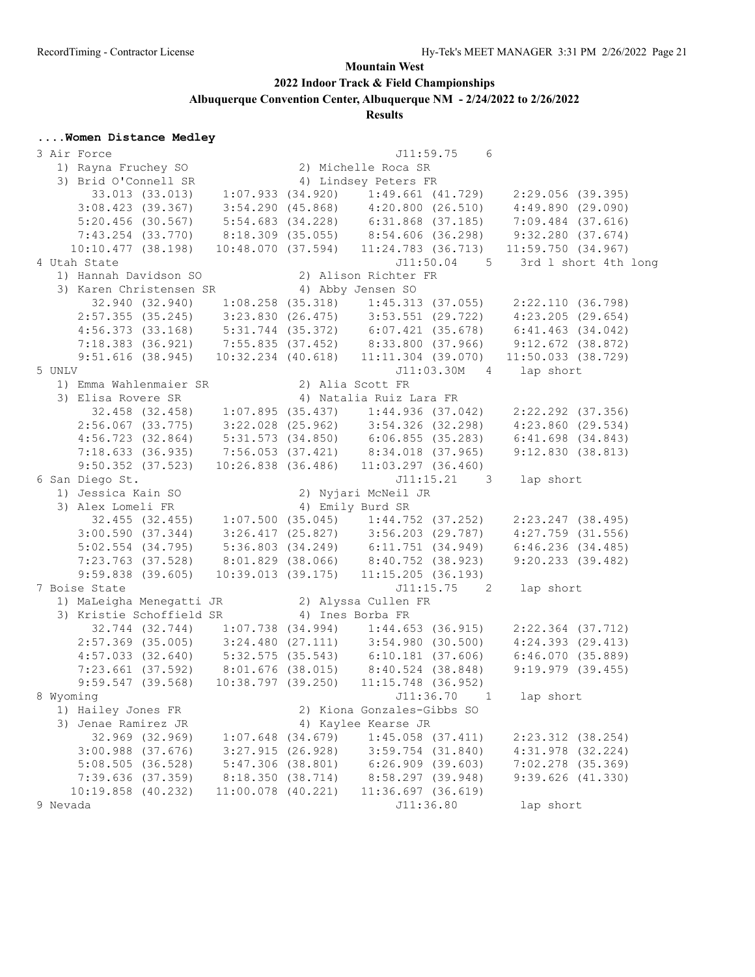**Results**

### **....Women Distance Medley**

| 3 Air Force  |                       |                          |                                                                                                                                                                                                                                                                               |                  |                            | J11:59.75 6  |                       |                                  |
|--------------|-----------------------|--------------------------|-------------------------------------------------------------------------------------------------------------------------------------------------------------------------------------------------------------------------------------------------------------------------------|------------------|----------------------------|--------------|-----------------------|----------------------------------|
|              |                       | 1) Rayna Fruchey SO      |                                                                                                                                                                                                                                                                               |                  | 2) Michelle Roca SR        |              |                       |                                  |
|              |                       |                          | 3) Brid O'Connell SR                                                                                                                                                                                                                                                          |                  | 4) Lindsey Peters FR       |              |                       |                                  |
|              |                       |                          | 33.013 (33.013) 1:07.933 (34.920) 1:49.661 (41.729) 2:29.056 (39.395)                                                                                                                                                                                                         |                  |                            |              |                       |                                  |
|              |                       |                          | 3:08.423 (39.367) 3:54.290 (45.868) 4:20.800 (26.510) 4:49.890 (29.090)                                                                                                                                                                                                       |                  |                            |              |                       |                                  |
|              |                       |                          |                                                                                                                                                                                                                                                                               |                  |                            |              |                       |                                  |
|              |                       |                          | 5:20.456 (30.567) 5:54.683 (34.228) 6:31.868 (37.185) 7:09.484 (37.616)<br>7:43.254 (33.770) 8:18.309 (35.055) 8:54.606 (36.298) 9:32.280 (37.674)                                                                                                                            |                  |                            |              |                       |                                  |
|              |                       |                          | 10:10.477 (38.198) 10:48.070 (37.594) 11:24.783 (36.713) 11:59.750 (34.967)                                                                                                                                                                                                   |                  |                            |              |                       |                                  |
| 4 Utah State |                       |                          |                                                                                                                                                                                                                                                                               |                  |                            |              |                       | J11:50.04 5 3rd 1 short 4th long |
|              |                       | 1) Hannah Davidson SO    |                                                                                                                                                                                                                                                                               |                  | 2) Alison Richter FR       |              |                       |                                  |
|              |                       | 3) Karen Christensen SR  |                                                                                                                                                                                                                                                                               |                  | 4) Abby Jensen SO          |              |                       |                                  |
|              |                       |                          | $\begin{array}{cccc} 32.940 & (32.940) & 1:08.258 & (35.318) & 1:45.313 & (37.055) & 2:22.110 & (36.798) \\ 2:57.355 & (35.245) & 3:23.830 & (26.475) & 3:53.551 & (29.722) & 4:23.205 & (29.654) \\ 4:56.373 & (33.168) & 5:31.744 & (35.372) & 6:07.421 & (35.678) & 6:41.$ |                  |                            |              |                       |                                  |
|              |                       |                          |                                                                                                                                                                                                                                                                               |                  |                            |              |                       |                                  |
|              |                       |                          |                                                                                                                                                                                                                                                                               |                  |                            |              |                       |                                  |
|              |                       |                          | 7:18.383 (36.921) 7:55.835 (37.452) 8:33.800 (37.966) 9:12.672 (38.872)                                                                                                                                                                                                       |                  |                            |              |                       |                                  |
|              |                       |                          | $9:51.616$ (38.945) $10:32.234$ (40.618) $11:11.304$ (39.070)                                                                                                                                                                                                                 |                  |                            |              | $11:50.033$ (38.729)  |                                  |
| 5 UNLV       |                       |                          |                                                                                                                                                                                                                                                                               |                  |                            | J11:03.30M 4 | lap short             |                                  |
|              |                       | 1) Emma Wahlenmaier SR   |                                                                                                                                                                                                                                                                               | 2) Alia Scott FR |                            |              |                       |                                  |
|              |                       |                          | 3) Elisa Rovere SR (32.458) 1:07.895 (35.437) 1:44.936 (37.042)                                                                                                                                                                                                               |                  |                            |              |                       |                                  |
|              |                       |                          |                                                                                                                                                                                                                                                                               |                  |                            |              | 2:22.292 (37.356)     |                                  |
|              |                       |                          | 2:56.067 (33.775) 3:22.028 (25.962) 3:54.326 (32.298) 4:23.860 (29.534)                                                                                                                                                                                                       |                  |                            |              |                       |                                  |
|              |                       |                          | $4:56.723$ (32.864) $5:31.573$ (34.850) $6:06.855$ (35.283)                                                                                                                                                                                                                   |                  |                            |              | $6:41.698$ $(34.843)$ |                                  |
|              |                       |                          | 7:18.633 (36.935) 7:56.053 (37.421) 8:34.018 (37.965)                                                                                                                                                                                                                         |                  |                            |              | 9:12.830(38.813)      |                                  |
|              |                       |                          | 9:50.352 (37.523) 10:26.838 (36.486) 11:03.297 (36.460)                                                                                                                                                                                                                       |                  |                            |              |                       |                                  |
|              | 6 San Diego St.       |                          |                                                                                                                                                                                                                                                                               |                  |                            |              | J11:15.21 3 lap short |                                  |
|              |                       | 1) Jessica Kain SO       |                                                                                                                                                                                                                                                                               |                  | 2) Nyjari McNeil JR        |              |                       |                                  |
|              | 3) Alex Lomeli FR     |                          |                                                                                                                                                                                                                                                                               |                  | 4) Emily Burd SR           |              |                       |                                  |
|              |                       |                          | 32.455 (32.455) 1:07.500 (35.045) 1:44.752 (37.252) 2:23.247 (38.495)                                                                                                                                                                                                         |                  |                            |              |                       |                                  |
|              |                       |                          | 3:00.590 (37.344) 3:26.417 (25.827) 3:56.203 (29.787) 4:27.759 (31.556)                                                                                                                                                                                                       |                  |                            |              |                       |                                  |
|              |                       |                          | $5:02.554$ (34.795) $5:36.803$ (34.249) $6:11.751$ (34.949)<br>7:23.763 (37.528) 8:01.829 (38.066) 8:40.752 (38.923)                                                                                                                                                          |                  |                            |              | $6:46.236$ $(34.485)$ |                                  |
|              |                       |                          |                                                                                                                                                                                                                                                                               |                  |                            |              | $9:20.233$ (39.482)   |                                  |
|              |                       |                          | 9:59.838 (39.605) $10:39.013$ (39.175) $11:15.205$ (36.193)                                                                                                                                                                                                                   |                  |                            |              |                       |                                  |
|              | 7 Boise State         |                          |                                                                                                                                                                                                                                                                               |                  |                            |              | J11:15.75 2 lap short |                                  |
|              |                       |                          | 1) MaLeigha Menegatti JR (2) Alyssa Cullen FR                                                                                                                                                                                                                                 |                  |                            |              |                       |                                  |
|              |                       | 3) Kristie Schoffield SR |                                                                                                                                                                                                                                                                               | 4) Ines Borba FR |                            |              |                       |                                  |
|              |                       |                          | $\begin{array}{cccc} 32.744 & (32.744) & 1:07.738 & (34.994) & 1:44.653 & (36.915) & 2:22.364 & (37.712) \\ 2:57.369 & (35.005) & 3:24.480 & (27.111) & 3:54.980 & (30.500) & 4:24.393 & (29.413) \\ 4:57.033 & (32.640) & 5:32.575 & (35.543) & 6:10.181 & (37.606) & 6:46.$ |                  |                            |              |                       |                                  |
|              |                       |                          |                                                                                                                                                                                                                                                                               |                  |                            |              |                       |                                  |
|              |                       |                          |                                                                                                                                                                                                                                                                               |                  |                            |              |                       |                                  |
|              |                       |                          | 7:23.661 (37.592) 8:01.676 (38.015) 8:40.524 (38.848)                                                                                                                                                                                                                         |                  |                            |              | $9:19.979$ $(39.455)$ |                                  |
|              |                       |                          | 9:59.547 (39.568) $10:38.797$ (39.250) $11:15.748$ (36.952)                                                                                                                                                                                                                   |                  |                            |              |                       |                                  |
| 8 Wyoming    |                       |                          |                                                                                                                                                                                                                                                                               |                  | J11:36.70                  | 1            | lap short             |                                  |
|              | 1) Hailey Jones FR    |                          |                                                                                                                                                                                                                                                                               |                  | 2) Kiona Gonzales-Gibbs SO |              |                       |                                  |
|              | 3) Jenae Ramirez JR   |                          |                                                                                                                                                                                                                                                                               |                  | 4) Kaylee Kearse JR        |              |                       |                                  |
|              |                       | 32.969 (32.969)          | $1:07.648$ $(34.679)$                                                                                                                                                                                                                                                         |                  | $1:45.058$ (37.411)        |              | 2:23.312 (38.254)     |                                  |
|              | $3:00.988$ $(37.676)$ |                          | 3:27.915(26.928)                                                                                                                                                                                                                                                              |                  | $3:59.754$ $(31.840)$      |              | $4:31.978$ $(32.224)$ |                                  |
|              | $5:08.505$ (36.528)   |                          | $5:47.306$ $(38.801)$                                                                                                                                                                                                                                                         |                  | $6:26.909$ (39.603)        |              | $7:02.278$ (35.369)   |                                  |
|              | $7:39.636$ $(37.359)$ |                          | 8:18.350 (38.714)                                                                                                                                                                                                                                                             |                  | 8:58.297 (39.948)          |              | $9:39.626$ $(41.330)$ |                                  |
|              | $10:19.858$ (40.232)  |                          | $11:00.078$ (40.221)                                                                                                                                                                                                                                                          |                  | 11:36.697 (36.619)         |              |                       |                                  |
| 9 Nevada     |                       |                          |                                                                                                                                                                                                                                                                               |                  | J11:36.80                  |              | lap short             |                                  |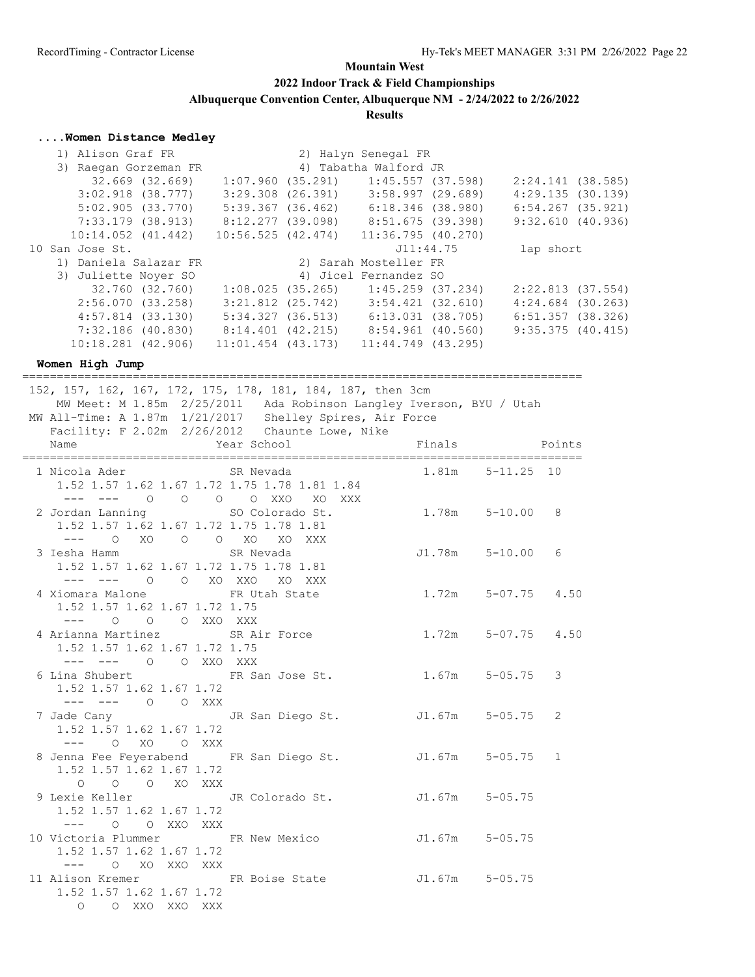#### **....Women Distance Medley**

|                 | 1) Alison Graf FR                             |                   | 2) Halyn Senegal FR                     |                       |
|-----------------|-----------------------------------------------|-------------------|-----------------------------------------|-----------------------|
|                 | 3) Raegan Gorzeman FR                         |                   | 4) Tabatha Walford JR                   |                       |
|                 | 32.669 (32.669)                               | 1:07.960 (35.291) | 1:45.557 (37.598)                       | $2:24.141$ (38.585)   |
|                 | $3:02.918$ $(38.777)$                         |                   | $3:29.308$ (26.391) $3:58.997$ (29.689) | 4:29.135(30.139)      |
|                 | 5:02.905(33.770)                              |                   | $5:39.367$ (36.462) 6:18.346 (38.980)   | $6:54.267$ $(35.921)$ |
|                 | 7:33.179 (38.913)                             |                   | $8:12.277$ (39.098) $8:51.675$ (39.398) | 9:32.610(40.936)      |
|                 | $10:14.052$ $(41.442)$ $10:56.525$ $(42.474)$ |                   | $11:36.795$ (40.270)                    |                       |
| 10 San Jose St. |                                               |                   | J11:44.75                               | lap short             |
|                 | 1) Daniela Salazar FR                         |                   | 2) Sarah Mosteller FR                   |                       |
|                 | 3) Juliette Noyer SO                          |                   | 4) Jicel Fernandez SO                   |                       |
|                 | 32.760 (32.760)                               |                   | $1:08.025$ (35.265) $1:45.259$ (37.234) | $2:22.813$ (37.554)   |
|                 | 2:56.070 (33.258)                             |                   | $3:21.812$ (25.742) $3:54.421$ (32.610) | $4:24.684$ (30.263)   |
|                 | $4:57.814$ $(33.130)$                         |                   | $5:34.327$ (36.513) 6:13.031 (38.705)   | 6:51.357(38.326)      |
|                 | 7:32.186 (40.830)                             |                   | 8:14.401 (42.215) 8:54.961 (40.560)     | 9:35.375(40.415)      |
|                 |                                               |                   |                                         |                       |
|                 |                                               |                   |                                         |                       |

#### **Women High Jump**

================================================================================= 152, 157, 162, 167, 172, 175, 178, 181, 184, 187, then 3cm MW Meet: M 1.85m 2/25/2011 Ada Robinson Langley Iverson, BYU / Utah MW All-Time: A 1.87m 1/21/2017 Shelley Spires, Air Force Facility: F 2.02m 2/26/2012 Chaunte Lowe, Nike Name  $Year School$  Finals Points ================================================================================= 1 Nicola Ader SR Nevada 1.81m 5-11.25 10 1.52 1.57 1.62 1.67 1.72 1.75 1.78 1.81 1.84 --- --- O O O O XXO XO XXX 2 Jordan Lanning SO Colorado St. 1.78m 5-10.00 8 1.52 1.57 1.62 1.67 1.72 1.75 1.78 1.81 --- O XO O O XO XO XXX 3 Iesha Hamm SR Nevada J1.78m 5-10.00 6 1.52 1.57 1.62 1.67 1.72 1.75 1.78 1.81 --- --- O O XO XXO XO XXX<br>--- --- O O XO XXO XO XXX 4 Xiomara Malone FR Utah State 1.72m 5-07.75 4.50 1.52 1.57 1.62 1.67 1.72 1.75 --- O O O XXO XXX 4 Arianna Martinez SR Air Force 1.72m 5-07.75 4.50 1.52 1.57 1.62 1.67 1.72 1.75 --- --- O O XXO XXX 6 Lina Shubert FR San Jose St. 1.67m 5-05.75 3 1.52 1.57 1.62 1.67 1.72 --- --- O O XXX 7 Jade Cany JR San Diego St. J1.67m 5-05.75 2 1.52 1.57 1.62 1.67 1.72 --- O XO O XXX 8 Jenna Fee Feyerabend FR San Diego St. J1.67m 5-05.75 1 1.52 1.57 1.62 1.67 1.72 O O O XO XXX 9 Lexie Keller JR Colorado St. J1.67m 5-05.75 1.52 1.57 1.62 1.67 1.72 --- O O XXO XXX 10 Victoria Plummer FR New Mexico J1.67m 5-05.75 1.52 1.57 1.62 1.67 1.72 --- O XO XXO XXX 11 Alison Kremer FR Boise State J1.67m 5-05.75 1.52 1.57 1.62 1.67 1.72 O O XXO XXO XXX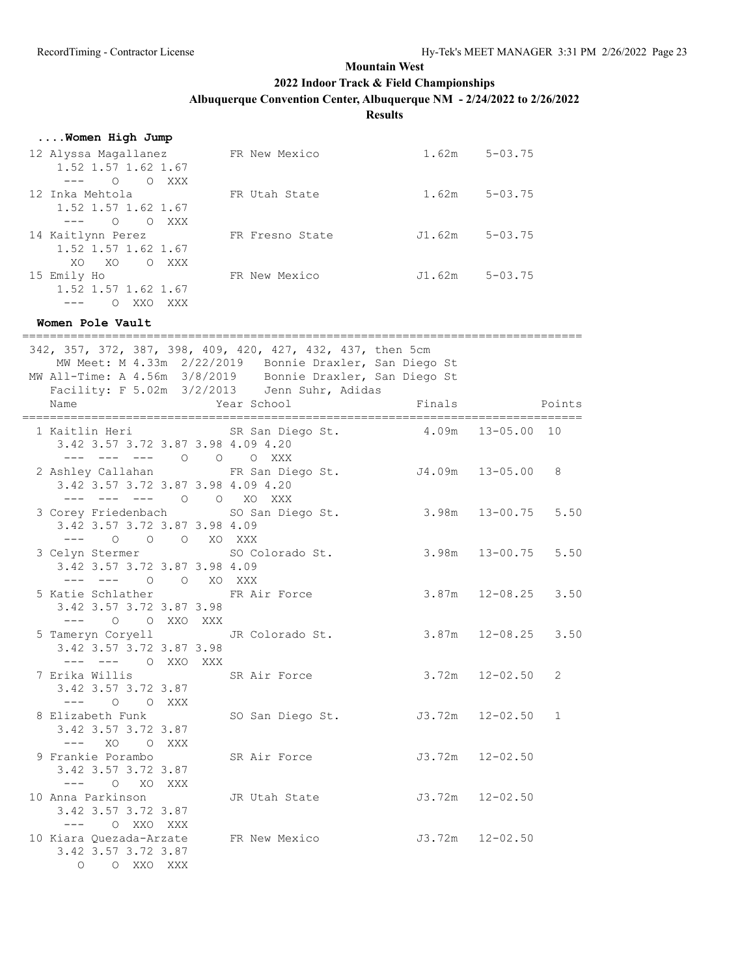**Albuquerque Convention Center, Albuquerque NM - 2/24/2022 to 2/26/2022**

**Results**

| Women High Jump                             |                 |        |                |
|---------------------------------------------|-----------------|--------|----------------|
| 12 Alyssa Magallanez<br>1.52 1.57 1.62 1.67 | FR New Mexico   | 1.62m  | $5 - 0.3$ . 75 |
| O XXX<br>$\circ$                            |                 |        |                |
| 12 Inka Mehtola                             | FR Utah State   | 1.62m  | $5 - 0.3$ . 75 |
| 1.52 1.57 1.62 1.67                         |                 |        |                |
| XXX<br>$\bigcap$<br>$\bigcirc$<br>$---$     |                 |        |                |
| 14 Kaitlynn Perez                           | FR Fresno State | J1.62m | $5 - 0.3$ , 75 |
| 1.52 1.57 1.62 1.67                         |                 |        |                |
| XO.<br>XO.<br>XXX<br>$\bigcirc$             |                 |        |                |
| 15 Emily Ho                                 | FR New Mexico   | J1.62m | $5 - 03.75$    |
| 1.52 1.57 1.62 1.67                         |                 |        |                |

#### **Women Pole Vault**

--- O XXO XXX

================================================================================= 342, 357, 372, 387, 398, 409, 420, 427, 432, 437, then 5cm MW Meet: M 4.33m 2/22/2019 Bonnie Draxler, San Diego St MW All-Time: A 4.56m 3/8/2019 Bonnie Draxler, San Diego St Facility: F 5.02m 3/2/2013 Jenn Suhr, Adidas Name Year School Finals Points ================================================================================= 1 Kaitlin Heri SR San Diego St. 3.42 3.57 3.72 3.87 3.98 4.09 4.20 --- --- --- O O O XXX 2 Ashley Callahan FR San Diego St. J4.09m 13-05.00 8 3.42 3.57 3.72 3.87 3.98 4.09 4.20 --- --- --- O O XO XXX 3 Corey Friedenbach SO San Diego St. 3.98m 13-00.75 5.50 3.42 3.57 3.72 3.87 3.98 4.09 --- O O O XO XXX 3 Celyn Stermer SO Colorado St. 3.98m 13-00.75 5.50 3.42 3.57 3.72 3.87 3.98 4.09 --- --- O O XO XXX 5 Katie Schlather FR Air Force 3.87m 12-08.25 3.50 3.42 3.57 3.72 3.87 3.98 --- O O XXO XXX 5 Tameryn Coryell JR Colorado St. 3.87m 12-08.25 3.50 3.42 3.57 3.72 3.87 3.98 --- --- O XXO XXX 7 Erika Willis SR Air Force 3.72m 12-02.50 2 3.42 3.57 3.72 3.87 --- O O XXX 8 Elizabeth Funk SO San Diego St. J3.72m 12-02.50 1 3.42 3.57 3.72 3.87 --- XO O XXX 9 Frankie Porambo SR Air Force J3.72m 12-02.50 3.42 3.57 3.72 3.87 --- O XO XXX 10 Anna Parkinson JR Utah State J3.72m 12-02.50 3.42 3.57 3.72 3.87 --- O XXO XXX 10 Kiara Quezada-Arzate FR New Mexico J3.72m 12-02.50 3.42 3.57 3.72 3.87 O O XXO XXX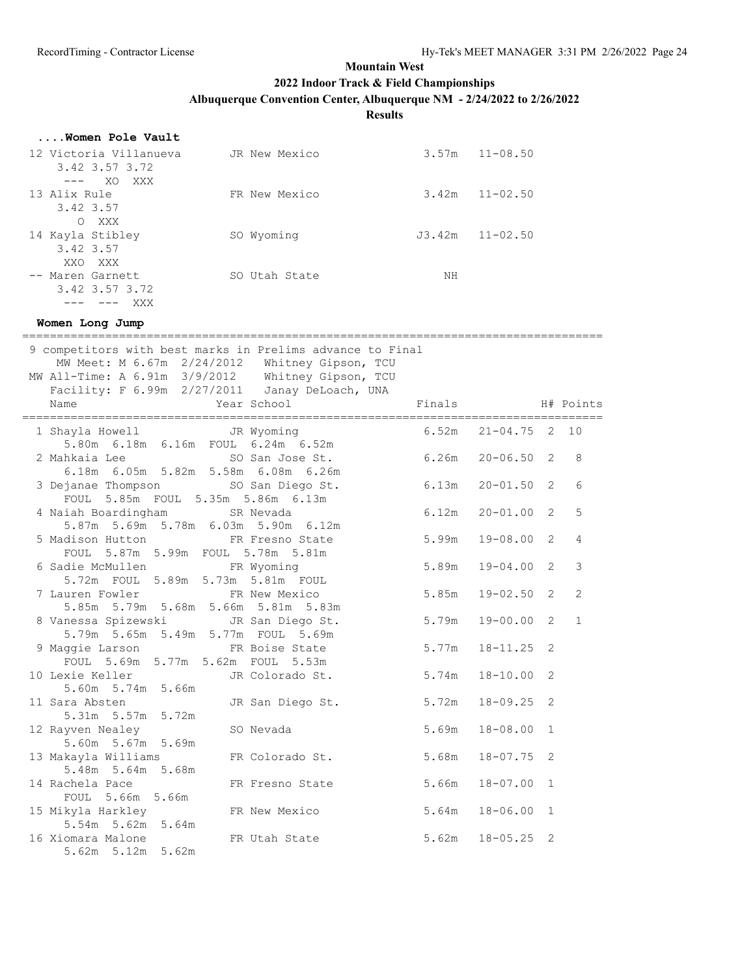**Albuquerque Convention Center, Albuquerque NM - 2/24/2022 to 2/26/2022**

**Results**

|                  | Women Pole Vault                                                         |                                                                                                                                                                                                                    |                      |                      |             |                |
|------------------|--------------------------------------------------------------------------|--------------------------------------------------------------------------------------------------------------------------------------------------------------------------------------------------------------------|----------------------|----------------------|-------------|----------------|
|                  | 12 Victoria Villanueva<br>3.42 3.57 3.72                                 | JR New Mexico                                                                                                                                                                                                      |                      | $3.57m$ $11-08.50$   |             |                |
| 13 Alix Rule     | 3.42 3.57                                                                | FR New Mexico                                                                                                                                                                                                      | $3.42m$ $11-02.50$   |                      |             |                |
|                  | O XXX<br>14 Kayla Stibley<br>3.42 3.57                                   | SO Wyoming                                                                                                                                                                                                         | J3.42m 11-02.50      |                      |             |                |
| -- Maren Garnett | XXO XXX<br>3.42 3.57 3.72<br>--- --- XXX                                 | SO Utah State                                                                                                                                                                                                      | NH                   |                      |             |                |
|                  | Women Long Jump                                                          |                                                                                                                                                                                                                    |                      |                      |             |                |
|                  |                                                                          | 9 competitors with best marks in Prelims advance to Final<br>MW Meet: M 6.67m 2/24/2012 Whitney Gipson, TCU<br>MW All-Time: A 6.91m 3/9/2012 Whitney Gipson, TCU<br>Facility: F 6.99m 2/27/2011 Janay DeLoach, UNA |                      |                      |             |                |
| Name             |                                                                          | Year School                                                                                                                                                                                                        | Finals               | H# Points            |             |                |
|                  | 1 Shayla Howell<br>5.80m 6.18m 6.16m FOUL 6.24m 6.52m                    | JR Wyoming                                                                                                                                                                                                         |                      | $6.52m$ $21-04.75$ 2 |             | 10             |
| 2 Mahkaia Lee    |                                                                          | SO San Jose St.<br>6.18m 6.05m 5.82m 5.58m 6.08m 6.26m                                                                                                                                                             | $6.26m$ $20-06.50$ 2 |                      |             | 8              |
|                  | 3 Dejanae Thompson SO San Diego St.<br>FOUL 5.85m FOUL 5.35m 5.86m 6.13m |                                                                                                                                                                                                                    |                      | $6.13m$ $20-01.50$ 2 |             | 6              |
|                  | 4 Naiah Boardingham SR Nevada<br>5.87m 5.69m 5.78m 6.03m 5.90m 6.12m     |                                                                                                                                                                                                                    | 6.12m                | $20 - 01.00$ 2       |             | 5              |
|                  | 5 Madison Hutton<br>FOUL 5.87m 5.99m FOUL 5.78m 5.81m                    | FR Fresno State                                                                                                                                                                                                    | 5.99m                | 19-08.00             | 2           | 4              |
|                  | 6 Sadie McMullen<br>5.72m FOUL 5.89m 5.73m 5.81m FOUL                    | FR Wyoming                                                                                                                                                                                                         | 5.89m                | $19 - 04.00$ 2       |             | 3              |
|                  | 7 Lauren Fowler<br>5.85m 5.79m 5.68m 5.66m 5.81m 5.83m                   | FR New Mexico                                                                                                                                                                                                      | 5.85m                | $19 - 02.50$ 2       |             | $\overline{2}$ |
|                  | 8 Vanessa Spizewski<br>5.79m 5.65m 5.49m 5.77m FOUL 5.69m                | JR San Diego St.                                                                                                                                                                                                   | 5.79m                | $19 - 00.00 2$       |             | $\mathbf{1}$   |
|                  | 9 Maggie Larson<br>FOUL 5.69m 5.77m 5.62m FOUL 5.53m                     | FR Boise State                                                                                                                                                                                                     | 5.77m                | 18-11.25             | 2           |                |
|                  | 10 Lexie Keller<br>5.60m 5.74m<br>5.66m                                  | JR Colorado St.                                                                                                                                                                                                    | 5.74m                | 18-10.00             | 2           |                |
| 11 Sara Absten   | 5.31m 5.57m<br>5.72m                                                     | JR San Diego St.                                                                                                                                                                                                   | 5.72m                | $18 - 09.25$         | 2           |                |
|                  | 12 Rayven Nealey<br>5.60m 5.67m 5.69m                                    | SO Nevada                                                                                                                                                                                                          | 5.69m                | $18 - 08.00$         | $\mathbf 1$ |                |
|                  | 13 Makayla Williams<br>5.48m 5.64m 5.68m                                 | FR Colorado St.                                                                                                                                                                                                    | 5.68m                | $18 - 07.75$         | 2           |                |
| 14 Rachela Pace  | FOUL 5.66m 5.66m                                                         | FR Fresno State                                                                                                                                                                                                    | 5.66m                | $18 - 07.00$         | 1           |                |
|                  | 15 Mikyla Harkley<br>5.54m 5.62m<br>5.64m                                | FR New Mexico                                                                                                                                                                                                      | 5.64m                | $18 - 06.00$         | 1           |                |
|                  | 16 Xiomara Malone<br>5.62m 5.12m 5.62m                                   | FR Utah State                                                                                                                                                                                                      | 5.62m                | $18 - 05.25$ 2       |             |                |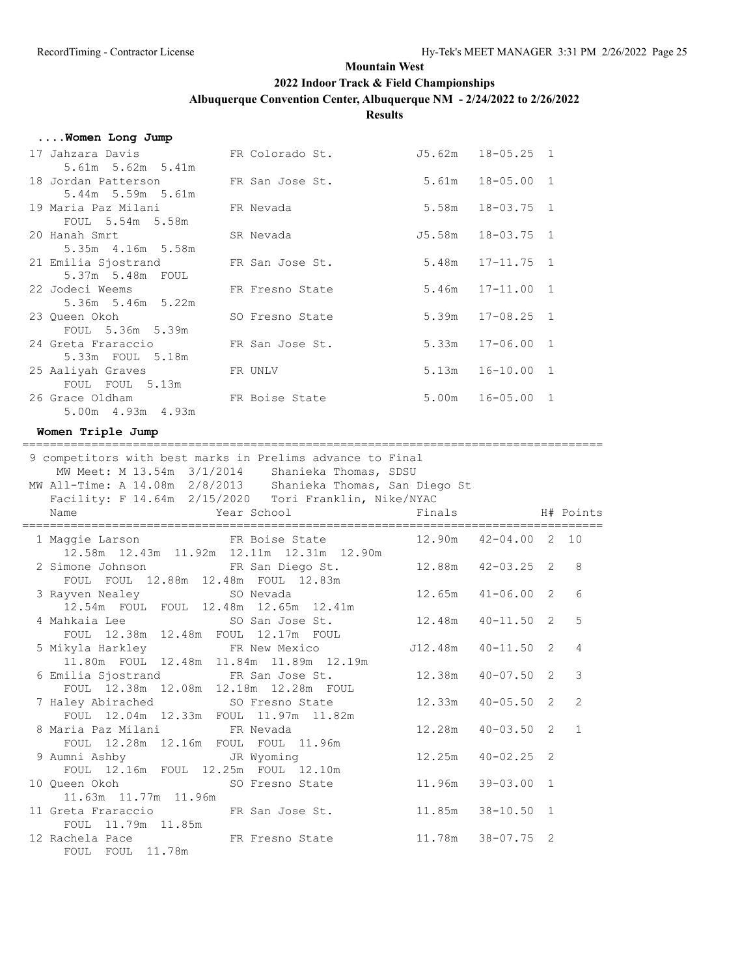**Albuquerque Convention Center, Albuquerque NM - 2/24/2022 to 2/26/2022**

**Results**

|  |  |  | Women Long Jump |  |  |
|--|--|--|-----------------|--|--|
|--|--|--|-----------------|--|--|

| 17 Jahzara Davis                       | FR Colorado St. | J5.62m | $18 - 05.25$ 1       |  |
|----------------------------------------|-----------------|--------|----------------------|--|
| 5.61m 5.62m 5.41m                      |                 |        |                      |  |
| 18 Jordan Patterson No FR San Jose St. |                 |        | 5.61m 18-05.00 1     |  |
| 5.44m 5.59m 5.61m                      |                 |        |                      |  |
| 19 Maria Paz Milani                    | FR Nevada       |        | 5.58m 18-03.75 1     |  |
| FOUL 5.54m 5.58m                       |                 |        |                      |  |
| 20 Hanah Smrt                          | SR Nevada       |        | J5.58m 18-03.75 1    |  |
| 5.35m 4.16m 5.58m                      |                 |        |                      |  |
| 21 Emilia Sjostrand FR San Jose St.    |                 |        | $5.48m$ $17-11.75$ 1 |  |
| 5.37m 5.48m FOUL                       |                 |        |                      |  |
| 22 Jodeci Weems                        | FR Fresno State |        | 5.46m 17-11.00 1     |  |
| 5.36m 5.46m 5.22m                      |                 |        |                      |  |
| 23 Oueen Okoh                          | SO Fresno State |        | $5.39m$ $17-08.25$ 1 |  |
| FOUL 5.36m 5.39m                       |                 |        |                      |  |
| 24 Greta Fraraccio                     | FR San Jose St. |        | $5.33m$ $17-06.00$ 1 |  |
| 5.33m FOUL 5.18m                       |                 |        |                      |  |
| 25 Aaliyah Graves                      | FR UNLV         |        | $5.13m$ $16-10.00$ 1 |  |
| FOUL FOUL 5.13m                        |                 |        |                      |  |
| 26 Grace Oldham No FR Boise State      |                 |        | $5.00m$ $16-05.00$ 1 |  |
| $5.00m$ 4.93m 4.93m                    |                 |        |                      |  |

#### **Women Triple Jump** ====================================================================================

 9 competitors with best marks in Prelims advance to Final MW Meet: M 13.54m 3/1/2014 Shanieka Thomas, SDSU MW All-Time: A 14.08m 2/8/2013 Shanieka Thomas, San Diego St Facility: F 14.64m 2/15/2020 Tori Franklin, Nike/NYAC Name The Year School Finals H# Points ==================================================================================== 1 Maggie Larson FR Boise State 12.58m 12.43m 11.92m 12.11m 12.31m 12.90m 2 Simone Johnson FR San Diego St. 12.88m 42-03.25 2 8 FOUL FOUL 12.88m 12.48m FOUL 12.83m 3 Rayven Nealey SO Nevada 12.65m 41-06.00 2 6 12.54m FOUL FOUL 12.48m 12.65m 12.41m 4 Mahkaia Lee SO San Jose St. 12.48m 40-11.50 2 5 FOUL 12.38m 12.48m FOUL 12.17m FOUL 5 Mikyla Harkley FR New Mexico J12.48m 40-11.50 2 4 11.80m FOUL 12.48m 11.84m 11.89m 12.19m 6 Emilia Sjostrand FR San Jose St. 12.38m 40-07.50 2 3 FOUL 12.38m 12.08m 12.18m 12.28m FOUL 7 Haley Abirached SO Fresno State 12.33m 40-05.50 2 2 FOUL 12.04m 12.33m FOUL 11.97m 11.82m 8 Maria Paz Milani FR Nevada 12.28m 40-03.50 2 1 FOUL 12.28m 12.16m FOUL FOUL 11.96m 9 Aumni Ashby JR Wyoming 12.25m 40-02.25 2 FOUL 12.16m FOUL 12.25m FOUL 12.10m 10 Queen Okoh SO Fresno State 11.96m 39-03.00 1 11.63m 11.77m 11.96m 11 Greta Fraraccio FR San Jose St. 11.85m 38-10.50 1 FOUL 11.79m 11.85m 12 Rachela Pace FR Fresno State 11.78m 38-07.75 2 FOUL FOUL 11.78m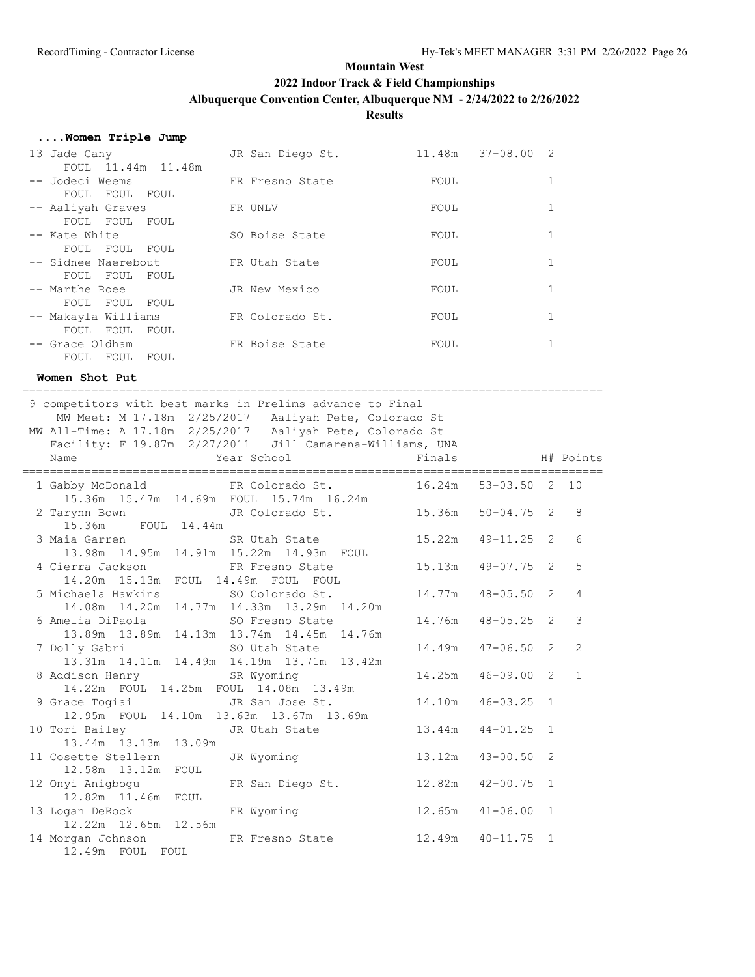#### **....Women Triple Jump**

| 13 Jade Cany        | JR San Diego St. |      | 11.48m 37-08.00 | - 2 |
|---------------------|------------------|------|-----------------|-----|
| FOUL 11.44m 11.48m  |                  |      |                 |     |
| -- Jodeci Weems     | FR Fresno State  | FOUL |                 |     |
| FOUL FOUL FOUL      |                  |      |                 |     |
| -- Aaliyah Graves   | FR UNLV          | FOUL |                 |     |
| FOUL FOUL FOUL      |                  |      |                 |     |
| -- Kate White       | SO Boise State   | FOUL |                 |     |
| FOUL FOUL FOUL      |                  |      |                 |     |
| -- Sidnee Naerebout | FR Utah State    | FOUL |                 |     |
| FOUL FOUL FOUL      |                  |      |                 |     |
| -- Marthe Roee      | JR New Mexico    | FOUL |                 |     |
| FOUL FOUL FOUL      |                  |      |                 |     |
| -- Makayla Williams | FR Colorado St.  | FOUL |                 |     |
| FOUL FOUL FOUL      |                  |      |                 |     |
| -- Grace Oldham     | FR Boise State   | FOUL |                 |     |
| FOUL FOUL FOUL      |                  |      |                 |     |

**Women Shot Put**

==================================================================================== 9 competitors with best marks in Prelims advance to Final MW Meet: M 17.18m 2/25/2017 Aaliyah Pete, Colorado St MW All-Time: A 17.18m 2/25/2017 Aaliyah Pete, Colorado St Facility: F 19.87m 2/27/2011 Jill Camarena-Williams, UNA Name The Year School Finals H# Points ==================================================================================== 1 Gabby McDonald FR Colorado St. 16.24m 53-03.50 2 10 15.36m 15.47m 14.69m FOUL 15.74m 16.24m 2 Tarynn Bown JR Colorado St. 15.36m 50-04.75 2 8 15.36m FOUL 14.44m 3 Maia Garren SR Utah State 15.22m 49-11.25 2 6 13.98m 14.95m 14.91m 15.22m 14.93m FOUL 4 Cierra Jackson FR Fresno State 15.13m 49-07.75 2 5 14.20m 15.13m FOUL 14.49m FOUL FOUL 5 Michaela Hawkins SO Colorado St. 14.77m 48-05.50 2 4 14.08m 14.20m 14.77m 14.33m 13.29m 14.20m 6 Amelia DiPaola SO Fresno State 14.76m 48-05.25 2 3 13.89m 13.89m 14.13m 13.74m 14.45m 14.76m 7 Dolly Gabri SO Utah State 14.49m 47-06.50 2 2 13.31m 14.11m 14.49m 14.19m 13.71m 13.42m 8 Addison Henry SR Wyoming 14.25m 46-09.00 2 1 14.22m FOUL 14.25m FOUL 14.08m 13.49m 9 Grace Togiai JR San Jose St. 14.10m 46-03.25 1 12.95m FOUL 14.10m 13.63m 13.67m 13.69m 10 Tori Bailey JR Utah State 13.44m 44-01.25 1 13.44m 13.13m 13.09m 11 Cosette Stellern JR Wyoming 13.12m 43-00.50 2 12.58m 13.12m FOUL 12 Onyi Anigbogu FR San Diego St. 12.82m 42-00.75 1 12.82m 11.46m FOUL 13 Logan DeRock FR Wyoming 12.65m 41-06.00 1 12.22m 12.65m 12.56m 14 Morgan Johnson FR Fresno State 12.49m 40-11.75 1 12.49m FOUL FOUL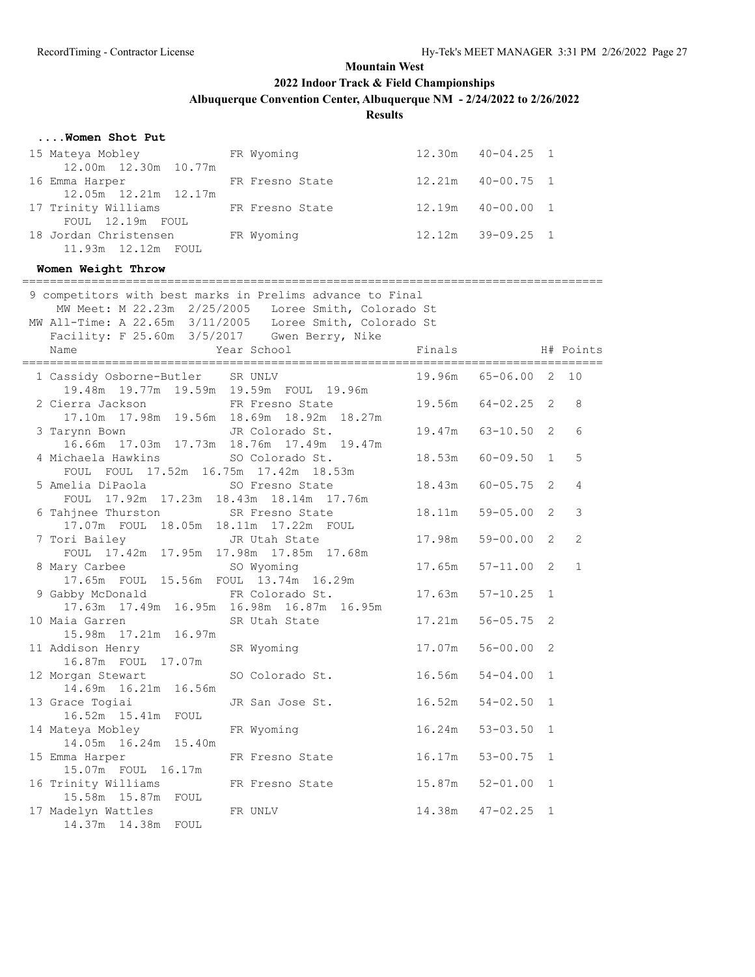**Results**

|  |  |  |  |  | Women Shot Put |  |  |
|--|--|--|--|--|----------------|--|--|
|--|--|--|--|--|----------------|--|--|

| 15 Mateya Mobley       | FR Wyoming      | $12.30m$ $40-04.25$ 1 |
|------------------------|-----------------|-----------------------|
| 12.00m  12.30m  10.77m |                 |                       |
| 16 Emma Harper         | FR Fresno State | $12.21m$ $40-00.75$ 1 |
| 12.05m 12.21m 12.17m   |                 |                       |
| 17 Trinity Williams    | FR Fresno State | $12.19m$ $40-00.00$ 1 |
| FOUL 12.19m FOUL       |                 |                       |
| 18 Jordan Christensen  | FR Wyoming      | $12.12m$ $39-09.25$ 1 |
| 11.93m 12.12m FOUL     |                 |                       |

### **Women Weight Throw**

|                                              | 9 competitors with best marks in Prelims advance to Final                                         |                       |  |                |
|----------------------------------------------|---------------------------------------------------------------------------------------------------|-----------------------|--|----------------|
|                                              | MW Meet: M 22.23m 2/25/2005 Loree Smith, Colorado St                                              |                       |  |                |
|                                              | MW All-Time: A 22.65m 3/11/2005  Loree Smith, Colorado St                                         |                       |  |                |
| Facility: F 25.60m 3/5/2017 Gwen Berry, Nike |                                                                                                   |                       |  |                |
|                                              |                                                                                                   |                       |  |                |
| 1 Cassidy Osborne-Butler SR UNLV             |                                                                                                   | 19.96m 65-06.00 2 10  |  |                |
|                                              | issiay Osborne-Butler - SR UNLV<br>19.48m 19.77m 19.59m 19.59m FOUL 19.96m                        |                       |  |                |
| 2 Cierra Jackson FR Fresno State             |                                                                                                   | $19.56m$ $64-02.25$ 2 |  | 8              |
|                                              | 17.10m  17.98m  19.56m  18.69m  18.92m  18.27m                                                    |                       |  |                |
| 3 Tarynn Bown JR Colorado St.                |                                                                                                   | 19.47m 63-10.50 2     |  | 6              |
|                                              | 16.66m 17.03m 17.73m 18.76m 17.49m 19.47m<br>4 Michaela Hawkins SO Colorado St. 18.53m 60-09.50 1 |                       |  |                |
|                                              |                                                                                                   |                       |  | 5              |
| FOUL FOUL 17.52m 16.75m 17.42m 18.53m        |                                                                                                   |                       |  |                |
| 5 Amelia DiPaola 60 SO Fresno State          |                                                                                                   | 18.43m 60-05.75 2     |  | $\overline{4}$ |
| FOUL 17.92m 17.23m 18.43m 18.14m 17.76m      |                                                                                                   |                       |  |                |
|                                              |                                                                                                   |                       |  | 3              |
|                                              | 6 Tahjnee Thurston SR Fresno State 18.11m 59-05.00 2<br>17.07m FOUL 18.05m 18.11m 17.22m FOUL     |                       |  |                |
| 7 Tori Bailey Man JR Utah State              |                                                                                                   | 17.98m  59-00.00  2   |  | $\overline{2}$ |
|                                              | FOUL 17.42m 17.95m 17.98m 17.85m 17.68m                                                           |                       |  |                |
| 8 Mary Carbee                                | SO Wyoming                                                                                        | 17.65m 57-11.00 2     |  | $1\,$          |
|                                              | 17.65m FOUL 15.56m FOUL 13.74m 16.29m                                                             |                       |  |                |
| 9 Gabby McDonald FR Colorado St.             |                                                                                                   | $17.63m$ $57-10.25$ 1 |  |                |
|                                              |                                                                                                   |                       |  |                |
|                                              | 17.63m 17.49m 16.95m 16.98m 16.87m 16.95m<br>10 Maia Garren SR Utah State 17.21m 56-05.75 2       |                       |  |                |
| 15.98m  17.21m  16.97m                       |                                                                                                   |                       |  |                |
|                                              | 11 Addison Henry SR Wyoming 17.07m 56-00.00 2                                                     |                       |  |                |
| 16.87m  FOUL  17.07m                         |                                                                                                   |                       |  |                |
|                                              | 12 Morgan Stewart SO Colorado St. 16.56m 54-04.00 1                                               |                       |  |                |
| 14.69m  16.21m  16.56m                       |                                                                                                   |                       |  |                |
| 13 Grace Togiai                              | JR San Jose St. 16.52m 54-02.50 1                                                                 |                       |  |                |
| 16.52m  15.41m  FOUL                         |                                                                                                   |                       |  |                |
| 14 Mateya Mobley                             | FR Wyoming                                                                                        | $16.24m$ $53-03.50$ 1 |  |                |
| 14.05m  16.24m  15.40m                       |                                                                                                   |                       |  |                |
| 15 Emma Harper                               | FR Fresno State                                                                                   | 16.17m  53-00.75  1   |  |                |
| 15.07m FOUL 16.17m                           |                                                                                                   |                       |  |                |
| 16 Trinity Williams FR Fresno State          | 15.87m 52-01.00 1                                                                                 |                       |  |                |
| 15.58m  15.87m  FOUL                         |                                                                                                   |                       |  |                |
| 17 Madelyn Wattles FR UNLV                   |                                                                                                   | $14.38m$ $47-02.25$ 1 |  |                |
| 14.37m  14.38m  FOUL                         |                                                                                                   |                       |  |                |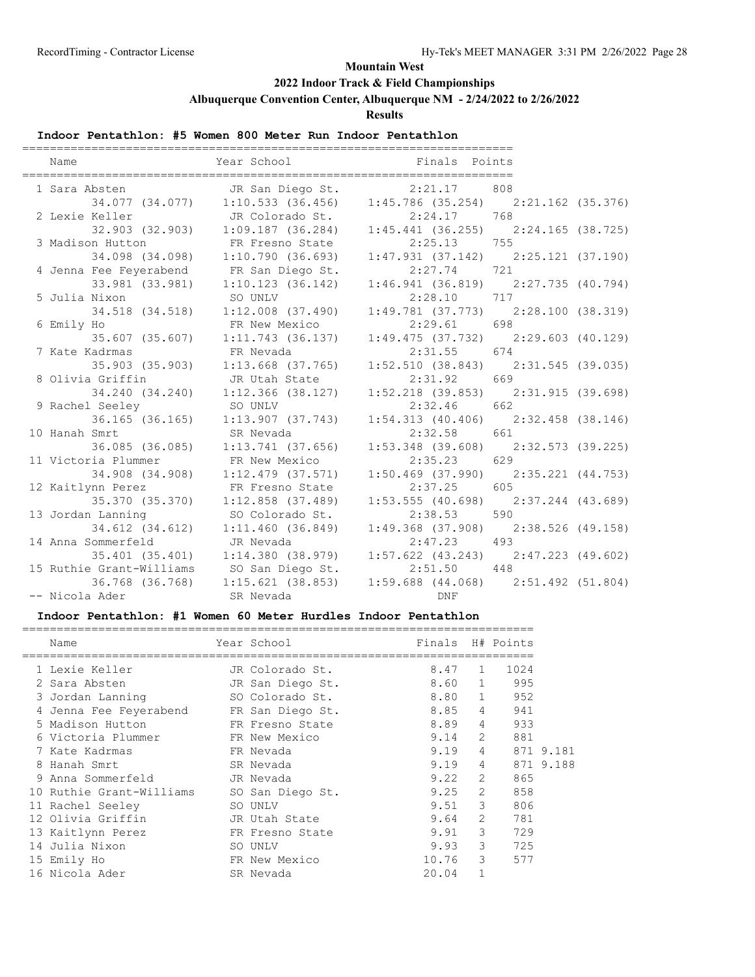# **2022 Indoor Track & Field Championships**

**Albuquerque Convention Center, Albuquerque NM - 2/24/2022 to 2/26/2022**

**Results**

### **Indoor Pentathlon: #5 Women 800 Meter Run Indoor Pentathlon**

| Name<br>===================================== | Year School <b>Finals</b> Points                                      |                                         |     |  |
|-----------------------------------------------|-----------------------------------------------------------------------|-----------------------------------------|-----|--|
| 1 Sara Absten                                 | JR San Diego St.                                                      | 2:21.17                                 | 808 |  |
|                                               | 34.077 (34.077) 1:10.533 (36.456) 1:45.786 (35.254) 2:21.162 (35.376) |                                         |     |  |
| 2 Lexie Keller                                | JR Colorado St.                                                       | $2:24.17$ 768                           |     |  |
|                                               | $32.903$ (32.903) $1:09.187$ (36.284)                                 | $1:45.441$ (36.255) $2:24.165$ (38.725) |     |  |
| 3 Madison Hutton                              | FR Fresno State                                                       | $2:25.13$ 755                           |     |  |
|                                               | 34.098 (34.098) 1:10.790 (36.693)                                     | $1:47.931$ (37.142) $2:25.121$ (37.190) |     |  |
| 4 Jenna Fee Feyerabend FR San Diego St.       |                                                                       | 2:27.74                                 | 721 |  |
| 33.981 (33.981)                               | 1:10.123(36.142)                                                      | $1:46.941$ (36.819) $2:27.735$ (40.794) |     |  |
| 5 Julia Nixon                                 | SO UNLV                                                               | 2:28.10                                 | 717 |  |
|                                               | 34.518 (34.518) 1:12.008 (37.490)                                     | $1:49.781$ (37.773) $2:28.100$ (38.319) |     |  |
| 6 Emily Ho                                    | FR New Mexico                                                         | 2:29.61                                 | 698 |  |
| 35.607 (35.607)    1:11.743 (36.137)          |                                                                       | $1:49.475$ (37.732) $2:29.603$ (40.129) |     |  |
| 7 Kate Kadrmas                                | FR Nevada                                                             | 2:31.55                                 | 674 |  |
| 35.903 (35.903) 1:13.668 (37.765)             |                                                                       | $1:52.510$ (38.843) $2:31.545$ (39.035) |     |  |
| 8 Olivia Griffin                              | JR Utah State                                                         | 2:31.92                                 | 669 |  |
| 34.240 (34.240)                               | $1:12.366$ (38.127)                                                   | $1:52.218$ (39.853) $2:31.915$ (39.698) |     |  |
| 9 Rachel Seeley                               | SO UNLV                                                               | 2:32.46                                 | 662 |  |
|                                               | 36.165 (36.165) 1:13.907 (37.743)                                     | $1:54.313$ (40.406) $2:32.458$ (38.146) |     |  |
| 10 Hanah Smrt                                 | SR Nevada                                                             | 2:32.58                                 | 661 |  |
|                                               | 36.085 (36.085) 1:13.741 (37.656)                                     | $1:53.348$ (39.608) $2:32.573$ (39.225) |     |  |
| 11 Victoria Plummer FR New Mexico             |                                                                       | 2:35.23                                 | 629 |  |
|                                               | 34.908 (34.908) 1:12.479 (37.571)                                     | $1:50.469$ (37.990) $2:35.221$ (44.753) |     |  |
| 12 Kaitlynn Perez                             | FR Fresno State                                                       | 2:37.25                                 | 605 |  |
| 35.370 (35.370)                               | $1:12.858$ (37.489)                                                   | $1:53.555$ (40.698) $2:37.244$ (43.689) |     |  |
| 13 Jordan Lanning                             | SO Colorado St.                                                       | 2:38.53                                 | 590 |  |
| 34.612 (34.612)                               | 1:11.460(36.849)                                                      | $1:49.368$ (37.908) 2:38.526 (49.158)   |     |  |
| 14 Anna Sommerfeld                            | JR Nevada                                                             | 2:47.23                                 | 493 |  |
|                                               | 35.401 (35.401) 1:14.380 (38.979)                                     | $1:57.622$ (43.243) $2:47.223$ (49.602) |     |  |
| 15 Ruthie Grant-Williams SO San Diego St.     |                                                                       | 2:51.50                                 | 448 |  |
| 36.768 (36.768)                               | 1:15.621(38.853)                                                      | $1:59.688$ (44.068) $2:51.492$ (51.804) |     |  |
| -- Nicola Ader                                | SR Nevada                                                             | <b>DNF</b>                              |     |  |

### **Indoor Pentathlon: #1 Women 60 Meter Hurdles Indoor Pentathlon**

| Name                     | Year School      | Finals H# Points |                |      |           |
|--------------------------|------------------|------------------|----------------|------|-----------|
| 1 Lexie Keller           | JR Colorado St.  | 8.47             | $\mathbf{1}$   | 1024 |           |
| 2 Sara Absten            | JR San Diego St. | 8.60             | $\mathbf{1}$   | 995  |           |
| 3 Jordan Lanning         | SO Colorado St.  | 8.80             | $\mathbf{1}$   | 952  |           |
| 4 Jenna Fee Feyerabend   | FR San Diego St. | 8.85             | 4              | 941  |           |
| 5 Madison Hutton         | FR Fresno State  | 8.89             | 4              | 933  |           |
| 6 Victoria Plummer       | FR New Mexico    | 9.14             | 2              | 881  |           |
| 7 Kate Kadrmas           | FR Nevada        | 9.19             | 4              |      | 871 9.181 |
| 8 Hanah Smrt             | SR Nevada        | 9.19             | 4              |      | 871 9.188 |
| 9 Anna Sommerfeld        | JR Nevada        | 9.22             | $\mathcal{L}$  | 865  |           |
| 10 Ruthie Grant-Williams | SO San Diego St. | 9.25             | $\overline{2}$ | 858  |           |
| 11 Rachel Seeley         | SO UNLV          | 9.51             | 3              | 806  |           |
| 12 Olivia Griffin        | JR Utah State    | 9.64             | $\overline{2}$ | 781  |           |
| 13 Kaitlynn Perez        | FR Fresno State  | 9.91             | 3              | 729  |           |
| 14 Julia Nixon           | SO UNLV          | 9.93             | 3              | 725  |           |
| 15 Emily Ho              | FR New Mexico    | 10.76            | 3              | 577  |           |
| 16 Nicola Ader           | SR Nevada        | 20.04            | 1              |      |           |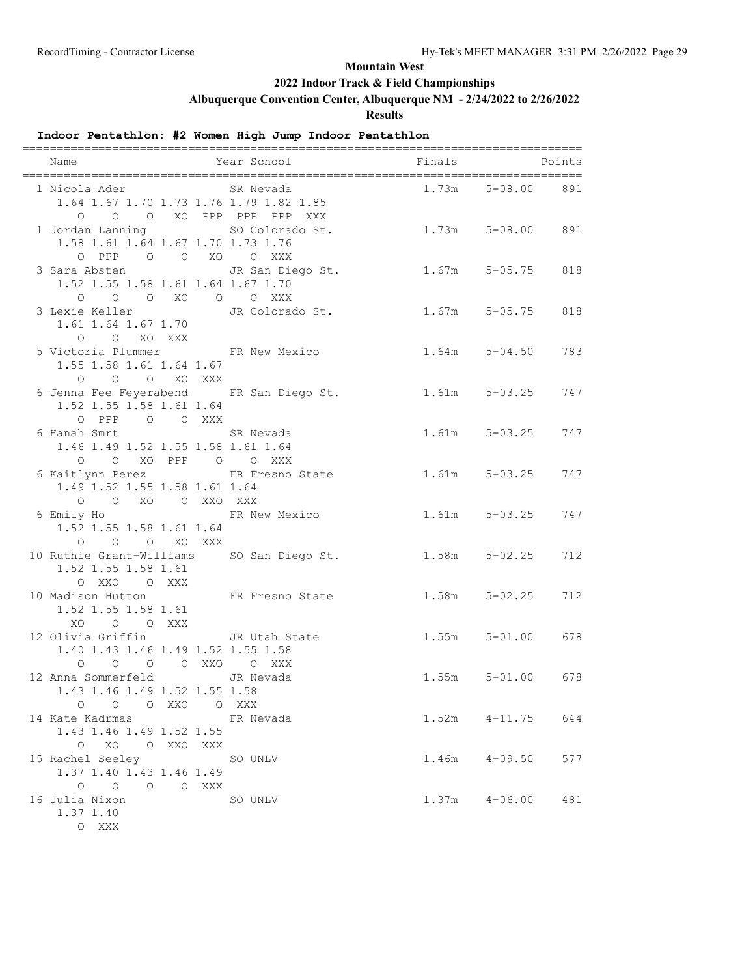### **Albuquerque Convention Center, Albuquerque NM - 2/24/2022 to 2/26/2022**

**Results**

### **Indoor Pentathlon: #2 Women High Jump Indoor Pentathlon**

| Name                                                                                          | ===============<br>Year School     | Finals | ____________________________________<br>Points |
|-----------------------------------------------------------------------------------------------|------------------------------------|--------|------------------------------------------------|
| 1 Nicola Ader SR Nevada<br>1.64 1.67 1.70 1.73 1.76 1.79 1.82 1.85                            |                                    | 1.73m  | $5 - 08.00$ 891                                |
| 0 0 0 XO PPP PPP PPP XXX<br>1 Jordan Lanning<br>1.58 1.61 1.64 1.67 1.70 1.73 1.76            | SO Colorado St.                    |        | 1.73m 5-08.00 891                              |
| O PPP O O XO O XXX<br>3 Sara Absten<br>1.52 1.55 1.58 1.61 1.64 1.67 1.70                     | JR San Diego St. 1.67m 5-05.75 818 |        |                                                |
| 0 0 0 XO 0 0 XXX<br>3 Lexie Keller Colorado St. 1.67m<br>1.61 1.64 1.67 1.70                  |                                    |        | $5 - 05.75$<br>818                             |
| O O XO XXX<br>5 Victoria Plummer FR New Mexico<br>1.55 1.58 1.61 1.64 1.67                    |                                    |        | $1.64m$ $5-04.50$<br>783                       |
| O O O XO XXX<br>6 Jenna Fee Feyerabend FR San Diego St. 1.61m<br>1.52 1.55 1.58 1.61 1.64     |                                    |        | $5 - 03.25$<br>747                             |
| O PPP O O XXX<br>6 Hanah Smrt<br>1.46 1.49 1.52 1.55 1.58 1.61 1.64                           | SR Nevada                          |        | $1.61m$ $5-03.25$<br>747                       |
| 0 0 XO PPP 0 0 XXX<br>6 Kaitlynn Perez FR Fresno State 1.61m<br>1.49 1.52 1.55 1.58 1.61 1.64 |                                    |        | $5 - 03.25$<br>747                             |
| O O XO O XXO XXX<br>6 Emily Ho <b>FR</b> New Mexico<br>1.52 1.55 1.58 1.61 1.64               |                                    |        | $1.61m$ $5-03.25$<br>747                       |
| O O O XO XXX<br>10 Ruthie Grant-Williams SO San Diego St.<br>1.52 1.55 1.58 1.61              |                                    | 1.58m  | 712<br>$5 - 02.25$                             |
| O XXO<br>O XXX<br>10 Madison Hutton FR Fresno State 1.58m 5-02.25<br>1.52 1.55 1.58 1.61      |                                    |        | 712                                            |
| XO O O XXX<br>12 Olivia Griffin JR Utah State<br>1.40 1.43 1.46 1.49 1.52 1.55 1.58           |                                    | 1.55m  | $5 - 01.00$<br>678                             |
| O O O XXO O XXX<br>$\circ$<br>12 Anna Sommerfeld<br>1.43 1.46 1.49 1.52 1.55 1.58             | JR Nevada                          |        | $1.55m$ $5-01.00$ 678                          |
| O O O XXO O XXX<br>14 Kate Kadrmas<br>1.43 1.46 1.49 1.52 1.55                                | FR Nevada                          | 1.52m  | $4 - 11.75$<br>644                             |
| O XO O XXO XXX<br>15 Rachel Seeley<br>1.37 1.40 1.43 1.46 1.49                                | SO UNLV                            |        | $1.46m$ $4-09.50$<br>577                       |
| 0 0 0 0 XXX<br>16 Julia Nixon<br>1.37 1.40<br>O XXX                                           | SO UNLV                            | 1.37m  | $4 - 06.00$<br>481                             |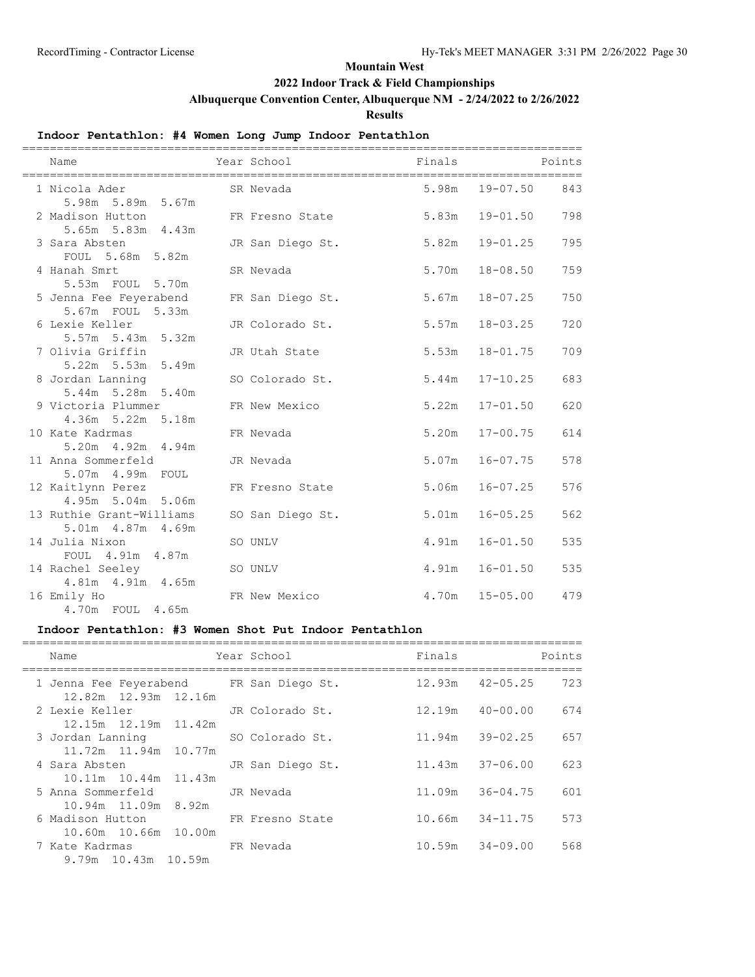# **2022 Indoor Track & Field Championships**

**Albuquerque Convention Center, Albuquerque NM - 2/24/2022 to 2/26/2022**

**Results**

### **Indoor Pentathlon: #4 Women Long Jump Indoor Pentathlon**

| Name                                          | Year School New Pinals Points |       |                    |     |
|-----------------------------------------------|-------------------------------|-------|--------------------|-----|
| 1 Nicola Ader<br>5.98m 5.89m 5.67m            | SR Nevada                     |       | 5.98m 19-07.50     | 843 |
| 2 Madison Hutton<br>5.65m 5.83m 4.43m         | FR Fresno State               | 5.83m | $19 - 01.50$       | 798 |
| 3 Sara Absten<br>FOUL 5.68m 5.82m             | JR San Diego St.              | 5.82m | 19-01.25           | 795 |
| 4 Hanah Smrt<br>5.53m FOUL 5.70m              | SR Nevada                     | 5.70m | $18 - 08.50$       | 759 |
| 5 Jenna Fee Feyerabend<br>5.67m FOUL 5.33m    | FR San Diego St.              | 5.67m | $18 - 07.25$       | 750 |
| 6 Lexie Keller<br>5.57m 5.43m 5.32m           | JR Colorado St.               | 5.57m | $18 - 03.25$       | 720 |
| 7 Olivia Griffin<br>5.22m 5.53m 5.49m         | JR Utah State                 | 5.53m | $18 - 01.75$       | 709 |
| 8 Jordan Lanning<br>5.44m 5.28m 5.40m         | SO Colorado St.               | 5.44m | $17 - 10.25$       | 683 |
| 9 Victoria Plummer<br>4.36m 5.22m 5.18m       | FR New Mexico                 | 5.22m | $17 - 01.50$       | 620 |
| 10 Kate Kadrmas<br>5.20m 4.92m 4.94m          | FR Nevada                     | 5.20m | $17 - 00.75$       | 614 |
| 11 Anna Sommerfeld<br>5.07m  4.99m  FOUL      | JR Nevada                     | 5.07m | $16 - 07.75$       | 578 |
| 12 Kaitlynn Perez<br>4.95m 5.04m 5.06m        | FR Fresno State               | 5.06m | $16 - 07.25$       | 576 |
| 13 Ruthie Grant-Williams<br>5.01m 4.87m 4.69m | SO San Diego St.              | 5.01m | $16 - 05.25$       | 562 |
| 14 Julia Nixon<br>FOUL 4.91m 4.87m            | SO UNLV                       | 4.91m | $16 - 01.50$       | 535 |
| 14 Rachel Seeley<br>4.81m  4.91m  4.65m       | SO UNLV                       |       | $4.91m$ $16-01.50$ | 535 |
| 16 Emily Ho<br>4.70m FOUL 4.65m               | FR New Mexico                 |       | $4.70m$ $15-05.00$ | 479 |

### **Indoor Pentathlon: #3 Women Shot Put Indoor Pentathlon**

| Name                                                            | Year School      | Finals | Points                     |
|-----------------------------------------------------------------|------------------|--------|----------------------------|
| 1 Jenna Fee Feyerabend FR San Diego St.<br>12.82m 12.93m 12.16m |                  |        | 723<br>$12.93m$ $42-05.25$ |
| 2 Lexie Keller                                                  | JR Colorado St.  |        | $12.19m$ $40-00.00$<br>674 |
| $12.15m$ $12.19m$ $11.42m$<br>3 Jordan Lanning                  | SO Colorado St.  |        | $11.94m$ $39-02.25$<br>657 |
| 11.72m 11.94m 10.77m<br>4 Sara Absten                           | JR San Diego St. |        | $11.43m$ $37-06.00$<br>623 |
| $10.11m$ $10.44m$ $11.43m$<br>5 Anna Sommerfeld                 | JR Nevada        | 11.09m | 36-04.75<br>601            |
| 10.94m 11.09m 8.92m<br>6 Madison Hutton                         | FR Fresno State  | 10.66m | 34-11.75<br>573            |
| 10.60m 10.66m 10.00m                                            |                  |        | 568                        |
| 7 Kate Kadrmas<br>9.79m 10.43m 10.59m                           | FR Nevada        |        | $10.59m$ $34-09.00$        |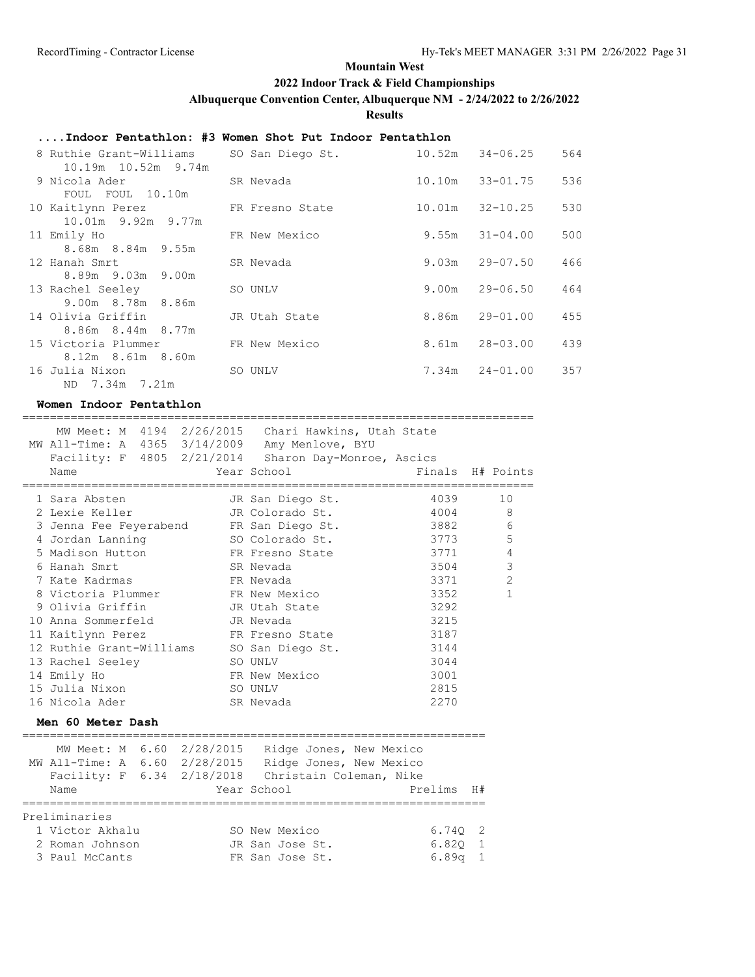# **2022 Indoor Track & Field Championships**

**Albuquerque Convention Center, Albuquerque NM - 2/24/2022 to 2/26/2022**

**Results**

### **....Indoor Pentathlon: #3 Women Shot Put Indoor Pentathlon**

| 8 Ruthie Grant-Williams | SO San Diego St. | 10.52m | 34-06.25           | 564 |
|-------------------------|------------------|--------|--------------------|-----|
| 10.19m 10.52m 9.74m     |                  |        |                    |     |
| 9 Nicola Ader           | SR Nevada        | 10.10m | $33 - 01.75$       | 536 |
| FOUL FOUL 10.10m        |                  |        |                    |     |
| 10 Kaitlynn Perez       | FR Fresno State  |        | 10.01m 32-10.25    | 530 |
| 10.01m 9.92m 9.77m      |                  |        |                    |     |
| 11 Emily Ho             | FR New Mexico    |        | $9.55m$ $31-04.00$ | 500 |
| 8.68m 8.84m 9.55m       |                  |        |                    |     |
| 12 Hanah Smrt           | SR Nevada        | 9.03m  | 29-07.50           | 466 |
| 8.89m 9.03m 9.00m       |                  |        |                    |     |
| 13 Rachel Seeley        | SO UNLV          | 9.00m  | 29-06.50           | 464 |
| 9.00m 8.78m 8.86m       |                  |        |                    |     |
| 14 Olivia Griffin       | JR Utah State    | 8.86m  | 29-01.00           | 455 |
| $8.86m$ $8.44m$ $8.77m$ |                  |        |                    |     |
| 15 Victoria Plummer     | FR New Mexico    | 8.61m  | 28-03.00           | 439 |
| $8.12m$ $8.61m$ $8.60m$ |                  |        |                    |     |
| 16 Julia Nixon          | SO UNLV          | 7.34m  | 24-01.00           | 357 |
| ND 7.34m 7.21m          |                  |        |                    |     |

#### **Women Indoor Pentathlon**

========================================================================== MW Meet: M 4194 2/26/2015 Chari Hawkins, Utah State

| Name                         | :===================== | MW All-Time: A 4365 3/14/2009 Amy Menlove, BYU<br>Facility: F 4805 2/21/2014 Sharon Day-Monroe, Ascics | ;========================= |                |
|------------------------------|------------------------|--------------------------------------------------------------------------------------------------------|----------------------------|----------------|
| 1 Sara Absten                |                        | JR San Diego St.                                                                                       | 4039                       | 10             |
|                              |                        | 2 Lexie Keller             JR Colorado St.               4004       8                                  |                            |                |
|                              |                        | 3 Jenna Fee Feyerabend FR San Diego St.                                                                | 3882 6                     |                |
|                              |                        | 4 Jordan Lanning SO Colorado St. 3773                                                                  |                            | 5              |
|                              |                        | 5 Madison Hutton 6 FR Fresno State                                                                     | $3771$ 4                   |                |
| 6 Hanah Smrt                 |                        | SR Nevada                                                                                              | 3504                       | $\overline{3}$ |
| 7 Kate Kadrmas 6 1 FR Nevada |                        |                                                                                                        | 3371                       | 2              |
|                              |                        | 8 Victoria Plummer FR New Mexico                                                                       | 3352                       | $\mathbf{1}$   |
|                              |                        | 9 Olivia Griffin             JR Utah State                                                             | 3292                       |                |
| 10 Anna Sommerfeld GR Nevada |                        |                                                                                                        | 3215                       |                |
|                              |                        | 11 Kaitlynn Perez KR Fresno State                                                                      | 3187                       |                |
|                              |                        | 12 Ruthie Grant-Williams SO San Diego St. 3144                                                         |                            |                |
| 13 Rachel Seeley             |                        | SO UNLV                                                                                                | 3044                       |                |
| 14 Emily Ho                  |                        | FR New Mexico                                                                                          | 3001                       |                |
| 15 Julia Nixon               |                        | SO UNLV                                                                                                | 2815                       |                |
| 16 Nicola Ader               |                        | SR Nevada                                                                                              | 2270                       |                |
| Men 60 Meter Dash            |                        |                                                                                                        |                            |                |
|                              |                        | MM Moot: M 6 60 2/20/2015 Bidge Janga New Morrice                                                      |                            |                |

|                 |  | MW Meet: M 6.60 2/28/2015     | Ridge Jones, New Mexico                            |            |                |
|-----------------|--|-------------------------------|----------------------------------------------------|------------|----------------|
|                 |  | MW All-Time: A 6.60 2/28/2015 | Ridge Jones, New Mexico                            |            |                |
|                 |  |                               | Facility: F 6.34 2/18/2018 Christain Coleman, Nike |            |                |
| Name            |  |                               | Year School                                        | Prelims H# |                |
|                 |  |                               |                                                    |            |                |
| Preliminaries   |  |                               |                                                    |            |                |
| 1 Victor Akhalu |  |                               | SO New Mexico                                      | 6.740 2    |                |
| 2 Roman Johnson |  |                               | JR San Jose St.                                    | 6.820      | $\overline{1}$ |
| 3 Paul McCants  |  |                               | FR San Jose St.                                    | $6.89q$ 1  |                |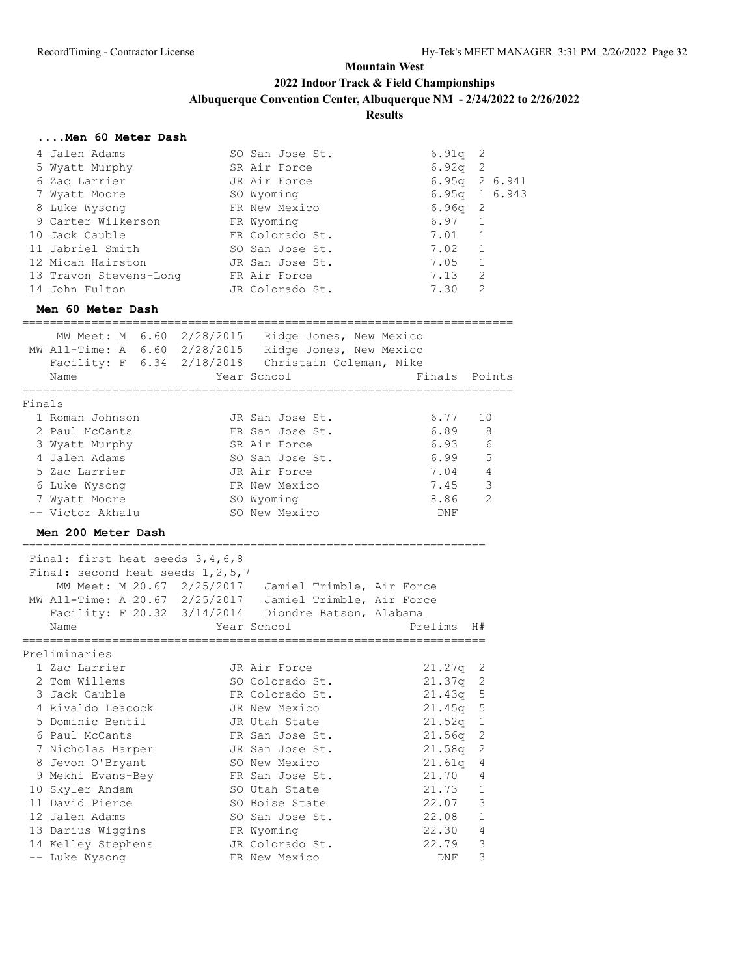#### **....Men 60 Meter Dash**

|        | 4 Jalen Adams                                         | SO San Jose St.                                   | 6.91q             | 2               |
|--------|-------------------------------------------------------|---------------------------------------------------|-------------------|-----------------|
|        | 5 Wyatt Murphy                                        | SR Air Force                                      | 6.92q             | 2               |
|        | 6 Zac Larrier                                         | JR Air Force                                      |                   | $6.95q$ 2 6.941 |
|        | 7 Wyatt Moore                                         | SO Wyoming                                        | 6.95 <sub>q</sub> | 1 6.943         |
|        | 8 Luke Wysong                                         | FR New Mexico                                     | 6.96a             | 2               |
|        | 9 Carter Wilkerson                                    | FR Wyoming                                        | 6.97              | $\mathbf{1}$    |
|        | 10 Jack Cauble                                        | FR Colorado St.                                   | 7.01              | $\mathbf{1}$    |
|        | 11 Jabriel Smith                                      | SO San Jose St.                                   | 7.02              | $\mathbf{1}$    |
|        | 12 Micah Hairston                                     | JR San Jose St.                                   | 7.05              | $\mathbf{1}$    |
|        | 13 Travon Stevens-Long FR Air Force                   |                                                   | 7.13              | $\overline{2}$  |
|        | 14 John Fulton                                        | JR Colorado St.                                   | 7.30              | $\overline{2}$  |
|        | Men 60 Meter Dash                                     |                                                   |                   |                 |
|        |                                                       | MW Meet: M 6.60 2/28/2015 Ridge Jones, New Mexico |                   |                 |
|        | MW All-Time: A 6.60 2/28/2015 Ridge Jones, New Mexico |                                                   |                   |                 |
|        | Facility: F 6.34 2/18/2018 Christain Coleman, Nike    |                                                   |                   |                 |
|        | Name                                                  | Year School The Manuscript School                 | Finals Points     |                 |
| Finals |                                                       |                                                   |                   |                 |
|        | 1 Roman Johnson                                       | JR San Jose St.                                   | 6.77              | 10              |
|        | 2 Paul McCants                                        | FR San Jose St.                                   | 6.89              | 8               |
|        | 3 Wyatt Murphy                                        | SR Air Force                                      | 6.93              | 6               |
|        | 4 Jalen Adams                                         | SO San Jose St.                                   | 6.99              | 5               |
|        | 5 Zac Larrier                                         | JR Air Force                                      | 7.04              | $\overline{4}$  |
|        | 6 Luke Wysong                                         | FR New Mexico                                     | 7.45              | 3               |
|        | 7 Wyatt Moore                                         | SO Wyoming                                        | 8.86              | $\overline{2}$  |
|        | -- Victor Akhalu                                      | SO New Mexico                                     | DNF               |                 |

#### **Men 200 Meter Dash**

=================================================================== Final: first heat seeds 3,4,6,8 Final: second heat seeds 1, 2, 5, 7

| MW Meet: M 20.67 2/25/2017                          |  |  |             | Jamiel Trimble, Air Force |            |  |
|-----------------------------------------------------|--|--|-------------|---------------------------|------------|--|
| MW All-Time: A 20.67 2/25/2017                      |  |  |             | Jamiel Trimble, Air Force |            |  |
| Facility: F 20.32 3/14/2014 Diondre Batson, Alabama |  |  |             |                           |            |  |
| Name                                                |  |  | Year School |                           | Prelims H# |  |
|                                                     |  |  |             |                           |            |  |
| Preliminaries                                       |  |  |             |                           |            |  |

|  | 1 Zac Larrier      | JR Air Force    | $21.27q$ 2 |                            |
|--|--------------------|-----------------|------------|----------------------------|
|  | 2 Tom Willems      | SO Colorado St. | $21.37q$ 2 |                            |
|  | 3 Jack Cauble      | FR Colorado St. | $21.43q$ 5 |                            |
|  | 4 Rivaldo Leacock  | JR New Mexico   | $21.45q$ 5 |                            |
|  | 5 Dominic Bentil   | JR Utah State   | $21.52q$ 1 |                            |
|  | 6 Paul McCants     | FR San Jose St. | $21.56q$ 2 |                            |
|  | 7 Nicholas Harper  | JR San Jose St. | 21.58q     | $\overline{\phantom{0}}^2$ |
|  | 8 Jevon O'Bryant   | SO New Mexico   | 21.61q     | $\overline{4}$             |
|  | 9 Mekhi Evans-Bey  | FR San Jose St. | 21.70 4    |                            |
|  | 10 Skyler Andam    | SO Utah State   | $21.73$ 1  |                            |
|  | 11 David Pierce    | SO Boise State  | $22.07$ 3  |                            |
|  | 12 Jalen Adams     | SO San Jose St. | 22.08      | $\overline{1}$             |
|  | 13 Darius Wiggins  | FR Wyoming      | 22.30      | $\overline{4}$             |
|  | 14 Kelley Stephens | JR Colorado St. | 22.79      | $\overline{\phantom{a}}$   |
|  | -- Luke Wysong     | FR New Mexico   | DNF        | 3                          |
|  |                    |                 |            |                            |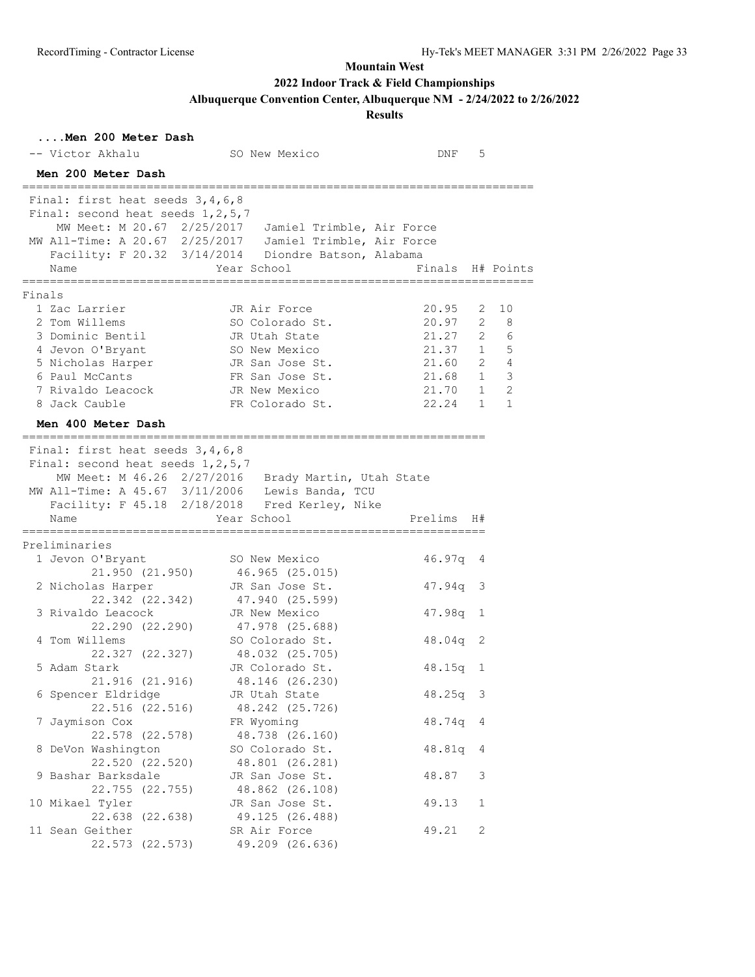**Results**

| Men 200 Meter Dash |                                                            |             |                                                      |                  |              |                         |  |  |
|--------------------|------------------------------------------------------------|-------------|------------------------------------------------------|------------------|--------------|-------------------------|--|--|
|                    | -- Victor Akhalu                                           |             | SO New Mexico                                        | DNF              | -5           |                         |  |  |
|                    | Men 200 Meter Dash<br>------------------------------------ |             |                                                      |                  |              |                         |  |  |
|                    | Final: first heat seeds 3, 4, 6, 8                         |             |                                                      |                  |              |                         |  |  |
|                    | Final: second heat seeds $1, 2, 5, 7$                      |             |                                                      |                  |              |                         |  |  |
|                    |                                                            |             | MW Meet: M 20.67 2/25/2017 Jamiel Trimble, Air Force |                  |              |                         |  |  |
|                    | MW All-Time: A 20.67 2/25/2017 Jamiel Trimble, Air Force   |             |                                                      |                  |              |                         |  |  |
|                    | Facility: F 20.32 3/14/2014 Diondre Batson, Alabama        |             |                                                      |                  |              |                         |  |  |
|                    | Name                                                       | Year School |                                                      | Finals H# Points |              |                         |  |  |
| Finals             |                                                            |             |                                                      |                  |              |                         |  |  |
|                    | 1 Zac Larrier                                              |             | JR Air Force                                         | 20.95            | 2            | 10                      |  |  |
|                    | 2 Tom Willems                                              |             | SO Colorado St.                                      | 20.97            |              | $2 \quad 8$             |  |  |
|                    | 3 Dominic Bentil                                           |             | JR Utah State                                        | 21.27            |              | $2^{\circ}$<br>6        |  |  |
|                    | 4 Jevon O'Bryant                                           |             | SO New Mexico                                        | $21.37$ 1 5      |              |                         |  |  |
|                    | 5 Nicholas Harper                                          |             | JR San Jose St.                                      | 21.60            |              | $2 \quad 4$             |  |  |
|                    | 6 Paul McCants                                             |             | FR San Jose St.                                      | 21.68            | $\mathbf{1}$ | $\overline{\mathbf{3}}$ |  |  |
|                    | 7 Rivaldo Leacock                                          |             | JR New Mexico                                        | 21.70 1          |              | 2                       |  |  |
|                    | 8 Jack Cauble                                              |             | FR Colorado St.                                      | 22.24            | 1            | 1                       |  |  |
|                    | Men 400 Meter Dash                                         |             |                                                      |                  |              |                         |  |  |
|                    | -=================================                         |             |                                                      |                  |              |                         |  |  |
|                    | Final: first heat seeds 3, 4, 6, 8                         |             |                                                      |                  |              |                         |  |  |
|                    | Final: second heat seeds $1, 2, 5, 7$                      |             |                                                      |                  |              |                         |  |  |
|                    |                                                            |             | MW Meet: M 46.26 2/27/2016 Brady Martin, Utah State  |                  |              |                         |  |  |
|                    | MW All-Time: A 45.67 3/11/2006 Lewis Banda, TCU            |             |                                                      |                  |              |                         |  |  |
|                    | Facility: F 45.18 2/18/2018 Fred Kerley, Nike              |             |                                                      |                  |              |                         |  |  |
|                    | Name<br>--------------------                               |             | Year School                                          | Prelims H#       |              |                         |  |  |
|                    | Preliminaries                                              |             |                                                      |                  |              |                         |  |  |
|                    | 1 Jevon O'Bryant                                           |             | SO New Mexico                                        | 46.97q           | 4            |                         |  |  |
|                    | 21.950 (21.950)                                            |             | 46.965 (25.015)                                      |                  |              |                         |  |  |
|                    | 2 Nicholas Harper                                          |             | JR San Jose St.                                      | 47.94q           | 3            |                         |  |  |
|                    | 22.342 (22.342)                                            |             | 47.940 (25.599)                                      |                  |              |                         |  |  |
|                    | 3 Rivaldo Leacock                                          |             | JR New Mexico                                        | 47.98q           | 1            |                         |  |  |
|                    | 22.290 (22.290)                                            |             | 47.978 (25.688)                                      |                  |              |                         |  |  |
|                    | 4 Tom Willems                                              |             | SO Colorado St.                                      | 48.04q           | 2            |                         |  |  |
|                    | 22.327 (22.327)                                            |             | 48.032 (25.705)                                      |                  |              |                         |  |  |
|                    | 5 Adam Stark                                               |             | JR Colorado St.                                      | 48.15q           | 1            |                         |  |  |
|                    | 21.916 (21.916)                                            |             | 48.146 (26.230)                                      |                  |              |                         |  |  |
|                    | 6 Spencer Eldridge                                         |             | JR Utah State                                        | 48.25q 3         |              |                         |  |  |
|                    | 22.516 (22.516)                                            |             | 48.242 (25.726)                                      |                  |              |                         |  |  |
|                    | 7 Jaymison Cox                                             |             | FR Wyoming                                           | 48.74q           | 4            |                         |  |  |
|                    | 22.578 (22.578)                                            |             | 48.738 (26.160)                                      |                  |              |                         |  |  |
|                    | 8 DeVon Washington                                         |             | SO Colorado St.                                      | 48.81q           | 4            |                         |  |  |
|                    | 22.520 (22.520)                                            |             | 48.801 (26.281)                                      |                  |              |                         |  |  |
|                    | 9 Bashar Barksdale                                         |             | JR San Jose St.                                      | 48.87            | 3            |                         |  |  |
|                    | 22.755 (22.755)                                            |             | 48.862 (26.108)                                      |                  |              |                         |  |  |
|                    | 10 Mikael Tyler                                            |             | JR San Jose St.                                      | 49.13            | 1            |                         |  |  |
|                    | 22.638 (22.638)                                            |             | 49.125 (26.488)                                      |                  |              |                         |  |  |
|                    | 11 Sean Geither                                            |             | SR Air Force                                         | 49.21            | 2            |                         |  |  |
|                    | 22.573 (22.573)                                            |             | 49.209 (26.636)                                      |                  |              |                         |  |  |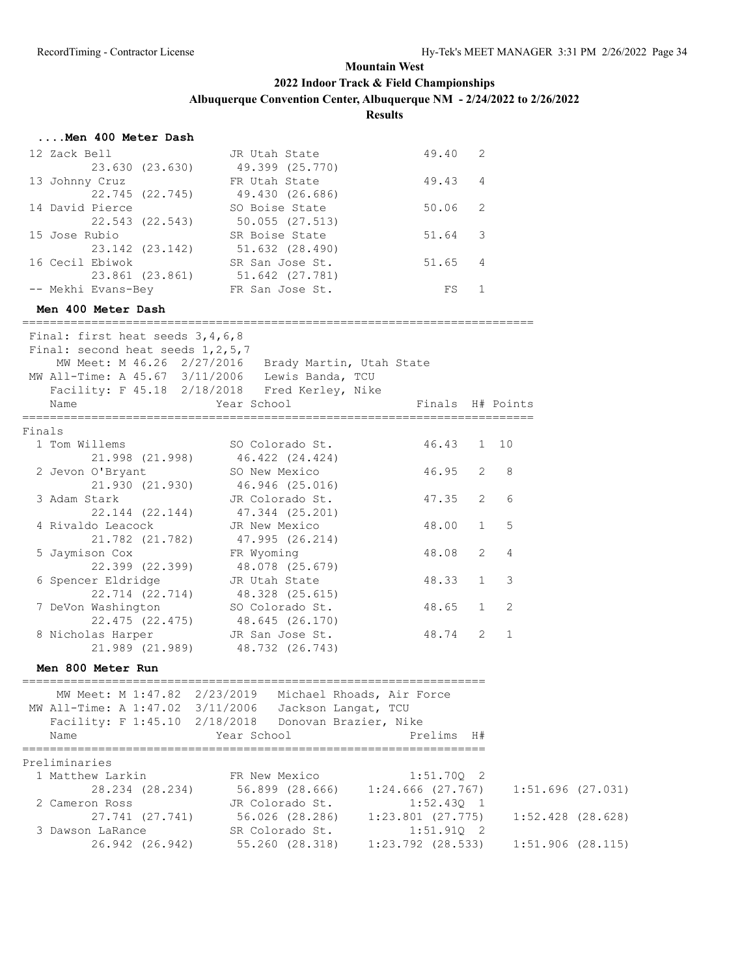**Results**

| Men 400 Meter Dash |                     |         |                          |
|--------------------|---------------------|---------|--------------------------|
| 12 Zack Bell       | JR Utah State       | 49.40 2 |                          |
| 23.630 (23.630)    | 49.399 (25.770)     |         |                          |
| 13 Johnny Cruz     | FR Utah State       | 49.43   | 4                        |
| 22.745 (22.745)    | 49.430 (26.686)     |         |                          |
| 14 David Pierce    | SO Boise State      | 50.06   | -2                       |
| 22.543 (22.543)    | $50.055$ $(27.513)$ |         |                          |
| 15 Jose Rubio      | SR Boise State      | 51.64   | $\overline{\phantom{a}}$ |
| 23.142 (23.142)    | 51.632 (28.490)     |         |                          |
| 16 Cecil Ebiwok    | SR San Jose St.     | 51.65   | 4                        |
| 23.861 (23.861)    | 51.642 (27.781)     |         |                          |
| -- Mekhi Evans-Bey | FR San Jose St.     | FS.     |                          |
|                    |                     |         |                          |

### **Men 400 Meter Dash**

|        | Final: first heat seeds $3, 4, 6, 8$  |                                                                                                        |                  |                |                               |
|--------|---------------------------------------|--------------------------------------------------------------------------------------------------------|------------------|----------------|-------------------------------|
|        | Final: second heat seeds $1, 2, 5, 7$ | MW Meet: M 46.26 2/27/2016 Brady Martin, Utah State<br>MW All-Time: A 45.67 3/11/2006 Lewis Banda, TCU |                  |                |                               |
|        | Name                                  | Facility: F 45.18 2/18/2018 Fred Kerley, Nike<br>Year School                                           | Finals H# Points |                |                               |
| Finals |                                       |                                                                                                        |                  |                |                               |
|        | 1 Tom Willems                         | SO Colorado St.<br>21.998 (21.998) 46.422 (24.424)                                                     | 46.43 1 10       |                |                               |
|        | 2 Jevon O'Bryant                      | SO New Mexico<br>21.930 (21.930) 46.946 (25.016)                                                       | 46.95            | $\overline{2}$ | -8                            |
|        | 3 Adam Stark                          | JR Colorado St.<br>22.144 (22.144) 47.344 (25.201)                                                     | 47.35            |                | $2^{\circ}$<br>6              |
|        | 4 Rivaldo Leacock                     | JR New Mexico<br>21.782 (21.782) 47.995 (26.214)                                                       | 48.00            |                | -5<br>$1 \quad$               |
|        | 5 Jaymison Cox                        | FR Wyoming<br>22.399 (22.399) 48.078 (25.679)                                                          | 48.08            |                | $2^{\circ}$<br>$\overline{4}$ |
|        | 6 Spencer Eldridge                    | JR Utah State<br>22.714 (22.714) 48.328 (25.615)                                                       | 48.33            | $1 \quad$      | 3                             |
|        | 7 DeVon Washington 50 Colorado St.    | 22.475 (22.475) 48.645 (26.170)                                                                        | 48.65            | 1              | $\mathcal{L}$                 |
|        | 8 Nicholas Harper JR San Jose St.     | 21.989 (21.989) 48.732 (26.743)                                                                        | 48.74            | $2^{\circ}$    | $\mathbf{1}$                  |

=================================================================== MW Meet: M 1:47.82 2/23/2019 Michael Rhoads, Air Force MW All-Time: A 1:47.02 3/11/2006 Jackson Langat, TCU Facility: F 1:45.10 2/18/2018 Donovan Brazier, Nike Name  $Year School$  Prelims H# =================================================================== Preliminaries 1 Matthew Larkin FR New Mexico 1:51.70Q 2 28.234 (28.234) 56.899 (28.666) 1:24.666 (27.767) 1:51.696 (27.031) 2 Cameron Ross JR Colorado St. 1:52.43Q 1 27.741 (27.741) 56.026 (28.286) 1:23.801 (27.775) 1:52.428 (28.628) 3 Dawson LaRance SR Colorado St. 1:51.91Q 2 26.942 (26.942) 55.260 (28.318) 1:23.792 (28.533) 1:51.906 (28.115)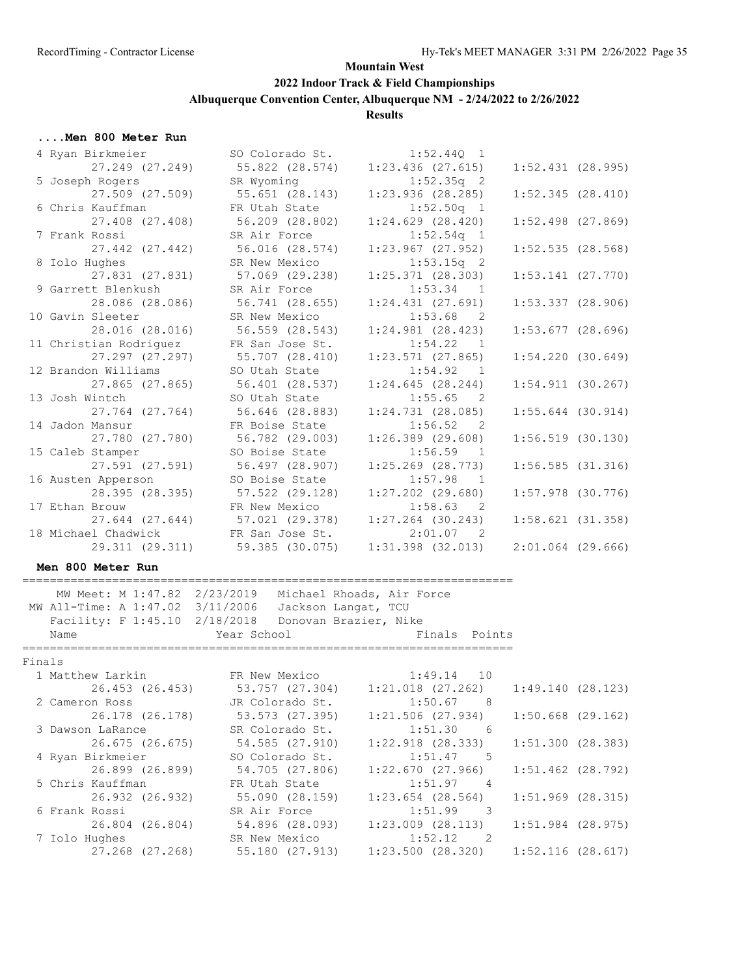### **....Men 800 Meter Run**

| 4 Ryan Birkmeier                    | SO Colorado St.                 | $1:52.44Q$ 1                                      |                       |  |
|-------------------------------------|---------------------------------|---------------------------------------------------|-----------------------|--|
|                                     |                                 | 27.249 (27.249) 55.822 (28.574) 1:23.436 (27.615) | $1:52.431$ (28.995)   |  |
| 5 Joseph Rogers SR Wyoming          |                                 | $1:52.35q$ 2                                      |                       |  |
| 27.509 (27.509) 55.651 (28.143)     |                                 | $1:23.936$ (28.285)                               | 1:52.345(28.410)      |  |
| 6 Chris Kauffman Man FR Utah State  |                                 | $1:52.50q$ 1                                      |                       |  |
| 27.408 (27.408) 56.209 (28.802)     |                                 | 1:24.629(28.420)                                  | $1:52.498$ $(27.869)$ |  |
| 7 Frank Rossi                       | SR Air Force                    | $1:52.54q$ 1                                      |                       |  |
| 27.442 (27.442)                     | 56.016 (28.574)                 | $1:23.967$ (27.952)                               | $1:52.535$ (28.568)   |  |
| 8 Iolo Hughes                       | SR New Mexico                   | $1:53.15q$ 2                                      |                       |  |
| 27.831 (27.831)                     | 57.069 (29.238)                 | $1:25.371$ (28.303)                               | $1:53.141$ $(27.770)$ |  |
| 9 Garrett Blenkush                  | SR Air Force                    | $1:53.34$ 1                                       |                       |  |
| 28.086 (28.086)                     | 56.741 (28.655)                 | $1:24.431$ $(27.691)$                             | $1:53.337$ (28.906)   |  |
| 10 Gavin Sleeter                    | SR New Mexico                   | $1:53.68$ 2                                       |                       |  |
|                                     | 28.016 (28.016) 56.559 (28.543) | $1:24.981$ (28.423)                               | $1:53.677$ (28.696)   |  |
| 11 Christian Rodriguez              | FR San Jose St.                 | $1:54.22$ 1                                       |                       |  |
| 27.297 (27.297)                     | 55.707 (28.410)                 | $1:23.571$ (27.865)                               | 1:54.220(30.649)      |  |
| 12 Brandon Williams                 | SO Utah State                   | $1:54.92$ 1                                       |                       |  |
| 27.865 (27.865)                     | 56.401 (28.537)                 | 1:24.645(28.244)                                  | 1:54.911(30.267)      |  |
| 13 Josh Wintch                      | SO Utah State                   | $1:55.65$ 2                                       |                       |  |
| 27.764 (27.764)                     | 56.646 (28.883)                 | $1:24.731$ (28.085)                               | $1:55.644$ (30.914)   |  |
| 14 Jadon Mansur                     | FR Boise State                  | $1:56.52$ 2                                       |                       |  |
| 27.780 (27.780)                     | 56.782 (29.003)                 | $1:26.389$ (29.608)                               | $1:56.519$ (30.130)   |  |
| 15 Caleb Stamper                    | SO Boise State                  | 1:56.59<br>$\overline{1}$                         |                       |  |
| 27.591 (27.591)                     | 56.497 (28.907)                 | $1:25.269$ $(28.773)$                             | $1:56.585$ (31.316)   |  |
| 16 Austen Apperson                  | SO Boise State                  | $1:57.98$ 1                                       |                       |  |
| 28.395 (28.395)                     | 57.522 (29.128)                 | $1:27.202$ (29.680)                               | $1:57.978$ (30.776)   |  |
| 17 Ethan Brouw FR New Mexico        |                                 | 1:58.63<br>$\overline{2}$                         |                       |  |
|                                     | 27.644 (27.644) 57.021 (29.378) | $1:27.264$ (30.243)                               | $1:58.621$ (31.358)   |  |
| 18 Michael Chadwick FR San Jose St. |                                 | $2:01.07$ 2                                       |                       |  |
| 29.311 (29.311)                     | 59.385 (30.075)                 | $1:31.398$ $(32.013)$                             | $2:01.064$ (29.666)   |  |

#### **Men 800 Meter Run**

=======================================================================

|        |                                       | MW Meet: M 1:47.82 2/23/2019 Michael Rhoads, Air Force                     |             |                     |
|--------|---------------------------------------|----------------------------------------------------------------------------|-------------|---------------------|
|        | MW All-Time: A 1:47.02 3/11/2006      | Jackson Langat, TCU                                                        |             |                     |
|        |                                       | Facility: F 1:45.10 2/18/2018 Donovan Brazier, Nike                        |             |                     |
|        | Name                                  | <b>Example 19 Year School</b> School Einals Points                         |             |                     |
| Finals |                                       |                                                                            |             |                     |
|        |                                       | 1 Matthew Larkin TR New Mexico 1:49.14 10                                  |             |                     |
|        |                                       | 26.453 (26.453) 53.757 (27.304) 1:21.018 (27.262)                          |             | 1:49.140(28.123)    |
|        |                                       | 2 Cameron Ross GR Colorado St.                                             | $1:50.67$ 8 |                     |
|        |                                       | 26.178 (26.178) 53.573 (27.395) 1:21.506 (27.934)                          |             | $1:50.668$ (29.162) |
|        |                                       | 3 Dawson LaRance SR Colorado St. 1:51.30 6                                 |             |                     |
|        |                                       | 26.675 (26.675) 54.585 (27.910) 1:22.918 (28.333)                          |             | 1:51.300 (28.383)   |
|        |                                       | 4 Ryan Birkmeier SO Colorado St. 1:51.47 5                                 |             |                     |
|        |                                       | 26.899 (26.899) 54.705 (27.806) 1:22.670 (27.966)                          |             | $1:51.462$ (28.792) |
|        | 5 Chris Kauffman Marker FR Utah State |                                                                            | $1:51.97$ 4 |                     |
|        |                                       | 26.932 (26.932) 55.090 (28.159) 1:23.654 (28.564)                          |             | $1:51.969$ (28.315) |
|        |                                       | 6 Frank Rossi                   SR Air Force                 1:51.99     3 |             |                     |
|        |                                       | 26.804 (26.804) 54.896 (28.093) 1:23.009 (28.113)                          |             | 1:51.984 (28.975)   |
|        |                                       | 7 Iolo Hughes SR New Mexico 1:52.12 2                                      |             |                     |
|        |                                       | 27.268 (27.268) 55.180 (27.913) 1:23.500 (28.320) 1:52.116 (28.617)        |             |                     |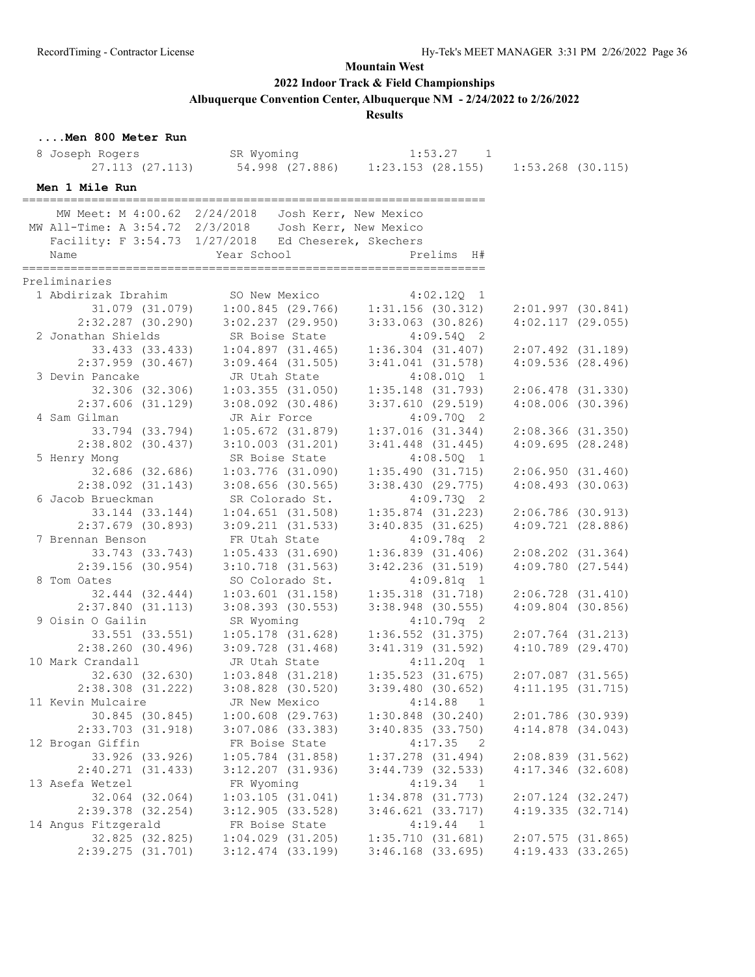**Albuquerque Convention Center, Albuquerque NM - 2/24/2022 to 2/26/2022**

### **Results**

| Men 800 Meter Run                    |                                                                                                    |                                         |                                           |  |
|--------------------------------------|----------------------------------------------------------------------------------------------------|-----------------------------------------|-------------------------------------------|--|
| 8 Joseph Rogers                      |                                                                                                    |                                         |                                           |  |
|                                      | Rogers SR Wyoming 1:53.27 1<br>27.113 (27.113) 54.998 (27.886) 1:23.153 (28.155) 1:53.268 (30.115) |                                         |                                           |  |
| Men 1 Mile Run                       |                                                                                                    |                                         |                                           |  |
|                                      |                                                                                                    |                                         |                                           |  |
|                                      | MW Meet: M 4:00.62 2/24/2018  Josh Kerr, New Mexico                                                |                                         |                                           |  |
|                                      | MW All-Time: A 3:54.72 2/3/2018    Josh Kerr, New Mexico                                           |                                         |                                           |  |
|                                      | Facility: F 3:54.73 1/27/2018 Ed Cheserek, Skechers                                                |                                         |                                           |  |
| Name                                 | Year School                                                                                        | Prelims H#                              |                                           |  |
|                                      |                                                                                                    |                                         |                                           |  |
| Preliminaries                        |                                                                                                    |                                         |                                           |  |
|                                      |                                                                                                    |                                         | 2:01.997(30.841)                          |  |
|                                      | $2:32.287$ (30.290) 3:02.237 (29.950)                                                              | $3:33.063$ (30.826)                     | $4:02.117$ $(29.055)$                     |  |
| 2 Jonathan Shields                   | SR Boise State                                                                                     | $4:09.54Q$ 2                            |                                           |  |
|                                      | 33.433 (33.433) 1:04.897 (31.465)                                                                  | $1:36.304$ $(31.407)$                   | $2:07.492$ (31.189)                       |  |
| $2:37.959$ (30.467)                  | $3:09.464$ (31.505)                                                                                | $3:41.041$ (31.578)                     | $4:09.536$ (28.496)                       |  |
| 3 Devin Pancake                      | JR Utah State                                                                                      | $4:08.01Q$ 1                            |                                           |  |
|                                      | 32.306 (32.306) 1:03.355 (31.050)                                                                  | $1:35.148$ (31.793)                     | $2:06.478$ $(31.330)$                     |  |
| $2:37.606$ $(31.129)$                | $3:08.092$ (30.486)                                                                                | 3:37.610(29.519)                        | $4:08.006$ $(30.396)$                     |  |
| 4 Sam Gilman                         | JR Air Force                                                                                       | $4:09.70Q$ 2                            |                                           |  |
| 33.794 (33.794)                      | $1:05.672$ (31.879)                                                                                | 1:37.016(31.344)                        | $2:08.366$ (31.350)                       |  |
| $2:38.802$ (30.437)                  | $3:10.003$ $(31.201)$                                                                              | $3:41.448$ $(31.445)$                   | 4:09.695(28.248)                          |  |
| 5 Henry Mong                         | SR Boise State                                                                                     | $4:08.500$ 1                            |                                           |  |
|                                      | 32.686 (32.686) 1:03.776 (31.090)                                                                  | 1:35.490(31.715)                        | 2:06.950(31.460)                          |  |
|                                      | $2:38.092$ (31.143) 3:08.656 (30.565)                                                              | 3:38.430(29.775)                        | $4:08.493$ (30.063)                       |  |
| 6 Jacob Brueckman                    | SR Colorado St.                                                                                    | $4:09.73Q$ 2                            |                                           |  |
| 33.144 (33.144)                      | $1:04.651$ (31.508)                                                                                | $1:35.874$ (31.223)                     | $2:06.786$ (30.913)                       |  |
| $2:37.679$ (30.893)                  | 3:09.211(31.533)                                                                                   | 3:40.835(31.625)                        | 4:09.721(28.886)                          |  |
| 7 Brennan Benson<br>33.743 (33.743)  | FR Utah State                                                                                      | $4:09.78q$ 2<br>1:36.839(31.406)        |                                           |  |
| 2:39.156(30.954)                     | $1:05.433$ $(31.690)$<br>$3:10.718$ (31.563)                                                       | $3:42.236$ $(31.519)$                   | $2:08.202$ $(31.364)$<br>4:09.780(27.544) |  |
| 8 Tom Oates                          | SO Colorado St.                                                                                    | $4:09.81q$ 1                            |                                           |  |
| 32.444 (32.444)                      | $1:03.601$ (31.158)                                                                                | $1:35.318$ $(31.718)$                   | $2:06.728$ (31.410)                       |  |
| 2:37.840(31.113)                     | $3:08.393$ (30.553)                                                                                | $3:38.948$ (30.555)                     | $4:09.804$ (30.856)                       |  |
| 9 Oisin O Gailin                     | SR Wyoming                                                                                         | $4:10.79q$ 2                            |                                           |  |
|                                      | $33.551$ (33.551) $1:05.178$ (31.628)                                                              | 1:36.552 (31.375)                       | $2:07.764$ $(31.213)$                     |  |
|                                      | $2:38.260$ (30.496) 3:09.728 (31.468)                                                              | $3:41.319$ $(31.592)$                   | $4:10.789$ (29.470)                       |  |
| 10 Mark Crandall                     | JR Utah State                                                                                      | $4:11.20q$ 1                            |                                           |  |
| 32.630 (32.630)                      | $1:03.848$ (31.218)                                                                                | 1:35.523(31.675)                        | 2:07.087 (31.565)                         |  |
| 2:38.308 (31.222)                    | 3:08.828 (30.520)                                                                                  | $3:39.480$ (30.652)                     | 4:11.195(31.715)                          |  |
| 11 Kevin Mulcaire                    | JR New Mexico                                                                                      | 4:14.88<br>$\overline{\phantom{1}}$     |                                           |  |
| 30.845 (30.845)                      | $1:00.608$ (29.763)                                                                                | $1:30.848$ (30.240)                     | $2:01.786$ (30.939)                       |  |
| $2:33.703$ $(31.918)$                | $3:07.086$ $(33.383)$                                                                              | 3:40.835(33.750)                        | $4:14.878$ $(34.043)$                     |  |
| 12 Brogan Giffin                     | FR Boise State                                                                                     | 4:17.35<br>$\overline{\phantom{0}}^2$   |                                           |  |
| 33.926 (33.926)                      | $1:05.784$ (31.858)                                                                                | $1:37.278$ $(31.494)$                   | $2:08.839$ (31.562)                       |  |
| 2:40.271(31.433)                     | $3:12.207$ $(31.936)$                                                                              | $3:44.739$ $(32.533)$                   | $4:17.346$ (32.608)                       |  |
| 13 Asefa Wetzel                      | FR Wyoming                                                                                         | 4:19.34<br>$\overline{1}$               |                                           |  |
| 32.064 (32.064)                      | $1:03.105$ (31.041)                                                                                | $1:34.878$ $(31.773)$                   | $2:07.124$ $(32.247)$                     |  |
| $2:39.378$ $(32.254)$                | 3:12.905(33.528)                                                                                   | $3:46.621$ (33.717)                     | 4:19.335(32.714)                          |  |
| 14 Angus Fitzgerald                  | FR Boise State                                                                                     | 4:19.44<br>$\overline{1}$               | $2:07.575$ (31.865)                       |  |
| 32.825 (32.825)<br>2:39.275 (31.701) | $1:04.029$ $(31.205)$                                                                              | 1:35.710(31.681)<br>$3:46.168$ (33.695) | 4:19.433(33.265)                          |  |
|                                      | $3:12.474$ (33.199)                                                                                |                                         |                                           |  |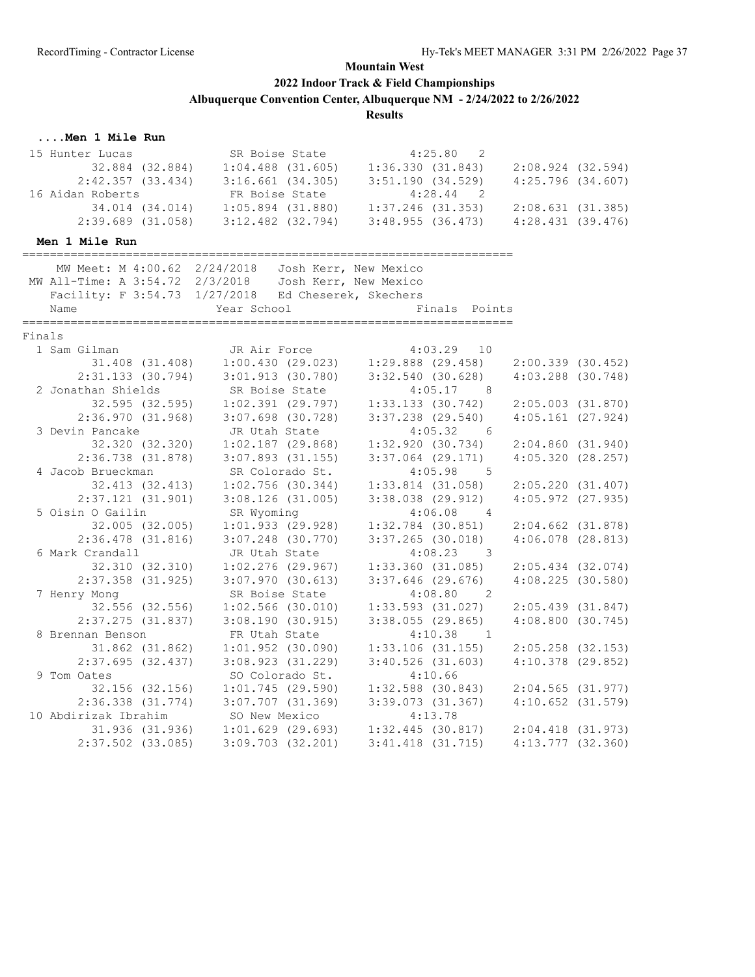#### **....Men 1 Mile Run**

| 15 Hunter Lucas   |                 | SR Boise State        | 4:25.80 2           |                   |
|-------------------|-----------------|-----------------------|---------------------|-------------------|
|                   | 32.884 (32.884) | $1:04.488$ $(31.605)$ | 1:36.330(31.843)    | 2:08.924 (32.594) |
| 2:42.357 (33.434) |                 | $3:16.661$ (34.305)   | 3:51.190(34.529)    | 4:25.796 (34.607) |
| 16 Aidan Roberts  |                 | FR Boise State        | 4:28.44 2           |                   |
|                   | 34.014 (34.014) | $1:05.894$ (31.880)   | $1:37.246$ (31.353) | 2:08.631 (31.385) |
| 2:39.689 (31.058) |                 | $3:12.482$ (32.794)   | 3:48.955(36.473)    | 4:28.431(39.476)  |

### **Men 1 Mile Run**

|        | Name                  | MW Meet: M 4:00.62 2/24/2018 Josh Kerr, New Mexico<br>MW All-Time: A 3:54.72 2/3/2018    Josh Kerr, New Mexico<br>Facility: F 3:54.73 1/27/2018 Ed Cheserek, Skechers<br>Year School | Finals Points                                                                 |                       |  |
|--------|-----------------------|--------------------------------------------------------------------------------------------------------------------------------------------------------------------------------------|-------------------------------------------------------------------------------|-----------------------|--|
| Finals |                       |                                                                                                                                                                                      |                                                                               |                       |  |
|        | 1 Sam Gilman          | JR Air Force                                                                                                                                                                         |                                                                               |                       |  |
|        | 31.408 (31.408)       |                                                                                                                                                                                      | JR Air Force 4:03.29 10<br>1:00.430 (29.023) 1:29.888 (29.458)                | $2:00.339$ (30.452)   |  |
|        | $2:31.133$ (30.794)   | 3:01.913(30.780)                                                                                                                                                                     | 3:32.540(30.628)                                                              | 4:03.288 (30.748)     |  |
|        | 2 Jonathan Shields    | SR Boise State                                                                                                                                                                       | $4:05.17$ 8                                                                   |                       |  |
|        | 32.595 (32.595)       | 1:02.391 (29.797)                                                                                                                                                                    | $1:33.133$ $(30.742)$                                                         | $2:05.003$ $(31.870)$ |  |
|        | 2:36.970(31.968)      | $3:07.698$ (30.728)                                                                                                                                                                  | $3:37.238$ (29.540)                                                           | $4:05.161$ $(27.924)$ |  |
|        | 3 Devin Pancake       | JR Utah State                                                                                                                                                                        | 4:05.32 6                                                                     |                       |  |
|        | 32.320 (32.320)       | $1:02.187$ (29.868)                                                                                                                                                                  | 1:32.920(30.734)                                                              | 2:04.860 (31.940)     |  |
|        | $2:36.738$ $(31.878)$ | $3:07.893$ $(31.155)$                                                                                                                                                                | $3:37.064$ (29.171)                                                           | 4:05.320(28.257)      |  |
|        | 4 Jacob Brueckman     | SR Colorado St.                                                                                                                                                                      | $4:05.98$ 5                                                                   |                       |  |
|        | 32.413(32.413)        | $1:02.756$ (30.344)                                                                                                                                                                  | $1:33.814$ $(31.058)$                                                         | 2:05.220(31.407)      |  |
|        | $2:37.121$ (31.901)   | $3:08.126$ (31.005)                                                                                                                                                                  | $3:38.038$ (29.912)                                                           | $4:05.972$ $(27.935)$ |  |
|        | 5 Oisin O Gailin      | SR Wyoming                                                                                                                                                                           | $4:06.08$ 4                                                                   |                       |  |
|        | 32.005 (32.005)       | $1:01.933$ (29.928)                                                                                                                                                                  | $1:32.784$ (30.851) $2:04.662$ (31.878)                                       |                       |  |
|        | $2:36.478$ (31.816)   | $3:07.248$ (30.770)                                                                                                                                                                  | 3:37.265(30.018)                                                              | $4:06.078$ $(28.813)$ |  |
|        | 6 Mark Crandall       | JR Utah State                                                                                                                                                                        | $4:08.23$ 3                                                                   |                       |  |
|        | 32.310 (32.310)       | $1:02.276$ (29.967)                                                                                                                                                                  | $1:33.360$ (31.085) $2:05.434$ (32.074)                                       |                       |  |
|        | $2:37.358$ (31.925)   | 3:07.970(30.613)                                                                                                                                                                     | $3:37.646$ (29.676)                                                           | 4:08.225(30.580)      |  |
|        | 7 Henry Mong          | SR Boise State                                                                                                                                                                       | 4:08.80 2                                                                     |                       |  |
|        | 32.556 (32.556)       | $1:02.566$ (30.010)                                                                                                                                                                  | $1:33.593$ $(31.027)$                                                         | 2:05.439 (31.847)     |  |
|        | $2:37.275$ (31.837)   | 3:08.190(30.915)                                                                                                                                                                     | 3:38.055(29.865)                                                              | 4:08.800(30.745)      |  |
|        | 8 Brennan Benson      | FR Utah State                                                                                                                                                                        | $4:10.38$ 1                                                                   |                       |  |
|        | 31.862 (31.862)       | $1:01.952$ (30.090)                                                                                                                                                                  | $1:33.106$ (31.155)                                                           | 2:05.258 (32.153)     |  |
|        | 2:37.695(32.437)      | 3:08.923(31.229)                                                                                                                                                                     | 3:40.526(31.603)                                                              | $4:10.378$ (29.852)   |  |
|        | 9 Tom Oates           | SO Colorado St.                                                                                                                                                                      | 4:10.66                                                                       |                       |  |
|        | 32.156 (32.156)       | 1:01.745(29.590)                                                                                                                                                                     | $1:32.588$ (30.843) $2:04.565$ (31.977)                                       |                       |  |
|        | $2:36.338$ $(31.774)$ | $3:07.707$ $(31.369)$                                                                                                                                                                | 3:39.073 (31.367) 4:10.652 (31.579)                                           |                       |  |
|        | 10 Abdirizak Ibrahim  | SO New Mexico                                                                                                                                                                        | 4:13.78                                                                       |                       |  |
|        |                       |                                                                                                                                                                                      | $31.936$ (31.936) $1:01.629$ (29.693) $1:32.445$ (30.817) $2:04.418$ (31.973) |                       |  |
|        | $2:37.502$ (33.085)   | $3:09.703$ $(32.201)$                                                                                                                                                                | $3:41.418$ (31.715) $4:13.777$ (32.360)                                       |                       |  |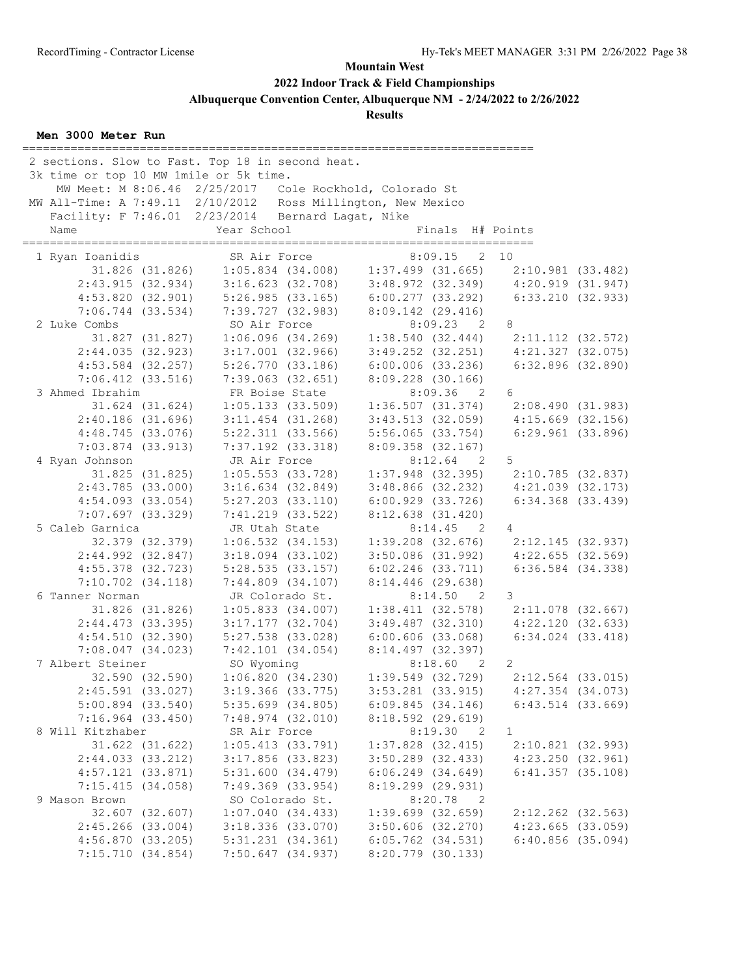### **Men 3000 Meter Run**

|                                        | 2 sections. Slow to Fast. Top 18 in second heat.                                                                        |                                             |                       |  |
|----------------------------------------|-------------------------------------------------------------------------------------------------------------------------|---------------------------------------------|-----------------------|--|
| 3k time or top 10 MW 1mile or 5k time. |                                                                                                                         |                                             |                       |  |
|                                        | MW Meet: M 8:06.46 2/25/2017 Cole Rockhold, Colorado St<br>MW All-Time: A 7:49.11 2/10/2012 Ross Millington, New Mexico |                                             |                       |  |
|                                        | Facility: F 7:46.01 2/23/2014 Bernard Lagat, Nike                                                                       |                                             |                       |  |
| Name                                   | Year School                                                                                                             | Finals H# Points                            |                       |  |
|                                        |                                                                                                                         |                                             |                       |  |
| 1 Ryan Ioanidis                        | SR Air Force                                                                                                            | 8:09.15 2 10                                |                       |  |
|                                        | 31.826 (31.826) 1:05.834 (34.008) 1:37.499 (31.665) 2:10.981 (33.482)                                                   |                                             |                       |  |
|                                        | 2:43.915 (32.934) 3:16.623 (32.708) 3:48.972 (32.349) 4:20.919 (31.947)                                                 |                                             |                       |  |
| 4:53.820(32.901)                       | 5:26.985 (33.165) 6:00.277 (33.292) 6:33.210 (32.933)                                                                   |                                             |                       |  |
| $7:06.744$ (33.534)                    | 7:39.727 (32.983)                                                                                                       | 8:09.142(29.416)                            |                       |  |
| 2 Luke Combs                           | SO Air Force                                                                                                            | $8:09.23$ 2                                 | 8                     |  |
|                                        | $31.827$ $(31.827)$ $1:06.096$ $(34.269)$                                                                               | $1:38.540$ (32.444) $2:11.112$ (32.572)     |                       |  |
| 2:44.035(32.923)                       | $3:17.001$ (32.966)                                                                                                     | $3:49.252$ $(32.251)$ $4:21.327$ $(32.075)$ |                       |  |
| $4:53.584$ (32.257)                    | $5:26.770$ (33.186)                                                                                                     | $6:00.006$ $(33.236)$                       | $6:32.896$ $(32.890)$ |  |
| $7:06.412$ $(33.516)$                  | 7:39.063 (32.651)                                                                                                       | $8:09.228$ (30.166)                         |                       |  |
| 3 Ahmed Ibrahim                        | FR Boise State                                                                                                          | 8:09.36<br>2                                | 6                     |  |
| $31.624$ $(31.624)$                    | 1:05.133(33.509)                                                                                                        | $1:36.507$ (31.374) $2:08.490$ (31.983)     |                       |  |
| 2:40.186(31.696)                       | $3:11.454$ $(31.268)$                                                                                                   | 3:43.513(32.059)                            | $4:15.669$ (32.156)   |  |
| 4:48.745(33.076)                       | 5:22.311(33.566)                                                                                                        | $5:56.065$ $(33.754)$                       | 6:29.961 (33.896)     |  |
| $7:03.874$ (33.913)                    | 7:37.192 (33.318)                                                                                                       | 8:09.358 (32.167)                           |                       |  |
| 4 Ryan Johnson                         | JR Air Force                                                                                                            | $8:12.64$ 2                                 | 5                     |  |
| 31.825 (31.825)                        | 1:05.553(33.728)                                                                                                        | $1:37.948$ (32.395)                         | 2:10.785 (32.837)     |  |
| $2:43.785$ (33.000)                    | $3:16.634$ (32.849)                                                                                                     | $3:48.866$ (32.232)                         | 4:21.039(32.173)      |  |
| $4:54.093$ (33.054)                    | $5:27.203$ $(33.110)$                                                                                                   | 6:00.929(33.726)                            | 6:34.368 (33.439)     |  |
| 7:07.697(33.329)                       | $7:41.219$ $(33.522)$                                                                                                   | 8:12.638 (31.420)                           |                       |  |
| 5 Caleb Garnica                        | JR Utah State                                                                                                           | 8:14.45<br>$\overline{2}$                   | 4                     |  |
| 32.379 (32.379)                        | $1:06.532$ $(34.153)$                                                                                                   | $1:39.208$ (32.676) $2:12.145$ (32.937)     |                       |  |
| $2:44.992$ (32.847)                    | $3:18.094$ (33.102)                                                                                                     | 3:50.086 (31.992) 4:22.655 (32.569)         |                       |  |
| 4:55.378 (32.723)                      | 5:28.535(33.157)                                                                                                        | $6:02.246$ $(33.711)$                       | 6:36.584 (34.338)     |  |
| $7:10.702$ $(34.118)$                  | 7:44.809(34.107)                                                                                                        | $8:14.446$ (29.638)                         |                       |  |
| 6 Tanner Norman                        | JR Colorado St.                                                                                                         | 8:14.50 2                                   | 3                     |  |
| 31.826 (31.826)                        | 1:05.833(34.007)                                                                                                        | $1:38.411$ (32.578) $2:11.078$ (32.667)     |                       |  |
| 2:44.473(33.395)                       | 3:17.177(32.704)                                                                                                        | $3:49.487$ (32.310) $4:22.120$ (32.633)     |                       |  |
| 4:54.510(32.390)                       | $5:27.538$ (33.028)                                                                                                     | $6:00.606$ (33.068)                         | $6:34.024$ $(33.418)$ |  |
| $7:08.047$ (34.023)                    | 7:42.101 (34.054)                                                                                                       | 8:14.497(32.397)                            |                       |  |
| 7 Albert Steiner                       | SO Wyoming                                                                                                              | 8:18.60 2                                   | 2                     |  |
| 32.590 (32.590)                        | 1:06.820(34.230)                                                                                                        | 1:39.549(32.729)                            | $2:12.564$ (33.015)   |  |
| $2:45.591$ (33.027)                    | $3:19.366$ (33.775)                                                                                                     | $3:53.281$ (33.915)                         | $4:27.354$ $(34.073)$ |  |
| $5:00.894$ $(33.540)$                  | $5:35.699$ $(34.805)$                                                                                                   | 6:09.845 (34.146)                           | $6:43.514$ (33.669)   |  |
| $7:16.964$ $(33.450)$                  | $7:48.974$ (32.010) 8:18.592 (29.619)                                                                                   |                                             |                       |  |
| 8 Will Kitzhaber                       | SR Air Force                                                                                                            | 8:19.30 2                                   | $\mathbf{1}$          |  |
| $31.622$ $(31.622)$                    | 1:05.413(33.791)                                                                                                        | $1:37.828$ $(32.415)$                       | 2:10.821 (32.993)     |  |
| $2:44.033$ (33.212)                    | $3:17.856$ (33.823)                                                                                                     | $3:50.289$ (32.433)                         | 4:23.250 (32.961)     |  |
| $4:57.121$ $(33.871)$                  | 5:31.600(34.479)                                                                                                        | $6:06.249$ $(34.649)$                       | $6:41.357$ (35.108)   |  |
| 7:15.415(34.058)                       | $7:49.369$ $(33.954)$                                                                                                   | $8:19.299$ $(29.931)$                       |                       |  |
| 9 Mason Brown                          | SO Colorado St.                                                                                                         | $8:20.78$ 2                                 |                       |  |
| 32.607 (32.607)                        | 1:07.040(34.433)                                                                                                        | $1:39.699$ (32.659)                         | 2:12.262 (32.563)     |  |
| $2:45.266$ (33.004)                    | 3:18.336(33.070)                                                                                                        | $3:50.606$ (32.270)                         | 4:23.665 (33.059)     |  |
| 4:56.870(33.205)                       | $5:31.231$ $(34.361)$                                                                                                   | $6:05.762$ $(34.531)$                       | $6:40.856$ (35.094)   |  |
| 7:15.710(34.854)                       | $7:50.647$ (34.937)                                                                                                     | 8:20.779 (30.133)                           |                       |  |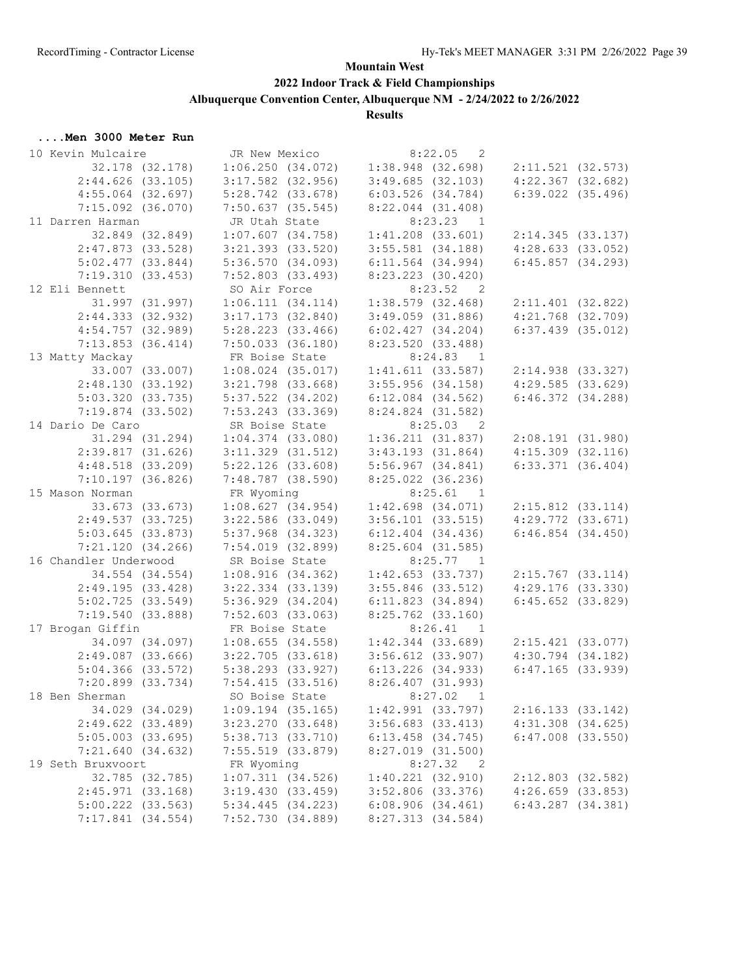**2022 Indoor Track & Field Championships**

**Albuquerque Convention Center, Albuquerque NM - 2/24/2022 to 2/26/2022**

**Results**

| 10 Kevin Mulcaire     | JR New Mexico         | 8:22.05<br>2                          |                       |
|-----------------------|-----------------------|---------------------------------------|-----------------------|
| 32.178 (32.178)       | $1:06.250$ $(34.072)$ | $1:38.948$ $(32.698)$                 | 2:11.521 (32.573)     |
| $2:44.626$ (33.105)   | $3:17.582$ (32.956)   | $3:49.685$ (32.103)                   | $4:22.367$ (32.682)   |
| $4:55.064$ (32.697)   | $5:28.742$ $(33.678)$ | $6:03.526$ $(34.784)$                 | $6:39.022$ $(35.496)$ |
| $7:15.092$ (36.070)   | $7:50.637$ (35.545)   | $8:22.044$ (31.408)                   |                       |
| 11 Darren Harman      | JR Utah State         | 8:23.23 1                             |                       |
| 32.849 (32.849)       | 1:07.607(34.758)      | $1:41.208$ $(33.601)$                 | 2:14.345(33.137)      |
| $2:47.873$ (33.528)   | $3:21.393$ $(33.520)$ | $3:55.581$ (34.188)                   | 4:28.633(33.052)      |
| $5:02.477$ (33.844)   | 5:36.570(34.093)      | $6:11.564$ $(34.994)$                 | $6:45.857$ $(34.293)$ |
| 7:19.310(33.453)      | $7:52.803$ (33.493)   | $8:23.223$ $(30.420)$                 |                       |
| 12 Eli Bennett        | SO Air Force          | 8:23.52 2                             |                       |
| 31.997 (31.997)       | 1:06.111(34.114)      | $1:38.579$ (32.468)                   | $2:11.401$ (32.822)   |
| 2:44.333(32.932)      | $3:17.173$ $(32.840)$ | $3:49.059$ $(31.886)$                 | $4:21.768$ $(32.709)$ |
| $4:54.757$ (32.989)   | $5:28.223$ $(33.466)$ | 6:02.427(34.204)                      | $6:37.439$ $(35.012)$ |
| 7:13.853(36.414)      | 7:50.033 (36.180)     | 8:23.520 (33.488)                     |                       |
| 13 Matty Mackay       | FR Boise State        | 8:24.83 1                             |                       |
| 33.007 (33.007)       | $1:08.024$ (35.017)   | 1:41.611(33.587)                      | $2:14.938$ $(33.327)$ |
| 2:48.130(33.192)      | $3:21.798$ (33.668)   | 3:55.956(34.158)                      | 4:29.585 (33.629)     |
|                       |                       |                                       | $6:46.372$ $(34.288)$ |
| 5:03.320(33.735)      | $5:37.522$ $(34.202)$ | $6:12.084$ $(34.562)$                 |                       |
| $7:19.874$ (33.502)   | $7:53.243$ (33.369)   | 8:24.824 (31.582)                     |                       |
| 14 Dario De Caro      | SR Boise State        | 8:25.03<br>$\overline{2}$             |                       |
| 31.294 (31.294)       | $1:04.374$ (33.080)   | 1:36.211(31.837)                      | 2:08.191(31.980)      |
| 2:39.817(31.626)      | $3:11.329$ $(31.512)$ | $3:43.193$ $(31.864)$                 | $4:15.309$ $(32.116)$ |
| $4:48.518$ $(33.209)$ | $5:22.126$ (33.608)   | $5:56.967$ $(34.841)$                 | $6:33.371$ $(36.404)$ |
| $7:10.197$ (36.826)   | 7:48.787 (38.590)     | $8:25.022$ (36.236)                   |                       |
| 15 Mason Norman       | FR Wyoming            | 8:25.61<br>$\overline{1}$             |                       |
| 33.673 (33.673)       | 1:08.627(34.954)      | $1:42.698$ $(34.071)$                 | 2:15.812(33.114)      |
| 2:49.537(33.725)      | $3:22.586$ (33.049)   | $3:56.101$ $(33.515)$                 | 4:29.772(33.671)      |
| 5:03.645(33.873)      | 5:37.968 (34.323)     | $6:12.404$ $(34.436)$                 | $6:46.854$ $(34.450)$ |
| 7:21.120(34.266)      | $7:54.019$ (32.899)   | $8:25.604$ (31.585)                   |                       |
| 16 Chandler Underwood | SR Boise State        | 8:25.77 1                             |                       |
| 34.554 (34.554)       | 1:08.916(34.362)      | 1:42.653(33.737)                      | 2:15.767(33.114)      |
| 2:49.195(33.428)      | $3:22.334$ $(33.139)$ | $3:55.846$ (33.512)                   | 4:29.176(33.330)      |
| 5:02.725(33.549)      | 5:36.929(34.204)      | 6:11.823(34.894)                      | $6:45.652$ $(33.829)$ |
| 7:19.540(33.888)      | $7:52.603$ (33.063)   | $8:25.762$ (33.160)                   |                       |
| 17 Brogan Giffin      | FR Boise State        | 8:26.41 1                             |                       |
| 34.097 (34.097)       | 1:08.655(34.558)      | $1:42.344$ (33.689)                   | 2:15.421 (33.077)     |
| $2:49.087$ (33.666)   | $3:22.705$ (33.618)   | $3:56.612$ $(33.907)$                 | $4:30.794$ $(34.182)$ |
| $5:04.366$ (33.572)   | 5:38.293(33.927)      | $6:13.226$ $(34.933)$                 | $6:47.165$ (33.939)   |
| $7:20.899$ $(33.734)$ | 7:54.415(33.516)      | 8:26.407(31.993)                      |                       |
| 18 Ben Sherman        | SO Boise State        | 8:27.02 1                             |                       |
| 34.029 (34.029)       | $1:09.194$ (35.165)   | $1:42.991$ (33.797)                   | 2:16.133 (33.142)     |
| $2:49.622$ (33.489)   | 3:23.270 (33.648)     | $3:56.683$ (33.413)                   | $4:31.308$ $(34.625)$ |
| $5:05.003$ (33.695)   | 5:38.713 (33.710)     | $6:13.458$ $(34.745)$                 | $6:47.008$ $(33.550)$ |
| 7:21.640(34.632)      | $7:55.519$ $(33.879)$ | $8:27.019$ $(31.500)$                 |                       |
| 19 Seth Bruxvoort     | FR Wyoming            | 8:27.32<br>$\overline{\phantom{0}}^2$ |                       |
| 32.785 (32.785)       | $1:07.311$ (34.526)   | $1:40.221$ $(32.910)$                 | $2:12.803$ (32.582)   |
| $2:45.971$ (33.168)   | 3:19.430(33.459)      | 3:52.806 (33.376)                     | $4:26.659$ $(33.853)$ |
| $5:00.222$ $(33.563)$ | $5:34.445$ (34.223)   | $6:08.906$ $(34.461)$                 | $6:43.287$ $(34.381)$ |
| $7:17.841$ (34.554)   | 7:52.730 (34.889)     | 8:27.313 (34.584)                     |                       |
|                       |                       |                                       |                       |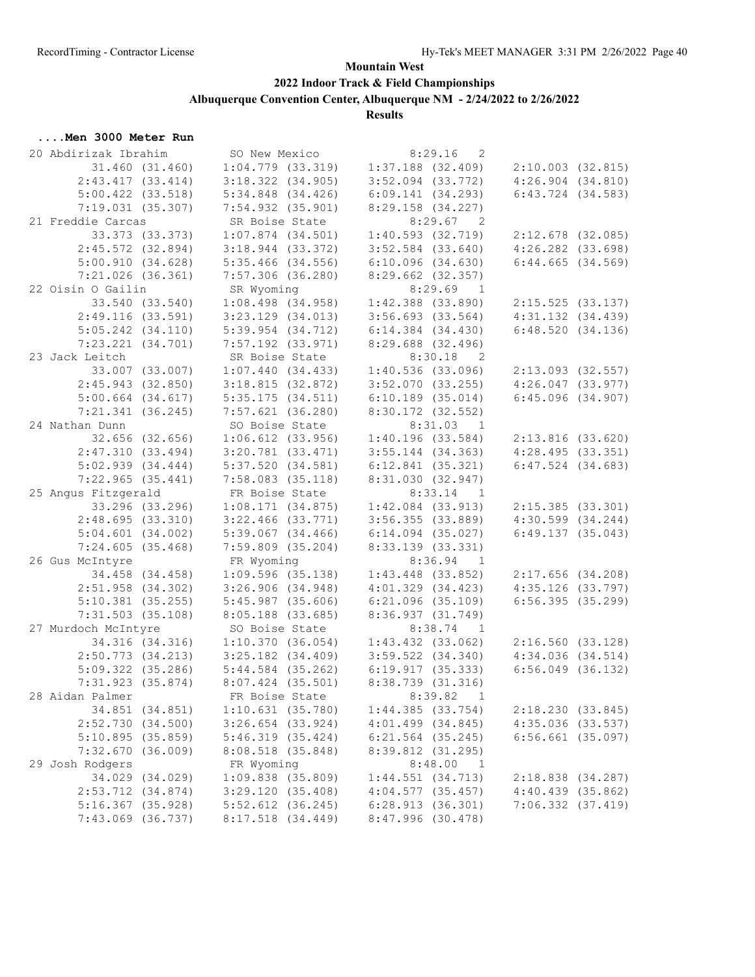**2022 Indoor Track & Field Championships**

**Albuquerque Convention Center, Albuquerque NM - 2/24/2022 to 2/26/2022**

### **Results**

| 20 Abdirizak Ibrahim  |                     | SO New Mexico         |                       | 8:29.16<br>2                          |                       |  |
|-----------------------|---------------------|-----------------------|-----------------------|---------------------------------------|-----------------------|--|
| 31.460 (31.460)       |                     | $1:04.779$ $(33.319)$ |                       | $1:37.188$ (32.409)                   | 2:10.003 (32.815)     |  |
| $2:43.417$ (33.414)   |                     | $3:18.322$ $(34.905)$ | $3:52.094$ (33.772)   |                                       | $4:26.904$ $(34.810)$ |  |
| $5:00.422$ $(33.518)$ |                     | $5:34.848$ $(34.426)$ | 6:09.141(34.293)      |                                       | $6:43.724$ $(34.583)$ |  |
| 7:19.031(35.307)      |                     | $7:54.932$ $(35.901)$ | $8:29.158$ $(34.227)$ |                                       |                       |  |
| 21 Freddie Carcas     |                     | SR Boise State        |                       | 8:29.67 2                             |                       |  |
| 33.373 (33.373)       |                     | $1:07.874$ $(34.501)$ |                       | 1:40.593(32.719)                      | $2:12.678$ (32.085)   |  |
| $2:45.572$ (32.894)   |                     | $3:18.944$ (33.372)   | $3:52.584$ (33.640)   |                                       | $4:26.282$ $(33.698)$ |  |
| 5:00.910(34.628)      |                     | $5:35.466$ $(34.556)$ | $6:10.096$ $(34.630)$ |                                       | $6:44.665$ $(34.569)$ |  |
| $7:21.026$ (36.361)   |                     | $7:57.306$ (36.280)   | $8:29.662$ $(32.357)$ |                                       |                       |  |
| 22 Oisin O Gailin     | SR Wyoming          |                       |                       | $8:29.69$ 1                           |                       |  |
| 33.540 (33.540)       |                     | $1:08.498$ $(34.958)$ |                       | $1:42.388$ $(33.890)$                 | $2:15.525$ (33.137)   |  |
| 2:49.116(33.591)      |                     | $3:23.129$ $(34.013)$ | $3:56.693$ $(33.564)$ |                                       | $4:31.132$ $(34.439)$ |  |
| $5:05.242$ $(34.110)$ |                     | $5:39.954$ $(34.712)$ | $6:14.384$ $(34.430)$ |                                       | 6:48.520(34.136)      |  |
| $7:23.221$ $(34.701)$ |                     | $7:57.192$ $(33.971)$ | $8:29.688$ $(32.496)$ |                                       |                       |  |
| 23 Jack Leitch        |                     | SR Boise State        |                       | 8:30.18<br>$\overline{\phantom{0}}^2$ |                       |  |
| 33.007 (33.007)       |                     | 1:07.440(34.433)      |                       | 1:40.536(33.096)                      | $2:13.093$ $(32.557)$ |  |
| $2:45.943$ (32.850)   |                     | $3:18.815$ (32.872)   | 3:52.070(33.255)      |                                       | 4:26.047(33.977)      |  |
| $5:00.664$ $(34.617)$ |                     | 5:35.175(34.511)      |                       |                                       |                       |  |
|                       |                     |                       | $6:10.189$ $(35.014)$ |                                       | $6:45.096$ $(34.907)$ |  |
| $7:21.341$ (36.245)   |                     | $7:57.621$ (36.280)   | $8:30.172$ (32.552)   |                                       |                       |  |
| 24 Nathan Dunn        |                     | SO Boise State        |                       | 8:31.03 1                             |                       |  |
| 32.656 (32.656)       |                     | $1:06.612$ (33.956)   |                       | $1:40.196$ (33.584)                   | 2:13.816(33.620)      |  |
| 2:47.310(33.494)      |                     | $3:20.781$ $(33.471)$ | $3:55.144$ (34.363)   |                                       | 4:28.495(33.351)      |  |
| 5:02.939(34.444)      |                     | 5:37.520(34.581)      | $6:12.841$ (35.321)   |                                       | $6:47.524$ $(34.683)$ |  |
| 7:22.965(35.441)      |                     | $7:58.083$ $(35.118)$ | 8:31.030 (32.947)     |                                       |                       |  |
| 25 Angus Fitzgerald   |                     | FR Boise State        |                       | 8:33.14<br>$\overline{1}$             |                       |  |
| 33.296 (33.296)       |                     | 1:08.171(34.875)      |                       | $1:42.084$ (33.913)                   | 2:15.385 (33.301)     |  |
| 2:48.695(33.310)      |                     | $3:22.466$ $(33.771)$ |                       | 3:56.355(33.889)                      | 4:30.599(34.244)      |  |
| $5:04.601$ $(34.002)$ |                     | $5:39.067$ $(34.466)$ | $6:14.094$ $(35.027)$ |                                       | 6:49.137(35.043)      |  |
| $7:24.605$ (35.468)   |                     | $7:59.809$ (35.204)   | 8:33.139 (33.331)     |                                       |                       |  |
| 26 Gus McIntyre       | FR Wyoming          |                       |                       | $8:36.94$ 1                           |                       |  |
| 34.458 (34.458)       |                     | $1:09.596$ (35.138)   |                       | $1:43.448$ (33.852)                   | $2:17.656$ (34.208)   |  |
| $2:51.958$ $(34.302)$ |                     | 3:26.906(34.948)      | $4:01.329$ $(34.423)$ |                                       | 4:35.126(33.797)      |  |
| $5:10.381$ (35.255)   |                     | $5:45.987$ (35.606)   | 6:21.096(35.109)      |                                       | 6:56.395(35.299)      |  |
| $7:31.503$ (35.108)   |                     | $8:05.188$ (33.685)   | 8:36.937(31.749)      |                                       |                       |  |
| 27 Murdoch McIntyre   |                     | SO Boise State        |                       | $8:38.74$ 1                           |                       |  |
| 34.316 (34.316)       |                     | 1:10.370(36.054)      |                       | $1:43.432$ $(33.062)$                 | 2:16.560(33.128)      |  |
| $2:50.773$ $(34.213)$ | $3:25.182$ (34.409) |                       | $3:59.522$ $(34.340)$ |                                       | 4:34.036(34.514)      |  |
| $5:09.322$ (35.286)   | $5:44.584$ (35.262) |                       | 6:19.917(35.333)      |                                       | $6:56.049$ (36.132)   |  |
| $7:31.923$ (35.874)   |                     | $8:07.424$ (35.501)   | 8:38.739 (31.316)     |                                       |                       |  |
| 28 Aidan Palmer       |                     | FR Boise State        |                       | 8:39.82<br>$\overline{1}$             |                       |  |
| 34.851 (34.851)       |                     | 1:10.631(35.780)      | 1:44.385(33.754)      |                                       | 2:18.230 (33.845)     |  |
| 2:52.730(34.500)      |                     | $3:26.654$ (33.924)   | $4:01.499$ $(34.845)$ |                                       | $4:35.036$ $(33.537)$ |  |
| 5:10.895(35.859)      |                     | $5:46.319$ $(35.424)$ | $6:21.564$ (35.245)   |                                       | $6:56.661$ (35.097)   |  |
| 7:32.670(36.009)      |                     | $8:08.518$ (35.848)   | $8:39.812$ (31.295)   |                                       |                       |  |
| 29 Josh Rodgers       | FR Wyoming          |                       |                       | 8:48.00<br>$\overline{1}$             |                       |  |
| 34.029 (34.029)       |                     | 1:09.838 (35.809)     | 1:44.551(34.713)      |                                       | 2:18.838 (34.287)     |  |
| $2:53.712$ $(34.874)$ |                     | 3:29.120(35.408)      | $4:04.577$ (35.457)   |                                       | 4:40.439(35.862)      |  |
| $5:16.367$ (35.928)   |                     | $5:52.612$ (36.245)   | 6:28.913(36.301)      |                                       | $7:06.332$ $(37.419)$ |  |
| 7:43.069 (36.737)     |                     | 8:17.518 (34.449)     | 8:47.996 (30.478)     |                                       |                       |  |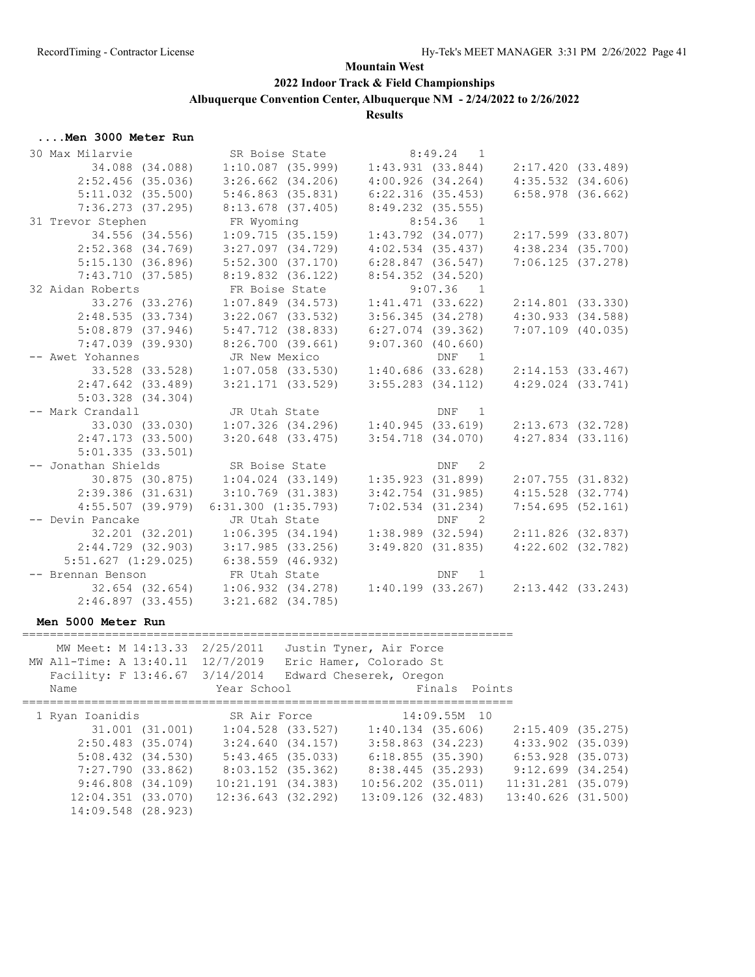### **Results**

### **....Men 3000 Meter Run**

| 30 Max Milarvie         | SR Boise State 8:49.24 1              |                                         |                       |
|-------------------------|---------------------------------------|-----------------------------------------|-----------------------|
| 34.088 (34.088)         |                                       | $1:10.087$ (35.999) $1:43.931$ (33.844) | 2:17.420 (33.489)     |
| $2:52.456$ (35.036)     | $3:26.662$ $(34.206)$                 | 4:00.926(34.264)                        | $4:35.532$ $(34.606)$ |
| $5:11.032$ $(35.500)$   | 5:46.863 (35.831)                     | 6:22.316(35.453)                        | $6:58.978$ $(36.662)$ |
| $7:36.273$ $(37.295)$   | 8:13.678 (37.405)                     | 8:49.232 (35.555)                       |                       |
| 31 Trevor Stephen       | FR Wyoming                            | $8:54.36$ 1                             |                       |
| 34.556 (34.556)         | 1:09.715(35.159)                      | $1:43.792$ $(34.077)$                   | 2:17.599 (33.807)     |
| 2:52.368 (34.769)       | $3:27.097$ $(34.729)$                 | $4:02.534$ $(35.437)$                   | $4:38.234$ $(35.700)$ |
| 5:15.130(36.896)        | 5:52.300(37.170)                      | $6:28.847$ $(36.547)$                   | 7:06.125(37.278)      |
| 7:43.710(37.585)        | $8:19.832$ (36.122)                   | $8:54.352$ $(34.520)$                   |                       |
| 32 Aidan Roberts        | FR Boise State                        | $9:07.36$ 1                             |                       |
| 33.276 (33.276)         | $1:07.849$ (34.573)                   | 1:41.471(33.622)                        | $2:14.801$ (33.330)   |
| 2:48.535(33.734)        | $3:22.067$ (33.532)                   | $3:56.345$ $(34.278)$                   | 4:30.933 (34.588)     |
| $5:08.879$ $(37.946)$   | 5:47.712 (38.833)                     | $6:27.074$ (39.362)                     | $7:07.109$ (40.035)   |
| 7:47.039(39.930)        | 8:26.700 (39.661)                     | 9:07.360(40.660)                        |                       |
| -- Awet Yohannes        | JR New Mexico                         | DNF 1                                   |                       |
| 33.528 (33.528)         | $1:07.058$ (33.530)                   | $1:40.686$ (33.628)                     | 2:14.153(33.467)      |
| $2:47.642$ (33.489)     | $3:21.171$ (33.529)                   | $3:55.283$ $(34.112)$                   | $4:29.024$ $(33.741)$ |
| $5:03.328$ $(34.304)$   |                                       |                                         |                       |
| -- Mark Crandall        | JR Utah State                         | DNF<br>$\overline{1}$                   |                       |
| 33.030 (33.030)         |                                       | $1:07.326$ (34.296) $1:40.945$ (33.619) | 2:13.673 (32.728)     |
| 2:47.173(33.500)        | $3:20.648$ (33.475)                   | $3:54.718$ $(34.070)$                   | $4:27.834$ $(33.116)$ |
| 5:01.335(33.501)        |                                       |                                         |                       |
| -- Jonathan Shields     | SR Boise State                        | DNF <sub>2</sub>                        |                       |
|                         | 30.875 (30.875) 1:04.024 (33.149)     | 1:35.923(31.899)                        | $2:07.755$ (31.832)   |
|                         | $2:39.386$ (31.631) 3:10.769 (31.383) | $3:42.754$ (31.985)                     | $4:15.528$ $(32.774)$ |
| 4:55.507(39.979)        | $6:31.300$ $(1:35.793)$               | $7:02.534$ $(31.234)$                   | 7:54.695(52.161)      |
| -- Devin Pancake        | JR Utah State                         | DNF <sub>2</sub>                        |                       |
| 32.201 (32.201)         | 1:06.395(34.194)                      | $1:38.989$ $(32.594)$                   | $2:11.826$ (32.837)   |
| 2:44.729 (32.903)       | 3:17.985(33.256)                      | 3:49.820(31.835)                        | $4:22.602$ $(32.782)$ |
| $5:51.627$ $(1:29.025)$ | $6:38.559$ (46.932)                   |                                         |                       |
| -- Brennan Benson       | FR Utah State                         | DNF 1                                   |                       |
|                         | 32.654 (32.654) 1:06.932 (34.278)     | $1:40.199$ (33.267)                     | 2:13.442 (33.243)     |
| 2:46.897(33.455)        | $3:21.682$ $(34.785)$                 |                                         |                       |

### **Men 5000 Meter Run**

| MW Meet: M 14:13.33<br>MW All-Time: A 13:40.11<br>Facility: F 13:46.67<br>Name |                 | 2/25/2011<br>12/7/2019<br>3/14/2014<br>Year School | Justin Tyner, Air Force<br>Eric Hamer, Colorado St<br>Edward Cheserek, Oregon | Finals Points |                       |  |
|--------------------------------------------------------------------------------|-----------------|----------------------------------------------------|-------------------------------------------------------------------------------|---------------|-----------------------|--|
| 1 Ryan Ioanidis                                                                |                 | SR Air Force                                       |                                                                               | 14:09.55M 10  |                       |  |
|                                                                                | 31.001 (31.001) | $1:04.528$ (33.527)                                | $1:40.134$ (35.606)                                                           |               | 2:15.409 (35.275)     |  |
| $2:50.483$ (35.074)                                                            |                 | 3:24.640(34.157)                                   | $3:58.863$ $(34.223)$                                                         |               | $4:33.902$ $(35.039)$ |  |
| $5:08.432$ $(34.530)$                                                          |                 | $5:43.465$ (35.033)                                | 6:18.855(35.390)                                                              |               | $6:53.928$ $(35.073)$ |  |
| 7:27.790 (33.862)                                                              |                 | $8:03.152$ $(35.362)$                              | 8:38.445 (35.293)                                                             |               | $9:12.699$ $(34.254)$ |  |
| $9:46.808$ $(34.109)$                                                          |                 | $10:21.191$ $(34.383)$                             | $10:56.202$ $(35.011)$                                                        |               | $11:31.281$ (35.079)  |  |
| $12:04.351$ (33.070)                                                           |                 | 12:36.643 (32.292)                                 | 13:09.126 (32.483)                                                            |               | 13:40.626 (31.500)    |  |
| 14:09.548 (28.923)                                                             |                 |                                                    |                                                                               |               |                       |  |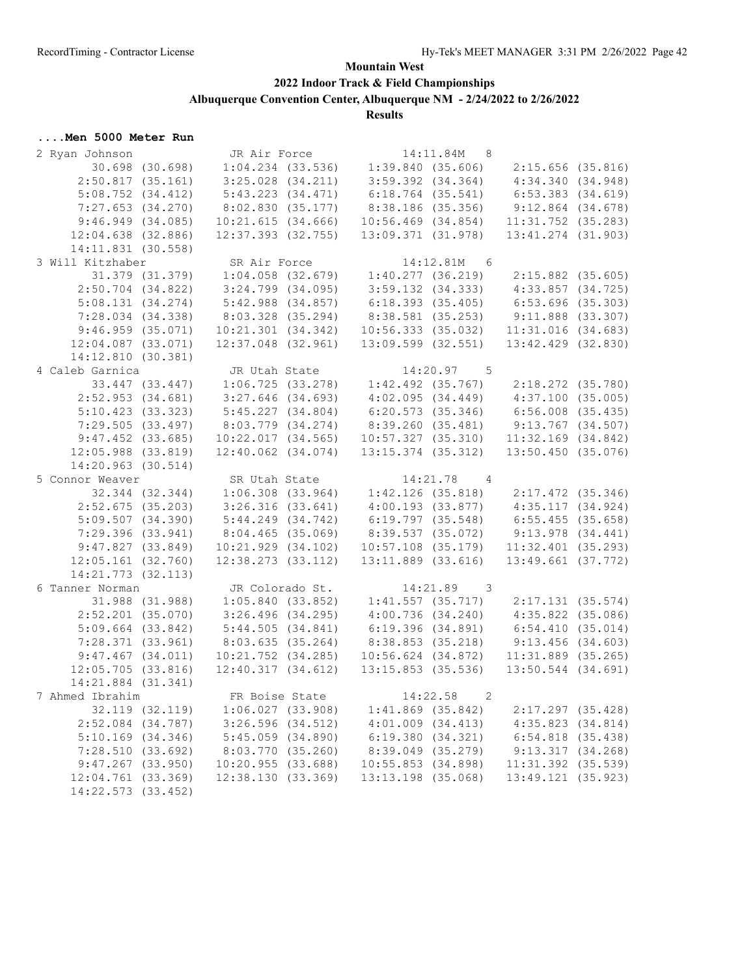**Albuquerque Convention Center, Albuquerque NM - 2/24/2022 to 2/26/2022**

**Results**

|                       |                                                                                                                                                                                                                                                                                                                                                                                                                                                                                                            | JR Air Force        |                                                                                                                                                                                                                                                                                                                           | 14:11.84M 8                                                                                |                                                                                                                      |                                                                                                                                                                                                                                                                                                                                                                                                                                                                                                                                                                                                                                                                                                                                                                                  |
|-----------------------|------------------------------------------------------------------------------------------------------------------------------------------------------------------------------------------------------------------------------------------------------------------------------------------------------------------------------------------------------------------------------------------------------------------------------------------------------------------------------------------------------------|---------------------|---------------------------------------------------------------------------------------------------------------------------------------------------------------------------------------------------------------------------------------------------------------------------------------------------------------------------|--------------------------------------------------------------------------------------------|----------------------------------------------------------------------------------------------------------------------|----------------------------------------------------------------------------------------------------------------------------------------------------------------------------------------------------------------------------------------------------------------------------------------------------------------------------------------------------------------------------------------------------------------------------------------------------------------------------------------------------------------------------------------------------------------------------------------------------------------------------------------------------------------------------------------------------------------------------------------------------------------------------------|
| 30.698 (30.698)       |                                                                                                                                                                                                                                                                                                                                                                                                                                                                                                            | $1:04.234$ (33.536) |                                                                                                                                                                                                                                                                                                                           | 1:39.840(35.606)                                                                           | $2:15.656$ (35.816)                                                                                                  |                                                                                                                                                                                                                                                                                                                                                                                                                                                                                                                                                                                                                                                                                                                                                                                  |
| $2:50.817$ (35.161)   | $3:25.028$ $(34.211)$                                                                                                                                                                                                                                                                                                                                                                                                                                                                                      |                     | $3:59.392$ $(34.364)$                                                                                                                                                                                                                                                                                                     |                                                                                            | 4:34.340 (34.948)                                                                                                    |                                                                                                                                                                                                                                                                                                                                                                                                                                                                                                                                                                                                                                                                                                                                                                                  |
| $5:08.752$ $(34.412)$ |                                                                                                                                                                                                                                                                                                                                                                                                                                                                                                            |                     |                                                                                                                                                                                                                                                                                                                           |                                                                                            | $6:53.383$ $(34.619)$                                                                                                |                                                                                                                                                                                                                                                                                                                                                                                                                                                                                                                                                                                                                                                                                                                                                                                  |
|                       |                                                                                                                                                                                                                                                                                                                                                                                                                                                                                                            |                     |                                                                                                                                                                                                                                                                                                                           |                                                                                            |                                                                                                                      |                                                                                                                                                                                                                                                                                                                                                                                                                                                                                                                                                                                                                                                                                                                                                                                  |
|                       |                                                                                                                                                                                                                                                                                                                                                                                                                                                                                                            |                     |                                                                                                                                                                                                                                                                                                                           |                                                                                            |                                                                                                                      |                                                                                                                                                                                                                                                                                                                                                                                                                                                                                                                                                                                                                                                                                                                                                                                  |
|                       |                                                                                                                                                                                                                                                                                                                                                                                                                                                                                                            |                     |                                                                                                                                                                                                                                                                                                                           |                                                                                            |                                                                                                                      |                                                                                                                                                                                                                                                                                                                                                                                                                                                                                                                                                                                                                                                                                                                                                                                  |
|                       |                                                                                                                                                                                                                                                                                                                                                                                                                                                                                                            |                     |                                                                                                                                                                                                                                                                                                                           |                                                                                            |                                                                                                                      |                                                                                                                                                                                                                                                                                                                                                                                                                                                                                                                                                                                                                                                                                                                                                                                  |
|                       |                                                                                                                                                                                                                                                                                                                                                                                                                                                                                                            |                     |                                                                                                                                                                                                                                                                                                                           |                                                                                            |                                                                                                                      |                                                                                                                                                                                                                                                                                                                                                                                                                                                                                                                                                                                                                                                                                                                                                                                  |
|                       |                                                                                                                                                                                                                                                                                                                                                                                                                                                                                                            |                     |                                                                                                                                                                                                                                                                                                                           |                                                                                            |                                                                                                                      |                                                                                                                                                                                                                                                                                                                                                                                                                                                                                                                                                                                                                                                                                                                                                                                  |
|                       |                                                                                                                                                                                                                                                                                                                                                                                                                                                                                                            |                     |                                                                                                                                                                                                                                                                                                                           |                                                                                            |                                                                                                                      |                                                                                                                                                                                                                                                                                                                                                                                                                                                                                                                                                                                                                                                                                                                                                                                  |
|                       |                                                                                                                                                                                                                                                                                                                                                                                                                                                                                                            |                     |                                                                                                                                                                                                                                                                                                                           |                                                                                            |                                                                                                                      |                                                                                                                                                                                                                                                                                                                                                                                                                                                                                                                                                                                                                                                                                                                                                                                  |
|                       |                                                                                                                                                                                                                                                                                                                                                                                                                                                                                                            |                     |                                                                                                                                                                                                                                                                                                                           |                                                                                            |                                                                                                                      |                                                                                                                                                                                                                                                                                                                                                                                                                                                                                                                                                                                                                                                                                                                                                                                  |
|                       |                                                                                                                                                                                                                                                                                                                                                                                                                                                                                                            |                     |                                                                                                                                                                                                                                                                                                                           |                                                                                            |                                                                                                                      |                                                                                                                                                                                                                                                                                                                                                                                                                                                                                                                                                                                                                                                                                                                                                                                  |
|                       |                                                                                                                                                                                                                                                                                                                                                                                                                                                                                                            |                     |                                                                                                                                                                                                                                                                                                                           |                                                                                            |                                                                                                                      |                                                                                                                                                                                                                                                                                                                                                                                                                                                                                                                                                                                                                                                                                                                                                                                  |
|                       |                                                                                                                                                                                                                                                                                                                                                                                                                                                                                                            |                     |                                                                                                                                                                                                                                                                                                                           |                                                                                            |                                                                                                                      |                                                                                                                                                                                                                                                                                                                                                                                                                                                                                                                                                                                                                                                                                                                                                                                  |
|                       |                                                                                                                                                                                                                                                                                                                                                                                                                                                                                                            |                     |                                                                                                                                                                                                                                                                                                                           |                                                                                            |                                                                                                                      |                                                                                                                                                                                                                                                                                                                                                                                                                                                                                                                                                                                                                                                                                                                                                                                  |
|                       |                                                                                                                                                                                                                                                                                                                                                                                                                                                                                                            |                     |                                                                                                                                                                                                                                                                                                                           |                                                                                            |                                                                                                                      |                                                                                                                                                                                                                                                                                                                                                                                                                                                                                                                                                                                                                                                                                                                                                                                  |
|                       |                                                                                                                                                                                                                                                                                                                                                                                                                                                                                                            |                     |                                                                                                                                                                                                                                                                                                                           |                                                                                            |                                                                                                                      |                                                                                                                                                                                                                                                                                                                                                                                                                                                                                                                                                                                                                                                                                                                                                                                  |
|                       |                                                                                                                                                                                                                                                                                                                                                                                                                                                                                                            |                     |                                                                                                                                                                                                                                                                                                                           |                                                                                            |                                                                                                                      |                                                                                                                                                                                                                                                                                                                                                                                                                                                                                                                                                                                                                                                                                                                                                                                  |
|                       |                                                                                                                                                                                                                                                                                                                                                                                                                                                                                                            |                     |                                                                                                                                                                                                                                                                                                                           |                                                                                            |                                                                                                                      |                                                                                                                                                                                                                                                                                                                                                                                                                                                                                                                                                                                                                                                                                                                                                                                  |
|                       |                                                                                                                                                                                                                                                                                                                                                                                                                                                                                                            |                     |                                                                                                                                                                                                                                                                                                                           |                                                                                            |                                                                                                                      |                                                                                                                                                                                                                                                                                                                                                                                                                                                                                                                                                                                                                                                                                                                                                                                  |
|                       |                                                                                                                                                                                                                                                                                                                                                                                                                                                                                                            |                     |                                                                                                                                                                                                                                                                                                                           |                                                                                            |                                                                                                                      |                                                                                                                                                                                                                                                                                                                                                                                                                                                                                                                                                                                                                                                                                                                                                                                  |
|                       |                                                                                                                                                                                                                                                                                                                                                                                                                                                                                                            |                     |                                                                                                                                                                                                                                                                                                                           |                                                                                            |                                                                                                                      |                                                                                                                                                                                                                                                                                                                                                                                                                                                                                                                                                                                                                                                                                                                                                                                  |
|                       |                                                                                                                                                                                                                                                                                                                                                                                                                                                                                                            |                     |                                                                                                                                                                                                                                                                                                                           |                                                                                            |                                                                                                                      |                                                                                                                                                                                                                                                                                                                                                                                                                                                                                                                                                                                                                                                                                                                                                                                  |
|                       |                                                                                                                                                                                                                                                                                                                                                                                                                                                                                                            |                     |                                                                                                                                                                                                                                                                                                                           |                                                                                            |                                                                                                                      |                                                                                                                                                                                                                                                                                                                                                                                                                                                                                                                                                                                                                                                                                                                                                                                  |
|                       |                                                                                                                                                                                                                                                                                                                                                                                                                                                                                                            |                     |                                                                                                                                                                                                                                                                                                                           |                                                                                            |                                                                                                                      |                                                                                                                                                                                                                                                                                                                                                                                                                                                                                                                                                                                                                                                                                                                                                                                  |
|                       |                                                                                                                                                                                                                                                                                                                                                                                                                                                                                                            |                     |                                                                                                                                                                                                                                                                                                                           |                                                                                            |                                                                                                                      |                                                                                                                                                                                                                                                                                                                                                                                                                                                                                                                                                                                                                                                                                                                                                                                  |
|                       |                                                                                                                                                                                                                                                                                                                                                                                                                                                                                                            |                     |                                                                                                                                                                                                                                                                                                                           |                                                                                            |                                                                                                                      |                                                                                                                                                                                                                                                                                                                                                                                                                                                                                                                                                                                                                                                                                                                                                                                  |
|                       |                                                                                                                                                                                                                                                                                                                                                                                                                                                                                                            |                     |                                                                                                                                                                                                                                                                                                                           |                                                                                            |                                                                                                                      |                                                                                                                                                                                                                                                                                                                                                                                                                                                                                                                                                                                                                                                                                                                                                                                  |
|                       |                                                                                                                                                                                                                                                                                                                                                                                                                                                                                                            |                     |                                                                                                                                                                                                                                                                                                                           |                                                                                            |                                                                                                                      |                                                                                                                                                                                                                                                                                                                                                                                                                                                                                                                                                                                                                                                                                                                                                                                  |
| 7:29.396(33.941)      | 8:04.465(35.069)                                                                                                                                                                                                                                                                                                                                                                                                                                                                                           |                     |                                                                                                                                                                                                                                                                                                                           |                                                                                            | 8:39.537 (35.072) 9:13.978 (34.441)                                                                                  |                                                                                                                                                                                                                                                                                                                                                                                                                                                                                                                                                                                                                                                                                                                                                                                  |
| 9:47.827(33.849)      | $10:21.929$ $(34.102)$                                                                                                                                                                                                                                                                                                                                                                                                                                                                                     |                     |                                                                                                                                                                                                                                                                                                                           | $10:57.108$ (35.179)                                                                       | $11:32.401$ (35.293)                                                                                                 |                                                                                                                                                                                                                                                                                                                                                                                                                                                                                                                                                                                                                                                                                                                                                                                  |
| $12:05.161$ (32.760)  | $12:38.273$ (33.112)                                                                                                                                                                                                                                                                                                                                                                                                                                                                                       |                     |                                                                                                                                                                                                                                                                                                                           | 13:11.889 (33.616)                                                                         | 13:49.661 (37.772)                                                                                                   |                                                                                                                                                                                                                                                                                                                                                                                                                                                                                                                                                                                                                                                                                                                                                                                  |
| 14:21.773 (32.113)    |                                                                                                                                                                                                                                                                                                                                                                                                                                                                                                            |                     |                                                                                                                                                                                                                                                                                                                           |                                                                                            |                                                                                                                      |                                                                                                                                                                                                                                                                                                                                                                                                                                                                                                                                                                                                                                                                                                                                                                                  |
| 6 Tanner Norman       |                                                                                                                                                                                                                                                                                                                                                                                                                                                                                                            | JR Colorado St.     |                                                                                                                                                                                                                                                                                                                           | 14:21.89 3                                                                                 |                                                                                                                      |                                                                                                                                                                                                                                                                                                                                                                                                                                                                                                                                                                                                                                                                                                                                                                                  |
| 31.988 (31.988)       |                                                                                                                                                                                                                                                                                                                                                                                                                                                                                                            | 1:05.840(33.852)    |                                                                                                                                                                                                                                                                                                                           | 1:41.557 (35.717)                                                                          | 2:17.131(35.574)                                                                                                     |                                                                                                                                                                                                                                                                                                                                                                                                                                                                                                                                                                                                                                                                                                                                                                                  |
| $2:52.201$ (35.070)   | $3:26.496$ $(34.295)$                                                                                                                                                                                                                                                                                                                                                                                                                                                                                      |                     |                                                                                                                                                                                                                                                                                                                           | 4:00.736 (34.240)                                                                          | $4:35.822$ (35.086)                                                                                                  |                                                                                                                                                                                                                                                                                                                                                                                                                                                                                                                                                                                                                                                                                                                                                                                  |
| $5:09.664$ (33.842)   | 5:44.505(34.841)                                                                                                                                                                                                                                                                                                                                                                                                                                                                                           |                     |                                                                                                                                                                                                                                                                                                                           |                                                                                            | $6:19.396$ $(34.891)$ $6:54.410$ $(35.014)$                                                                          |                                                                                                                                                                                                                                                                                                                                                                                                                                                                                                                                                                                                                                                                                                                                                                                  |
| 7:28.371(33.961)      | 8:03.635(35.264)                                                                                                                                                                                                                                                                                                                                                                                                                                                                                           |                     | 8:38.853 (35.218) 9:13.456 (34.603)                                                                                                                                                                                                                                                                                       |                                                                                            |                                                                                                                      |                                                                                                                                                                                                                                                                                                                                                                                                                                                                                                                                                                                                                                                                                                                                                                                  |
| 9:47.467(34.011)      | $10:21.752$ $(34.285)$                                                                                                                                                                                                                                                                                                                                                                                                                                                                                     |                     |                                                                                                                                                                                                                                                                                                                           | 10:56.624 (34.872)                                                                         | $11:31.889$ (35.265)                                                                                                 |                                                                                                                                                                                                                                                                                                                                                                                                                                                                                                                                                                                                                                                                                                                                                                                  |
| 12:05.705(33.816)     | 12:40.317(34.612)                                                                                                                                                                                                                                                                                                                                                                                                                                                                                          |                     |                                                                                                                                                                                                                                                                                                                           | $13:15.853$ (35.536)                                                                       | 13:50.544 (34.691)                                                                                                   |                                                                                                                                                                                                                                                                                                                                                                                                                                                                                                                                                                                                                                                                                                                                                                                  |
| 14:21.884 (31.341)    |                                                                                                                                                                                                                                                                                                                                                                                                                                                                                                            |                     |                                                                                                                                                                                                                                                                                                                           |                                                                                            |                                                                                                                      |                                                                                                                                                                                                                                                                                                                                                                                                                                                                                                                                                                                                                                                                                                                                                                                  |
| 7 Ahmed Ibrahim       | FR Boise State                                                                                                                                                                                                                                                                                                                                                                                                                                                                                             |                     |                                                                                                                                                                                                                                                                                                                           | 14:22.58<br>2                                                                              |                                                                                                                      |                                                                                                                                                                                                                                                                                                                                                                                                                                                                                                                                                                                                                                                                                                                                                                                  |
| 32.119 (32.119)       | 1:06.027(33.908)                                                                                                                                                                                                                                                                                                                                                                                                                                                                                           |                     | $1:41.869$ (35.842)                                                                                                                                                                                                                                                                                                       |                                                                                            | $2:17.297$ (35.428)                                                                                                  |                                                                                                                                                                                                                                                                                                                                                                                                                                                                                                                                                                                                                                                                                                                                                                                  |
| 2:52.084 (34.787)     | $3:26.596$ $(34.512)$                                                                                                                                                                                                                                                                                                                                                                                                                                                                                      |                     | $4:01.009$ $(34.413)$                                                                                                                                                                                                                                                                                                     |                                                                                            | 4:35.823(34.814)                                                                                                     |                                                                                                                                                                                                                                                                                                                                                                                                                                                                                                                                                                                                                                                                                                                                                                                  |
| $5:10.169$ $(34.346)$ | $5:45.059$ $(34.890)$                                                                                                                                                                                                                                                                                                                                                                                                                                                                                      |                     | 6:19.380(34.321)                                                                                                                                                                                                                                                                                                          |                                                                                            | $6:54.818$ (35.438)                                                                                                  |                                                                                                                                                                                                                                                                                                                                                                                                                                                                                                                                                                                                                                                                                                                                                                                  |
| 7:28.510 (33.692)     | 8:03.770(35.260)                                                                                                                                                                                                                                                                                                                                                                                                                                                                                           |                     | 8:39.049 (35.279)                                                                                                                                                                                                                                                                                                         |                                                                                            | 9:13.317(34.268)                                                                                                     |                                                                                                                                                                                                                                                                                                                                                                                                                                                                                                                                                                                                                                                                                                                                                                                  |
| $9:47.267$ (33.950)   | 10:20.955 (33.688)                                                                                                                                                                                                                                                                                                                                                                                                                                                                                         |                     | 10:55.853 (34.898)                                                                                                                                                                                                                                                                                                        |                                                                                            | $11:31.392$ (35.539)                                                                                                 |                                                                                                                                                                                                                                                                                                                                                                                                                                                                                                                                                                                                                                                                                                                                                                                  |
| 12:04.761 (33.369)    | 12:38.130 (33.369)                                                                                                                                                                                                                                                                                                                                                                                                                                                                                         |                     | 13:13.198 (35.068)                                                                                                                                                                                                                                                                                                        |                                                                                            | 13:49.121 (35.923)                                                                                                   |                                                                                                                                                                                                                                                                                                                                                                                                                                                                                                                                                                                                                                                                                                                                                                                  |
|                       | $7:27.653$ $(34.270)$<br>9:46.949(34.085)<br>$12:04.638$ (32.886)<br>14:11.831 (30.558)<br>3 Will Kitzhaber<br>31.379 (31.379)<br>$2:50.704$ (34.822)<br>5:08.131(34.274)<br>$7:28.034$ $(34.338)$<br>9:46.959(35.071)<br>$12:04.087$ (33.071)<br>14:12.810 (30.381)<br>4 Caleb Garnica<br>33.447 (33.447)<br>2:52.953(34.681)<br>5:10.423(33.323)<br>7:29.505(33.497)<br>$9:47.452$ (33.685)<br>$12:05.988$ $(33.819)$<br>14:20.963 (30.514)<br>5 Connor Weaver<br>32.344 (32.344)<br>$2:52.675$ (35.203) | 5:09.507(34.390)    | 5:43.223(34.471)<br>8:02.830 (35.177)<br>$12:37.393$ $(32.755)$<br>SR Air Force<br>$3:24.799$ $(34.095)$<br>$5:42.988$ $(34.857)$<br>8:03.328 (35.294)<br>$12:37.048$ (32.961)<br>JR Utah State<br>$3:27.646$ (34.693)<br>5:45.227(34.804)<br>8:03.779 (34.274)<br>10:22.017(34.565)<br>SR Utah State<br>3:26.316(33.641) | 10:21.615(34.666)<br>$1:04.058$ $(32.679)$<br>10:21.301 (34.342)<br>$12:40.062$ $(34.074)$ | $6:18.764$ (35.541)<br>8:38.186 (35.356)<br>14:12.81M<br>6<br>14:20.97 5<br>$6:20.573$ (35.346)<br>8:39.260 (35.481) | $9:12.864$ $(34.678)$<br>$10:56.469$ $(34.854)$<br>$11:31.752$ (35.283)<br>13:09.371 (31.978)<br>13:41.274 (31.903)<br>1:40.277(36.219)<br>$2:15.882$ (35.605)<br>$3:59.132$ $(34.333)$<br>4:33.857(34.725)<br>$6:18.393$ (35.405) $6:53.696$ (35.303)<br>8:38.581 (35.253) 9:11.888 (33.307)<br>10:56.333 (35.032)<br>11:31.016(34.683)<br>13:09.599 (32.551)<br>13:42.429 (32.830)<br>2:18.272 (35.780)<br>4:02.095(34.449)<br>4:37.100(35.005)<br>$6:56.008$ (35.435)<br>9:13.767 (34.507)<br>10:57.327 (35.310) 11:32.169 (34.842)<br>13:15.374 (35.312)<br>$13:50.450$ (35.076)<br>14:21.78 4<br>$1:06.308$ (33.964) $1:42.126$ (35.818) $2:17.472$ (35.346)<br>$4:00.193$ $(33.877)$<br>4:35.117(34.924)<br>$5:44.249$ $(34.742)$<br>6:19.797 (35.548)<br>6:55.455(35.658) |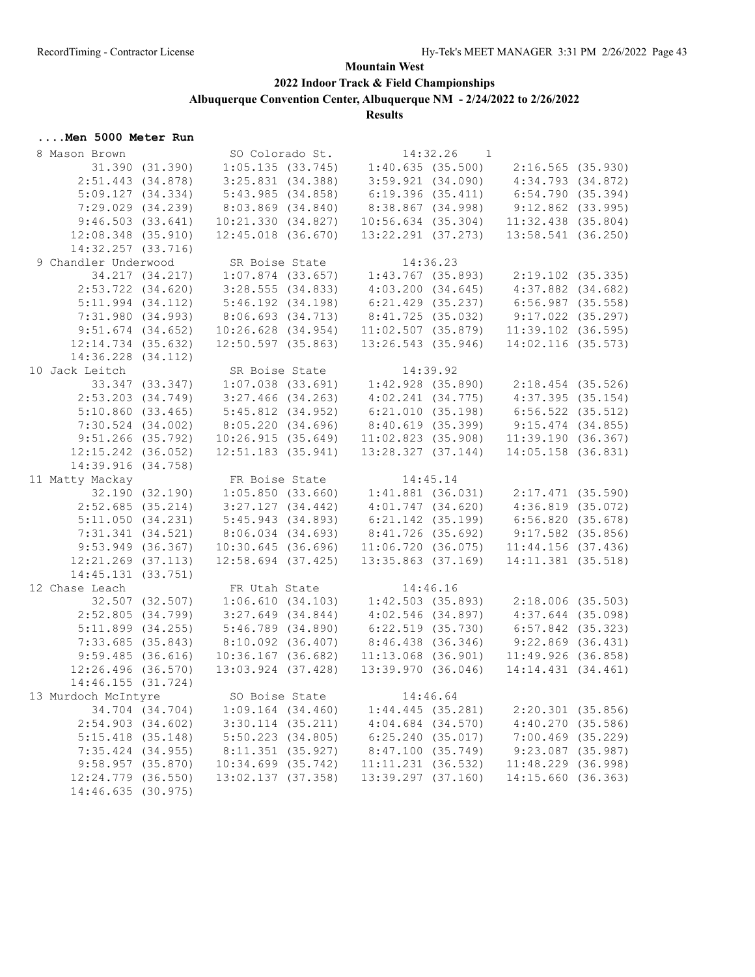**Results**

| 8 Mason Brown          |                 |                        | SO Colorado St. |                                                                        | 14:32.26 1 |                                           |  |
|------------------------|-----------------|------------------------|-----------------|------------------------------------------------------------------------|------------|-------------------------------------------|--|
|                        | 31.390 (31.390) |                        |                 | $1:05.135$ (33.745) $1:40.635$ (35.500) $2:16.565$ (35.930)            |            |                                           |  |
| $2:51.443$ (34.878)    |                 | $3:25.831$ $(34.388)$  |                 | $3:59.921$ (34.090) $4:34.793$ (34.872)                                |            |                                           |  |
| 5:09.127(34.334)       |                 | 5:43.985(34.858)       |                 | 6:19.396 (35.411)                                                      |            | 6:54.790(35.394)                          |  |
| 7:29.029(34.239)       |                 | 8:03.869 (34.840)      |                 |                                                                        |            | 8:38.867 (34.998) 9:12.862 (33.995)       |  |
| 9:46.503(33.641)       |                 | 10:21.330 (34.827)     |                 |                                                                        |            | $10:56.634$ (35.304) $11:32.438$ (35.804) |  |
| $12:08.348$ (35.910)   |                 | $12:45.018$ $(36.670)$ |                 | 13:22.291 (37.273)                                                     |            | $13:58.541$ (36.250)                      |  |
| 14:32.257 (33.716)     |                 |                        |                 |                                                                        |            |                                           |  |
| 9 Chandler Underwood   |                 | SR Boise State         |                 |                                                                        | 14:36.23   |                                           |  |
|                        | 34.217 (34.217) |                        |                 | $1:07.874$ (33.657) $1:43.767$ (35.893)                                |            | 2:19.102 (35.335)                         |  |
| $2:53.722$ (34.620)    |                 | 3:28.555(34.833)       |                 | 4:03.200 (34.645)                                                      |            | $4:37.882$ $(34.682)$                     |  |
| $5:11.994$ $(34.112)$  |                 | $5:46.192$ $(34.198)$  |                 | $6:21.429$ (35.237) $6:56.987$ (35.558)                                |            |                                           |  |
| 7:31.980(34.993)       |                 | 8:06.693 (34.713)      |                 | 8:41.725(35.032)                                                       |            | $9:17.022$ (35.297)                       |  |
| $9:51.674$ (34.652)    |                 | $10:26.628$ $(34.954)$ |                 |                                                                        |            |                                           |  |
|                        |                 |                        |                 | 11:02.507(35.879)                                                      |            | $11:39.102$ (36.595)                      |  |
| $12:14.734$ (35.632)   |                 | $12:50.597$ (35.863)   |                 | 13:26.543 (35.946)                                                     |            | $14:02.116$ (35.573)                      |  |
| 14:36.228 (34.112)     |                 |                        |                 |                                                                        |            |                                           |  |
| 10 Jack Leitch         |                 |                        | SR Boise State  |                                                                        | 14:39.92   |                                           |  |
|                        |                 |                        |                 |                                                                        |            |                                           |  |
| $2:53.203$ $(34.749)$  |                 | $3:27.466$ (34.263)    |                 | 4:02.241(34.775)                                                       |            | 4:37.395(35.154)                          |  |
| 5:10.860(33.465)       |                 | 5:45.812 (34.952)      |                 | 6:21.010(35.198)                                                       |            | 6:56.522 (35.512)                         |  |
| $7:30.524$ $(34.002)$  |                 | 8:05.220(34.696)       |                 | 8:40.619 (35.399)                                                      |            | $9:15.474$ (34.855)                       |  |
| 9:51.266 (35.792)      |                 | 10:26.915(35.649)      |                 |                                                                        |            | $11:02.823$ (35.908) $11:39.190$ (36.367) |  |
| 12:15.242 (36.052)     |                 | 12:51.183 (35.941)     |                 | 13:28.327 (37.144)                                                     |            | 14:05.158 (36.831)                        |  |
| 14:39.916 (34.758)     |                 |                        |                 |                                                                        |            |                                           |  |
| 11 Matty Mackay        |                 | FR Boise State         |                 | 14:45.14                                                               |            |                                           |  |
| 32.190 (32.190)        |                 |                        |                 | $1:05.850$ (33.660) $1:41.881$ (36.031) $2:17.471$ (35.590)            |            |                                           |  |
| $2:52.685$ (35.214)    |                 | 3:27.127(34.442)       |                 | $4:01.747$ (34.620) $4:36.819$ (35.072)                                |            |                                           |  |
| 5:11.050(34.231)       |                 | 5:45.943 (34.893)      |                 | $6:21.142$ (35.199)                                                    |            | 6:56.820(35.678)                          |  |
| 7:31.341(34.521)       |                 | 8:06.034 (34.693)      |                 |                                                                        |            | 8:41.726 (35.692) 9:17.582 (35.856)       |  |
| 9:53.949 (36.367)      |                 | $10:30.645$ (36.696)   |                 | 11:06.720 (36.075)                                                     |            | 11:44.156(37.436)                         |  |
| $12:21.269$ $(37.113)$ |                 | $12:58.694$ (37.425)   |                 | 13:35.863 (37.169)                                                     |            | 14:11.381 (35.518)                        |  |
| 14:45.131 (33.751)     |                 |                        |                 |                                                                        |            |                                           |  |
| 12 Chase Leach         |                 | FR Utah State          |                 |                                                                        | 14:46.16   |                                           |  |
|                        | 32.507 (32.507) |                        |                 | $1:06.610\ (34.103)\qquad 1:42.503\ (35.893)\qquad 2:18.006\ (35.503)$ |            |                                           |  |
| 2:52.805(34.799)       |                 | $3:27.649$ $(34.844)$  |                 | 4:02.546 (34.897)                                                      |            | $4:37.644$ (35.098)                       |  |
| $5:11.899$ (34.255)    |                 | 5:46.789(34.890)       |                 | $6:22.519$ (35.730)                                                    |            | 6:57.842 (35.323)                         |  |
| $7:33.685$ (35.843)    |                 | $8:10.092$ (36.407)    |                 | $8:46.438$ (36.346)                                                    |            | $9:22.869$ (36.431)                       |  |
| 9:59.485(36.616)       |                 | $10:36.167$ (36.682)   |                 | $11:13.068$ (36.901)                                                   |            | $11:49.926$ (36.858)                      |  |
| $12:26.496$ (36.570)   |                 | $13:03.924$ $(37.428)$ |                 | 13:39.970(36.046)                                                      |            | 14:14.431 (34.461)                        |  |
| 14:46.155(31.724)      |                 |                        |                 |                                                                        |            |                                           |  |
|                        |                 |                        |                 |                                                                        |            |                                           |  |
| 13 Murdoch McIntyre    |                 |                        | SO Boise State  |                                                                        | 14:46.64   |                                           |  |
|                        | 34.704 (34.704) | $1:09.164$ $(34.460)$  |                 | $1:44.445$ (35.281)                                                    |            | $2:20.301$ (35.856)                       |  |
| 2:54.903(34.602)       |                 | $3:30.114$ $(35.211)$  |                 | $4:04.684$ $(34.570)$                                                  |            | 4:40.270(35.586)                          |  |
| $5:15.418$ (35.148)    |                 | $5:50.223$ $(34.805)$  |                 | 6:25.240(35.017)                                                       |            | $7:00.469$ (35.229)                       |  |
| $7:35.424$ $(34.955)$  |                 | 8:11.351(35.927)       |                 | 8:47.100 (35.749)                                                      |            | $9:23.087$ (35.987)                       |  |
| $9:58.957$ $(35.870)$  |                 | 10:34.699 (35.742)     |                 | 11:11.231 (36.532)                                                     |            | $11:48.229$ (36.998)                      |  |
| 12:24.779 (36.550)     |                 | 13:02.137 (37.358)     |                 | 13:39.297 (37.160)                                                     |            | 14:15.660 (36.363)                        |  |
| 14:46.635 (30.975)     |                 |                        |                 |                                                                        |            |                                           |  |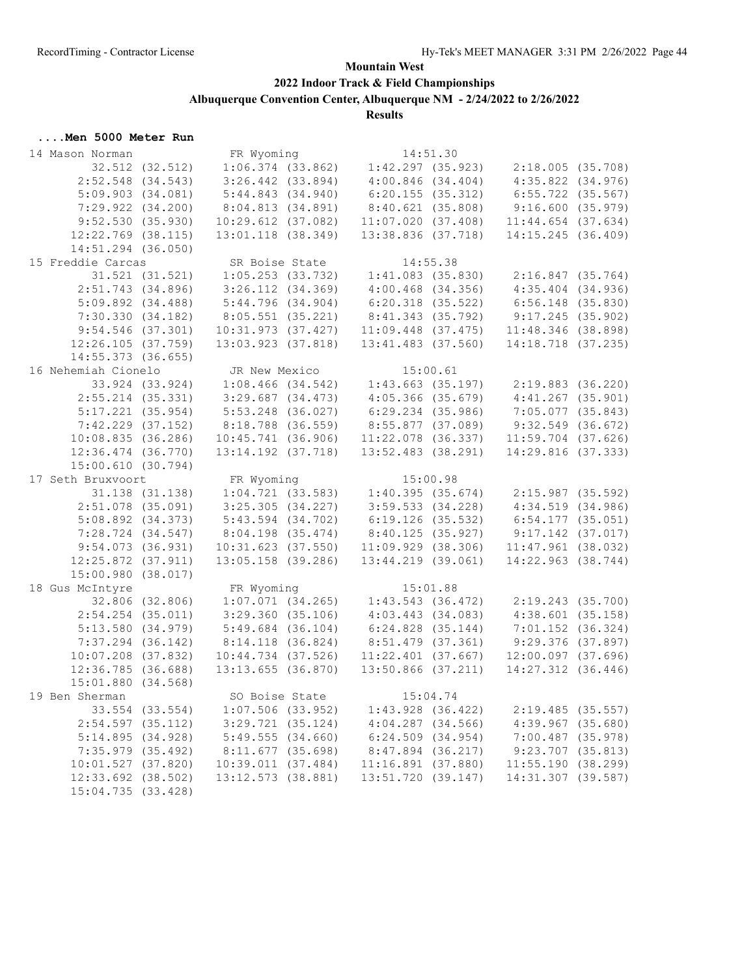**Albuquerque Convention Center, Albuquerque NM - 2/24/2022 to 2/26/2022**

**Results**

| 14 Mason Norman                          |                       | FR Wyoming                                   |                     |                                         | 14:51.30 |                       |  |
|------------------------------------------|-----------------------|----------------------------------------------|---------------------|-----------------------------------------|----------|-----------------------|--|
|                                          | 32.512 (32.512)       | $1:06.374$ (33.862)                          |                     | $1:42.297$ (35.923)                     |          | 2:18.005(35.708)      |  |
| $2:52.548$ (34.543)                      |                       | $3:26.442$ (33.894)                          |                     | 4:00.846(34.404)                        |          | $4:35.822$ $(34.976)$ |  |
| $5:09.903$ $(34.081)$                    |                       | $5:44.843$ $(34.940)$                        |                     | 6:20.155(35.312)                        |          | $6:55.722$ $(35.567)$ |  |
|                                          | 7:29.922(34.200)      | 8:04.813 (34.891)                            |                     | 8:40.621(35.808)                        |          | 9:16.600(35.979)      |  |
| 9:52.530(35.930)                         |                       | $10:29.612$ (37.082)                         |                     | 11:07.020(37.408)                       |          | $11:44.654$ (37.634)  |  |
| $12:22.769$ (38.115)                     |                       | 13:01.118 (38.349)                           |                     | 13:38.836 (37.718)                      |          | 14:15.245(36.409)     |  |
| 14:51.294 (36.050)                       |                       |                                              |                     |                                         |          |                       |  |
| 15 Freddie Carcas                        |                       |                                              | SR Boise State      |                                         | 14:55.38 |                       |  |
|                                          | 31.521 (31.521)       |                                              | $1:05.253$ (33.732) | 1:41.083(35.830)                        |          | 2:16.847(35.764)      |  |
|                                          | $2:51.743$ (34.896)   | $3:26.112$ $(34.369)$                        |                     | $4:00.468$ $(34.356)$                   |          | $4:35.404$ $(34.936)$ |  |
|                                          | $5:09.892$ $(34.488)$ | 5:44.796(34.904)                             |                     | $6:20.318$ $(35.522)$                   |          | $6:56.148$ (35.830)   |  |
| 7:30.330(34.182)                         |                       | 8:05.551 (35.221)                            |                     | 8:41.343 (35.792)                       |          | 9:17.245(35.902)      |  |
| $9:54.546$ (37.301)                      |                       | 10:31.973(37.427)                            |                     | $11:09.448$ (37.475)                    |          | $11:48.346$ (38.898)  |  |
| 12:26.105(37.759)                        |                       | $13:03.923$ $(37.818)$                       |                     | 13:41.483 (37.560)                      |          |                       |  |
|                                          |                       |                                              |                     |                                         |          | 14:18.718 (37.235)    |  |
| 14:55.373 (36.655)                       |                       |                                              |                     |                                         |          |                       |  |
| 16 Nehemiah Cionelo                      |                       | JR New Mexico                                |                     | $1:08.466$ (34.542) $1:43.663$ (35.197) | 15:00.61 |                       |  |
|                                          | 33.924 (33.924)       |                                              |                     |                                         |          | $2:19.883$ (36.220)   |  |
|                                          | $2:55.214$ (35.331)   | $3:29.687$ $(34.473)$                        |                     | $4:05.366$ (35.679)                     |          | $4:41.267$ (35.901)   |  |
|                                          | $5:17.221$ $(35.954)$ | 5:53.248 (36.027)                            |                     | $6:29.234$ $(35.986)$                   |          | 7:05.077(35.843)      |  |
| $7:42.229$ $(37.152)$                    |                       | $8:18.788$ (36.559)                          |                     | 8:55.877 (37.089)                       |          | $9:32.549$ (36.672)   |  |
| 10:08.835(36.286)                        |                       | $10:45.741$ (36.906)                         |                     | $11:22.078$ (36.337)                    |          | $11:59.704$ (37.626)  |  |
| $12:36.474$ (36.770)                     |                       | 13:14.192 (37.718)                           |                     | $13:52.483$ (38.291)                    |          | 14:29.816 (37.333)    |  |
|                                          | 15:00.610 (30.794)    |                                              |                     |                                         |          |                       |  |
|                                          |                       |                                              |                     |                                         |          |                       |  |
| 17 Seth Bruxvoort                        |                       | FR Wyoming                                   |                     |                                         | 15:00.98 |                       |  |
|                                          | 31.138 (31.138)       |                                              | $1:04.721$ (33.583) | 1:40.395(35.674)                        |          | 2:15.987 (35.592)     |  |
| $2:51.078$ (35.091)                      |                       | $3:25.305$ $(34.227)$                        |                     | 3:59.533(34.228)                        |          | $4:34.519$ $(34.986)$ |  |
| $5:08.892$ $(34.373)$                    |                       | $5:43.594$ $(34.702)$                        |                     | 6:19.126(35.532)                        |          | $6:54.177$ (35.051)   |  |
|                                          | $7:28.724$ $(34.547)$ | 8:04.198(35.474)                             |                     | 8:40.125(35.927)                        |          | $9:17.142$ (37.017)   |  |
| $9:54.073$ (36.931)                      |                       |                                              |                     | 11:09.929(38.306)                       |          | $11:47.961$ (38.032)  |  |
| 12:25.872 (37.911)                       |                       | $10:31.623$ (37.550)<br>$13:05.158$ (39.286) |                     | $13:44.219$ (39.061)                    |          | 14:22.963 (38.744)    |  |
| 15:00.980 (38.017)                       |                       |                                              |                     |                                         |          |                       |  |
|                                          |                       |                                              |                     |                                         | 15:01.88 |                       |  |
| 18 Gus McIntyre                          |                       | FR Wyoming                                   |                     |                                         |          |                       |  |
|                                          | 32.806 (32.806)       | $1:07.071$ $(34.265)$                        |                     | 1:43.543(36.472)                        |          | $2:19.243$ (35.700)   |  |
|                                          | $2:54.254$ (35.011)   | $3:29.360$ (35.106)                          |                     | $4:03.443$ $(34.083)$                   |          | $4:38.601$ (35.158)   |  |
| 5:13.580(34.979)                         |                       | $5:49.684$ (36.104)                          |                     | $6:24.828$ $(35.144)$                   |          | $7:01.152$ (36.324)   |  |
| $7:37.294$ (36.142)                      |                       | 8:14.118 (36.824)                            |                     | 8:51.479 (37.361)                       |          | $9:29.376$ (37.897)   |  |
| $10:07.208$ (37.832)                     |                       | $10:44.734$ (37.526)                         |                     | $11:22.401$ (37.667)                    |          | $12:00.097$ (37.696)  |  |
| $12:36.785$ (36.688)                     |                       | $13:13.655$ (36.870)                         |                     | $13:50.866$ $(37.211)$                  |          | 14:27.312 (36.446)    |  |
| 15:01.880 (34.568)                       |                       |                                              |                     |                                         |          |                       |  |
| 19 Ben Sherman                           |                       | SO Boise State                               |                     |                                         | 15:04.74 |                       |  |
|                                          | 33.554 (33.554)       | $1:07.506$ (33.952)                          |                     | 1:43.928 (36.422)                       |          | 2:19.485(35.557)      |  |
| $2:54.597$ (35.112)                      |                       | $3:29.721$ $(35.124)$                        |                     | $4:04.287$ $(34.566)$                   |          | $4:39.967$ $(35.680)$ |  |
| 5:14.895(34.928)                         |                       | 5:49.555(34.660)                             |                     | $6:24.509$ $(34.954)$                   |          | $7:00.487$ (35.978)   |  |
| $7:35.979$ (35.492)                      |                       | $8:11.677$ (35.698)                          |                     | $8:47.894$ (36.217)                     |          | $9:23.707$ (35.813)   |  |
| 10:01.527 (37.820)                       |                       | 10:39.011 (37.484)                           |                     | 11:16.891(37.880)                       |          | 11:55.190(38.299)     |  |
| 12:33.692 (38.502)<br>15:04.735 (33.428) |                       | 13:12.573 (38.881)                           |                     | 13:51.720 (39.147)                      |          | 14:31.307 (39.587)    |  |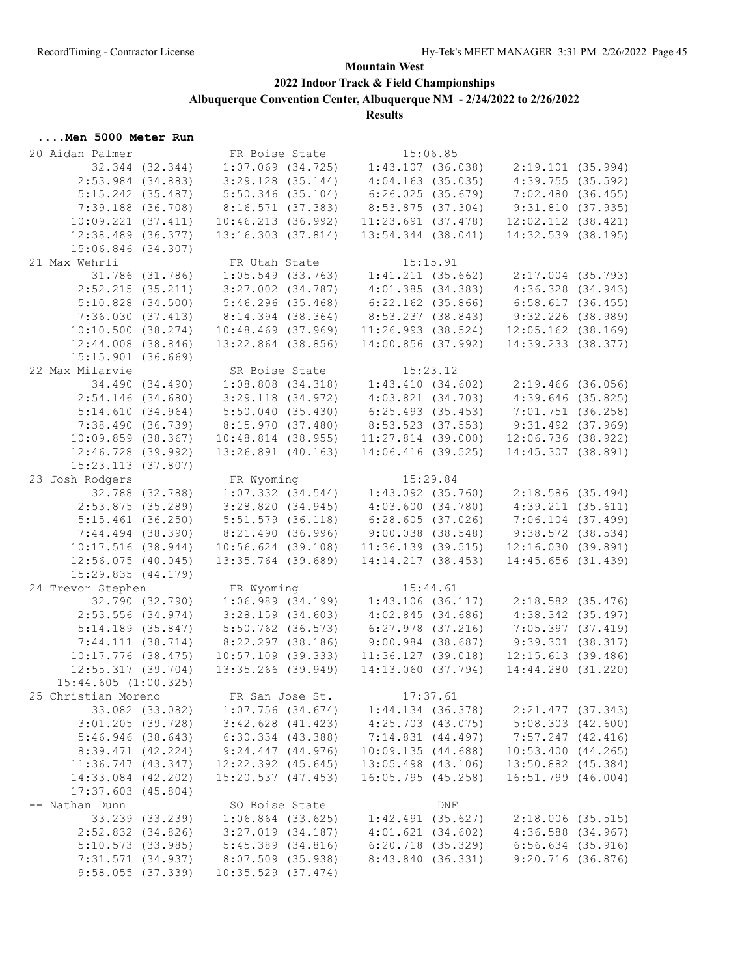**Results**

| 20 Aidan Palmer          |                 | FR Boise State                                          |                        | 15:06.85 |                                            |  |
|--------------------------|-----------------|---------------------------------------------------------|------------------------|----------|--------------------------------------------|--|
|                          | 32.344 (32.344) | $1:07.069$ $(34.725)$                                   | $1:43.107$ (36.038)    |          | 2:19.101 (35.994)                          |  |
| $2:53.984$ (34.883)      |                 | $3:29.128$ (35.144)                                     | $4:04.163$ (35.035)    |          | 4:39.755(35.592)                           |  |
| $5:15.242$ (35.487)      |                 | $5:50.346$ (35.104)                                     | 6:26.025(35.679)       |          | 7:02.480(36.455)                           |  |
| 7:39.188 (36.708)        |                 | 8:16.571(37.383)                                        | 8:53.875 (37.304)      |          | 9:31.810(37.935)                           |  |
| $10:09.221$ $(37.411)$   |                 | 10:46.213(36.992)                                       | 11:23.691(37.478)      |          | $12:02.112$ $(38.421)$                     |  |
| 12:38.489 (36.377)       |                 | $13:16.303$ $(37.814)$                                  | $13:54.344$ $(38.041)$ |          | 14:32.539 (38.195)                         |  |
| 15:06.846 (34.307)       |                 |                                                         |                        |          |                                            |  |
| 21 Max Wehrli            |                 | FR Utah State                                           |                        | 15:15.91 |                                            |  |
|                          | 31.786 (31.786) | $1:05.549$ (33.763)                                     |                        |          | $1:41.211$ (35.662) $2:17.004$ (35.793)    |  |
| $2:52.215$ (35.211)      |                 | $3:27.002$ $(34.787)$                                   | 4:01.385(34.383)       |          | 4:36.328 (34.943)                          |  |
| $5:10.828$ $(34.500)$    |                 | 5:46.296(35.468)                                        | $6:22.162$ (35.866)    |          | $6:58.617$ (36.455)                        |  |
| 7:36.030(37.413)         |                 | 8:14.394(38.364)                                        | 8:53.237 (38.843)      |          | $9:32.226$ (38.989)                        |  |
| 10:10.500(38.274)        |                 | $10:48.469$ $(37.969)$                                  | 11:26.993(38.524)      |          | $12:05.162$ (38.169)                       |  |
| $12:44.008$ $(38.846)$   |                 | 13:22.864 (38.856)                                      | $14:00.856$ (37.992)   |          | 14:39.233 (38.377)                         |  |
| $15:15.901$ (36.669)     |                 |                                                         |                        |          |                                            |  |
| 22 Max Milarvie          |                 | SR Boise State                                          |                        | 15:23.12 |                                            |  |
|                          | 34.490 (34.490) | $1:08.808$ (34.318) 1:43.410 (34.602) 2:19.466 (36.056) |                        |          |                                            |  |
| $2:54.146$ (34.680)      |                 | $3:29.118$ (34.972)                                     | 4:03.821(34.703)       |          | $4:39.646$ (35.825)                        |  |
| 5:14.610(34.964)         |                 | 5:50.040(35.430)                                        | 6:25.493(35.453)       |          | 7:01.751(36.258)                           |  |
| 7:38.490 (36.739)        |                 | 8:15.970(37.480)                                        | 8:53.523 (37.553)      |          | $9:31.492$ (37.969)                        |  |
| $10:09.859$ (38.367)     |                 | $10:48.814$ (38.955)                                    | $11:27.814$ (39.000)   |          | $12:06.736$ (38.922)                       |  |
| $12:46.728$ (39.992)     |                 | 13:26.891 (40.163)                                      | $14:06.416$ (39.525)   |          | 14:45.307 (38.891)                         |  |
| 15:23.113 (37.807)       |                 |                                                         |                        |          |                                            |  |
| 23 Josh Rodgers          |                 | FR Wyoming                                              |                        | 15:29.84 |                                            |  |
|                          | 32.788 (32.788) | $1:07.332$ $(34.544)$                                   |                        |          | $1:43.092$ (35.760) $2:18.586$ (35.494)    |  |
| $2:53.875$ (35.289)      |                 | 3:28.820(34.945)                                        | 4:03.600(34.780)       |          | 4:39.211(35.611)                           |  |
| $5:15.461$ (36.250)      |                 | $5:51.579$ (36.118)                                     | 6:28.605(37.026)       |          | $7:06.104$ $(37.499)$                      |  |
| 7:44.494 (38.390)        |                 | 8:21.490 (36.996)                                       | $9:00.038$ (38.548)    |          | $9:38.572$ (38.534)                        |  |
| 10:17.516(38.944)        |                 | $10:56.624$ (39.108)                                    | $11:36.139$ (39.515)   |          | 12:16.030 (39.891)                         |  |
| $12:56.075$ (40.045)     |                 | 13:35.764 (39.689)                                      | 14:14.217(38.453)      |          | 14:45.656 (31.439)                         |  |
| 15:29.835(44.179)        |                 |                                                         |                        |          |                                            |  |
| 24 Trevor Stephen        |                 |                                                         |                        | 15:44.61 |                                            |  |
|                          | 32.790 (32.790) | FR Wyoming<br>$1:06.989$ $(34.199)$                     | $1:43.106$ (36.117)    |          |                                            |  |
| $2:53.556$ (34.974)      |                 | $3:28.159$ $(34.603)$                                   | 4:02.845(34.686)       |          | 2:18.582 (35.476)<br>$4:38.342$ $(35.497)$ |  |
|                          |                 |                                                         |                        |          |                                            |  |
| $5:14.189$ (35.847)      |                 | $5:50.762$ (36.573)                                     | $6:27.978$ $(37.216)$  |          | 7:05.397(37.419)                           |  |
| 7:44.111(38.714)         |                 | $8:22.297$ (38.186)                                     | $9:00.984$ (38.687)    |          | 9:39.301(38.317)                           |  |
| $10:17.776$ (38.475)     |                 | $10:57.109$ (39.333)                                    | 11:36.127(39.018)      |          | 12:15.613(39.486)                          |  |
| 12:55.317(39.704)        |                 | 13:35.266 (39.949)                                      | 14:13.060(37.794)      |          | 14:44.280 (31.220)                         |  |
| $15:44.605$ $(1:00.325)$ |                 |                                                         |                        |          |                                            |  |
| 25 Christian Moreno      |                 | FR San Jose St.                                         |                        | 17:37.61 |                                            |  |
|                          | 33.082 (33.082) | $1:07.756$ $(34.674)$                                   | $1:44.134$ $(36.378)$  |          | $2:21.477$ (37.343)                        |  |
| $3:01.205$ (39.728)      |                 | $3:42.628$ $(41.423)$                                   | $4:25.703$ $(43.075)$  |          | $5:08.303$ $(42.600)$                      |  |
| 5:46.946(38.643)         |                 | 6:30.334 (43.388)                                       | 7:14.831 (44.497)      |          | $7:57.247$ $(42.416)$                      |  |
| 8:39.471 (42.224)        |                 | 9:24.447(44.976)                                        | 10:09.135(44.688)      |          | $10:53.400$ $(44.265)$                     |  |
| 11:36.747 (43.347)       |                 | 12:22.392 (45.645)                                      | 13:05.498 (43.106)     |          | 13:50.882 (45.384)                         |  |
| 14:33.084 (42.202)       |                 | $15:20.537$ $(47.453)$                                  | 16:05.795(45.258)      |          | 16:51.799 (46.004)                         |  |
| $17:37.603$ (45.804)     |                 |                                                         |                        |          |                                            |  |
| -- Nathan Dunn           |                 | SO Boise State                                          |                        | DNF      |                                            |  |
|                          | 33.239 (33.239) | $1:06.864$ (33.625)                                     | $1:42.491$ (35.627)    |          | $2:18.006$ (35.515)                        |  |
| 2:52.832 (34.826)        |                 | $3:27.019$ $(34.187)$                                   | 4:01.621(34.602)       |          | 4:36.588 (34.967)                          |  |
| 5:10.573 (33.985)        |                 | $5:45.389$ $(34.816)$                                   | $6:20.718$ $(35.329)$  |          | $6:56.634$ $(35.916)$                      |  |
| 7:31.571 (34.937)        |                 | 8:07.509 (35.938)                                       | 8:43.840 (36.331)      |          | $9:20.716$ (36.876)                        |  |
| $9:58.055$ (37.339)      |                 | $10:35.529$ (37.474)                                    |                        |          |                                            |  |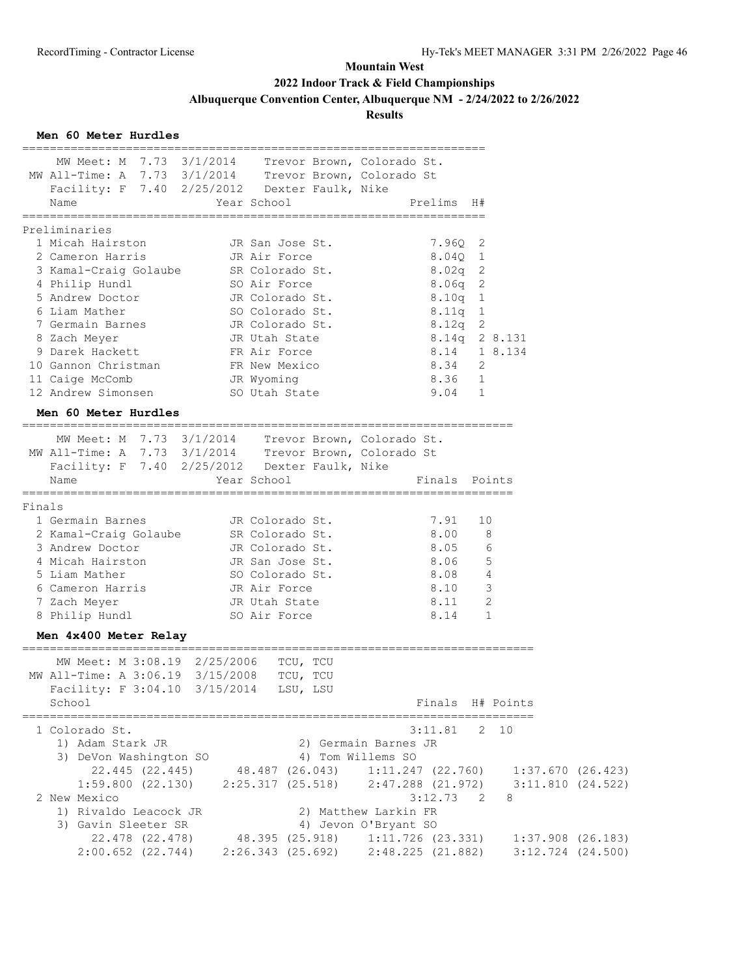#### **Men 60 Meter Hurdles**

|        | MW Meet: M 7.73 3/1/2014 Trevor Brown, Colorado St.                                                           |                 |                  |                       |                  |                            |                       |
|--------|---------------------------------------------------------------------------------------------------------------|-----------------|------------------|-----------------------|------------------|----------------------------|-----------------------|
|        | MW All-Time: A 7.73 3/1/2014 Trevor Brown, Colorado St                                                        |                 |                  |                       |                  |                            |                       |
|        | Facility: F 7.40 2/25/2012 Dexter Faulk, Nike                                                                 |                 |                  |                       |                  |                            |                       |
|        | Name                                                                                                          | Year School     |                  |                       | Prelims          | H#                         |                       |
|        |                                                                                                               |                 |                  |                       |                  |                            |                       |
|        | Preliminaries                                                                                                 |                 |                  |                       |                  |                            |                       |
|        | 1 Micah Hairston JR San Jose St.                                                                              |                 |                  |                       | 7.96Q 2          |                            |                       |
|        | 2 Cameron Harris                                                                                              |                 | JR Air Force     |                       | 8.04Q 1          |                            |                       |
|        | 3 Kamal-Craig Golaube                                                                                         |                 | SR Colorado St.  |                       | $8.02q$ 2        |                            |                       |
|        | 4 Philip Hundl                                                                                                |                 | SO Air Force     |                       | $8.06q$ 2        |                            |                       |
|        | 5 Andrew Doctor                                                                                               |                 | JR Colorado St.  |                       | $8.10q$ 1        |                            |                       |
|        | 6 Liam Mather                                                                                                 |                 | SO Colorado St.  |                       | $8.11q$ 1        |                            |                       |
|        | 7 Germain Barnes TR Colorado St.                                                                              |                 |                  |                       | $8.12q$ 2        |                            |                       |
|        | 8 Zach Meyer                                                                                                  |                 | JR Utah State    |                       | 8.14q 2 8.131    |                            |                       |
|        | 9 Darek Hackett                                                                                               |                 | FR Air Force     |                       | 8.14 1 8.134     |                            |                       |
|        | 10 Gannon Christman<br>11 Caige McComb                                                                        |                 | FR New Mexico    |                       | 8.34             | 2                          |                       |
|        |                                                                                                               |                 | JR Wyoming       |                       | $8.36$ 1         |                            |                       |
|        | 12 Andrew Simonsen                                                                                            |                 | SO Utah State    |                       | $9.04$ 1         |                            |                       |
|        | Men 60 Meter Hurdles                                                                                          |                 |                  |                       |                  |                            |                       |
|        |                                                                                                               |                 |                  |                       |                  |                            |                       |
|        |                                                                                                               |                 |                  |                       |                  |                            |                       |
|        | MW Meet: M 7.73 3/1/2014 Trevor Brown, Colorado St.<br>MW All-Time: A 7.73 3/1/2014 Trevor Brown, Colorado St |                 |                  |                       |                  |                            |                       |
|        | Facility: F 7.40 2/25/2012 Dexter Faulk, Nike                                                                 |                 |                  |                       |                  |                            |                       |
|        | Name                                                                                                          |                 | Year School      |                       | Finals Points    |                            |                       |
|        |                                                                                                               |                 |                  |                       |                  |                            |                       |
| Finals | 1 Germain Barnes                                                                                              | JR Colorado St. |                  |                       | 7.91             | 10                         |                       |
|        | 2 Kamal-Craig Golaube SR Colorado St.                                                                         |                 |                  |                       | 8.00 8           |                            |                       |
|        | 3 Andrew Doctor                                                                                               |                 | JR Colorado St.  |                       | $8.05$ 6         |                            |                       |
|        | 4 Micah Hairston JR San Jose St.                                                                              |                 |                  |                       | 8.06             | 5                          |                       |
|        | 5 Liam Mather                                                                                                 |                 | SO Colorado St.  |                       |                  |                            |                       |
|        | 6 Cameron Harris                                                                                              |                 | JR Air Force     |                       | 8.08 4<br>8.10 3 |                            |                       |
|        | 7 Zach Meyer                                                                                                  |                 | JR Utah State    |                       | 8.11             | $\overline{\phantom{0}}^2$ |                       |
|        | 8 Philip Hundl                                                                                                |                 | SO Air Force     |                       | 8.14             | 1                          |                       |
|        |                                                                                                               |                 |                  |                       |                  |                            |                       |
|        | Men 4x400 Meter Relay                                                                                         |                 |                  |                       |                  |                            |                       |
|        | MW Meet: M 3:08.19 2/25/2006 TCU, TCU                                                                         |                 |                  |                       |                  |                            |                       |
|        | MW All-Time: A 3:06.19 3/15/2008 TCU, TCU                                                                     |                 |                  |                       |                  |                            |                       |
|        | Facility: F 3:04.10 3/15/2014 LSU, LSU                                                                        |                 |                  |                       |                  |                            |                       |
|        | School                                                                                                        |                 |                  |                       | Finals           |                            | H# Points             |
|        |                                                                                                               |                 |                  |                       |                  |                            |                       |
|        | 1 Colorado St.                                                                                                |                 |                  |                       | 3:11.81          |                            | 2 10                  |
|        | 1) Adam Stark JR                                                                                              |                 |                  | 2) Germain Barnes JR  |                  |                            |                       |
|        | 3) DeVon Washington SO                                                                                        |                 |                  | 4) Tom Willems SO     |                  |                            |                       |
|        | 22.445 (22.445)                                                                                               |                 | 48.487 (26.043)  | $1:11.247$ (22.760)   |                  |                            | 1:37.670(26.423)      |
|        | 1:59.800(22.130)                                                                                              |                 | 2:25.317(25.518) | $2:47.288$ $(21.972)$ |                  |                            | 3:11.810(24.522)      |
|        | 2 New Mexico                                                                                                  |                 |                  |                       | 3:12.73          | 2                          | 8                     |
|        | 1) Rivaldo Leacock JR                                                                                         |                 |                  | 2) Matthew Larkin FR  |                  |                            |                       |
|        | 3) Gavin Sleeter SR                                                                                           |                 |                  | 4) Jevon O'Bryant SO  |                  |                            |                       |
|        | 22.478 (22.478)                                                                                               |                 | 48.395 (25.918)  | 1:11.726 (23.331)     |                  |                            | $1:37.908$ $(26.183)$ |
|        | $2:00.652$ $(22.744)$                                                                                         |                 | 2:26.343(25.692) | 2:48.225(21.882)      |                  |                            | $3:12.724$ $(24.500)$ |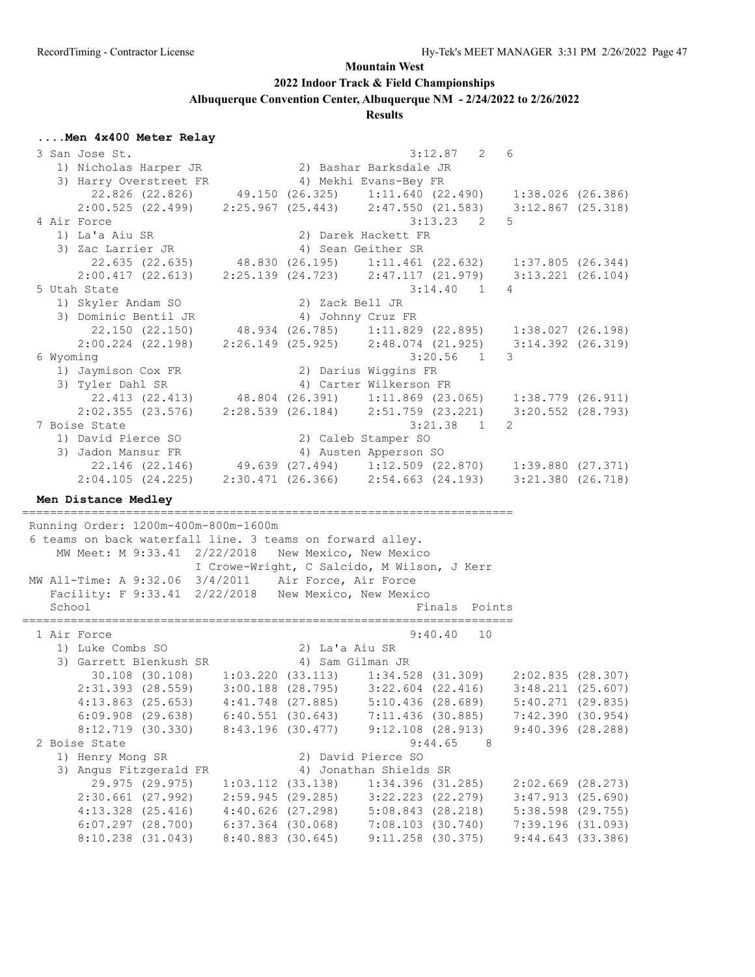**Albuquerque Convention Center, Albuquerque NM - 2/24/2022 to 2/26/2022**

### **Results**

### **....Men 4x400 Meter Relay**

| 3 San Jose St.                                            |                       | $3:12.87$ 2 6                                                                                  |                                              |  |
|-----------------------------------------------------------|-----------------------|------------------------------------------------------------------------------------------------|----------------------------------------------|--|
| 1) Nicholas Harper JR                                     |                       | 2) Bashar Barksdale JR                                                                         |                                              |  |
| 3) Harry Overstreet FR 4) Mekhi Evans-Bey FR              |                       |                                                                                                |                                              |  |
|                                                           |                       | $22.826$ (22.826) 49.150 (26.325) 1:11.640 (22.490) 1:38.026 (26.386)                          |                                              |  |
|                                                           |                       | 2:00.525 (22.499) 2:25.967 (25.443) 2:47.550 (21.583) 3:12.867 (25.318)                        |                                              |  |
| 4 Air Force                                               |                       | $3:13.23$ 2 5                                                                                  |                                              |  |
| 1) La'a Aiu SR                                            |                       | 2) Darek Hackett FR                                                                            |                                              |  |
| 3) Zac Larrier JR                                         |                       | 4) Sean Geither SR                                                                             |                                              |  |
|                                                           |                       | 22.635 (22.635) 48.830 (26.195) 1:11.461 (22.632) 1:37.805 (26.344)                            |                                              |  |
|                                                           |                       | $2:00.417$ (22.613) $2:25.139$ (24.723) $2:47.117$ (21.979) $3:13.221$ (26.104)                |                                              |  |
| 5 Utah State                                              |                       | $3:14.40$ 1 4                                                                                  |                                              |  |
| 1) Skyler Andam SO                                        |                       | 2) Zack Bell JR                                                                                |                                              |  |
| 3) Dominic Bentil JR                                      |                       | 4) Johnny Cruz FR                                                                              |                                              |  |
|                                                           |                       | 22.150 (22.150) 48.934 (26.785) 1:11.829 (22.895) 1:38.027 (26.198)                            |                                              |  |
| $2:00.224$ $(22.198)$                                     |                       | 2:26.149 (25.925) 2:48.074 (21.925) 3:14.392 (26.319)                                          |                                              |  |
| 6 Wyoming                                                 |                       | $3:20.56$ 1                                                                                    | 3                                            |  |
| 1) Jaymison Cox FR                                        |                       | 2) Darius Wiggins FR                                                                           |                                              |  |
| 3) Tyler Dahl SR                                          |                       | 4) Carter Wilkerson FR                                                                         |                                              |  |
|                                                           |                       | 1, Caller Wilkerson FK<br>22.413 (22.413) 48.804 (26.391) 1:11.869 (23.065) 1:38.779 (26.911)  |                                              |  |
|                                                           |                       | $2:02.355$ (23.576) $2:28.539$ (26.184) $2:51.759$ (23.221) $3:20.552$ (28.793)                |                                              |  |
| 7 Boise State                                             |                       | $3:21.38$ 1                                                                                    | 2                                            |  |
| 1) David Pierce SO                                        |                       | 2) Caleb Stamper SO                                                                            |                                              |  |
| 3) Jadon Mansur FR                                        |                       | 4) Austen Apperson SO                                                                          |                                              |  |
| 22.146 (22.146)                                           |                       | 49.639 (27.494) 1:12.509 (22.870) 1:39.880 (27.371)                                            |                                              |  |
|                                                           |                       | 2:04.105 (24.225) 2:30.471 (26.366) 2:54.663 (24.193) 3:21.380 (26.718)                        |                                              |  |
|                                                           |                       |                                                                                                |                                              |  |
| Men Distance Medley                                       |                       |                                                                                                |                                              |  |
| Running Order: 1200m-400m-800m-1600m                      |                       |                                                                                                |                                              |  |
| 6 teams on back waterfall line. 3 teams on forward alley. |                       |                                                                                                |                                              |  |
| MW Meet: M 9:33.41 2/22/2018 New Mexico, New Mexico       |                       |                                                                                                |                                              |  |
|                                                           |                       | I Crowe-Wright, C Salcido, M Wilson, J Kerr                                                    |                                              |  |
| MW All-Time: A 9:32.06 3/4/2011 Air Force, Air Force      |                       |                                                                                                |                                              |  |
| Facility: F 9:33.41 2/22/2018 New Mexico, New Mexico      |                       |                                                                                                |                                              |  |
| School                                                    |                       | Finals Points                                                                                  |                                              |  |
| ==================                                        |                       |                                                                                                |                                              |  |
| 1 Air Force                                               |                       | 9:40.40 10                                                                                     |                                              |  |
| 1) Luke Combs SO                                          |                       | 2) La'a Aiu SR                                                                                 |                                              |  |
| 3) Garrett Blenkush SR (4) Sam Gilman JR                  |                       |                                                                                                |                                              |  |
|                                                           |                       | 30.108 (30.108) 1:03.220 (33.113) 1:34.528 (31.309) 2:02.835 (28.307)                          |                                              |  |
|                                                           |                       | $2:31.393$ (28.559) $3:00.188$ (28.795) $3:22.604$ (22.416)                                    | $3:48.211$ (25.607)                          |  |
|                                                           |                       |                                                                                                |                                              |  |
|                                                           |                       |                                                                                                |                                              |  |
|                                                           |                       | 4:13.863 (25.653) 4:41.748 (27.885) 5:10.436 (28.689) 5:40.271 (29.835)<br>$7:11.436$ (30.885) |                                              |  |
| $6:09.908$ (29.638)                                       | $6:40.551$ (30.643)   |                                                                                                | 7:42.390(30.954)                             |  |
| $8:12.719$ (30.330)                                       | $8:43.196$ (30.477)   | 9:12.108(28.913)<br>8                                                                          | $9:40.396$ (28.288)                          |  |
| 2 Boise State                                             |                       | 9:44.65<br>2) David Pierce SO                                                                  |                                              |  |
| 1) Henry Mong SR                                          |                       | 4) Jonathan Shields SR                                                                         |                                              |  |
| 3) Angus Fitzgerald FR                                    | $1:03.112$ $(33.138)$ |                                                                                                | $2:02.669$ (28.273)                          |  |
| 29.975 (29.975)                                           | $2:59.945$ (29.285)   | 1:34.396 (31.285)                                                                              |                                              |  |
| $2:30.661$ (27.992)<br>$4:13.328$ $(25.416)$              | $4:40.626$ $(27.298)$ | $3:22.223$ $(22.279)$<br>5:08.843(28.218)                                                      | $3:47.913$ (25.690)<br>$5:38.598$ $(29.755)$ |  |
| $6:07.297$ (28.700)                                       | $6:37.364$ (30.068)   | $7:08.103$ $(30.740)$                                                                          | 7:39.196(31.093)                             |  |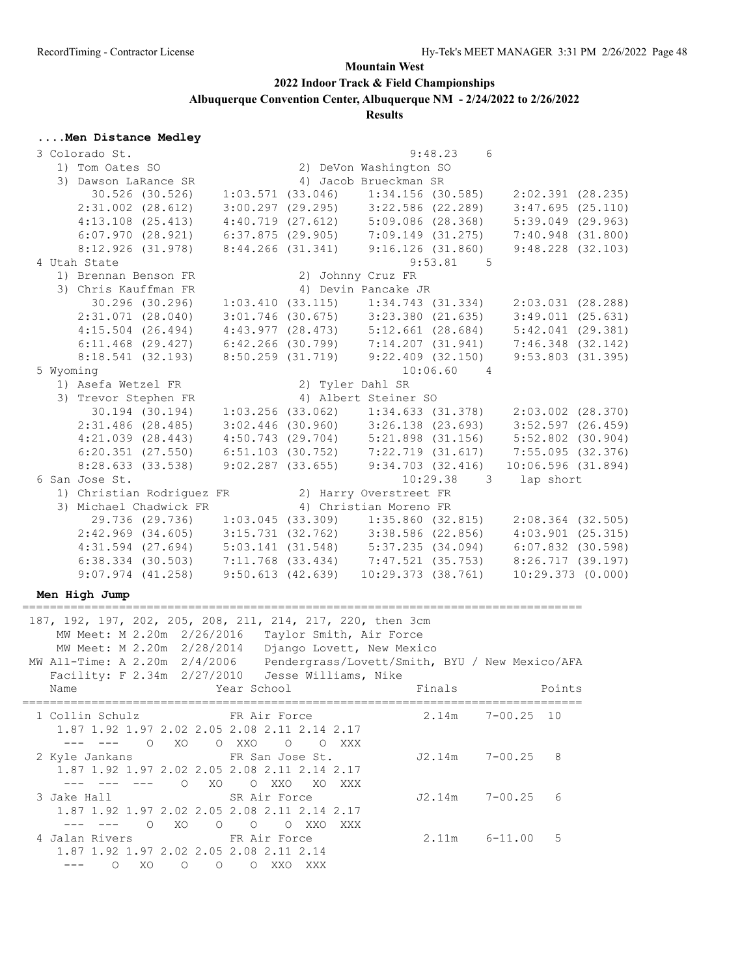### **Results**

### **....Men Distance Medley**

| 3 Colorado St.                                             |                                                                                                                                                                                                                                          | 9:48.23<br>6                        |                       |  |
|------------------------------------------------------------|------------------------------------------------------------------------------------------------------------------------------------------------------------------------------------------------------------------------------------------|-------------------------------------|-----------------------|--|
| 1) Tom Oates SO                                            | 2) DeVon Washington SO                                                                                                                                                                                                                   |                                     |                       |  |
| 3) Dawson LaRance SR                                       | 4) Jacob Brueckman SR                                                                                                                                                                                                                    |                                     |                       |  |
| 30.526 (30.526)                                            | $1:03.571$ (33.046) $1:34.156$ (30.585)                                                                                                                                                                                                  |                                     | 2:02.391 (28.235)     |  |
| $2:31.002$ $(28.612)$                                      | $3:00.297$ (29.295) $3:22.586$ (22.289)                                                                                                                                                                                                  |                                     | 3:47.695(25.110)      |  |
| $4:13.108$ $(25.413)$                                      | $4:40.719$ (27.612) 5:09.086 (28.368)                                                                                                                                                                                                    |                                     | $5:39.049$ (29.963)   |  |
| $6:07.970$ $(28.921)$                                      | $6:37.875$ (29.905) $7:09.149$ (31.275)                                                                                                                                                                                                  |                                     | $7:40.948$ $(31.800)$ |  |
| 8:12.926(31.978)                                           | $8:44.266$ (31.341) 9:16.126 (31.860)                                                                                                                                                                                                    |                                     | $9:48.228$ (32.103)   |  |
| 4 Utah State                                               |                                                                                                                                                                                                                                          | 9:53.81<br>$-5$                     |                       |  |
| 1) Brennan Benson FR                                       | 2) Johnny Cruz FR                                                                                                                                                                                                                        |                                     |                       |  |
| 3) Chris Kauffman FR                                       | 4) Devin Pancake JR                                                                                                                                                                                                                      |                                     |                       |  |
| 30.296 (30.296)                                            | $1:03.410$ (33.115) $1:34.743$ (31.334)                                                                                                                                                                                                  |                                     | 2:03.031 (28.288)     |  |
| $2:31.071$ $(28.040)$                                      | $3:01.746$ (30.675) $3:23.380$ (21.635)                                                                                                                                                                                                  |                                     | $3:49.011$ $(25.631)$ |  |
|                                                            |                                                                                                                                                                                                                                          |                                     |                       |  |
| $4:15.504$ (26.494)                                        | 4:43.977 (28.473) 5:12.661 (28.684) 5:42.041 (29.381)                                                                                                                                                                                    |                                     |                       |  |
| $6:11.468$ (29.427)                                        | $6:42.266$ (30.799) $7:14.207$ (31.941) $7:46.348$ (32.142)                                                                                                                                                                              |                                     |                       |  |
| 8:18.541(32.193)                                           | 8:50.259 (31.719) 9:22.409 (32.150)                                                                                                                                                                                                      |                                     | $9:53.803$ (31.395)   |  |
| 5 Wyoming                                                  |                                                                                                                                                                                                                                          | 10:06.60 4                          |                       |  |
| 1) Asefa Wetzel FR                                         | 2) Tyler Dahl SR                                                                                                                                                                                                                         |                                     |                       |  |
| 3) Trevor Stephen FR                                       | 4) Albert Steiner SO                                                                                                                                                                                                                     |                                     |                       |  |
| 30.194 (30.194)                                            | $1:03.256$ (33.062) $1:34.633$ (31.378) $2:03.002$ (28.370)                                                                                                                                                                              |                                     |                       |  |
| $2:31.486$ (28.485)                                        | $3:02.446$ (30.960) $3:26.138$ (23.693)                                                                                                                                                                                                  |                                     | $3:52.597$ (26.459)   |  |
| $4:21.039$ $(28.443)$                                      | $\begin{array}{cccc} 4:50.743 & (29.704) & 5:21.898 & (31.156) & 5:52.802 & (30.904) \\ 6:51.103 & (30.752) & 7:22.719 & (31.617) & 7:55.095 & (32.376) \\ 9:02.287 & (33.655) & 9:34.703 & (32.416) & 10:06.596 & (31.894) \end{array}$ |                                     |                       |  |
| $6:20.351$ $(27.550)$                                      |                                                                                                                                                                                                                                          |                                     |                       |  |
| 8:28.633 (33.538)                                          |                                                                                                                                                                                                                                          |                                     |                       |  |
| 6 San Jose St.                                             |                                                                                                                                                                                                                                          | 10:29.38<br>$\overline{\mathbf{3}}$ | lap short             |  |
| 1) Christian Rodriguez FR 2) Harry Overstreet FR           |                                                                                                                                                                                                                                          |                                     |                       |  |
| 3) Michael Chadwick FR                                     | 4) Christian Moreno FR                                                                                                                                                                                                                   |                                     |                       |  |
|                                                            |                                                                                                                                                                                                                                          |                                     | $2:08.364$ (32.505)   |  |
|                                                            | $\begin{array}{cccc} 29.736 & (29.736) & 1:03.045 & (33.309) & 1:35.860 & (32.815) \\ 2:42.969 & (34.605) & 3:15.731 & (32.762) & 3:38.586 & (22.856) \\ 4:31.594 & (27.694) & 5:03.141 & (31.548) & 5:37.235 & (34.094) \end{array}$    |                                     | $4:03.901$ $(25.315)$ |  |
|                                                            |                                                                                                                                                                                                                                          |                                     | $6:07.832$ (30.598)   |  |
| $6:38.334$ $(30.503)$                                      | $7:11.768$ (33.434) $7:47.521$ (35.753)                                                                                                                                                                                                  |                                     | 8:26.717 (39.197)     |  |
| $9:07.974$ $(41.258)$                                      | $9:50.613$ (42.639) 10:29.373 (38.761)                                                                                                                                                                                                   |                                     | 10:29.373 (0.000)     |  |
|                                                            |                                                                                                                                                                                                                                          |                                     |                       |  |
| Men High Jump                                              |                                                                                                                                                                                                                                          |                                     |                       |  |
|                                                            |                                                                                                                                                                                                                                          |                                     |                       |  |
| 187, 192, 197, 202, 205, 208, 211, 214, 217, 220, then 3cm |                                                                                                                                                                                                                                          |                                     |                       |  |
| MW Meet: M 2.20m 2/26/2016 Taylor Smith, Air Force         |                                                                                                                                                                                                                                          |                                     |                       |  |
| MW Meet: M 2.20m 2/28/2014                                 | Django Lovett, New Mexico                                                                                                                                                                                                                |                                     |                       |  |
| MW All-Time: A 2.20m 2/4/2006                              | Pendergrass/Lovett/Smith, BYU / New Mexico/AFA                                                                                                                                                                                           |                                     |                       |  |
| Facility: F 2.34m 2/27/2010                                | Jesse Williams, Nike                                                                                                                                                                                                                     |                                     |                       |  |
| Name                                                       | Year School                                                                                                                                                                                                                              | Finals                              | Points                |  |
|                                                            | =============                                                                                                                                                                                                                            |                                     |                       |  |
| 1 Collin Schulz TR Air Force                               |                                                                                                                                                                                                                                          | 2.14m 7-00.25 10                    |                       |  |
| 1.87 1.92 1.97 2.02 2.05 2.08 2.11 2.14 2.17               |                                                                                                                                                                                                                                          |                                     |                       |  |
| $--- - - - - 0$ XO                                         | OXXO O OXXX                                                                                                                                                                                                                              |                                     |                       |  |
| 2 Kyle Jankans TR San Jose St.                             |                                                                                                                                                                                                                                          | J2.14m 7-00.25 8                    |                       |  |
| 1.87 1.92 1.97 2.02 2.05 2.08 2.11 2.14 2.17               |                                                                                                                                                                                                                                          |                                     |                       |  |
| --- --- --- 0 XO 0 XXO XO XXX                              |                                                                                                                                                                                                                                          |                                     |                       |  |
|                                                            |                                                                                                                                                                                                                                          |                                     |                       |  |
| 3 Jake Hall Sandan State                                   | SR Air Force                                                                                                                                                                                                                             | J2.14m 7-00.25 6                    |                       |  |
| 1.87 1.92 1.97 2.02 2.05 2.08 2.11 2.14 2.17               |                                                                                                                                                                                                                                          |                                     |                       |  |
| --- --- 0 XO 0 0 0 XXO XXX                                 |                                                                                                                                                                                                                                          |                                     |                       |  |
| 4 Jalan Rivers TR Air Force                                |                                                                                                                                                                                                                                          |                                     | $2.11m$ $6-11.00$ 5   |  |
| 1.87 1.92 1.97 2.02 2.05 2.08 2.11 2.14                    |                                                                                                                                                                                                                                          |                                     |                       |  |
| --- 0 XO 0 0 0 XXO XXX                                     |                                                                                                                                                                                                                                          |                                     |                       |  |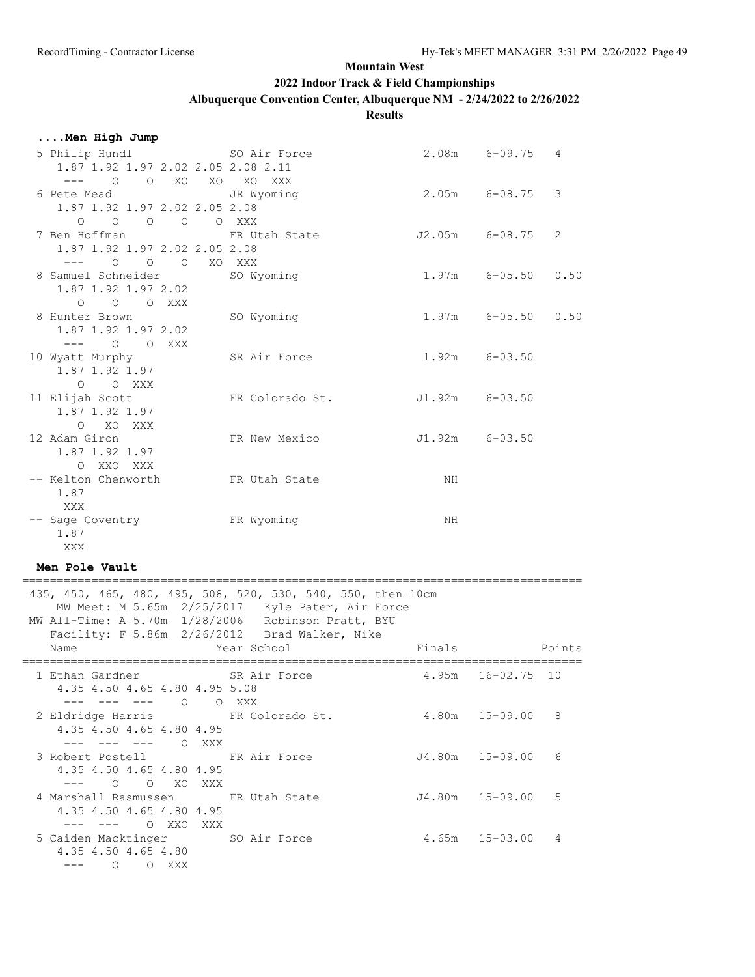# **2022 Indoor Track & Field Championships**

**Albuquerque Convention Center, Albuquerque NM - 2/24/2022 to 2/26/2022**

**Results**

|  |  | Men High Jump |
|--|--|---------------|
|  |  |               |
|  |  |               |

| 5 Philip Hundl SO Air Force        |                                |                      | $2.08m$ $6-09.75$    | 4 |
|------------------------------------|--------------------------------|----------------------|----------------------|---|
| 1.87 1.92 1.97 2.02 2.05 2.08 2.11 |                                |                      |                      |   |
| --- 0 0 XO XO XO XXX               |                                |                      |                      |   |
| 6 Pete Mead                        | JR Wyoming                     |                      | $2.05m$ 6-08.75      | 3 |
| 1.87 1.92 1.97 2.02 2.05 2.08      |                                |                      |                      |   |
| 0 0 0 0 0 XXX                      |                                |                      |                      |   |
| 7 Ben Hoffman Martin FR Utah State |                                | $J2.05m$ $6-08.75$ 2 |                      |   |
| 1.87 1.92 1.97 2.02 2.05 2.08      |                                |                      |                      |   |
| --- 0 0 0 XO XXX                   |                                |                      |                      |   |
| 8 Samuel Schneider                 | SO Wyoming                     |                      | $1.97m$ 6-05.50 0.50 |   |
| 1.87 1.92 1.97 2.02                |                                |                      |                      |   |
| O O O XXX                          |                                |                      |                      |   |
| 8 Hunter Brown                     | SO Wyoming                     |                      | $1.97m$ 6-05.50 0.50 |   |
| 1.87 1.92 1.97 2.02                |                                |                      |                      |   |
| $---$ 0 0 XXX                      |                                |                      |                      |   |
| 10 Wyatt Murphy                    | SR Air Force                   | $1.92m$ $6-03.50$    |                      |   |
| 1.87 1.92 1.97                     |                                |                      |                      |   |
| O O XXX                            |                                |                      |                      |   |
| 11 Elijah Scott                    | FR Colorado St. 51.92m 6-03.50 |                      |                      |   |
| 1.87 1.92 1.97                     |                                |                      |                      |   |
| O XO XXX                           |                                |                      |                      |   |
| 12 Adam Giron                      | FR New Mexico                  | J1.92m 6-03.50       |                      |   |
| 1.87 1.92 1.97                     |                                |                      |                      |   |
| O XXO XXX                          |                                |                      |                      |   |
| -- Kelton Chenworth                | FR Utah State                  | ΝH                   |                      |   |
| 1.87                               |                                |                      |                      |   |
| XXX                                |                                |                      |                      |   |
| -- Sage Coventry TR Wyoming        |                                | NH                   |                      |   |
| 1.87                               |                                |                      |                      |   |
| XXX X                              |                                |                      |                      |   |

**Men Pole Vault**

================================================================================= 435, 450, 465, 480, 495, 508, 520, 530, 540, 550, then 10cm MW Meet: M 5.65m 2/25/2017 Kyle Pater, Air Force MW All-Time: A 5.70m 1/28/2006 Robinson Pratt, BYU Facility: F 5.86m 2/26/2012 Brad Walker, Nike Name Year School Finals Points ================================================================================= 1 Ethan Gardner SR Air Force 4.35 4.50 4.65 4.80 4.95 5.08 --- --- --- O O XXX 2 Eldridge Harris FR Colorado St. 4.80m 15-09.00 8 4.35 4.50 4.65 4.80 4.95 --- --- --- O XXX 3 Robert Postell FR Air Force 5 14.80m 15-09.00 6 4.35 4.50 4.65 4.80 4.95 --- O O XO XXX 4 Marshall Rasmussen FR Utah State J4.80m 15-09.00 5 4.35 4.50 4.65 4.80 4.95 --- --- O XXO XXX 5 Caiden Macktinger SO Air Force 4.65m 15-03.00 4 4.35 4.50 4.65 4.80 --- O O XXX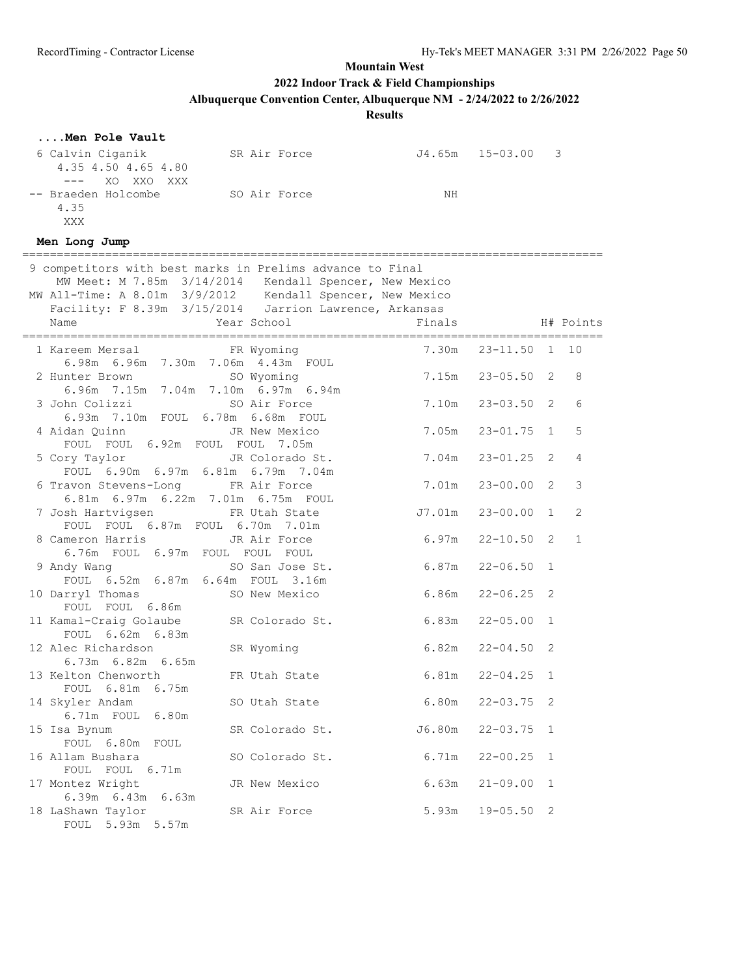**Albuquerque Convention Center, Albuquerque NM - 2/24/2022 to 2/26/2022**

**Results**

|  |  |  |  |  |  |  | Men Pole Vault |
|--|--|--|--|--|--|--|----------------|
|--|--|--|--|--|--|--|----------------|

| 6 Calvin Ciganik<br>4.35 4.50 4.65 4.80<br>$---$<br>XO XXO XXX | SR Air Force    |        | J4.65m 15-03.00      |              | 3              |
|----------------------------------------------------------------|-----------------|--------|----------------------|--------------|----------------|
| -- Braeden Holcombe<br>4.35<br>XXX                             | SO Air Force    | ΝH     |                      |              |                |
| Men Long Jump                                                  |                 |        |                      |              |                |
| 9 competitors with best marks in Prelims advance to Final      |                 |        |                      |              |                |
| MW Meet: M 7.85m 3/14/2014 Kendall Spencer, New Mexico         |                 |        |                      |              |                |
| MW All-Time: A 8.01m 3/9/2012 Kendall Spencer, New Mexico      |                 |        |                      |              |                |
| Facility: F 8.39m 3/15/2014 Jarrion Lawrence, Arkansas<br>Name | Year School     | Finals |                      |              | H# Points      |
|                                                                |                 |        |                      |              |                |
| 1 Kareem Mersal                                                | FR Wyoming      |        | $7.30m$ $23-11.50$ 1 |              | 10             |
| 6.98m 6.96m 7.30m 7.06m 4.43m FOUL                             |                 |        |                      |              |                |
| 2 Hunter Brown<br>6.96m 7.15m 7.04m 7.10m 6.97m 6.94m          | SO Wyoming      |        | 7.15m 23-05.50 2     |              | 8              |
| 3 John Colizzi                                                 | SO Air Force    | 7.10m  | $23 - 03.50$ 2       |              | 6              |
| 6.93m 7.10m FOUL 6.78m 6.68m FOUL                              |                 |        |                      |              |                |
| 4 Aidan Quinn                                                  | JR New Mexico   | 7.05m  | $23 - 01.75$         | $\mathbf{1}$ | 5              |
| FOUL FOUL 6.92m FOUL FOUL 7.05m                                |                 |        |                      |              |                |
| 5 Cory Taylor                                                  | JR Colorado St. | 7.04m  | $23 - 01.25$         | 2            | 4              |
| FOUL 6.90m 6.97m 6.81m 6.79m 7.04m                             |                 |        |                      |              |                |
| 6 Travon Stevens-Long FR Air Force                             |                 | 7.01m  | $23 - 00.00$         | 2            | 3              |
| 6.81m 6.97m 6.22m 7.01m 6.75m FOUL<br>7 Josh Hartvigsen        |                 | J7.01m | $23 - 00.00$         | $\mathbf{1}$ | $\overline{2}$ |
| FOUL FOUL 6.87m FOUL 6.70m 7.01m                               | FR Utah State   |        |                      |              |                |
| 8 Cameron Harris                                               | JR Air Force    | 6.97m  | $22 - 10.50$ 2       |              | $\mathbf{1}$   |
| 6.76m FOUL 6.97m FOUL FOUL FOUL                                |                 |        |                      |              |                |
| 9 Andy Wang                                                    | SO San Jose St. | 6.87m  | $22 - 06.50$         | 1            |                |
| FOUL 6.52m 6.87m 6.64m FOUL 3.16m                              |                 |        |                      |              |                |
| 10 Darryl Thomas                                               | SO New Mexico   | 6.86m  | $22 - 06.25$         | 2            |                |
| FOUL FOUL 6.86m                                                |                 |        |                      |              |                |
| 11 Kamal-Craig Golaube SR Colorado St.<br>FOUL 6.62m 6.83m     |                 | 6.83m  | $22 - 05.00$         | $\mathbf 1$  |                |
| 12 Alec Richardson                                             | SR Wyoming      |        | $6.82m$ $22-04.50$   | 2            |                |
| 6.73m 6.82m 6.65m                                              |                 |        |                      |              |                |
| 13 Kelton Chenworth                                            | FR Utah State   |        | $6.81m$ $22-04.25$   | $\mathbf{1}$ |                |
| FOUL 6.81m 6.75m                                               |                 |        |                      |              |                |
| 14 Skyler Andam                                                | SO Utah State   | 6.80m  | 22-03.75             |              |                |
| 6.71m FOUL<br>6.80m                                            |                 |        |                      |              |                |
| 15 Isa Bynum                                                   | SR Colorado St. | J6.80m | $22 - 03.75$         | - 1          |                |
| FOUL 6.80m FOUL<br>16 Allam Bushara                            | SO Colorado St. | 6.71m  |                      | 1            |                |
| FOUL FOUL 6.71m                                                |                 |        | $22 - 00.25$         |              |                |
| 17 Montez Wright                                               | JR New Mexico   | 6.63m  | $21 - 09.00$         | 1            |                |
| $6.39m$ $6.43m$<br>6.63m                                       |                 |        |                      |              |                |
| 18 LaShawn Taylor                                              | SR Air Force    | 5.93m  | $19 - 05.50$ 2       |              |                |

FOUL 5.93m 5.57m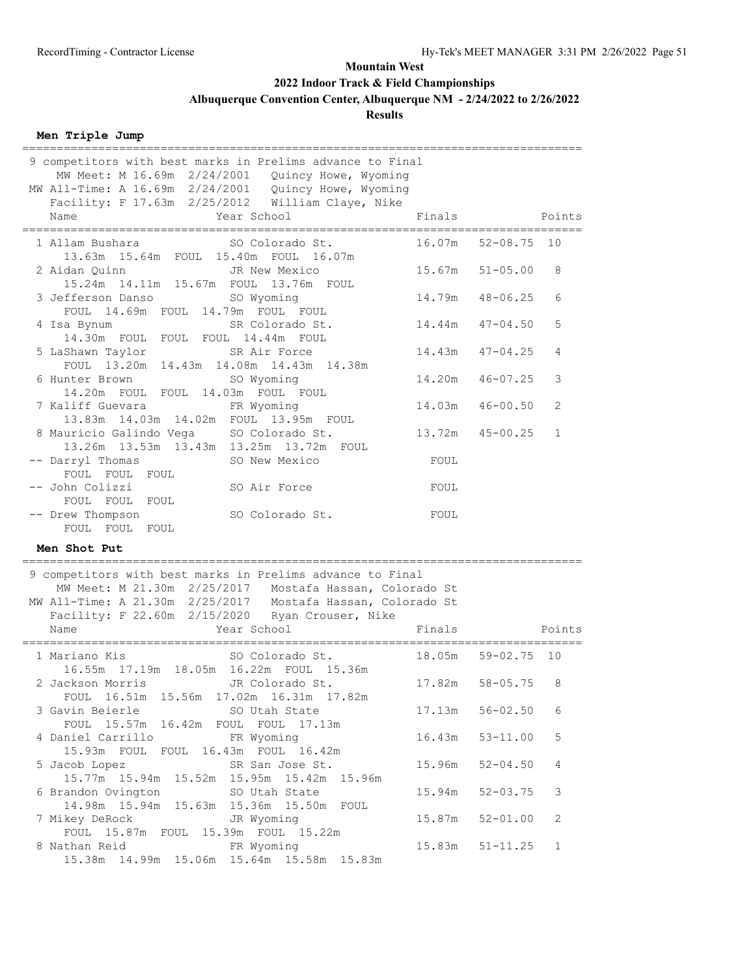### **Men Triple Jump**

| 9 competitors with best marks in Prelims advance to Final<br>MW Meet: M 16.69m 2/24/2001 Quincy Howe, Wyoming<br>MW All-Time: A 16.69m 2/24/2001 Quincy Howe, Wyoming<br>Facility: F 17.63m 2/25/2012 William Claye, Nike              |        |                 |              |
|----------------------------------------------------------------------------------------------------------------------------------------------------------------------------------------------------------------------------------------|--------|-----------------|--------------|
| Year School<br>Name                                                                                                                                                                                                                    | Finals |                 | Points       |
| 1 Allam Bushara<br>SO Colorado St.<br>13.63m 15.64m FOUL 15.40m FOUL 16.07m                                                                                                                                                            | 16.07m | 52-08.75        | 10           |
| 2 Aidan Quinn<br>JR New Mexico<br>15.24m  14.11m  15.67m  FOUL  13.76m  FOUL                                                                                                                                                           | 15.67m | $51 - 05.00$    | 8            |
| 3 Jefferson Danso<br>SO Wyoming<br>FOUL 14.69m FOUL 14.79m FOUL FOUL                                                                                                                                                                   | 14.79m | $48 - 06.25$    | 6            |
| 4 Isa Bynum<br>SR Colorado St.<br>14.30m FOUL FOUL FOUL 14.44m FOUL                                                                                                                                                                    | 14.44m | $47 - 04.50$    | 5            |
| 5 LaShawn Taylor<br>SR Air Force<br>FOUL 13.20m 14.43m 14.08m 14.43m 14.38m                                                                                                                                                            | 14.43m | $47 - 04.25$    | 4            |
| 6 Hunter Brown<br>SO Wyoming<br>14.20m FOUL FOUL 14.03m FOUL FOUL                                                                                                                                                                      | 14.20m | $46 - 07.25$    | 3            |
| 7 Kaliff Guevara<br>FR Wyoming<br>13.83m 14.03m 14.02m FOUL 13.95m FOUL                                                                                                                                                                | 14.03m | $46 - 00.50$    | 2            |
| 8 Mauricio Galindo Vega<br>SO Colorado St.<br>13.26m  13.53m  13.43m  13.25m  13.72m  FOUL                                                                                                                                             | 13.72m | 45-00.25        | $\mathbf{1}$ |
| -- Darryl Thomas<br>SO New Mexico<br>FOUL FOUL FOUL                                                                                                                                                                                    | FOUL   |                 |              |
| -- John Colizzi<br>SO Air Force<br>FOUL FOUL FOUL                                                                                                                                                                                      | FOUL   |                 |              |
| -- Drew Thompson<br>SO Colorado St.<br>FOUL FOUL FOUL                                                                                                                                                                                  | FOUL   |                 |              |
| Men Shot Put                                                                                                                                                                                                                           |        |                 |              |
| 9 competitors with best marks in Prelims advance to Final<br>MW Meet: M 21.30m 2/25/2017 Mostafa Hassan, Colorado St<br>MW All-Time: A 21.30m 2/25/2017 Mostafa Hassan, Colorado St<br>Facility: F 22.60m 2/15/2020 Ryan Crouser, Nike |        |                 |              |
| Year School<br>Name                                                                                                                                                                                                                    | Finals |                 | Points       |
| 1 Mariano Kis<br>SO Colorado St.<br>16.55m  17.19m  18.05m  16.22m  FOUL  15.36m                                                                                                                                                       | 18.05m | 59-02.75        | 10           |
| 2 Jackson Morris<br>JR Colorado St.<br>FOUL 16.51m 15.56m 17.02m 16.31m 17.82m                                                                                                                                                         |        | 17.82m 58-05.75 | 8            |
| SO Utah State<br>3 Gavin Beierle<br>FOUL 15.57m 16.42m FOUL FOUL 17.13m                                                                                                                                                                | 17.13m | $56 - 02.50$    | 6            |
| FR Wyoming<br>4 Daniel Carrillo<br>15.93m FOUL FOUL 16.43m FOUL 16.42m                                                                                                                                                                 | 16.43m | $53 - 11.00$    | 5            |
| 5 Jacob Lopez<br>SR San Jose St.<br>15.77m  15.94m  15.52m  15.95m  15.42m  15.96m                                                                                                                                                     | 15.96m | $52 - 04.50$    | 4            |
| 6 Brandon Ovington<br>SO Utah State<br>14.98m  15.94m  15.63m  15.36m  15.50m  FOUL                                                                                                                                                    | 15.94m | $52 - 03.75$    | 3            |
| JR Wyoming<br>7 Mikey DeRock<br>FOUL 15.87m FOUL 15.39m FOUL 15.22m                                                                                                                                                                    | 15.87m | $52 - 01.00$    | 2            |
| 8 Nathan Reid<br>FR Wyoming<br>15.38m  14.99m  15.06m  15.64m  15.58m  15.83m                                                                                                                                                          | 15.83m | $51 - 11.25$    | $\mathbf{1}$ |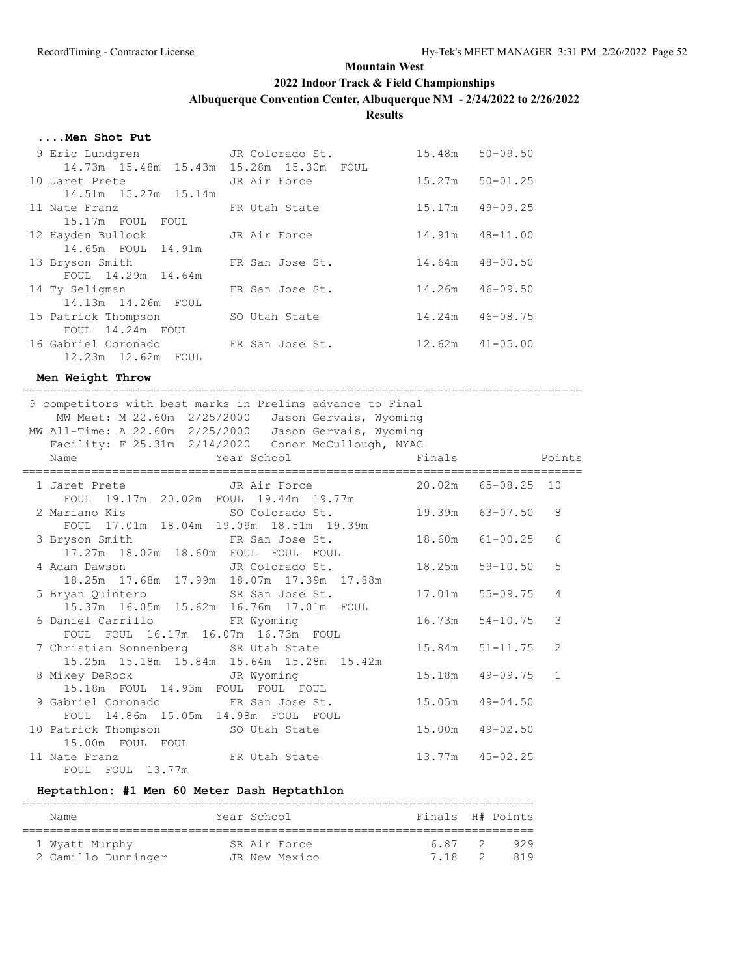#### **....Men Shot Put**

| 9 Eric Lundgren<br>14.73m 15.48m 15.43m 15.28m 15.30m FOUL | JR Colorado St. |        | 15.48m 50-09.50     |
|------------------------------------------------------------|-----------------|--------|---------------------|
| 10 Jaret Prete                                             | JR Air Force    |        | $15.27m$ $50-01.25$ |
| 14.51m 15.27m 15.14m                                       |                 |        |                     |
| 11 Nate Franz                                              | FR Utah State   |        | $15.17m$ $49-09.25$ |
| 15.17m FOUL<br>FOUL                                        |                 |        |                     |
| 12 Hayden Bullock                                          | JR Air Force    |        | 14.91m 48-11.00     |
| 14.65m FOUL 14.91m                                         |                 |        |                     |
| 13 Bryson Smith                                            | FR San Jose St. |        | 14.64m 48-00.50     |
| FOUL 14.29m 14.64m                                         |                 |        |                     |
| 14 Ty Seligman                                             | FR San Jose St. |        | 14.26m 46-09.50     |
| 14.13m  14.26m  FOUL                                       |                 |        |                     |
| 15 Patrick Thompson                                        | SO Utah State   | 14.24m | 46-08.75            |
| FOUL 14.24m FOUL                                           |                 |        |                     |
| 16 Gabriel Coronado                                        | FR San Jose St. |        | $12.62m$ $41-05.00$ |
| 12.23m 12.62m FOUL                                         |                 |        |                     |

**Men Weight Throw**

================================================================================= 9 competitors with best marks in Prelims advance to Final

| MW Meet: M 22.60m 2/25/2000 Jason Gervais, Wyoming                                         |                  |                 |
|--------------------------------------------------------------------------------------------|------------------|-----------------|
| MW All-Time: A 22.60m 2/25/2000 Jason Gervais, Wyoming                                     |                  |                 |
| Facility: F 25.31m 2/14/2020 Conor McCullough, NYAC                                        |                  |                 |
| <b>Example 2</b> Year School <b>Example 2 Second Points</b> Points<br>Name                 |                  |                 |
|                                                                                            |                  |                 |
| 1 Jaret Prete             JR Air Force           20.02m   65-08.25  10                     |                  |                 |
| FOUL 19.17m 20.02m FOUL 19.44m 19.77m                                                      |                  |                 |
| 2 Mariano Kis                       SO Colorado St.               19.39m     63-07.50      |                  | 8               |
| FOUL 17.01m 18.04m 19.09m 18.51m 19.39m                                                    |                  |                 |
| 3 Bryson Smith FR San Jose St. 18.60m 61-00.25                                             |                  | $6\overline{6}$ |
| 17.27m  18.02m  18.60m  FOUL  FOUL  FOUL                                                   |                  |                 |
| 4 Adam Dawson JR Colorado St. 18.25m 59-10.50<br>18.25m 17.68m 17.99m 18.07m 17.39m 17.88m |                  | 5               |
|                                                                                            |                  |                 |
| 5 Bryan Quintero SR San Jose St. 17.01m 55-09.75                                           |                  | 4               |
| 15.37m  16.05m  15.62m  16.76m  17.01m  FOUL                                               |                  |                 |
| 6 Daniel Carrillo FR Wyoming                                                               | 16.73m 54-10.75  | 3               |
| FOUL FOUL 16.17m 16.07m 16.73m FOUL                                                        |                  |                 |
| 7 Christian Sonnenberg SR Utah State                                                       | 15.84m 51-11.75  | $\overline{2}$  |
| 15.25m  15.18m  15.84m  15.64m  15.28m  15.42m                                             |                  |                 |
| 8 Mikey DeRock JR Wyoming                                                                  | 15.18m  49-09.75 | $\mathbf{1}$    |
| 15.18m FOUL 14.93m FOUL FOUL FOUL                                                          |                  |                 |
| 9 Gabriel Coronado FR San Jose St. 15.05m 49-04.50                                         |                  |                 |
| FOUL 14.86m 15.05m 14.98m FOUL FOUL                                                        |                  |                 |
| 10 Patrick Thompson 50 Utah State                                                          | 15.00m  49-02.50 |                 |
| 15.00m FOUL FOUL                                                                           |                  |                 |
| 11 Nate Franz 6 13.77m 45-02.25                                                            |                  |                 |
| FOUL FOUL 13.77m                                                                           |                  |                 |

### **Heptathlon: #1 Men 60 Meter Dash Heptathlon**

| Name                | Year School   | Finals H# Points |     |
|---------------------|---------------|------------------|-----|
| 1 Wyatt Murphy      | SR Air Force  | 687 2            | 929 |
| 2 Camillo Dunninger | JR New Mexico | 718              | 819 |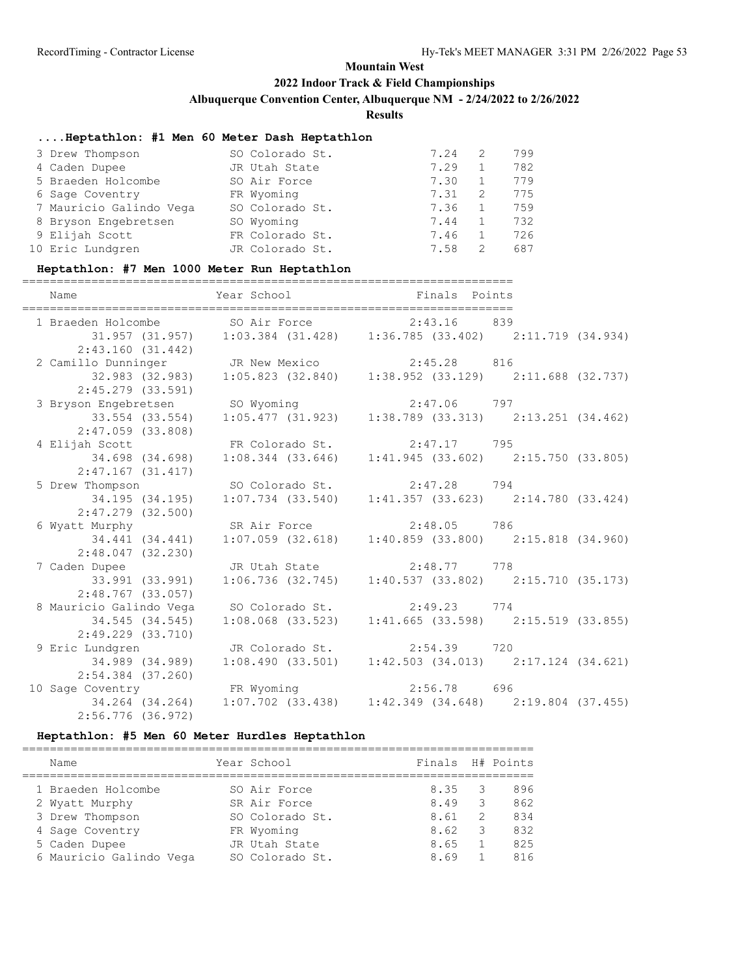### **....Heptathlon: #1 Men 60 Meter Dash Heptathlon**

| 3 Drew Thompson         | SO Colorado St. | 7.24 | -2            | 799 |
|-------------------------|-----------------|------|---------------|-----|
| 4 Caden Dupee           | JR Utah State   | 7.29 |               | 782 |
| 5 Braeden Holcombe      | SO Air Force    | 7.30 |               | 779 |
| 6 Sage Coventry         | FR Wyoming      | 7.31 | 2             | 775 |
| 7 Mauricio Galindo Vega | SO Colorado St. | 7.36 |               | 759 |
| 8 Bryson Engebretsen    | SO Wyoming      | 7.44 |               | 732 |
| 9 Elijah Scott          | FR Colorado St. | 7.46 |               | 726 |
| 10 Eric Lundgren        | JR Colorado St. | 7.58 | $\mathcal{L}$ | 687 |

### **Heptathlon: #7 Men 1000 Meter Run Heptathlon**

| Name                                                                                                                 | Year School Tinals Points                                               |  |  |
|----------------------------------------------------------------------------------------------------------------------|-------------------------------------------------------------------------|--|--|
|                                                                                                                      |                                                                         |  |  |
| 1 Braeden Holcombe SO Air Force 2:43.16 839<br>31.957 (31.957) 1:03.384 (31.428) 1:36.785 (33.402) 2:11.719 (34.934) |                                                                         |  |  |
|                                                                                                                      |                                                                         |  |  |
| 2:43.160(31.442)                                                                                                     |                                                                         |  |  |
| 2 Camillo Dunninger<br>32.983 (32.983) 1:05.823 (32.840) 1:38.952 (33.129) 2:11.688 (32.737)                         |                                                                         |  |  |
|                                                                                                                      |                                                                         |  |  |
| 2:45.279 (33.591)                                                                                                    |                                                                         |  |  |
| 3 Bryson Engebretsen SO Wyoming 2:47.06 797<br>33.554 (33.554) 1:05.477 (31.923) 1:38.789 (33.313) 2:13.251 (34.462) |                                                                         |  |  |
|                                                                                                                      |                                                                         |  |  |
| 2:47.059 (33.808)                                                                                                    |                                                                         |  |  |
| 4 Elijah Scott KR Colorado St. 2:47.17 795                                                                           |                                                                         |  |  |
| 34.698 (34.698) 1:08.344 (33.646) 1:41.945 (33.602) 2:15.750 (33.805)                                                |                                                                         |  |  |
| 2:47.167(31.417)                                                                                                     |                                                                         |  |  |
| 5 Drew Thompson SO Colorado St. 2:47.28 794                                                                          | 34.195 (34.195) 1:07.734 (33.540) 1:41.357 (33.623) 2:14.780 (33.424)   |  |  |
| $2:47.279$ (32.500)                                                                                                  |                                                                         |  |  |
|                                                                                                                      |                                                                         |  |  |
| 6 Wyatt Murphy SR Air Force 2:48.05 786<br>34.441 (34.441) 1:07.059 (32.618) 1:40.859 (33.800) 2:15.818 (34.960)     |                                                                         |  |  |
| 2:48.047 (32.230)                                                                                                    |                                                                         |  |  |
|                                                                                                                      |                                                                         |  |  |
| 7 Caden Dupee JR Utah State 2:48.77 778<br>33.991 (33.991) 1:06.736 (32.745) 1:40.537 (33.802) 2:15.710 (35.173)     |                                                                         |  |  |
| 2:48.767 (33.057)                                                                                                    |                                                                         |  |  |
| 8 Mauricio Galindo Vega SO Colorado St. 2:49.23 774                                                                  |                                                                         |  |  |
|                                                                                                                      | $34.545$ (34.545) 1:08.068 (33.523) 1:41.665 (33.598) 2:15.519 (33.855) |  |  |
| 2:49.229 (33.710)                                                                                                    |                                                                         |  |  |
| 9 Eric Lundgren         JR Colorado St.           2:54.39     720                                                    |                                                                         |  |  |
|                                                                                                                      | 34.989 (34.989) 1:08.490 (33.501) 1:42.503 (34.013) 2:17.124 (34.621)   |  |  |
| 2:54.384 (37.260)                                                                                                    |                                                                         |  |  |
| 10 Sage Coventry FR Wyoming 2:56.78 696<br>34.264 (34.264) 1:07.702 (33.438) 1:42.349 (34.648) 2:19.804 (37.455)     |                                                                         |  |  |
|                                                                                                                      |                                                                         |  |  |
| 2:56.776 (36.972)                                                                                                    |                                                                         |  |  |

### **Heptathlon: #5 Men 60 Meter Hurdles Heptathlon**

| Name                    | Year School     | Finals H# Points |    |     |
|-------------------------|-----------------|------------------|----|-----|
|                         |                 |                  |    |     |
| 1 Braeden Holcombe      | SO Air Force    | 8.35             | З  | 896 |
| 2 Wyatt Murphy          | SR Air Force    | 8.49             | -3 | 862 |
| 3 Drew Thompson         | SO Colorado St. | 8.61             | -2 | 834 |
| 4 Sage Coventry         | FR Wyoming      | 8.62             | 3  | 832 |
| 5 Caden Dupee           | JR Utah State   | 8.65             |    | 825 |
| 6 Mauricio Galindo Vega | SO Colorado St. | 8.69             |    | 816 |
|                         |                 |                  |    |     |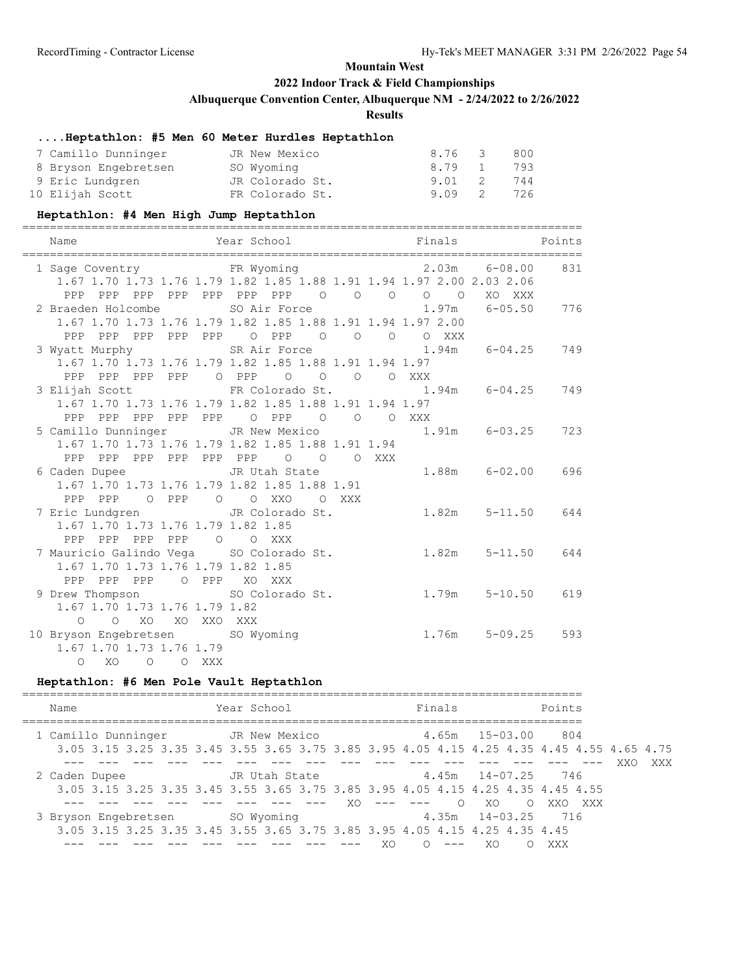#### **Results**

#### **....Heptathlon: #5 Men 60 Meter Hurdles Heptathlon**

| 7 Camillo Dunninger  | JR New Mexico   | 8.76 3 | 800 |
|----------------------|-----------------|--------|-----|
| 8 Bryson Engebretsen | SO Wyoming      | 8.79 1 | 793 |
| 9 Eric Lundgren      | JR Colorado St. | 9.01 2 | 744 |
| 10 Elijah Scott      | FR Colorado St. | 9.09 2 | 726 |

#### **Heptathlon: #4 Men High Jump Heptathlon**

| Name                                                                                                                                                                        |  |  |  |       |  | Year School Finals Points |     |
|-----------------------------------------------------------------------------------------------------------------------------------------------------------------------------|--|--|--|-------|--|---------------------------|-----|
| 1 Sage Coventry FR Wyoming 2.03m 6-08.00 831<br>1.67 1.70 1.73 1.76 1.79 1.82 1.85 1.88 1.91 1.94 1.97 2.00 2.03 2.06<br>PPP PPP PPP PPP PPP PPP PPP 0 0 0 0 0              |  |  |  |       |  | XO XXX                    |     |
| 2 Braeden Holcombe SO Air Force 1.97m 6-05.50 776<br>1.67 1.70 1.73 1.76 1.79 1.82 1.85 1.88 1.91 1.94 1.97 2.00<br>PPP PPP PPP PPP PPP 0 PPP 0 0 0 0 XXX                   |  |  |  |       |  |                           |     |
| 3 Wyatt Murphy SR Air Force 1.94m 6-04.25 749<br>1.67 1.70 1.73 1.76 1.79 1.82 1.85 1.88 1.91 1.94 1.97<br>PPP PPP PPP PPP 0 PPP 0 0 0 0 XXX                                |  |  |  |       |  |                           |     |
| 3 Elijah Scott               FR Colorado St.             1.94m     6-04.25<br>1.67 1.70 1.73 1.76 1.79 1.82 1.85 1.88 1.91 1.94 1.97<br>PPP PPP PPP PPP PPP O PPP O O O XXX |  |  |  |       |  |                           | 749 |
| 5 Camillo Dunninger JR New Mexico 1.91m 6-03.25<br>1.67 1.70 1.73 1.76 1.79 1.82 1.85 1.88 1.91 1.94<br>PPP PPP PPP PPP PPP PPP 0 0 0 XXX                                   |  |  |  |       |  |                           | 723 |
| 6 Caden Dupee 5 3 JR Utah State 5 1.88m 6-02.00 696<br>1.67 1.70 1.73 1.76 1.79 1.82 1.85 1.88 1.91<br>PPP PPP 0 PPP 0 0 XXO                                                |  |  |  | O XXX |  |                           |     |
| 7 Eric Lundgren JR Colorado St.<br>1.67 1.70 1.73 1.76 1.79 1.82 1.85<br>PPP PPP PPP PPP 0 0 XXX                                                                            |  |  |  |       |  | $1.82m$ $5-11.50$ $644$   |     |
| 7 Mauricio Galindo Vega SO Colorado St. 1.82m 5-11.50 644<br>1.67 1.70 1.73 1.76 1.79 1.82 1.85<br>PPP PPP PPP 0 PPP XO XXX                                                 |  |  |  |       |  |                           |     |
| 9 Drew Thompson SO Colorado St.<br>1.67 1.70 1.73 1.76 1.79 1.82<br>O O XO XO XXO XXX                                                                                       |  |  |  |       |  | $1.79m$ $5-10.50$ 619     |     |
| 10 Bryson Engebretsen SO Wyoming<br>1.67 1.70 1.73 1.76 1.79<br>O XO O O XXX                                                                                                |  |  |  |       |  | 1.76m 5-09.25 593         |     |

#### **Heptathlon: #6 Men Pole Vault Heptathlon**

================================================================================= Name The Year School Team Points Points ================================================================================= 1 Camillo Dunninger JR New Mexico 3.05 3.15 3.25 3.35 3.45 3.55 3.65 3.75 3.85 3.95 4.05 4.15 4.25 4.35 4.45 4.55 4.65 4.75 --- --- --- --- --- --- --- --- --- --- --- --- --- --- --- --- XXO XXX 2 Caden Dupee JR Utah State 4.45m 14-07.25 746 3.05 3.15 3.25 3.35 3.45 3.55 3.65 3.75 3.85 3.95 4.05 4.15 4.25 4.35 4.45 4.55 --- --- --- --- --- --- --- --- XO --- --- O XO O XXO XXX 3 Bryson Engebretsen SO Wyoming 4.35m 14-03.25 716 3.05 3.15 3.25 3.35 3.45 3.55 3.65 3.75 3.85 3.95 4.05 4.15 4.25 4.35 4.45 --- --- --- --- --- --- --- --- --- XO O --- XO O XXX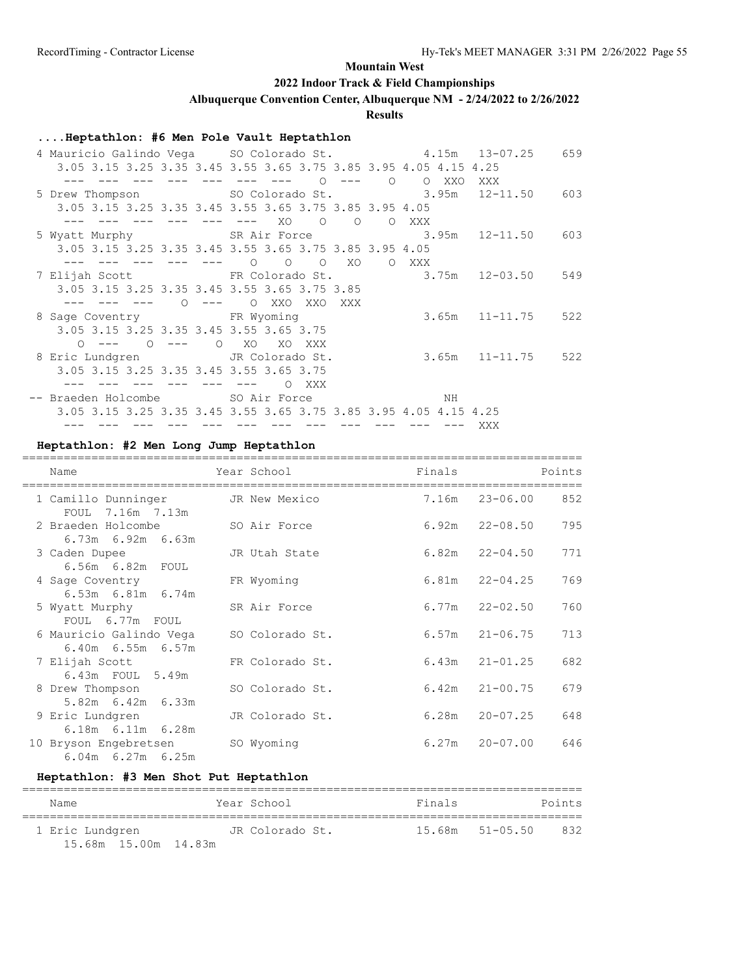# **2022 Indoor Track & Field Championships**

**Albuquerque Convention Center, Albuquerque NM - 2/24/2022 to 2/26/2022**

### **Results**

### **....Heptathlon: #6 Men Pole Vault Heptathlon**

| 4 Mauricio Galindo Vega so Colorado St. 4.15m 13-07.25                                                                                                                                                                                                                                                                                                                                                                |                                                                  |            |                    | 659 |
|-----------------------------------------------------------------------------------------------------------------------------------------------------------------------------------------------------------------------------------------------------------------------------------------------------------------------------------------------------------------------------------------------------------------------|------------------------------------------------------------------|------------|--------------------|-----|
|                                                                                                                                                                                                                                                                                                                                                                                                                       | 3.05 3.15 3.25 3.35 3.45 3.55 3.65 3.75 3.85 3.95 4.05 4.15 4.25 |            |                    |     |
|                                                                                                                                                                                                                                                                                                                                                                                                                       | $\Omega$                                                         | $\bigcirc$ | XXO XXX            |     |
| 5 Drew Thompson SO Colorado St.                                                                                                                                                                                                                                                                                                                                                                                       |                                                                  |            | $3.95m$ $12-11.50$ | 603 |
|                                                                                                                                                                                                                                                                                                                                                                                                                       | 3.05 3.15 3.25 3.35 3.45 3.55 3.65 3.75 3.85 3.95 4.05           |            |                    |     |
|                                                                                                                                                                                                                                                                                                                                                                                                                       | $\circ$<br>XO<br>$\circ$<br>$\Omega$                             | XXX        |                    |     |
| 5 Wyatt Murphy <b>SR Air Force</b> 3.95m                                                                                                                                                                                                                                                                                                                                                                              |                                                                  |            | 12-11.50           | 603 |
|                                                                                                                                                                                                                                                                                                                                                                                                                       | 3.05 3.15 3.25 3.35 3.45 3.55 3.65 3.75 3.85 3.95 4.05           |            |                    |     |
|                                                                                                                                                                                                                                                                                                                                                                                                                       | $\Omega$<br>$\circ$<br>$\Omega$<br>XO<br>$\circ$                 | XXX        |                    |     |
| 7 Elijah Scott               FR Colorado St.               3.75m   12-03.50                                                                                                                                                                                                                                                                                                                                           |                                                                  |            |                    | 549 |
| 3.05 3.15 3.25 3.35 3.45 3.55 3.65 3.75 3.85                                                                                                                                                                                                                                                                                                                                                                          |                                                                  |            |                    |     |
| $\circ$ 0                                                                                                                                                                                                                                                                                                                                                                                                             | O XXO<br>XXO<br>XXX                                              |            |                    |     |
| 8 Sage Coventry TR Wyoming                                                                                                                                                                                                                                                                                                                                                                                            |                                                                  |            | $3.65m$ $11-11.75$ | 522 |
| 3.05 3.15 3.25 3.35 3.45 3.55 3.65 3.75                                                                                                                                                                                                                                                                                                                                                                               |                                                                  |            |                    |     |
| $\Omega$<br>$0 - - -$<br>$\frac{1}{2} \frac{1}{2} \frac{1}{2} \frac{1}{2} \frac{1}{2} \frac{1}{2} \frac{1}{2} \frac{1}{2} \frac{1}{2} \frac{1}{2} \frac{1}{2} \frac{1}{2} \frac{1}{2} \frac{1}{2} \frac{1}{2} \frac{1}{2} \frac{1}{2} \frac{1}{2} \frac{1}{2} \frac{1}{2} \frac{1}{2} \frac{1}{2} \frac{1}{2} \frac{1}{2} \frac{1}{2} \frac{1}{2} \frac{1}{2} \frac{1}{2} \frac{1}{2} \frac{1}{2} \frac{1}{2} \frac{$ | O XO<br>XO XXX                                                   |            |                    |     |
| 8 Eric Lundgren JR Colorado St.                                                                                                                                                                                                                                                                                                                                                                                       |                                                                  | 3.65m      | 11-11.75           | 522 |
| 3.05 3.15 3.25 3.35 3.45 3.55 3.65 3.75                                                                                                                                                                                                                                                                                                                                                                               |                                                                  |            |                    |     |
|                                                                                                                                                                                                                                                                                                                                                                                                                       | XXX                                                              |            |                    |     |
| -- Braeden Holcombe 50 Air Force                                                                                                                                                                                                                                                                                                                                                                                      |                                                                  | NH         |                    |     |
|                                                                                                                                                                                                                                                                                                                                                                                                                       | 3.05 3.15 3.25 3.35 3.45 3.55 3.65 3.75 3.85 3.95 4.05 4.15 4.25 |            |                    |     |
|                                                                                                                                                                                                                                                                                                                                                                                                                       |                                                                  |            | XXX                |     |

### **Heptathlon: #2 Men Long Jump Heptathlon**

| Name                                             | Year School     | Finals |                    | Points |
|--------------------------------------------------|-----------------|--------|--------------------|--------|
| 1 Camillo Dunninger<br>FOUL 7.16m 7.13m          | JR New Mexico   |        | $7.16m$ $23-06.00$ | 852    |
| 2 Braeden Holcombe<br>$6.73m$ $6.92m$ $6.63m$    | SO Air Force    | 6.92m  | 22-08.50           | 795    |
| 3 Caden Dupee<br>6.56m  6.82m  FOUL              | JR Utah State   |        | $6.82m$ $22-04.50$ | 771    |
| 4 Sage Coventry<br>$6.53m$ $6.81m$ $6.74m$       | FR Wyoming      |        | $6.81m$ $22-04.25$ | 769    |
| 5 Wyatt Murphy<br>FOUL 6.77m FOUL                | SR Air Force    | 6.77m  | $22 - 02.50$       | 760    |
| 6 Mauricio Galindo Vega<br>6.40m 6.55m 6.57m     | SO Colorado St. | 6.57m  | $21 - 06.75$       | 713    |
| 7 Elijah Scott<br>6.43m FOUL 5.49m               | FR Colorado St. | 6.43m  | $21 - 01.25$       | 682    |
| 8 Drew Thompson<br>5.82m 6.42m 6.33m             | SO Colorado St. |        | $6.42m$ $21-00.75$ | 679    |
| 9 Eric Lundgren<br>$6.18m$ $6.11m$ $6.28m$       | JR Colorado St. | 6.28m  | 20-07.25           | 648    |
| 10 Bryson Engebretsen<br>$6.04m$ $6.27m$ $6.25m$ | SO Wyoming      |        | $6.27m$ $20-07.00$ | 646    |

### **Heptathlon: #3 Men Shot Put Heptathlon**

| Name                 | Year School     | Finals              | Points |
|----------------------|-----------------|---------------------|--------|
| 1 Eric Lundgren      | JR Colorado St. | $15.68m$ $51-05.50$ | 832    |
| 15.68m 15.00m 14.83m |                 |                     |        |